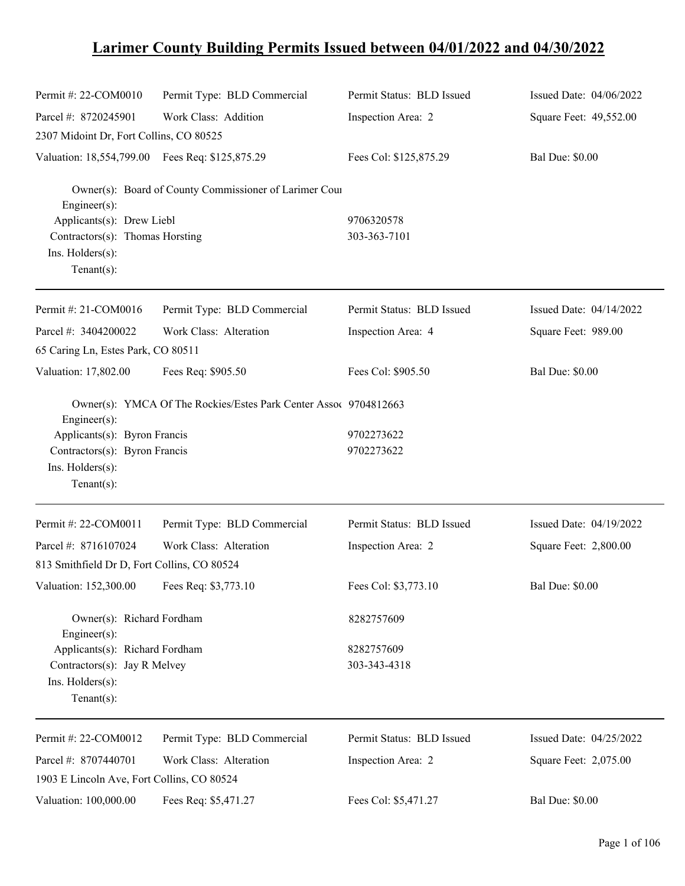## **Larimer County Building Permits Issued between 04/01/2022 and 04/30/2022**

| Permit #: 22-COM0010                                                 | Permit Type: BLD Commercial                                      | Permit Status: BLD Issued | Issued Date: 04/06/2022 |
|----------------------------------------------------------------------|------------------------------------------------------------------|---------------------------|-------------------------|
| Parcel #: 8720245901                                                 | Work Class: Addition                                             | Inspection Area: 2        | Square Feet: 49,552.00  |
| 2307 Midoint Dr, Fort Collins, CO 80525                              |                                                                  |                           |                         |
| Valuation: 18,554,799.00 Fees Req: \$125,875.29                      |                                                                  | Fees Col: \$125,875.29    | <b>Bal Due: \$0.00</b>  |
| Engineer(s):                                                         | Owner(s): Board of County Commissioner of Larimer Cour           |                           |                         |
| Applicants(s): Drew Liebl                                            |                                                                  | 9706320578                |                         |
| Contractors(s): Thomas Horsting<br>Ins. Holders(s):<br>$Tenant(s)$ : |                                                                  | 303-363-7101              |                         |
| Permit #: 21-COM0016                                                 | Permit Type: BLD Commercial                                      | Permit Status: BLD Issued | Issued Date: 04/14/2022 |
| Parcel #: 3404200022                                                 | Work Class: Alteration                                           | Inspection Area: 4        | Square Feet: 989.00     |
| 65 Caring Ln, Estes Park, CO 80511                                   |                                                                  |                           |                         |
| Valuation: 17,802.00                                                 | Fees Req: \$905.50                                               | Fees Col: \$905.50        | <b>Bal Due: \$0.00</b>  |
| Engineer(s):                                                         | Owner(s): YMCA Of The Rockies/Estes Park Center Assoc 9704812663 |                           |                         |
| Applicants(s): Byron Francis                                         |                                                                  | 9702273622                |                         |
| Contractors(s): Byron Francis<br>Ins. Holders(s):<br>$Tenant(s)$ :   |                                                                  | 9702273622                |                         |
| Permit #: 22-COM0011                                                 | Permit Type: BLD Commercial                                      | Permit Status: BLD Issued | Issued Date: 04/19/2022 |
| Parcel #: 8716107024                                                 | Work Class: Alteration                                           | Inspection Area: 2        | Square Feet: 2,800.00   |
| 813 Smithfield Dr D, Fort Collins, CO 80524                          |                                                                  |                           |                         |
| Valuation: 152,300.00 Fees Req: \$3,773.10                           |                                                                  | Fees Col: \$3,773.10      | <b>Bal Due: \$0.00</b>  |
| Owner(s): Richard Fordham<br>Engineer(s):                            |                                                                  | 8282757609                |                         |
| Applicants(s): Richard Fordham                                       |                                                                  | 8282757609                |                         |
| Contractors(s): Jay R Melvey                                         |                                                                  | 303-343-4318              |                         |
| Ins. Holders(s):<br>Tenant $(s)$ :                                   |                                                                  |                           |                         |
| Permit #: 22-COM0012                                                 | Permit Type: BLD Commercial                                      | Permit Status: BLD Issued | Issued Date: 04/25/2022 |
| Parcel #: 8707440701                                                 | Work Class: Alteration                                           | Inspection Area: 2        | Square Feet: 2,075.00   |
| 1903 E Lincoln Ave, Fort Collins, CO 80524                           |                                                                  |                           |                         |
| Valuation: 100,000.00                                                | Fees Req: \$5,471.27                                             | Fees Col: \$5,471.27      | <b>Bal Due: \$0.00</b>  |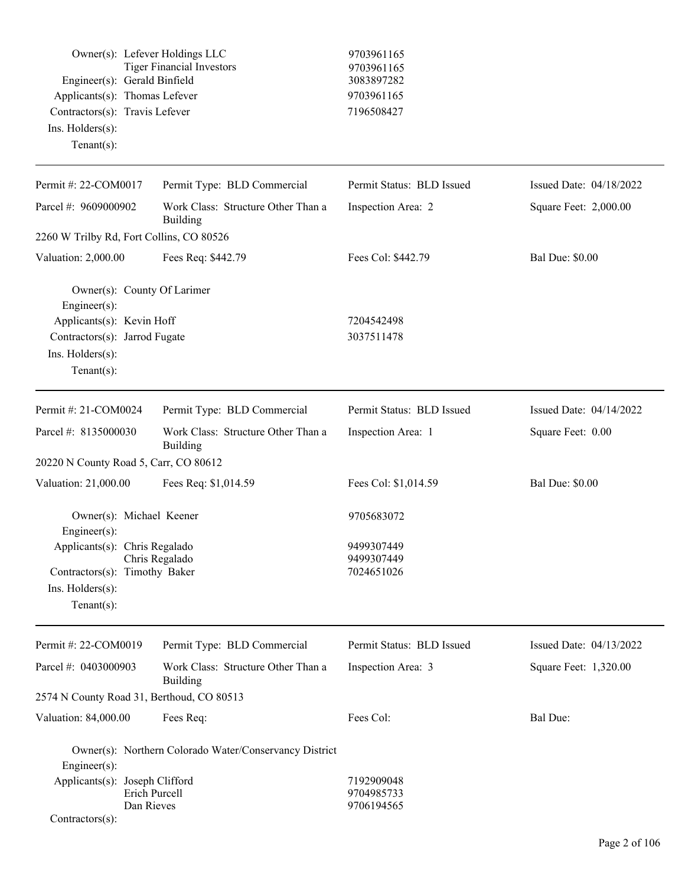| Owner(s): Lefever Holdings LLC<br><b>Tiger Financial Investors</b><br>Engineer(s): Gerald Binfield<br>Applicants(s): Thomas Lefever<br>Contractors(s): Travis Lefever |                                                        | 9703961165<br>9703961165<br>3083897282 |                         |
|-----------------------------------------------------------------------------------------------------------------------------------------------------------------------|--------------------------------------------------------|----------------------------------------|-------------------------|
|                                                                                                                                                                       |                                                        | 9703961165<br>7196508427               |                         |
| Ins. Holders(s):                                                                                                                                                      |                                                        |                                        |                         |
| $Tenant(s)$ :                                                                                                                                                         |                                                        |                                        |                         |
| Permit #: 22-COM0017                                                                                                                                                  | Permit Type: BLD Commercial                            | Permit Status: BLD Issued              | Issued Date: 04/18/2022 |
| Parcel #: 9609000902                                                                                                                                                  | Work Class: Structure Other Than a<br><b>Building</b>  | Inspection Area: 2                     | Square Feet: 2,000.00   |
| 2260 W Trilby Rd, Fort Collins, CO 80526                                                                                                                              |                                                        |                                        |                         |
| Valuation: 2,000.00                                                                                                                                                   | Fees Req: \$442.79                                     | Fees Col: \$442.79                     | <b>Bal Due: \$0.00</b>  |
| Owner(s): County Of Larimer<br>Engineer(s):                                                                                                                           |                                                        |                                        |                         |
| Applicants(s): Kevin Hoff                                                                                                                                             |                                                        | 7204542498                             |                         |
| Contractors(s): Jarrod Fugate                                                                                                                                         |                                                        | 3037511478                             |                         |
| Ins. Holders(s):                                                                                                                                                      |                                                        |                                        |                         |
| $Tenant(s)$ :                                                                                                                                                         |                                                        |                                        |                         |
| Permit #: 21-COM0024                                                                                                                                                  | Permit Type: BLD Commercial                            | Permit Status: BLD Issued              | Issued Date: 04/14/2022 |
| Parcel #: 8135000030                                                                                                                                                  | Work Class: Structure Other Than a<br>Building         | Inspection Area: 1                     | Square Feet: 0.00       |
| 20220 N County Road 5, Carr, CO 80612                                                                                                                                 |                                                        |                                        |                         |
| Valuation: 21,000.00                                                                                                                                                  | Fees Req: \$1,014.59                                   | Fees Col: \$1,014.59                   | <b>Bal Due: \$0.00</b>  |
| Owner(s): Michael Keener                                                                                                                                              |                                                        | 9705683072                             |                         |
| Engineer(s):<br>Applicants(s): Chris Regalado                                                                                                                         |                                                        | 9499307449                             |                         |
|                                                                                                                                                                       | Chris Regalado                                         | 9499307449                             |                         |
| Contractors(s): Timothy Baker                                                                                                                                         |                                                        | 7024651026                             |                         |
| Ins. Holders(s):                                                                                                                                                      |                                                        |                                        |                         |
| $Tenant(s)$ :                                                                                                                                                         |                                                        |                                        |                         |
| Permit #: 22-COM0019                                                                                                                                                  | Permit Type: BLD Commercial                            | Permit Status: BLD Issued              | Issued Date: 04/13/2022 |
| Parcel #: 0403000903                                                                                                                                                  | Work Class: Structure Other Than a<br>Building         | Inspection Area: 3                     | Square Feet: 1,320.00   |
| 2574 N County Road 31, Berthoud, CO 80513                                                                                                                             |                                                        |                                        |                         |
| Valuation: 84,000.00                                                                                                                                                  | Fees Req:                                              | Fees Col:                              | Bal Due:                |
|                                                                                                                                                                       | Owner(s): Northern Colorado Water/Conservancy District |                                        |                         |
| Engineer(s):                                                                                                                                                          |                                                        |                                        |                         |
| Applicants(s): Joseph Clifford                                                                                                                                        | Erich Purcell                                          | 7192909048<br>9704985733               |                         |
| Dan Rieves                                                                                                                                                            |                                                        | 9706194565                             |                         |
| Contractors(s):                                                                                                                                                       |                                                        |                                        |                         |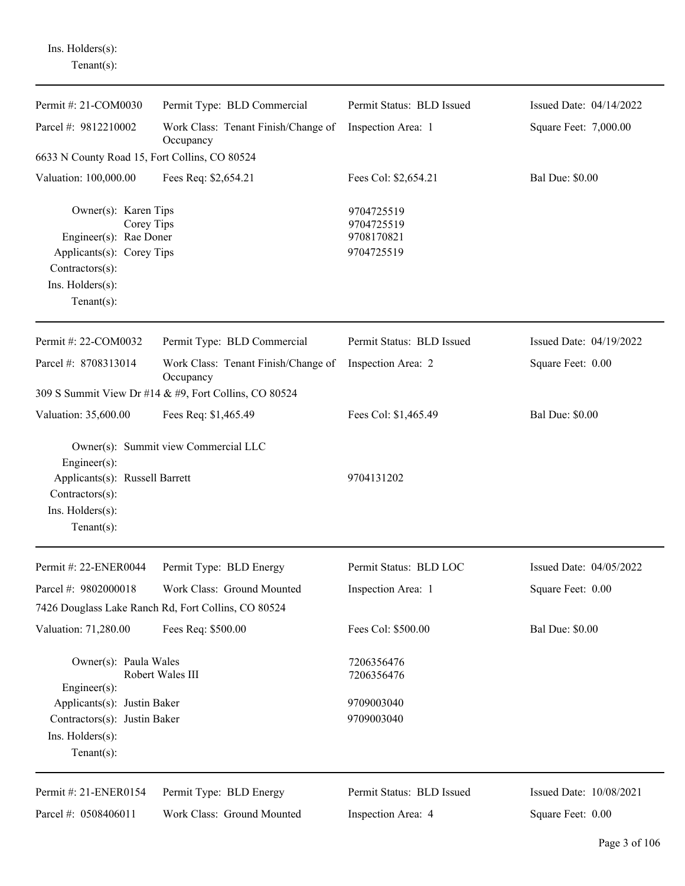Ins. Holders(s): Tenant(s):

| Permit #: 21-COM0030                                                                                                                               | Permit Type: BLD Commercial                           | Permit Status: BLD Issued                            | Issued Date: 04/14/2022 |
|----------------------------------------------------------------------------------------------------------------------------------------------------|-------------------------------------------------------|------------------------------------------------------|-------------------------|
| Parcel #: 9812210002                                                                                                                               | Work Class: Tenant Finish/Change of<br>Occupancy      | Inspection Area: 1                                   | Square Feet: 7,000.00   |
| 6633 N County Road 15, Fort Collins, CO 80524                                                                                                      |                                                       |                                                      |                         |
| Valuation: 100,000.00                                                                                                                              | Fees Req: \$2,654.21                                  | Fees Col: \$2,654.21                                 | <b>Bal Due: \$0.00</b>  |
| Owner(s): Karen Tips<br>Corey Tips<br>Engineer(s): Rae Doner<br>Applicants(s): Corey Tips<br>Contractors(s):<br>Ins. Holders(s):<br>Tenant $(s)$ : |                                                       | 9704725519<br>9704725519<br>9708170821<br>9704725519 |                         |
| Permit #: 22-COM0032                                                                                                                               | Permit Type: BLD Commercial                           | Permit Status: BLD Issued                            | Issued Date: 04/19/2022 |
| Parcel #: 8708313014                                                                                                                               | Work Class: Tenant Finish/Change of<br>Occupancy      | Inspection Area: 2                                   | Square Feet: 0.00       |
|                                                                                                                                                    | 309 S Summit View Dr #14 & #9, Fort Collins, CO 80524 |                                                      |                         |
| Valuation: 35,600.00                                                                                                                               | Fees Req: \$1,465.49                                  | Fees Col: \$1,465.49                                 | <b>Bal Due: \$0.00</b>  |
| Engineer(s):<br>Applicants(s): Russell Barrett<br>Contractors(s):<br>Ins. Holders(s):<br>$Tenant(s)$ :                                             | Owner(s): Summit view Commercial LLC                  | 9704131202                                           |                         |
| Permit #: 22-ENER0044                                                                                                                              | Permit Type: BLD Energy                               | Permit Status: BLD LOC                               | Issued Date: 04/05/2022 |
| Parcel #: 9802000018                                                                                                                               | Work Class: Ground Mounted                            | Inspection Area: 1                                   | Square Feet: 0.00       |
|                                                                                                                                                    | 7426 Douglass Lake Ranch Rd, Fort Collins, CO 80524   |                                                      |                         |
| Valuation: 71,280.00                                                                                                                               | Fees Req: \$500.00                                    | Fees Col: \$500.00                                   | <b>Bal Due: \$0.00</b>  |
| Owner(s): Paula Wales<br>Engineer $(s)$ :                                                                                                          | Robert Wales III                                      | 7206356476<br>7206356476                             |                         |
| Applicants(s): Justin Baker                                                                                                                        |                                                       | 9709003040                                           |                         |
| Contractors(s): Justin Baker                                                                                                                       |                                                       | 9709003040                                           |                         |
| Ins. Holders(s):<br>Tenant $(s)$ :                                                                                                                 |                                                       |                                                      |                         |
| Permit #: 21-ENER0154                                                                                                                              | Permit Type: BLD Energy                               | Permit Status: BLD Issued                            | Issued Date: 10/08/2021 |

Inspection Area: 4

Square Feet: 0.00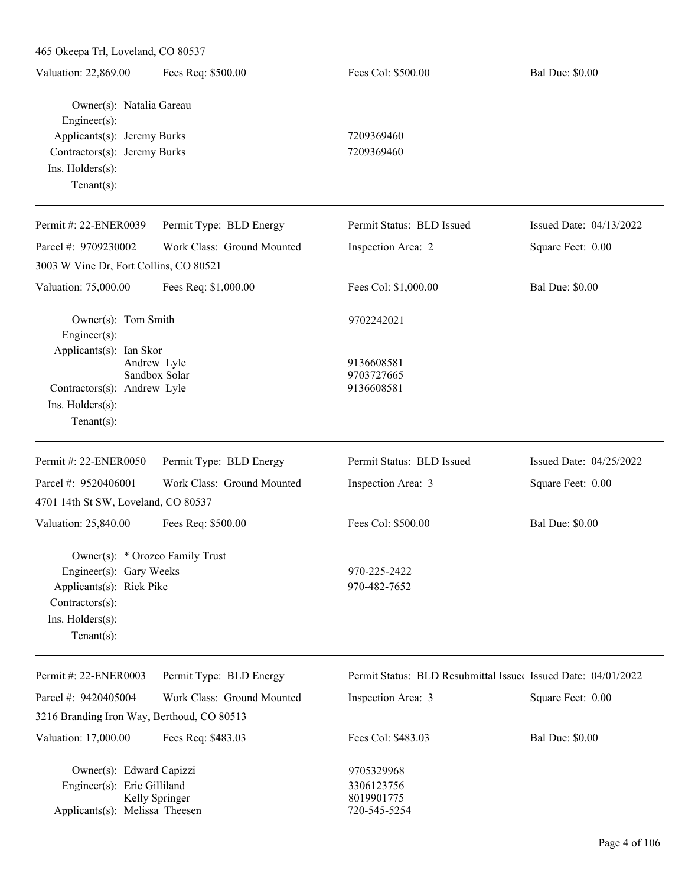| 465 Okeepa Trl, Loveland, CO 80537                                                                                            |                              |                                                               |                         |
|-------------------------------------------------------------------------------------------------------------------------------|------------------------------|---------------------------------------------------------------|-------------------------|
| Valuation: 22,869.00                                                                                                          | Fees Req: \$500.00           | Fees Col: \$500.00                                            | <b>Bal Due: \$0.00</b>  |
| Owner(s): Natalia Gareau<br>Engineer $(s)$ :                                                                                  |                              |                                                               |                         |
| Applicants(s): Jeremy Burks                                                                                                   |                              | 7209369460                                                    |                         |
| Contractors(s): Jeremy Burks                                                                                                  |                              | 7209369460                                                    |                         |
| Ins. Holders(s):                                                                                                              |                              |                                                               |                         |
| $Tenant(s)$ :                                                                                                                 |                              |                                                               |                         |
| Permit #: 22-ENER0039                                                                                                         | Permit Type: BLD Energy      | Permit Status: BLD Issued                                     | Issued Date: 04/13/2022 |
| Parcel #: 9709230002                                                                                                          | Work Class: Ground Mounted   | Inspection Area: 2                                            | Square Feet: 0.00       |
| 3003 W Vine Dr, Fort Collins, CO 80521                                                                                        |                              |                                                               |                         |
| Valuation: 75,000.00                                                                                                          | Fees Req: \$1,000.00         | Fees Col: \$1,000.00                                          | <b>Bal Due: \$0.00</b>  |
| Owner(s): Tom Smith<br>Engineer $(s)$ :                                                                                       |                              | 9702242021                                                    |                         |
| Applicants(s): Ian Skor<br>Contractors(s): Andrew Lyle<br>Ins. Holders(s):<br>Tenant $(s)$ :                                  | Andrew Lyle<br>Sandbox Solar | 9136608581<br>9703727665<br>9136608581                        |                         |
| Permit #: 22-ENER0050                                                                                                         | Permit Type: BLD Energy      | Permit Status: BLD Issued                                     | Issued Date: 04/25/2022 |
| Parcel #: 9520406001                                                                                                          | Work Class: Ground Mounted   | Inspection Area: 3                                            | Square Feet: 0.00       |
| 4701 14th St SW, Loveland, CO 80537                                                                                           |                              |                                                               |                         |
| Valuation: 25,840.00                                                                                                          | Fees Req: \$500.00           | Fees Col: \$500.00                                            | <b>Bal Due: \$0.00</b>  |
| Owner(s): * Orozco Family Trust<br>Engineer(s): Gary Weeks<br>Applicants(s): Rick Pike<br>Contractors(s):<br>Ins. Holders(s): |                              | 970-225-2422<br>970-482-7652                                  |                         |
| Tenant $(s)$ :                                                                                                                |                              |                                                               |                         |
| Permit #: 22-ENER0003                                                                                                         | Permit Type: BLD Energy      | Permit Status: BLD Resubmittal Issued Issued Date: 04/01/2022 |                         |
| Parcel #: 9420405004                                                                                                          | Work Class: Ground Mounted   | Inspection Area: 3                                            | Square Feet: 0.00       |
| 3216 Branding Iron Way, Berthoud, CO 80513                                                                                    |                              |                                                               |                         |
| Valuation: 17,000.00                                                                                                          | Fees Req: \$483.03           | Fees Col: \$483.03                                            | <b>Bal Due: \$0.00</b>  |
| Owner(s): Edward Capizzi                                                                                                      |                              | 9705329968                                                    |                         |
| Engineer(s): Eric Gilliland                                                                                                   |                              | 3306123756                                                    |                         |
|                                                                                                                               | Kelly Springer               | 8019901775                                                    |                         |
| Applicants(s): Melissa Theesen                                                                                                |                              | 720-545-5254                                                  |                         |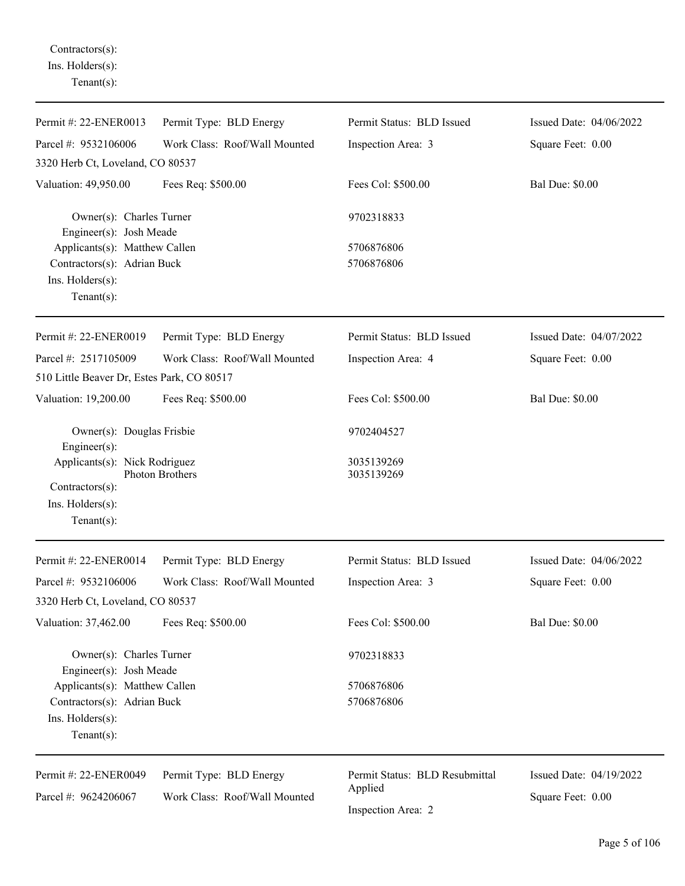Contractors(s): Ins. Holders(s): Tenant(s):

| Permit #: 22-ENER0013                               | Permit Type: BLD Energy                  | Permit Status: BLD Issued      | Issued Date: 04/06/2022 |
|-----------------------------------------------------|------------------------------------------|--------------------------------|-------------------------|
| Parcel #: 9532106006                                | Work Class: Roof/Wall Mounted            | Inspection Area: 3             | Square Feet: 0.00       |
| 3320 Herb Ct, Loveland, CO 80537                    |                                          |                                |                         |
| Valuation: 49,950.00                                | Fees Req: \$500.00                       | Fees Col: \$500.00             | <b>Bal Due: \$0.00</b>  |
| Owner(s): Charles Turner<br>Engineer(s): Josh Meade |                                          | 9702318833                     |                         |
| Applicants(s): Matthew Callen                       |                                          | 5706876806                     |                         |
| Contractors(s): Adrian Buck                         |                                          | 5706876806                     |                         |
| Ins. Holders(s):<br>Tenant $(s)$ :                  |                                          |                                |                         |
| Permit #: 22-ENER0019                               | Permit Type: BLD Energy                  | Permit Status: BLD Issued      | Issued Date: 04/07/2022 |
| Parcel #: 2517105009                                | Work Class: Roof/Wall Mounted            | Inspection Area: 4             | Square Feet: 0.00       |
| 510 Little Beaver Dr, Estes Park, CO 80517          |                                          |                                |                         |
| Valuation: 19,200.00                                | Fees Req: \$500.00                       | Fees Col: \$500.00             | <b>Bal Due: \$0.00</b>  |
| Owner(s): Douglas Frisbie<br>Engineer(s):           |                                          | 9702404527                     |                         |
| Applicants(s): Nick Rodriguez<br>Photon Brothers    |                                          | 3035139269<br>3035139269       |                         |
| Contractors(s):<br>Ins. Holders(s):                 |                                          |                                |                         |
| Tenant $(s)$ :                                      |                                          |                                |                         |
| Permit #: 22-ENER0014                               | Permit Type: BLD Energy                  | Permit Status: BLD Issued      | Issued Date: 04/06/2022 |
| Parcel #: 9532106006                                | Work Class: Roof/Wall Mounted            | Inspection Area: 3             | Square Feet: 0.00       |
| 3320 Herb Ct, Loveland, CO 80537                    |                                          |                                |                         |
| Valuation: 37,462.00                                | Fees Req: \$500.00                       | Fees Col: \$500.00             | <b>Bal Due: \$0.00</b>  |
| Owner(s): Charles Turner<br>Engineer(s): Josh Meade |                                          | 9702318833                     |                         |
| Applicants(s): Matthew Callen                       |                                          | 5706876806                     |                         |
| Contractors(s): Adrian Buck                         |                                          | 5706876806                     |                         |
| Ins. Holders(s):<br>$Tenant(s)$ :                   |                                          |                                |                         |
| Permit #: 22-ENER0049                               | Permit Type: BLD Energy                  | Permit Status: BLD Resubmittal | Issued Date: 04/19/2022 |
| Parcel #: 9624206067                                | Applied<br>Work Class: Roof/Wall Mounted |                                | Square Feet: 0.00       |
|                                                     |                                          | Inspection Area: 2             |                         |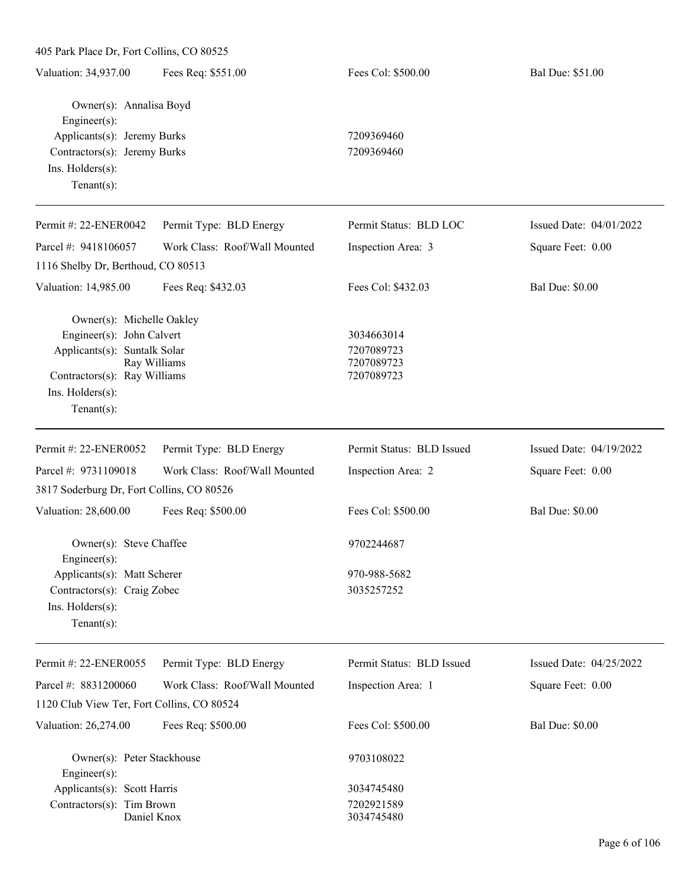| Fees Col: \$500.00<br>Fees Req: \$551.00<br>Bal Due: \$51.00<br>Owner(s): Annalisa Boyd<br>Engineer(s):<br>Applicants(s): Jeremy Burks<br>7209369460<br>Contractors(s): Jeremy Burks<br>7209369460<br>Ins. Holders(s):<br>$Tenant(s)$ :<br>Permit Status: BLD LOC<br>Issued Date: 04/01/2022<br>Permit Type: BLD Energy<br>Work Class: Roof/Wall Mounted<br>Square Feet: 0.00<br>Inspection Area: 3<br>1116 Shelby Dr, Berthoud, CO 80513<br>Fees Col: \$432.03<br><b>Bal Due: \$0.00</b><br>Fees Req: \$432.03<br>Owner(s): Michelle Oakley<br>Engineer(s): John Calvert<br>3034663014<br>Applicants(s): Suntalk Solar<br>7207089723<br>Ray Williams<br>7207089723<br>Contractors(s): Ray Williams<br>7207089723<br>Ins. Holders(s):<br>$Tenant(s)$ :<br>Permit Type: BLD Energy<br>Permit Status: BLD Issued<br>Issued Date: 04/19/2022<br>Work Class: Roof/Wall Mounted<br>Inspection Area: 2<br>Square Feet: 0.00<br>3817 Soderburg Dr, Fort Collins, CO 80526<br><b>Bal Due: \$0.00</b><br>Fees Col: \$500.00<br>Fees Req: \$500.00<br>Owner(s): Steve Chaffee<br>9702244687<br>$Engineering(s)$ :<br>Applicants(s): Matt Scherer<br>970-988-5682<br>Contractors(s): Craig Zobec<br>3035257252<br>Ins. Holders(s):<br>Tenant $(s)$ :<br>Permit Type: BLD Energy<br>Permit Status: BLD Issued<br>Issued Date: 04/25/2022<br>Parcel #: 8831200060<br>Work Class: Roof/Wall Mounted<br>Inspection Area: 1<br>Square Feet: 0.00<br>1120 Club View Ter, Fort Collins, CO 80524<br>Fees Col: \$500.00<br><b>Bal Due: \$0.00</b><br>Fees Req: \$500.00<br>Owner(s): Peter Stackhouse<br>9703108022<br>Engineer(s):<br>Applicants(s): Scott Harris<br>3034745480<br>Contractors(s): Tim Brown<br>7202921589<br>Daniel Knox | 405 Park Place Dr, Fort Collins, CO 80525 |  |            |  |  |  |
|-------------------------------------------------------------------------------------------------------------------------------------------------------------------------------------------------------------------------------------------------------------------------------------------------------------------------------------------------------------------------------------------------------------------------------------------------------------------------------------------------------------------------------------------------------------------------------------------------------------------------------------------------------------------------------------------------------------------------------------------------------------------------------------------------------------------------------------------------------------------------------------------------------------------------------------------------------------------------------------------------------------------------------------------------------------------------------------------------------------------------------------------------------------------------------------------------------------------------------------------------------------------------------------------------------------------------------------------------------------------------------------------------------------------------------------------------------------------------------------------------------------------------------------------------------------------------------------------------------------------------------------------------------------------------------------------------------------------------|-------------------------------------------|--|------------|--|--|--|
|                                                                                                                                                                                                                                                                                                                                                                                                                                                                                                                                                                                                                                                                                                                                                                                                                                                                                                                                                                                                                                                                                                                                                                                                                                                                                                                                                                                                                                                                                                                                                                                                                                                                                                                         | Valuation: 34,937.00                      |  |            |  |  |  |
|                                                                                                                                                                                                                                                                                                                                                                                                                                                                                                                                                                                                                                                                                                                                                                                                                                                                                                                                                                                                                                                                                                                                                                                                                                                                                                                                                                                                                                                                                                                                                                                                                                                                                                                         |                                           |  |            |  |  |  |
|                                                                                                                                                                                                                                                                                                                                                                                                                                                                                                                                                                                                                                                                                                                                                                                                                                                                                                                                                                                                                                                                                                                                                                                                                                                                                                                                                                                                                                                                                                                                                                                                                                                                                                                         |                                           |  |            |  |  |  |
|                                                                                                                                                                                                                                                                                                                                                                                                                                                                                                                                                                                                                                                                                                                                                                                                                                                                                                                                                                                                                                                                                                                                                                                                                                                                                                                                                                                                                                                                                                                                                                                                                                                                                                                         |                                           |  |            |  |  |  |
|                                                                                                                                                                                                                                                                                                                                                                                                                                                                                                                                                                                                                                                                                                                                                                                                                                                                                                                                                                                                                                                                                                                                                                                                                                                                                                                                                                                                                                                                                                                                                                                                                                                                                                                         |                                           |  |            |  |  |  |
|                                                                                                                                                                                                                                                                                                                                                                                                                                                                                                                                                                                                                                                                                                                                                                                                                                                                                                                                                                                                                                                                                                                                                                                                                                                                                                                                                                                                                                                                                                                                                                                                                                                                                                                         |                                           |  |            |  |  |  |
|                                                                                                                                                                                                                                                                                                                                                                                                                                                                                                                                                                                                                                                                                                                                                                                                                                                                                                                                                                                                                                                                                                                                                                                                                                                                                                                                                                                                                                                                                                                                                                                                                                                                                                                         | Permit #: 22-ENER0042                     |  |            |  |  |  |
|                                                                                                                                                                                                                                                                                                                                                                                                                                                                                                                                                                                                                                                                                                                                                                                                                                                                                                                                                                                                                                                                                                                                                                                                                                                                                                                                                                                                                                                                                                                                                                                                                                                                                                                         | Parcel #: 9418106057                      |  |            |  |  |  |
|                                                                                                                                                                                                                                                                                                                                                                                                                                                                                                                                                                                                                                                                                                                                                                                                                                                                                                                                                                                                                                                                                                                                                                                                                                                                                                                                                                                                                                                                                                                                                                                                                                                                                                                         |                                           |  |            |  |  |  |
|                                                                                                                                                                                                                                                                                                                                                                                                                                                                                                                                                                                                                                                                                                                                                                                                                                                                                                                                                                                                                                                                                                                                                                                                                                                                                                                                                                                                                                                                                                                                                                                                                                                                                                                         | Valuation: 14,985.00                      |  |            |  |  |  |
|                                                                                                                                                                                                                                                                                                                                                                                                                                                                                                                                                                                                                                                                                                                                                                                                                                                                                                                                                                                                                                                                                                                                                                                                                                                                                                                                                                                                                                                                                                                                                                                                                                                                                                                         |                                           |  |            |  |  |  |
|                                                                                                                                                                                                                                                                                                                                                                                                                                                                                                                                                                                                                                                                                                                                                                                                                                                                                                                                                                                                                                                                                                                                                                                                                                                                                                                                                                                                                                                                                                                                                                                                                                                                                                                         |                                           |  |            |  |  |  |
|                                                                                                                                                                                                                                                                                                                                                                                                                                                                                                                                                                                                                                                                                                                                                                                                                                                                                                                                                                                                                                                                                                                                                                                                                                                                                                                                                                                                                                                                                                                                                                                                                                                                                                                         |                                           |  |            |  |  |  |
|                                                                                                                                                                                                                                                                                                                                                                                                                                                                                                                                                                                                                                                                                                                                                                                                                                                                                                                                                                                                                                                                                                                                                                                                                                                                                                                                                                                                                                                                                                                                                                                                                                                                                                                         |                                           |  |            |  |  |  |
|                                                                                                                                                                                                                                                                                                                                                                                                                                                                                                                                                                                                                                                                                                                                                                                                                                                                                                                                                                                                                                                                                                                                                                                                                                                                                                                                                                                                                                                                                                                                                                                                                                                                                                                         |                                           |  |            |  |  |  |
|                                                                                                                                                                                                                                                                                                                                                                                                                                                                                                                                                                                                                                                                                                                                                                                                                                                                                                                                                                                                                                                                                                                                                                                                                                                                                                                                                                                                                                                                                                                                                                                                                                                                                                                         |                                           |  |            |  |  |  |
|                                                                                                                                                                                                                                                                                                                                                                                                                                                                                                                                                                                                                                                                                                                                                                                                                                                                                                                                                                                                                                                                                                                                                                                                                                                                                                                                                                                                                                                                                                                                                                                                                                                                                                                         | Permit #: 22-ENER0052                     |  |            |  |  |  |
|                                                                                                                                                                                                                                                                                                                                                                                                                                                                                                                                                                                                                                                                                                                                                                                                                                                                                                                                                                                                                                                                                                                                                                                                                                                                                                                                                                                                                                                                                                                                                                                                                                                                                                                         | Parcel #: 9731109018                      |  |            |  |  |  |
|                                                                                                                                                                                                                                                                                                                                                                                                                                                                                                                                                                                                                                                                                                                                                                                                                                                                                                                                                                                                                                                                                                                                                                                                                                                                                                                                                                                                                                                                                                                                                                                                                                                                                                                         |                                           |  |            |  |  |  |
|                                                                                                                                                                                                                                                                                                                                                                                                                                                                                                                                                                                                                                                                                                                                                                                                                                                                                                                                                                                                                                                                                                                                                                                                                                                                                                                                                                                                                                                                                                                                                                                                                                                                                                                         | Valuation: 28,600.00                      |  |            |  |  |  |
|                                                                                                                                                                                                                                                                                                                                                                                                                                                                                                                                                                                                                                                                                                                                                                                                                                                                                                                                                                                                                                                                                                                                                                                                                                                                                                                                                                                                                                                                                                                                                                                                                                                                                                                         |                                           |  |            |  |  |  |
|                                                                                                                                                                                                                                                                                                                                                                                                                                                                                                                                                                                                                                                                                                                                                                                                                                                                                                                                                                                                                                                                                                                                                                                                                                                                                                                                                                                                                                                                                                                                                                                                                                                                                                                         |                                           |  |            |  |  |  |
|                                                                                                                                                                                                                                                                                                                                                                                                                                                                                                                                                                                                                                                                                                                                                                                                                                                                                                                                                                                                                                                                                                                                                                                                                                                                                                                                                                                                                                                                                                                                                                                                                                                                                                                         |                                           |  |            |  |  |  |
|                                                                                                                                                                                                                                                                                                                                                                                                                                                                                                                                                                                                                                                                                                                                                                                                                                                                                                                                                                                                                                                                                                                                                                                                                                                                                                                                                                                                                                                                                                                                                                                                                                                                                                                         |                                           |  |            |  |  |  |
|                                                                                                                                                                                                                                                                                                                                                                                                                                                                                                                                                                                                                                                                                                                                                                                                                                                                                                                                                                                                                                                                                                                                                                                                                                                                                                                                                                                                                                                                                                                                                                                                                                                                                                                         |                                           |  |            |  |  |  |
|                                                                                                                                                                                                                                                                                                                                                                                                                                                                                                                                                                                                                                                                                                                                                                                                                                                                                                                                                                                                                                                                                                                                                                                                                                                                                                                                                                                                                                                                                                                                                                                                                                                                                                                         | Permit #: 22-ENER0055                     |  |            |  |  |  |
|                                                                                                                                                                                                                                                                                                                                                                                                                                                                                                                                                                                                                                                                                                                                                                                                                                                                                                                                                                                                                                                                                                                                                                                                                                                                                                                                                                                                                                                                                                                                                                                                                                                                                                                         |                                           |  |            |  |  |  |
|                                                                                                                                                                                                                                                                                                                                                                                                                                                                                                                                                                                                                                                                                                                                                                                                                                                                                                                                                                                                                                                                                                                                                                                                                                                                                                                                                                                                                                                                                                                                                                                                                                                                                                                         |                                           |  |            |  |  |  |
|                                                                                                                                                                                                                                                                                                                                                                                                                                                                                                                                                                                                                                                                                                                                                                                                                                                                                                                                                                                                                                                                                                                                                                                                                                                                                                                                                                                                                                                                                                                                                                                                                                                                                                                         | Valuation: 26,274.00                      |  |            |  |  |  |
|                                                                                                                                                                                                                                                                                                                                                                                                                                                                                                                                                                                                                                                                                                                                                                                                                                                                                                                                                                                                                                                                                                                                                                                                                                                                                                                                                                                                                                                                                                                                                                                                                                                                                                                         |                                           |  |            |  |  |  |
|                                                                                                                                                                                                                                                                                                                                                                                                                                                                                                                                                                                                                                                                                                                                                                                                                                                                                                                                                                                                                                                                                                                                                                                                                                                                                                                                                                                                                                                                                                                                                                                                                                                                                                                         |                                           |  |            |  |  |  |
|                                                                                                                                                                                                                                                                                                                                                                                                                                                                                                                                                                                                                                                                                                                                                                                                                                                                                                                                                                                                                                                                                                                                                                                                                                                                                                                                                                                                                                                                                                                                                                                                                                                                                                                         |                                           |  |            |  |  |  |
|                                                                                                                                                                                                                                                                                                                                                                                                                                                                                                                                                                                                                                                                                                                                                                                                                                                                                                                                                                                                                                                                                                                                                                                                                                                                                                                                                                                                                                                                                                                                                                                                                                                                                                                         |                                           |  | 3034745480 |  |  |  |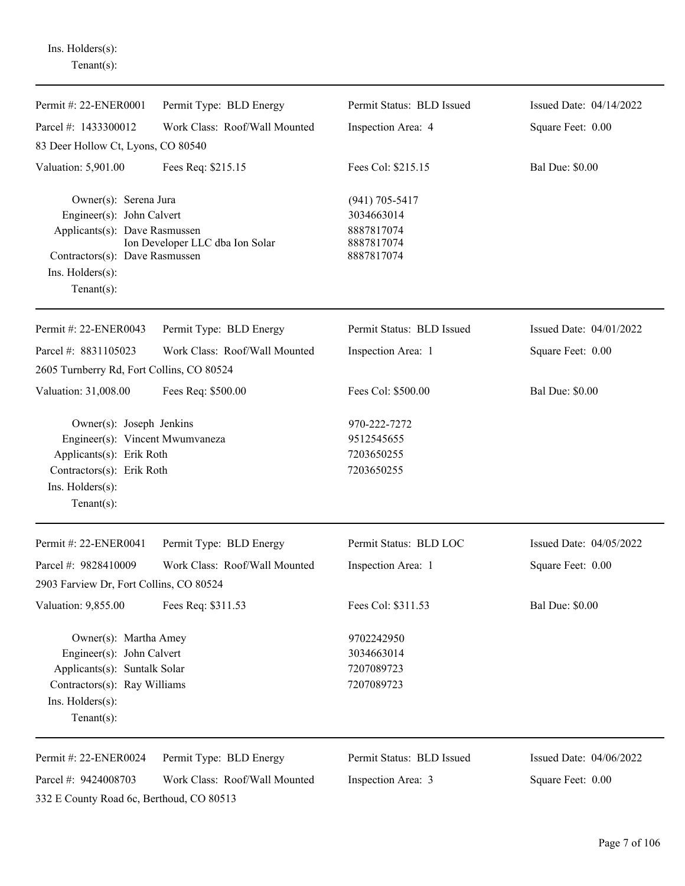Ins. Holders(s): Tenant(s):

| Permit #: 22-ENER0001                                                                                                                                             | Permit Type: BLD Energy                                  | Permit Status: BLD Issued                                                  | Issued Date: 04/14/2022                      |
|-------------------------------------------------------------------------------------------------------------------------------------------------------------------|----------------------------------------------------------|----------------------------------------------------------------------------|----------------------------------------------|
| Parcel #: 1433300012                                                                                                                                              | Work Class: Roof/Wall Mounted                            | Inspection Area: 4                                                         | Square Feet: 0.00                            |
| 83 Deer Hollow Ct, Lyons, CO 80540                                                                                                                                |                                                          |                                                                            |                                              |
| Valuation: 5,901.00                                                                                                                                               | Fees Req: \$215.15                                       | Fees Col: \$215.15                                                         | <b>Bal Due: \$0.00</b>                       |
| Owner(s): Serena Jura<br>Engineer(s): John Calvert<br>Applicants(s): Dave Rasmussen<br>Contractors(s): Dave Rasmussen<br>$Ins.$ Holders $(s)$ :<br>Tenant $(s)$ : | Ion Developer LLC dba Ion Solar                          | $(941) 705 - 5417$<br>3034663014<br>8887817074<br>8887817074<br>8887817074 |                                              |
| Permit #: 22-ENER0043                                                                                                                                             | Permit Type: BLD Energy                                  | Permit Status: BLD Issued                                                  | Issued Date: 04/01/2022                      |
| Parcel #: 8831105023                                                                                                                                              | Work Class: Roof/Wall Mounted                            | Inspection Area: 1                                                         | Square Feet: 0.00                            |
| 2605 Turnberry Rd, Fort Collins, CO 80524                                                                                                                         |                                                          |                                                                            |                                              |
| Valuation: 31,008.00                                                                                                                                              | Fees Req: \$500.00                                       | Fees Col: \$500.00                                                         | <b>Bal Due: \$0.00</b>                       |
| Owner(s): Joseph Jenkins<br>Engineer(s): Vincent Mwumvaneza<br>Applicants(s): Erik Roth<br>Contractors(s): Erik Roth<br>$Ins.$ Holders $(s)$ :<br>Tenant $(s)$ :  |                                                          | 970-222-7272<br>9512545655<br>7203650255<br>7203650255                     |                                              |
| Permit #: 22-ENER0041                                                                                                                                             | Permit Type: BLD Energy                                  | Permit Status: BLD LOC                                                     | Issued Date: 04/05/2022                      |
| Parcel #: 9828410009                                                                                                                                              | Work Class: Roof/Wall Mounted                            | Inspection Area: 1                                                         | Square Feet: 0.00                            |
| 2903 Farview Dr, Fort Collins, CO 80524                                                                                                                           |                                                          |                                                                            |                                              |
| Valuation: 9,855.00                                                                                                                                               | Fees Req: \$311.53                                       | Fees Col: \$311.53                                                         | <b>Bal Due: \$0.00</b>                       |
| Owner(s): Martha Amey<br>Engineer(s): John Calvert<br>Applicants(s): Suntalk Solar<br>Contractors(s): Ray Williams<br>Ins. Holders(s):<br>Tenant $(s)$ :          |                                                          | 9702242950<br>3034663014<br>7207089723<br>7207089723                       |                                              |
| Permit #: 22-ENER0024<br>Parcel #: 9424008703<br>332 E County Road 6c, Berthoud, CO 80513                                                                         | Permit Type: BLD Energy<br>Work Class: Roof/Wall Mounted | Permit Status: BLD Issued<br>Inspection Area: 3                            | Issued Date: 04/06/2022<br>Square Feet: 0.00 |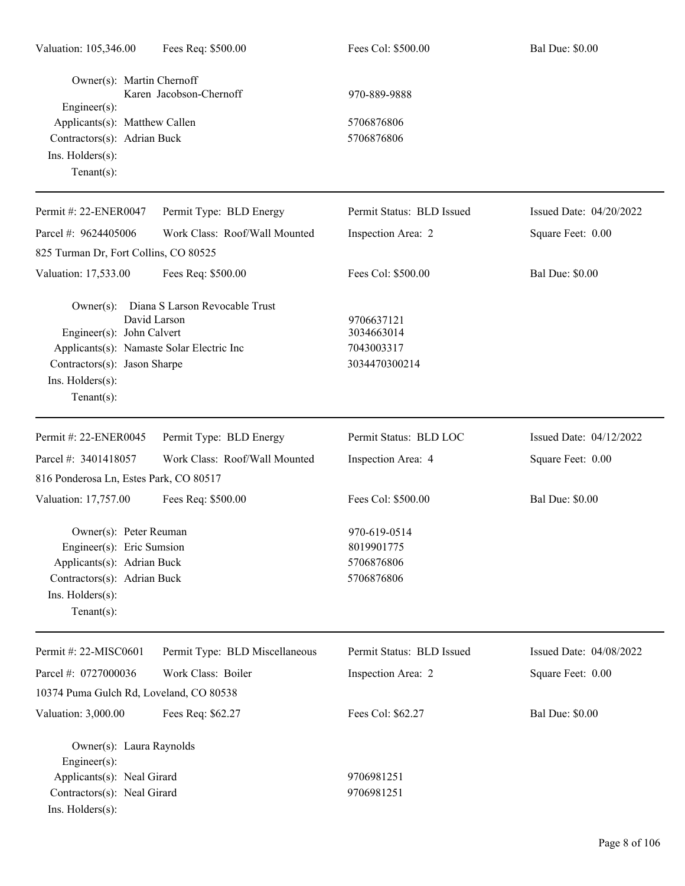| Valuation: 105,346.00                                                                                                                                  | Fees Req: \$500.00                                       | Fees Col: \$500.00                                      | <b>Bal Due: \$0.00</b>  |
|--------------------------------------------------------------------------------------------------------------------------------------------------------|----------------------------------------------------------|---------------------------------------------------------|-------------------------|
| Owner(s): Martin Chernoff<br>$Engineering(s)$ :<br>Applicants(s): Matthew Callen<br>Contractors(s): Adrian Buck<br>Ins. Holders(s):<br>Tenant $(s)$ :  | Karen Jacobson-Chernoff                                  | 970-889-9888<br>5706876806<br>5706876806                |                         |
| Permit #: 22-ENER0047                                                                                                                                  | Permit Type: BLD Energy                                  | Permit Status: BLD Issued                               | Issued Date: 04/20/2022 |
| Parcel #: 9624405006<br>825 Turman Dr, Fort Collins, CO 80525                                                                                          | Work Class: Roof/Wall Mounted                            | Inspection Area: 2                                      | Square Feet: 0.00       |
| Valuation: 17,533.00                                                                                                                                   | Fees Req: \$500.00                                       | Fees Col: \$500.00                                      | <b>Bal Due: \$0.00</b>  |
| Engineer(s): John Calvert<br>Applicants(s): Namaste Solar Electric Inc<br>Contractors(s): Jason Sharpe<br>Ins. Holders(s):<br>Tenant $(s)$ :           | Owner(s): Diana S Larson Revocable Trust<br>David Larson | 9706637121<br>3034663014<br>7043003317<br>3034470300214 |                         |
| Permit #: 22-ENER0045                                                                                                                                  | Permit Type: BLD Energy                                  | Permit Status: BLD LOC                                  | Issued Date: 04/12/2022 |
| Parcel #: 3401418057                                                                                                                                   | Work Class: Roof/Wall Mounted                            | Inspection Area: 4                                      | Square Feet: 0.00       |
| 816 Ponderosa Ln, Estes Park, CO 80517                                                                                                                 |                                                          |                                                         |                         |
| Valuation: 17,757.00                                                                                                                                   | Fees Req: \$500.00                                       | Fees Col: \$500.00                                      | <b>Bal Due: \$0.00</b>  |
| Owner(s): Peter Reuman<br>Engineer(s): Eric Sumsion<br>Applicants(s): Adrian Buck<br>Contractors(s): Adrian Buck<br>Ins. Holders(s):<br>Tenant $(s)$ : |                                                          | 970-619-0514<br>8019901775<br>5706876806<br>5706876806  |                         |
| Permit #: 22-MISC0601                                                                                                                                  | Permit Type: BLD Miscellaneous                           | Permit Status: BLD Issued                               | Issued Date: 04/08/2022 |
| Parcel #: 0727000036<br>10374 Puma Gulch Rd, Loveland, CO 80538                                                                                        | Work Class: Boiler                                       | Inspection Area: 2                                      | Square Feet: 0.00       |
| Valuation: 3,000.00                                                                                                                                    | Fees Req: \$62.27                                        | Fees Col: \$62.27                                       | <b>Bal Due: \$0.00</b>  |
| Owner(s): Laura Raynolds<br>Engineer(s):<br>Applicants(s): Neal Girard<br>Contractors(s): Neal Girard<br>Ins. Holders(s):                              |                                                          | 9706981251<br>9706981251                                |                         |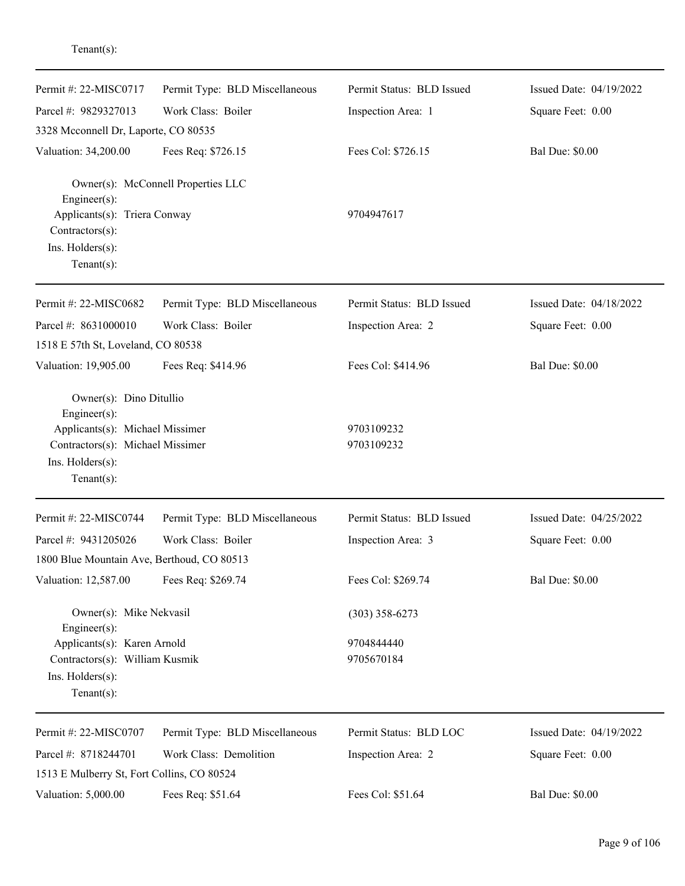| Permit #: 22-MISC0717<br>Parcel #: 9829327013<br>3328 Mcconnell Dr, Laporte, CO 80535                                                               | Permit Type: BLD Miscellaneous<br>Work Class: Boiler | Permit Status: BLD Issued<br>Inspection Area: 1 | Issued Date: 04/19/2022<br>Square Feet: 0.00 |
|-----------------------------------------------------------------------------------------------------------------------------------------------------|------------------------------------------------------|-------------------------------------------------|----------------------------------------------|
| Valuation: 34,200.00                                                                                                                                | Fees Req: \$726.15                                   | Fees Col: \$726.15                              | <b>Bal Due: \$0.00</b>                       |
| Engineer(s):<br>Applicants(s): Triera Conway<br>Contractors(s):<br>Ins. Holders(s):<br>$Tenant(s)$ :                                                | Owner(s): McConnell Properties LLC                   | 9704947617                                      |                                              |
| Permit #: 22-MISC0682                                                                                                                               | Permit Type: BLD Miscellaneous                       | Permit Status: BLD Issued                       | Issued Date: 04/18/2022                      |
| Parcel #: 8631000010                                                                                                                                | Work Class: Boiler                                   | Inspection Area: 2                              | Square Feet: 0.00                            |
| 1518 E 57th St, Loveland, CO 80538                                                                                                                  |                                                      |                                                 |                                              |
| Valuation: 19,905.00                                                                                                                                | Fees Req: \$414.96                                   | Fees Col: \$414.96                              | <b>Bal Due: \$0.00</b>                       |
| Owner(s): Dino Ditullio<br>Engineer(s):<br>Applicants(s): Michael Missimer<br>Contractors(s): Michael Missimer<br>Ins. Holders(s):<br>$Tenant(s)$ : |                                                      | 9703109232<br>9703109232                        |                                              |
| Permit #: 22-MISC0744                                                                                                                               | Permit Type: BLD Miscellaneous                       | Permit Status: BLD Issued                       | Issued Date: 04/25/2022                      |
| Parcel #: 9431205026                                                                                                                                | Work Class: Boiler                                   | Inspection Area: 3                              | Square Feet: 0.00                            |
| 1800 Blue Mountain Ave, Berthoud, CO 80513                                                                                                          |                                                      |                                                 |                                              |
| Valuation: 12,587.00                                                                                                                                | Fees Req: \$269.74                                   | Fees Col: \$269.74                              | <b>Bal Due: \$0.00</b>                       |
| Owner(s): Mike Nekvasil<br>Engineer(s):                                                                                                             |                                                      | $(303)$ 358-6273                                |                                              |
| Applicants(s): Karen Arnold                                                                                                                         |                                                      | 9704844440                                      |                                              |
| Contractors(s): William Kusmik<br>Ins. Holders(s):<br>$Tenant(s)$ :                                                                                 |                                                      | 9705670184                                      |                                              |
| Permit #: 22-MISC0707                                                                                                                               | Permit Type: BLD Miscellaneous                       | Permit Status: BLD LOC                          | Issued Date: 04/19/2022                      |
| Parcel #: 8718244701                                                                                                                                | Work Class: Demolition                               | Inspection Area: 2                              | Square Feet: 0.00                            |
| 1513 E Mulberry St, Fort Collins, CO 80524                                                                                                          |                                                      |                                                 |                                              |
| Valuation: 5,000.00                                                                                                                                 | Fees Req: \$51.64                                    | Fees Col: \$51.64                               | <b>Bal Due: \$0.00</b>                       |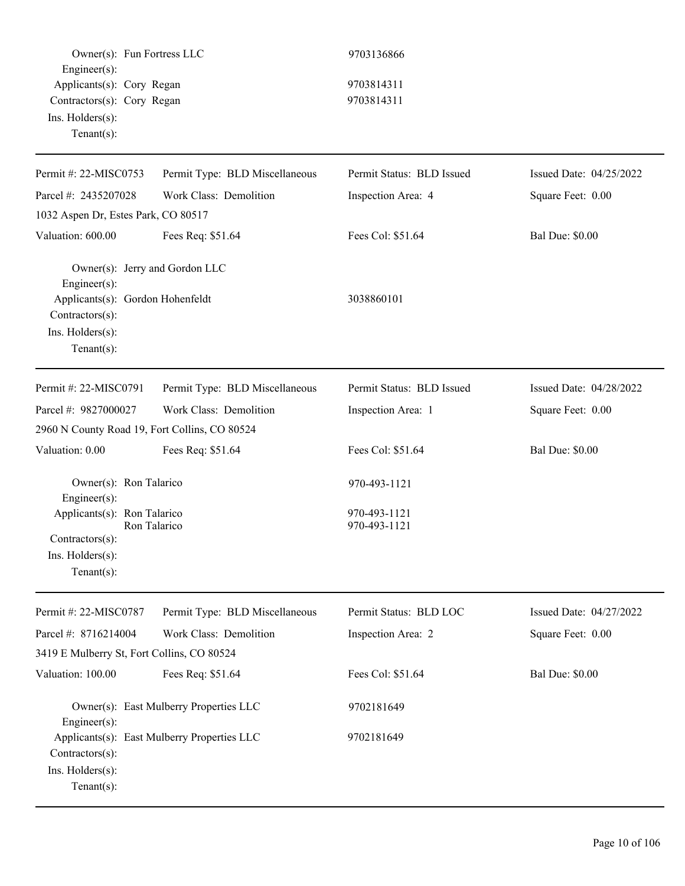| Owner(s): Fun Fortress LLC<br>Engineer(s):                                                                                                     |                                             | 9703136866                                   |                         |
|------------------------------------------------------------------------------------------------------------------------------------------------|---------------------------------------------|----------------------------------------------|-------------------------|
| Applicants(s): Cory Regan<br>Contractors(s): Cory Regan<br>Ins. Holders(s):<br>Tenant $(s)$ :                                                  |                                             | 9703814311<br>9703814311                     |                         |
| Permit #: 22-MISC0753                                                                                                                          | Permit Type: BLD Miscellaneous              | Permit Status: BLD Issued                    | Issued Date: 04/25/2022 |
| Parcel #: 2435207028                                                                                                                           | Work Class: Demolition                      | Inspection Area: 4                           | Square Feet: 0.00       |
| 1032 Aspen Dr, Estes Park, CO 80517                                                                                                            |                                             |                                              |                         |
| Valuation: 600.00                                                                                                                              | Fees Req: \$51.64                           | Fees Col: \$51.64                            | <b>Bal Due: \$0.00</b>  |
| Owner(s): Jerry and Gordon LLC<br>Engineer(s):<br>Applicants(s): Gordon Hohenfeldt<br>Contractors(s):<br>Ins. Holders(s):<br>$Tenant(s)$ :     |                                             | 3038860101                                   |                         |
| Permit #: 22-MISC0791                                                                                                                          | Permit Type: BLD Miscellaneous              | Permit Status: BLD Issued                    | Issued Date: 04/28/2022 |
| Parcel #: 9827000027                                                                                                                           | Work Class: Demolition                      | Inspection Area: 1                           | Square Feet: 0.00       |
| 2960 N County Road 19, Fort Collins, CO 80524                                                                                                  |                                             |                                              |                         |
| Valuation: 0.00                                                                                                                                | Fees Req: \$51.64                           | Fees Col: \$51.64                            | <b>Bal Due: \$0.00</b>  |
| Owner(s): Ron Talarico<br>$Engineering(s)$ :<br>Applicants(s): Ron Talarico<br>$Contractors(s)$ :<br>Ins. $H$ olders $(s)$ :<br>Tenant $(s)$ : | Ron Talarico                                | 970-493-1121<br>970-493-1121<br>970-493-1121 |                         |
| Permit #: 22-MISC0787                                                                                                                          | Permit Type: BLD Miscellaneous              | Permit Status: BLD LOC                       | Issued Date: 04/27/2022 |
| Parcel #: 8716214004                                                                                                                           | Work Class: Demolition                      | Inspection Area: 2                           | Square Feet: 0.00       |
| 3419 E Mulberry St, Fort Collins, CO 80524                                                                                                     |                                             |                                              |                         |
| Valuation: 100.00                                                                                                                              | Fees Req: \$51.64                           | Fees Col: \$51.64                            | <b>Bal Due: \$0.00</b>  |
| Engineer(s):                                                                                                                                   | Owner(s): East Mulberry Properties LLC      | 9702181649                                   |                         |
| Contractors(s):<br>Ins. Holders(s):<br>$Tenant(s)$ :                                                                                           | Applicants(s): East Mulberry Properties LLC | 9702181649                                   |                         |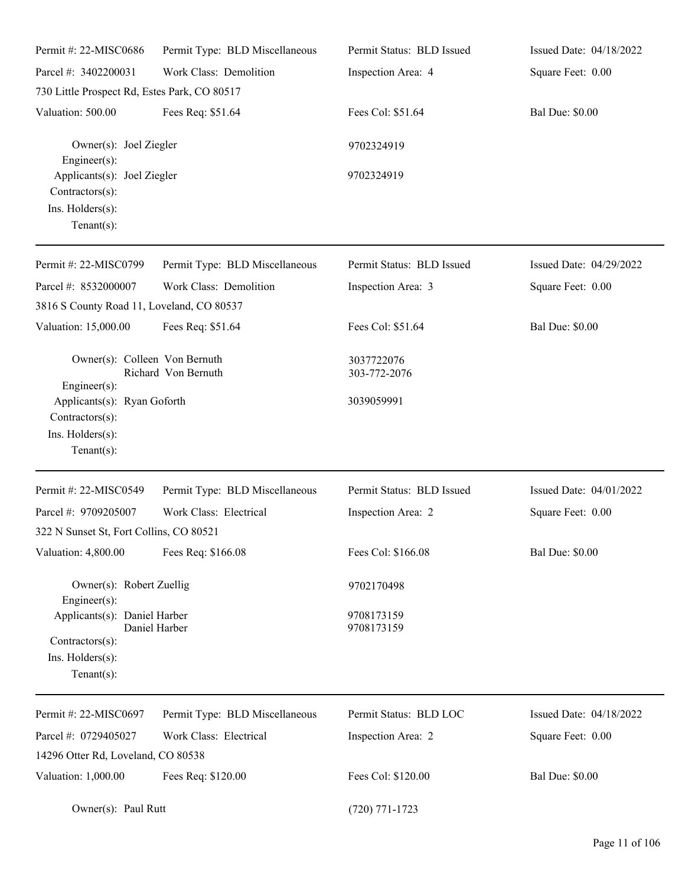| Permit #: 22-MISC0686                                                                 | Permit Type: BLD Miscellaneous | Permit Status: BLD Issued  | Issued Date: 04/18/2022 |
|---------------------------------------------------------------------------------------|--------------------------------|----------------------------|-------------------------|
| Parcel #: 3402200031                                                                  | Work Class: Demolition         | Inspection Area: 4         | Square Feet: 0.00       |
| 730 Little Prospect Rd, Estes Park, CO 80517                                          |                                |                            |                         |
| Valuation: 500.00                                                                     | Fees Req: \$51.64              | Fees Col: \$51.64          | <b>Bal Due: \$0.00</b>  |
| Owner(s): Joel Ziegler<br>Engineer(s):                                                |                                | 9702324919                 |                         |
| Applicants(s): Joel Ziegler<br>Contractors(s):                                        |                                | 9702324919                 |                         |
| Ins. Holders(s):<br>Tenant $(s)$ :                                                    |                                |                            |                         |
| Permit #: 22-MISC0799                                                                 | Permit Type: BLD Miscellaneous | Permit Status: BLD Issued  | Issued Date: 04/29/2022 |
| Parcel #: 8532000007                                                                  | Work Class: Demolition         | Inspection Area: 3         | Square Feet: 0.00       |
| 3816 S County Road 11, Loveland, CO 80537                                             |                                |                            |                         |
| Valuation: 15,000.00                                                                  | Fees Req: \$51.64              | Fees Col: \$51.64          | <b>Bal Due: \$0.00</b>  |
| Owner(s): Colleen Von Bernuth<br>Engineer(s):                                         | Richard Von Bernuth            | 3037722076<br>303-772-2076 |                         |
| Applicants(s): Ryan Goforth<br>Contractors(s):<br>Ins. Holders(s):<br>$Tenant(s)$ :   |                                | 3039059991                 |                         |
| Permit #: 22-MISC0549                                                                 | Permit Type: BLD Miscellaneous | Permit Status: BLD Issued  | Issued Date: 04/01/2022 |
| Parcel #: 9709205007                                                                  | Work Class: Electrical         | Inspection Area: 2         | Square Feet: 0.00       |
| 322 N Sunset St, Fort Collins, CO 80521                                               |                                |                            |                         |
| Valuation: 4,800.00                                                                   | Fees Req: \$166.08             | Fees Col: \$166.08         | <b>Bal Due: \$0.00</b>  |
| Owner(s): Robert Zuellig<br>Engineer(s):                                              |                                | 9702170498                 |                         |
| Applicants(s): Daniel Harber<br>Contractors(s):<br>Ins. Holders(s):<br>Tenant $(s)$ : | Daniel Harber                  | 9708173159<br>9708173159   |                         |
| Permit #: 22-MISC0697                                                                 | Permit Type: BLD Miscellaneous | Permit Status: BLD LOC     | Issued Date: 04/18/2022 |
| Parcel #: 0729405027                                                                  | Work Class: Electrical         | Inspection Area: 2         | Square Feet: 0.00       |
| 14296 Otter Rd, Loveland, CO 80538                                                    |                                |                            |                         |
| Valuation: 1,000.00                                                                   | Fees Req: \$120.00             | Fees Col: \$120.00         | <b>Bal Due: \$0.00</b>  |
| Owner(s): Paul Rutt                                                                   |                                | $(720)$ 771-1723           |                         |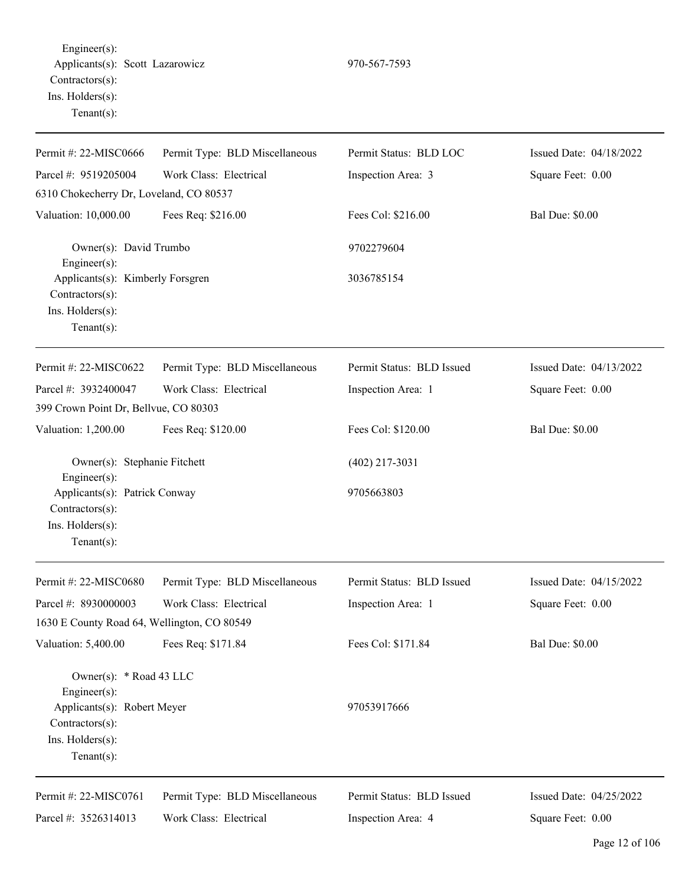Engineer(s): Applicants(s): Scott Lazarowicz 970-567-7593 Contractors(s): Ins. Holders(s): Tenant(s):

Permit #: 22-MISC0666 Parcel #: 9519205004 Permit Type: BLD Miscellaneous Work Class: Electrical Permit Status: BLD LOC Inspection Area: 3 Issued Date: 04/18/2022 Square Feet: 0.00 6310 Chokecherry Dr, Loveland, CO 80537 Valuation: 10,000.00 Fees Req: \$216.00 Fees Col: \$216.00 Bal Due: \$0.00 Owner(s): David Trumbo 9702279604 Engineer(s): Applicants(s): Kimberly Forsgren 3036785154 Contractors(s): Ins. Holders(s): Tenant(s): Permit #: 22-MISC0622 Parcel #: 3932400047 Permit Type: BLD Miscellaneous Work Class: Electrical Permit Status: BLD Issued Inspection Area: 1 Issued Date: 04/13/2022 Square Feet: 0.00 399 Crown Point Dr, Bellvue, CO 80303 Valuation: 1,200.00 Fees Req: \$120.00 Fees Col: \$120.00 Bal Due: \$0.00 Owner(s): Stephanie Fitchett (402) 217-3031 Engineer(s): Applicants(s): Patrick Conway 9705663803 Contractors(s): Ins. Holders(s): Tenant(s): Permit #: 22-MISC0680 Parcel #: 8930000003 Permit Type: BLD Miscellaneous Work Class: Electrical Permit Status: BLD Issued Inspection Area: 1 Issued Date: 04/15/2022 Square Feet: 0.00 1630 E County Road 64, Wellington, CO 80549 Valuation: 5,400.00 Fees Req: \$171.84 Fees Col: \$171.84 Bal Due: \$0.00 Owner(s): \* Road 43 LLC Engineer(s): Applicants(s): Robert Meyer 97053917666 Contractors(s): Ins. Holders(s): Tenant(s): Permit #: 22-MISC0761 Parcel #: 3526314013 Permit Type: BLD Miscellaneous Work Class: Electrical Permit Status: BLD Issued Inspection Area: 4 Issued Date: 04/25/2022 Square Feet: 0.00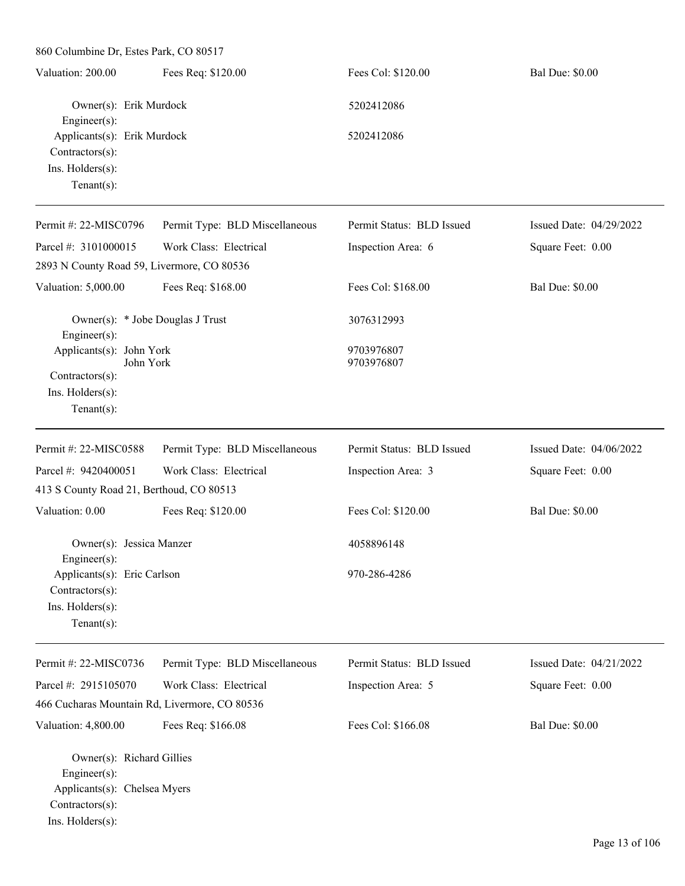860 Columbine Dr, Estes Park, CO 80517 Valuation: 200.00 Fees Req: \$120.00 Fees Col: \$120.00 Bal Due: \$0.00 Owner(s): Erik Murdock 5202412086 Engineer(s): Applicants(s): Erik Murdock 5202412086 Contractors(s): Ins. Holders(s): Tenant(s): Permit #: 22-MISC0796 Parcel #: 3101000015 Permit Type: BLD Miscellaneous Work Class: Electrical Permit Status: BLD Issued Inspection Area: 6 Issued Date: 04/29/2022 Square Feet: 0.00 2893 N County Road 59, Livermore, CO 80536 Valuation: 5,000.00 Fees Req: \$168.00 Fees Col: \$168.00 Bal Due: \$0.00 Owner(s): \* Jobe Douglas J Trust 3076312993 Engineer(s): Applicants(s): John York 9703976807 John York 9703976807 Contractors(s): Ins. Holders(s): Tenant(s): Permit #: 22-MISC0588 Parcel #: 9420400051 Permit Type: BLD Miscellaneous Work Class: Electrical Permit Status: BLD Issued Inspection Area: 3 Issued Date: 04/06/2022 Square Feet: 0.00 413 S County Road 21, Berthoud, CO 80513 Valuation: 0.00 Fees Req: \$120.00 Fees Col: \$120.00 Bal Due: \$0.00 Owner(s): Jessica Manzer 4058896148 Engineer(s): Applicants(s): Eric Carlson 970-286-4286 Contractors(s): Ins. Holders(s): Tenant(s): Permit #: 22-MISC0736 Parcel #: 2915105070 Permit Type: BLD Miscellaneous Work Class: Electrical Permit Status: BLD Issued Inspection Area: 5 Issued Date: 04/21/2022 Square Feet: 0.00 466 Cucharas Mountain Rd, Livermore, CO 80536 Valuation: 4,800.00 Fees Req: \$166.08 Fees Col: \$166.08 Bal Due: \$0.00 Owner(s): Richard Gillies Engineer(s): Applicants(s): Chelsea Myers Contractors(s): Ins. Holders(s):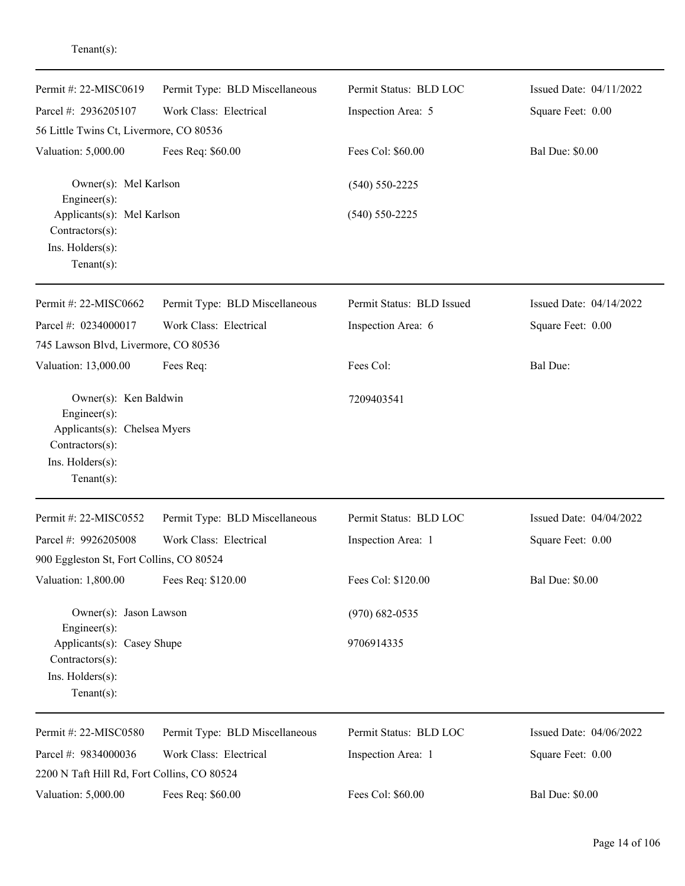| Permit #: 22-MISC0619                                                                                                         | Permit Type: BLD Miscellaneous | Permit Status: BLD LOC    | Issued Date: 04/11/2022 |
|-------------------------------------------------------------------------------------------------------------------------------|--------------------------------|---------------------------|-------------------------|
| Parcel #: 2936205107                                                                                                          | Work Class: Electrical         | Inspection Area: 5        | Square Feet: 0.00       |
| 56 Little Twins Ct, Livermore, CO 80536                                                                                       |                                |                           |                         |
| Valuation: 5,000.00                                                                                                           | Fees Req: \$60.00              | Fees Col: \$60.00         | <b>Bal Due: \$0.00</b>  |
| Owner(s): Mel Karlson<br>Engineer(s):                                                                                         |                                | $(540) 550 - 2225$        |                         |
| Applicants(s): Mel Karlson<br>Contractors(s):<br>Ins. Holders(s):<br>Tenant $(s)$ :                                           |                                | $(540) 550 - 2225$        |                         |
| Permit #: 22-MISC0662                                                                                                         | Permit Type: BLD Miscellaneous | Permit Status: BLD Issued | Issued Date: 04/14/2022 |
| Parcel #: 0234000017                                                                                                          | Work Class: Electrical         | Inspection Area: 6        | Square Feet: 0.00       |
| 745 Lawson Blvd, Livermore, CO 80536                                                                                          |                                |                           |                         |
| Valuation: 13,000.00                                                                                                          | Fees Req:                      | Fees Col:                 | <b>Bal Due:</b>         |
| Owner(s): Ken Baldwin<br>Engineer(s):<br>Applicants(s): Chelsea Myers<br>Contractors(s):<br>Ins. Holders(s):<br>$Tenant(s)$ : |                                | 7209403541                |                         |
| Permit #: 22-MISC0552                                                                                                         | Permit Type: BLD Miscellaneous | Permit Status: BLD LOC    | Issued Date: 04/04/2022 |
| Parcel #: 9926205008                                                                                                          | Work Class: Electrical         | Inspection Area: 1        | Square Feet: 0.00       |
| 900 Eggleston St, Fort Collins, CO 80524                                                                                      |                                |                           |                         |
| Valuation: 1,800.00                                                                                                           | Fees Req: \$120.00             | Fees Col: \$120.00        | <b>Bal Due: \$0.00</b>  |
| Owner(s): Jason Lawson<br>Engineer(s):                                                                                        |                                | $(970)$ 682-0535          |                         |
| Applicants(s): Casey Shupe<br>Contractors(s):<br>Ins. Holders(s):<br>Tenant $(s)$ :                                           |                                | 9706914335                |                         |
| Permit #: 22-MISC0580                                                                                                         | Permit Type: BLD Miscellaneous | Permit Status: BLD LOC    | Issued Date: 04/06/2022 |
| Parcel #: 9834000036<br>2200 N Taft Hill Rd, Fort Collins, CO 80524                                                           | Work Class: Electrical         | Inspection Area: 1        | Square Feet: 0.00       |
| Valuation: 5,000.00                                                                                                           | Fees Req: \$60.00              | Fees Col: \$60.00         | <b>Bal Due: \$0.00</b>  |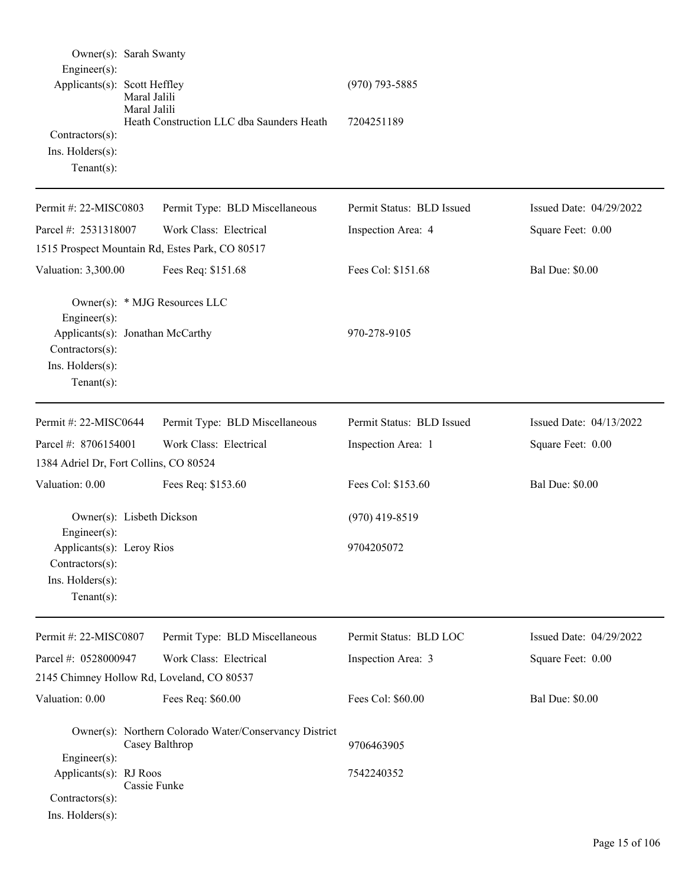| Owner(s): Sarah Swanty<br>Engineer(s):<br>Applicants(s): Scott Heffley                                    | Maral Jalili<br>Maral Jalili | Heath Construction LLC dba Saunders Heath                                | $(970)$ 793-5885<br>7204251189 |                         |
|-----------------------------------------------------------------------------------------------------------|------------------------------|--------------------------------------------------------------------------|--------------------------------|-------------------------|
| Contractors(s):<br>Ins. $H$ olders $(s)$ :<br>Tenant $(s)$ :                                              |                              |                                                                          |                                |                         |
| Permit #: 22-MISC0803                                                                                     |                              | Permit Type: BLD Miscellaneous                                           | Permit Status: BLD Issued      | Issued Date: 04/29/2022 |
| Parcel #: 2531318007                                                                                      |                              | Work Class: Electrical                                                   | Inspection Area: 4             | Square Feet: 0.00       |
|                                                                                                           |                              | 1515 Prospect Mountain Rd, Estes Park, CO 80517                          |                                |                         |
| Valuation: 3,300.00                                                                                       |                              | Fees Req: \$151.68                                                       | Fees Col: \$151.68             | <b>Bal Due: \$0.00</b>  |
| Engineer(s):<br>Applicants(s): Jonathan McCarthy<br>Contractors(s):<br>Ins. Holders(s):<br>Tenant $(s)$ : |                              | Owner(s): * MJG Resources LLC                                            | 970-278-9105                   |                         |
| Permit #: 22-MISC0644                                                                                     |                              | Permit Type: BLD Miscellaneous                                           | Permit Status: BLD Issued      | Issued Date: 04/13/2022 |
| Parcel #: 8706154001                                                                                      |                              | Work Class: Electrical                                                   | Inspection Area: 1             | Square Feet: 0.00       |
| 1384 Adriel Dr, Fort Collins, CO 80524                                                                    |                              |                                                                          |                                |                         |
| Valuation: 0.00                                                                                           |                              | Fees Req: \$153.60                                                       | Fees Col: \$153.60             | <b>Bal Due: \$0.00</b>  |
| Owner(s): Lisbeth Dickson                                                                                 |                              |                                                                          | $(970)$ 419-8519               |                         |
| Engineer(s):<br>Applicants(s): Leroy Rios<br>Contractors(s):<br>Ins. Holders(s):<br>Tenant $(s)$ :        |                              |                                                                          | 9704205072                     |                         |
| Permit #: 22-MISC0807                                                                                     |                              | Permit Type: BLD Miscellaneous                                           | Permit Status: BLD LOC         | Issued Date: 04/29/2022 |
| Parcel #: 0528000947                                                                                      |                              | Work Class: Electrical                                                   | Inspection Area: 3             | Square Feet: 0.00       |
|                                                                                                           |                              | 2145 Chimney Hollow Rd, Loveland, CO 80537                               |                                |                         |
| Valuation: 0.00                                                                                           |                              | Fees Req: \$60.00                                                        | Fees Col: \$60.00              | <b>Bal Due: \$0.00</b>  |
| Engineer(s):                                                                                              |                              | Owner(s): Northern Colorado Water/Conservancy District<br>Casey Balthrop | 9706463905                     |                         |
| Applicants(s): RJ Roos<br>Contractors(s):<br>Ins. Holders(s):                                             | Cassie Funke                 |                                                                          | 7542240352                     |                         |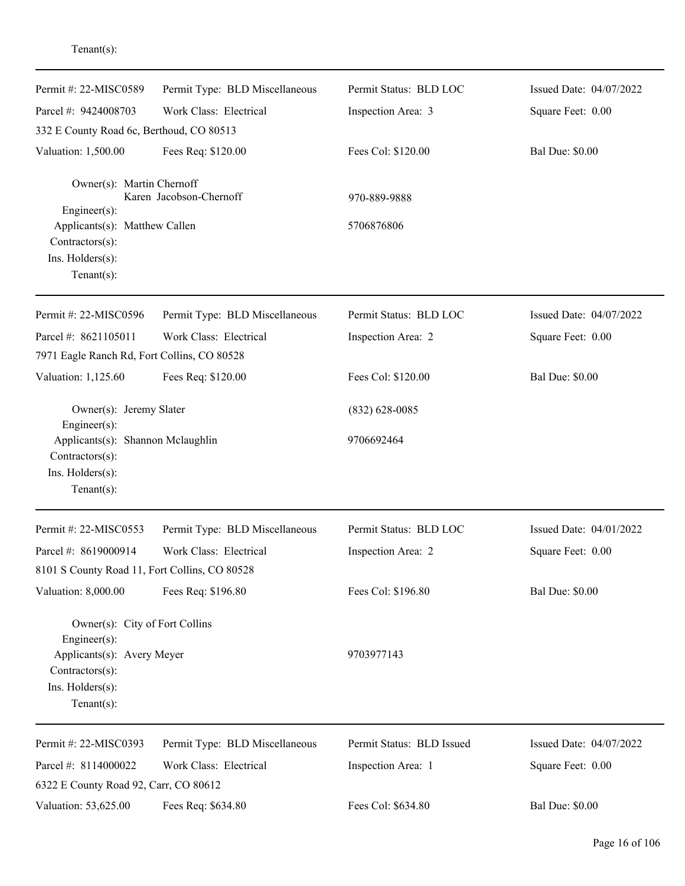| Permit #: 22-MISC0589                                                                                                                      | Permit Type: BLD Miscellaneous | Permit Status: BLD LOC    | Issued Date: 04/07/2022 |
|--------------------------------------------------------------------------------------------------------------------------------------------|--------------------------------|---------------------------|-------------------------|
| Parcel #: 9424008703                                                                                                                       | Work Class: Electrical         | Inspection Area: 3        | Square Feet: 0.00       |
| 332 E County Road 6c, Berthoud, CO 80513                                                                                                   |                                |                           |                         |
| Valuation: 1,500.00                                                                                                                        | Fees Req: \$120.00             | Fees Col: \$120.00        | <b>Bal Due: \$0.00</b>  |
| Owner(s): Martin Chernoff<br>$Engineering(s)$ :                                                                                            | Karen Jacobson-Chernoff        | 970-889-9888              |                         |
| Applicants(s): Matthew Callen<br>Contractors(s):<br>Ins. Holders(s):<br>Tenant $(s)$ :                                                     |                                | 5706876806                |                         |
| Permit #: 22-MISC0596                                                                                                                      | Permit Type: BLD Miscellaneous | Permit Status: BLD LOC    | Issued Date: 04/07/2022 |
| Parcel #: 8621105011<br>7971 Eagle Ranch Rd, Fort Collins, CO 80528                                                                        | Work Class: Electrical         | Inspection Area: 2        | Square Feet: 0.00       |
| Valuation: 1,125.60                                                                                                                        | Fees Req: \$120.00             | Fees Col: \$120.00        | <b>Bal Due: \$0.00</b>  |
| Owner(s): Jeremy Slater<br>Engineer(s):                                                                                                    |                                | $(832)$ 628-0085          |                         |
| Applicants(s): Shannon Mclaughlin<br>Contractors(s):<br>Ins. Holders(s):<br>Tenant $(s)$ :                                                 |                                | 9706692464                |                         |
| Permit #: 22-MISC0553                                                                                                                      | Permit Type: BLD Miscellaneous | Permit Status: BLD LOC    | Issued Date: 04/01/2022 |
| Parcel #: 8619000914                                                                                                                       | Work Class: Electrical         | Inspection Area: 2        | Square Feet: 0.00       |
| 8101 S County Road 11, Fort Collins, CO 80528                                                                                              |                                |                           |                         |
| Valuation: 8,000.00                                                                                                                        | Fees Req: \$196.80             | Fees Col: \$196.80        | <b>Bal Due: \$0.00</b>  |
| Owner(s): City of Fort Collins<br>$Engineering(s)$ :<br>Applicants(s): Avery Meyer<br>Contractors(s):<br>Ins. Holders(s):<br>$Tenant(s)$ : |                                | 9703977143                |                         |
| Permit #: 22-MISC0393                                                                                                                      | Permit Type: BLD Miscellaneous | Permit Status: BLD Issued | Issued Date: 04/07/2022 |
| Parcel #: 8114000022                                                                                                                       | Work Class: Electrical         | Inspection Area: 1        | Square Feet: 0.00       |
| 6322 E County Road 92, Carr, CO 80612                                                                                                      |                                |                           |                         |
| Valuation: 53,625.00                                                                                                                       | Fees Req: \$634.80             | Fees Col: \$634.80        | <b>Bal Due: \$0.00</b>  |

## Tenant(s):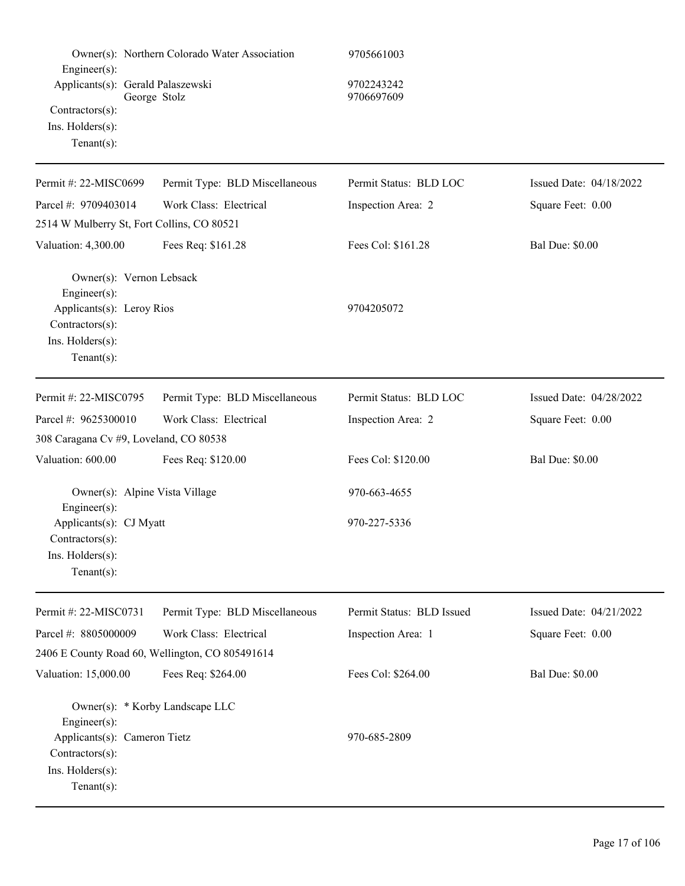| $Engineering(s)$ :<br>Applicants(s): Gerald Palaszewski<br>$Contractors(s)$ :<br>Ins. Holders(s):<br>$Tenant(s)$ :                    | Owner(s): Northern Colorado Water Association<br>George Stolz | 9705661003<br>9702243242<br>9706697609 |                         |
|---------------------------------------------------------------------------------------------------------------------------------------|---------------------------------------------------------------|----------------------------------------|-------------------------|
| Permit #: 22-MISC0699                                                                                                                 | Permit Type: BLD Miscellaneous                                | Permit Status: BLD LOC                 | Issued Date: 04/18/2022 |
| Parcel #: 9709403014                                                                                                                  | Work Class: Electrical                                        | Inspection Area: 2                     | Square Feet: 0.00       |
| 2514 W Mulberry St, Fort Collins, CO 80521                                                                                            |                                                               |                                        |                         |
| Valuation: 4,300.00                                                                                                                   | Fees Req: \$161.28                                            | Fees Col: \$161.28                     | <b>Bal Due: \$0.00</b>  |
| Owner(s): Vernon Lebsack<br>Engineer $(s)$ :<br>Applicants(s): Leroy Rios<br>Contractors(s):<br>Ins. Holders(s):<br>Tenant $(s)$ :    |                                                               | 9704205072                             |                         |
| Permit #: 22-MISC0795                                                                                                                 | Permit Type: BLD Miscellaneous                                | Permit Status: BLD LOC                 | Issued Date: 04/28/2022 |
| Parcel #: 9625300010                                                                                                                  | Work Class: Electrical                                        | Inspection Area: 2                     | Square Feet: 0.00       |
| 308 Caragana Cv #9, Loveland, CO 80538                                                                                                |                                                               |                                        |                         |
| Valuation: 600.00                                                                                                                     | Fees Req: \$120.00                                            | Fees Col: \$120.00                     | <b>Bal Due: \$0.00</b>  |
| Owner(s): Alpine Vista Village<br>Engineer(s):<br>Applicants(s): CJ Myatt<br>$Contractors(s)$ :<br>Ins. Holders(s):<br>Tenant $(s)$ : |                                                               | 970-663-4655<br>970-227-5336           |                         |
| Permit #: 22-MISC0731                                                                                                                 | Permit Type: BLD Miscellaneous                                | Permit Status: BLD Issued              | Issued Date: 04/21/2022 |
| Parcel #: 8805000009                                                                                                                  | Work Class: Electrical                                        | Inspection Area: 1                     | Square Feet: 0.00       |
|                                                                                                                                       | 2406 E County Road 60, Wellington, CO 805491614               |                                        |                         |
| Valuation: 15,000.00                                                                                                                  | Fees Req: \$264.00                                            | Fees Col: \$264.00                     | <b>Bal Due: \$0.00</b>  |
| Engineer(s):<br>Applicants(s): Cameron Tietz<br>Contractors(s):<br>Ins. Holders(s):<br>$Tenant(s)$ :                                  | Owner(s): * Korby Landscape LLC                               | 970-685-2809                           |                         |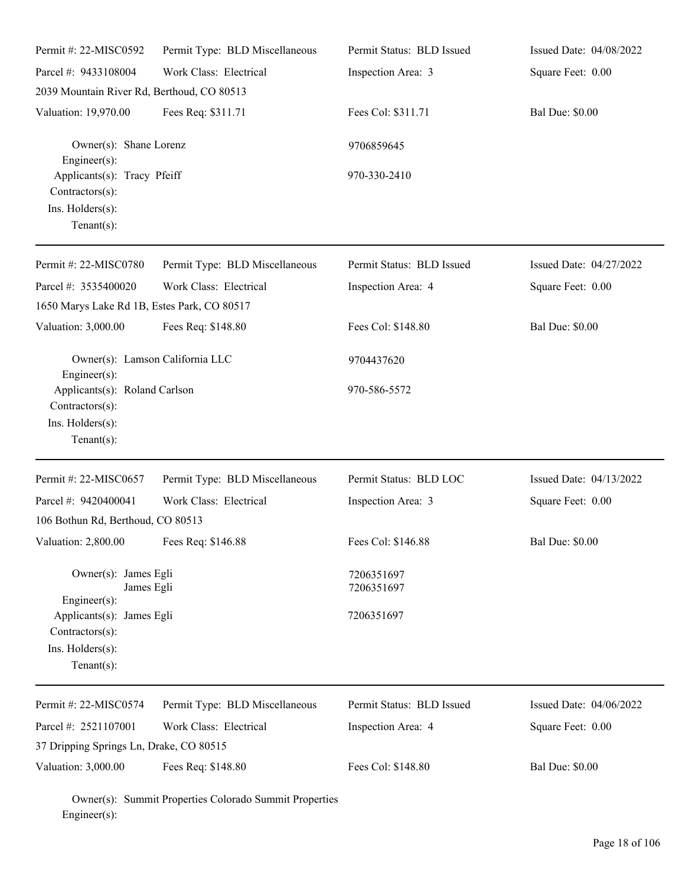| Permit #: 22-MISC0592                                                                  | Permit Type: BLD Miscellaneous | Permit Status: BLD Issued | Issued Date: 04/08/2022 |
|----------------------------------------------------------------------------------------|--------------------------------|---------------------------|-------------------------|
| Parcel #: 9433108004                                                                   | Work Class: Electrical         | Inspection Area: 3        | Square Feet: 0.00       |
| 2039 Mountain River Rd, Berthoud, CO 80513                                             |                                |                           |                         |
| Valuation: 19,970.00                                                                   | Fees Req: \$311.71             | Fees Col: \$311.71        | <b>Bal Due: \$0.00</b>  |
| Owner(s): Shane Lorenz<br>$Engineering(s)$ :                                           |                                | 9706859645                |                         |
| Applicants(s): Tracy Pfeiff<br>Contractors(s):<br>Ins. Holders(s):<br>$Tenant(s)$ :    |                                | 970-330-2410              |                         |
| Permit #: 22-MISC0780                                                                  | Permit Type: BLD Miscellaneous | Permit Status: BLD Issued | Issued Date: 04/27/2022 |
| Parcel #: 3535400020                                                                   | Work Class: Electrical         | Inspection Area: 4        | Square Feet: 0.00       |
| 1650 Marys Lake Rd 1B, Estes Park, CO 80517                                            |                                |                           |                         |
| Valuation: 3,000.00                                                                    | Fees Req: \$148.80             | Fees Col: \$148.80        | <b>Bal Due: \$0.00</b>  |
| Owner(s): Lamson California LLC<br>$Engineering(s)$ :                                  |                                | 9704437620                |                         |
| Applicants(s): Roland Carlson<br>Contractors(s):<br>Ins. Holders(s):<br>Tenant $(s)$ : |                                | 970-586-5572              |                         |
| Permit #: 22-MISC0657                                                                  | Permit Type: BLD Miscellaneous | Permit Status: BLD LOC    | Issued Date: 04/13/2022 |
| Parcel #: 9420400041                                                                   | Work Class: Electrical         | Inspection Area: 3        | Square Feet: 0.00       |
| 106 Bothun Rd, Berthoud, CO 80513                                                      |                                |                           |                         |
| Valuation: 2,800.00                                                                    | Fees Req: \$146.88             | Fees Col: \$146.88        | <b>Bal Due: \$0.00</b>  |
| Owner(s): James Egli<br>James Egli<br>Engineer $(s)$ :                                 |                                | 7206351697<br>7206351697  |                         |
| Applicants(s): James Egli<br>Contractors(s):                                           |                                | 7206351697                |                         |
| Ins. Holders(s):<br>Tenant $(s)$ :                                                     |                                |                           |                         |
| Permit #: 22-MISC0574                                                                  | Permit Type: BLD Miscellaneous | Permit Status: BLD Issued | Issued Date: 04/06/2022 |
| Parcel #: 2521107001                                                                   | Work Class: Electrical         | Inspection Area: 4        | Square Feet: 0.00       |
| 37 Dripping Springs Ln, Drake, CO 80515                                                |                                |                           |                         |
| Valuation: 3,000.00                                                                    | Fees Req: \$148.80             | Fees Col: \$148.80        | <b>Bal Due: \$0.00</b>  |

Owner(s): Summit Properties Colorado Summit Properties Engineer(s):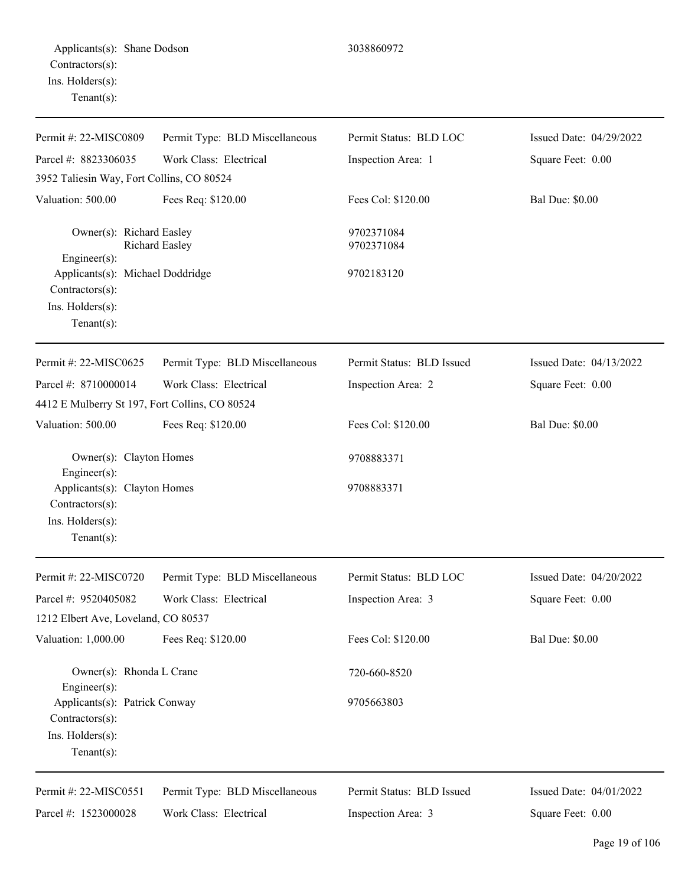| Permit #: 22-MISC0809                                                                     | Permit Type: BLD Miscellaneous | Permit Status: BLD LOC    | Issued Date: 04/29/2022 |
|-------------------------------------------------------------------------------------------|--------------------------------|---------------------------|-------------------------|
| Parcel #: 8823306035<br>3952 Taliesin Way, Fort Collins, CO 80524                         | Work Class: Electrical         | Inspection Area: 1        | Square Feet: 0.00       |
| Valuation: 500.00                                                                         | Fees Req: \$120.00             | Fees Col: \$120.00        | <b>Bal Due: \$0.00</b>  |
| Owner(s): Richard Easley<br>Engineer(s):                                                  | <b>Richard Easley</b>          | 9702371084<br>9702371084  |                         |
| Applicants(s): Michael Doddridge<br>Contractors(s):<br>Ins. Holders(s):<br>Tenant $(s)$ : |                                | 9702183120                |                         |
| Permit #: 22-MISC0625                                                                     | Permit Type: BLD Miscellaneous | Permit Status: BLD Issued | Issued Date: 04/13/2022 |
| Parcel #: 8710000014<br>4412 E Mulberry St 197, Fort Collins, CO 80524                    | Work Class: Electrical         | Inspection Area: 2        | Square Feet: 0.00       |
| Valuation: 500.00                                                                         | Fees Req: \$120.00             | Fees Col: \$120.00        | <b>Bal Due: \$0.00</b>  |
| Owner(s): Clayton Homes<br>Engineer(s):                                                   |                                | 9708883371                |                         |
| Applicants(s): Clayton Homes<br>Contractors(s):<br>Ins. Holders(s):<br>Tenant $(s)$ :     |                                | 9708883371                |                         |
| Permit #: 22-MISC0720                                                                     | Permit Type: BLD Miscellaneous | Permit Status: BLD LOC    | Issued Date: 04/20/2022 |
| Parcel #: 9520405082<br>1212 Elbert Ave, Loveland, CO 80537                               | Work Class: Electrical         | Inspection Area: 3        | Square Feet: 0.00       |
| Valuation: 1,000.00                                                                       | Fees Req: \$120.00             | Fees Col: \$120.00        | <b>Bal Due: \$0.00</b>  |
| Owner(s): Rhonda L Crane<br>Engineer(s):                                                  |                                | 720-660-8520              |                         |
| Applicants(s): Patrick Conway<br>Contractors(s):<br>Ins. Holders(s):<br>Tenant $(s)$ :    |                                | 9705663803                |                         |
| Permit #: 22-MISC0551                                                                     | Permit Type: BLD Miscellaneous | Permit Status: BLD Issued | Issued Date: 04/01/2022 |
| Parcel #: 1523000028                                                                      | Work Class: Electrical         | Inspection Area: 3        | Square Feet: 0.00       |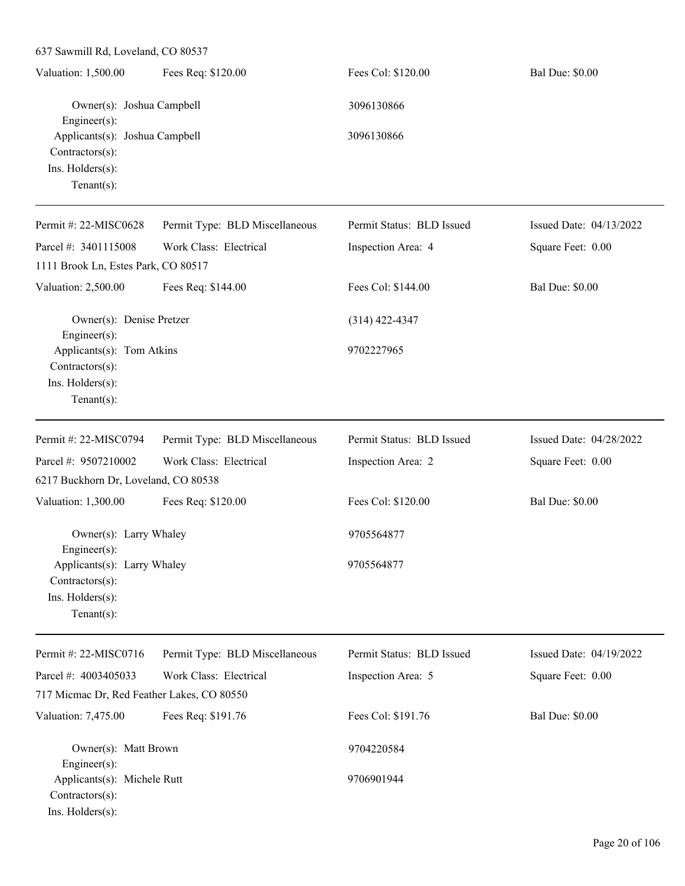| $\sigma$ ) and $\sigma$ is the set of $\sigma$ and $\sigma$                             |                                |                           |                         |
|-----------------------------------------------------------------------------------------|--------------------------------|---------------------------|-------------------------|
| Valuation: 1,500.00                                                                     | Fees Req: \$120.00             | Fees Col: \$120.00        | <b>Bal Due: \$0.00</b>  |
| Owner(s): Joshua Campbell<br>Engineer(s):                                               |                                | 3096130866                |                         |
| Applicants(s): Joshua Campbell<br>Contractors(s):<br>Ins. Holders(s):<br>Tenant $(s)$ : |                                | 3096130866                |                         |
| Permit #: 22-MISC0628                                                                   | Permit Type: BLD Miscellaneous | Permit Status: BLD Issued | Issued Date: 04/13/2022 |
| Parcel #: 3401115008<br>1111 Brook Ln, Estes Park, CO 80517                             | Work Class: Electrical         | Inspection Area: 4        | Square Feet: 0.00       |
| Valuation: 2,500.00                                                                     | Fees Req: \$144.00             | Fees Col: \$144.00        | <b>Bal Due: \$0.00</b>  |
| Owner(s): Denise Pretzer<br>Engineer(s):                                                |                                | $(314)$ 422-4347          |                         |
| Applicants(s): Tom Atkins<br>Contractors(s):<br>Ins. Holders(s):<br>$Tenant(s)$ :       |                                | 9702227965                |                         |
| Permit #: 22-MISC0794                                                                   | Permit Type: BLD Miscellaneous | Permit Status: BLD Issued | Issued Date: 04/28/2022 |
| Parcel #: 9507210002<br>6217 Buckhorn Dr, Loveland, CO 80538                            | Work Class: Electrical         | Inspection Area: 2        | Square Feet: 0.00       |
| Valuation: 1,300.00                                                                     | Fees Req: \$120.00             | Fees Col: \$120.00        | <b>Bal Due: \$0.00</b>  |
| Owner(s): Larry Whaley<br>Engineer $(s)$ :                                              |                                | 9705564877                |                         |
| Applicants(s): Larry Whaley<br>Contractors(s):<br>Ins. Holders(s):<br>Tenant $(s)$ :    |                                | 9705564877                |                         |
| Permit #: 22-MISC0716                                                                   | Permit Type: BLD Miscellaneous | Permit Status: BLD Issued | Issued Date: 04/19/2022 |
| Parcel #: 4003405033<br>717 Micmac Dr, Red Feather Lakes, CO 80550                      | Work Class: Electrical         | Inspection Area: 5        | Square Feet: 0.00       |
| Valuation: 7,475.00                                                                     | Fees Req: \$191.76             | Fees Col: \$191.76        | <b>Bal Due: \$0.00</b>  |
| Owner(s): Matt Brown<br>Engineer(s):                                                    |                                | 9704220584                |                         |
| Applicants(s): Michele Rutt<br>Contractors(s):<br>Ins. Holders(s):                      |                                | 9706901944                |                         |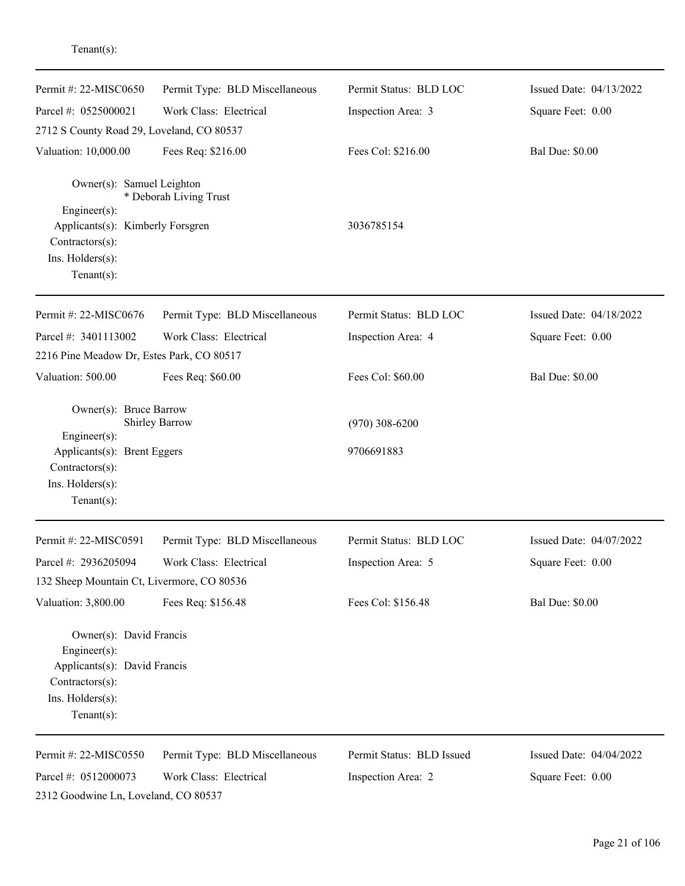| Permit #: $22-MISCO650$                                                                                                                      | Permit Type: BLD Miscellaneous | Permit Status: BLD LOC         | Issued Date: 04/13/2022 |
|----------------------------------------------------------------------------------------------------------------------------------------------|--------------------------------|--------------------------------|-------------------------|
| Parcel #: 0525000021                                                                                                                         | Work Class: Electrical         | Inspection Area: 3             | Square Feet: 0.00       |
| 2712 S County Road 29, Loveland, CO 80537                                                                                                    |                                |                                |                         |
| Valuation: 10,000.00                                                                                                                         | Fees Req: \$216.00             | Fees Col: \$216.00             | <b>Bal Due: \$0.00</b>  |
| Owner(s): Samuel Leighton<br>$Engineering(s)$ :<br>Applicants(s): Kimberly Forsgren<br>Contractors(s):<br>Ins. Holders(s):<br>Tenant $(s)$ : | * Deborah Living Trust         | 3036785154                     |                         |
| Permit #: 22-MISC0676                                                                                                                        | Permit Type: BLD Miscellaneous | Permit Status: BLD LOC         | Issued Date: 04/18/2022 |
| Parcel #: 3401113002                                                                                                                         | Work Class: Electrical         | Inspection Area: 4             | Square Feet: 0.00       |
| 2216 Pine Meadow Dr, Estes Park, CO 80517                                                                                                    |                                |                                |                         |
| Valuation: 500.00                                                                                                                            | Fees Req: \$60.00              | Fees Col: \$60.00              | <b>Bal Due: \$0.00</b>  |
| Owner(s): Bruce Barrow<br>Engineer(s):<br>Applicants(s): Brent Eggers<br>Contractors(s):<br>Ins. Holders(s):<br>Tenant $(s)$ :               | Shirley Barrow                 | $(970)$ 308-6200<br>9706691883 |                         |
| Permit #: 22-MISC0591                                                                                                                        | Permit Type: BLD Miscellaneous | Permit Status: BLD LOC         | Issued Date: 04/07/2022 |
| Parcel #: 2936205094                                                                                                                         | Work Class: Electrical         | Inspection Area: 5             | Square Feet: 0.00       |
| 132 Sheep Mountain Ct, Livermore, CO 80536                                                                                                   |                                |                                |                         |
| Valuation: 3,800.00                                                                                                                          | Fees Req: \$156.48             | Fees Col: \$156.48             | <b>Bal Due: \$0.00</b>  |
| Owner(s): David Francis<br>$Engineering(s)$ :<br>Applicants(s): David Francis<br>Contractors(s):<br>Ins. Holders(s):<br>Tenant $(s)$ :       |                                |                                |                         |
| Permit #: 22-MISC0550                                                                                                                        | Permit Type: BLD Miscellaneous | Permit Status: BLD Issued      | Issued Date: 04/04/2022 |
| Parcel #: 0512000073                                                                                                                         | Work Class: Electrical         | Inspection Area: 2             | Square Feet: 0.00       |
| 2312 Goodwine Ln, Loveland, CO 80537                                                                                                         |                                |                                |                         |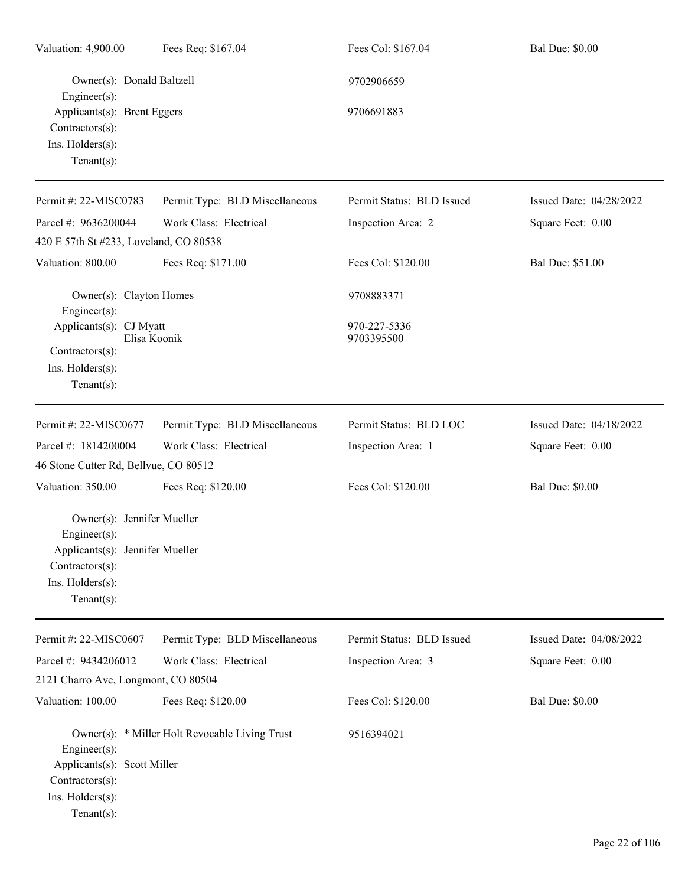| Valuation: 4,900.00                                                                                          | Fees Req: \$167.04                             | Fees Col: \$167.04         | <b>Bal Due: \$0.00</b>  |
|--------------------------------------------------------------------------------------------------------------|------------------------------------------------|----------------------------|-------------------------|
| Owner(s): Donald Baltzell<br>$Engineering(s)$ :                                                              |                                                | 9702906659                 |                         |
| Applicants(s): Brent Eggers<br>$Contractors(s)$ :<br>Ins. Holders(s):<br>$Tenant(s)$ :                       |                                                | 9706691883                 |                         |
| Permit #: 22-MISC0783                                                                                        | Permit Type: BLD Miscellaneous                 | Permit Status: BLD Issued  | Issued Date: 04/28/2022 |
| Parcel #: 9636200044                                                                                         | Work Class: Electrical                         | Inspection Area: 2         | Square Feet: 0.00       |
| 420 E 57th St #233, Loveland, CO 80538                                                                       |                                                |                            |                         |
| Valuation: 800.00                                                                                            | Fees Req: \$171.00                             | Fees Col: \$120.00         | Bal Due: \$51.00        |
| Owner(s): Clayton Homes<br>$Engineering(s)$ :                                                                |                                                | 9708883371                 |                         |
| Applicants(s): CJ Myatt                                                                                      | Elisa Koonik                                   | 970-227-5336<br>9703395500 |                         |
| Contractors(s):<br>Ins. Holders(s):<br>Tenant $(s)$ :                                                        |                                                |                            |                         |
| Permit #: 22-MISC0677                                                                                        | Permit Type: BLD Miscellaneous                 | Permit Status: BLD LOC     | Issued Date: 04/18/2022 |
| Parcel #: 1814200004                                                                                         | Work Class: Electrical                         | Inspection Area: 1         | Square Feet: 0.00       |
| 46 Stone Cutter Rd, Bellvue, CO 80512                                                                        |                                                |                            |                         |
| Valuation: 350.00                                                                                            | Fees Req: \$120.00                             | Fees Col: \$120.00         | <b>Bal Due: \$0.00</b>  |
| $Engineering(s)$ :                                                                                           | Owner(s): Jennifer Mueller                     |                            |                         |
| Applicants(s): Jennifer Mueller<br>Contractors(s):                                                           |                                                |                            |                         |
| Ins. Holders(s):<br>Tenant $(s)$ :                                                                           |                                                |                            |                         |
| Permit #: 22-MISC0607                                                                                        | Permit Type: BLD Miscellaneous                 | Permit Status: BLD Issued  | Issued Date: 04/08/2022 |
| Parcel #: 9434206012                                                                                         | Work Class: Electrical                         | Inspection Area: 3         | Square Feet: 0.00       |
| 2121 Charro Ave, Longmont, CO 80504                                                                          |                                                |                            |                         |
| Valuation: 100.00                                                                                            | Fees Req: \$120.00                             | Fees Col: \$120.00         | <b>Bal Due: \$0.00</b>  |
| $Engineering(s)$ :<br>Applicants(s): Scott Miller<br>$Contractors(s)$ :<br>Ins. Holders(s):<br>$Tenant(s)$ : | Owner(s): * Miller Holt Revocable Living Trust | 9516394021                 |                         |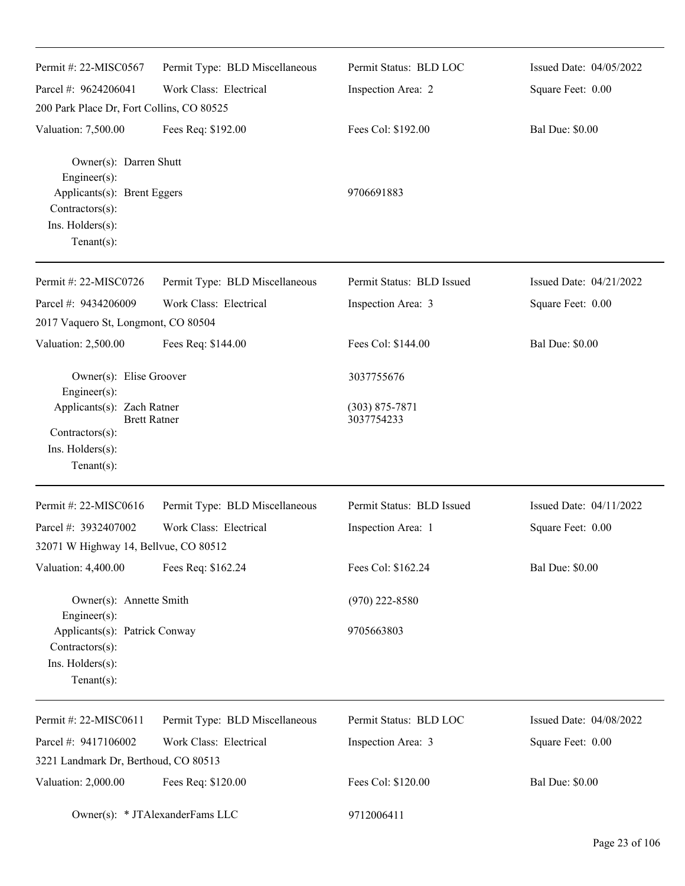| Permit #: 22-MISC0567                                                                                                                                | Permit Type: BLD Miscellaneous  | Permit Status: BLD LOC                         | Issued Date: 04/05/2022 |
|------------------------------------------------------------------------------------------------------------------------------------------------------|---------------------------------|------------------------------------------------|-------------------------|
| Parcel #: 9624206041                                                                                                                                 | Work Class: Electrical          | Inspection Area: 2                             | Square Feet: 0.00       |
| 200 Park Place Dr, Fort Collins, CO 80525                                                                                                            |                                 |                                                |                         |
| Valuation: 7,500.00                                                                                                                                  | Fees Req: \$192.00              | Fees Col: \$192.00                             | <b>Bal Due: \$0.00</b>  |
| Owner(s): Darren Shutt<br>Engineer(s):<br>Applicants(s): Brent Eggers<br>Contractors(s):<br>Ins. Holders(s):<br>$Tenant(s)$ :                        |                                 | 9706691883                                     |                         |
| Permit #: 22-MISC0726                                                                                                                                | Permit Type: BLD Miscellaneous  | Permit Status: BLD Issued                      | Issued Date: 04/21/2022 |
| Parcel #: 9434206009                                                                                                                                 | Work Class: Electrical          | Inspection Area: 3                             | Square Feet: 0.00       |
| 2017 Vaquero St, Longmont, CO 80504                                                                                                                  |                                 |                                                |                         |
| Valuation: 2,500.00                                                                                                                                  | Fees Req: \$144.00              | Fees Col: \$144.00                             | <b>Bal Due: \$0.00</b>  |
| Owner(s): Elise Groover<br>Engineer(s):<br>Applicants(s): Zach Ratner<br><b>Brett Ratner</b><br>Contractors(s):<br>Ins. Holders(s):<br>$Tenant(s)$ : |                                 | 3037755676<br>$(303) 875 - 7871$<br>3037754233 |                         |
| Permit #: 22-MISC0616                                                                                                                                | Permit Type: BLD Miscellaneous  | Permit Status: BLD Issued                      | Issued Date: 04/11/2022 |
| Parcel #: 3932407002                                                                                                                                 | Work Class: Electrical          | Inspection Area: 1                             | Square Feet: 0.00       |
| 32071 W Highway 14, Bellvue, CO 80512                                                                                                                |                                 |                                                |                         |
| Valuation: 4,400.00                                                                                                                                  | Fees Req: \$162.24              | Fees Col: \$162.24                             | <b>Bal Due: \$0.00</b>  |
| Owner(s): Annette Smith                                                                                                                              |                                 | $(970)$ 222-8580                               |                         |
| Engineer(s):<br>Applicants(s): Patrick Conway<br>Contractors(s):<br>Ins. Holders(s):<br>$Tenant(s)$ :                                                |                                 | 9705663803                                     |                         |
| Permit #: 22-MISC0611                                                                                                                                | Permit Type: BLD Miscellaneous  | Permit Status: BLD LOC                         | Issued Date: 04/08/2022 |
| Parcel #: 9417106002                                                                                                                                 | Work Class: Electrical          | Inspection Area: 3                             | Square Feet: 0.00       |
| 3221 Landmark Dr, Berthoud, CO 80513                                                                                                                 |                                 |                                                |                         |
| Valuation: 2,000.00                                                                                                                                  | Fees Req: \$120.00              | Fees Col: \$120.00                             | <b>Bal Due: \$0.00</b>  |
|                                                                                                                                                      | Owner(s): * JTAlexanderFams LLC | 9712006411                                     |                         |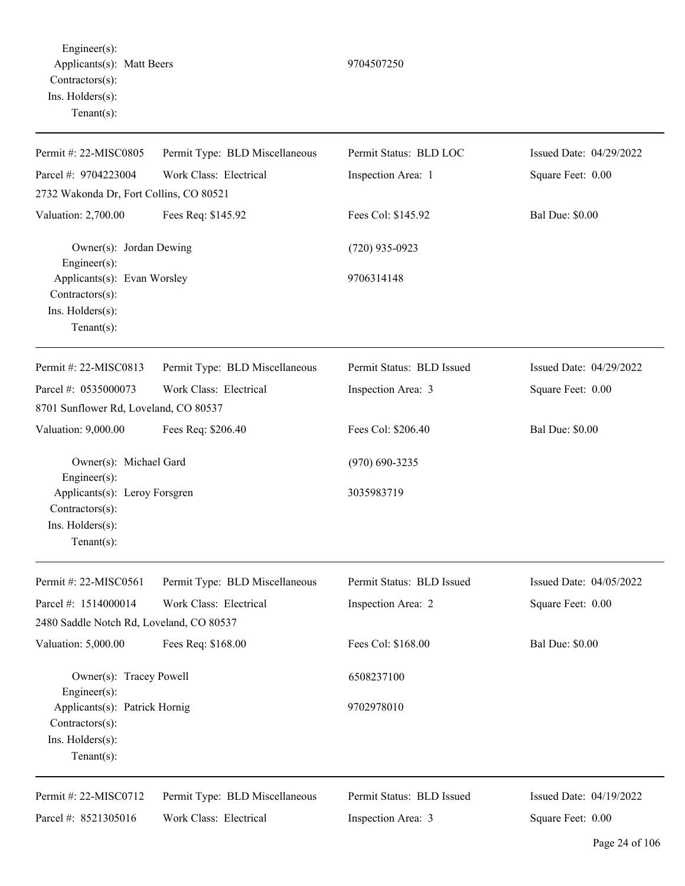Engineer(s): Applicants(s): Matt Beers 9704507250 Contractors(s): Ins. Holders(s): Tenant(s):

Permit #: 22-MISC0805 Parcel #: 9704223004 Permit Type: BLD Miscellaneous Work Class: Electrical Permit Status: BLD LOC Inspection Area: 1 Issued Date: 04/29/2022 Square Feet: 0.00 2732 Wakonda Dr, Fort Collins, CO 80521 Valuation: 2,700.00 Fees Req: \$145.92 Fees Col: \$145.92 Bal Due: \$0.00 Owner(s): Jordan Dewing (720) 935-0923 Engineer(s): Applicants(s): Evan Worsley 9706314148 Contractors(s): Ins. Holders(s): Tenant(s): Permit #: 22-MISC0813 Parcel #: 0535000073 Permit Type: BLD Miscellaneous Work Class: Electrical Permit Status: BLD Issued Inspection Area: 3 Issued Date: 04/29/2022 Square Feet: 0.00 8701 Sunflower Rd, Loveland, CO 80537 Valuation: 9,000.00 Fees Req: \$206.40 Fees Col: \$206.40 Bal Due: \$0.00 Owner(s): Michael Gard (970) 690-3235 Engineer(s): Applicants(s): Leroy Forsgren 3035983719 Contractors(s): Ins. Holders(s): Tenant(s): Permit #: 22-MISC0561 Parcel #: 1514000014 Permit Type: BLD Miscellaneous Work Class: Electrical Permit Status: BLD Issued Inspection Area: 2 Issued Date: 04/05/2022 Square Feet: 0.00 2480 Saddle Notch Rd, Loveland, CO 80537 Valuation: 5,000.00 Fees Req: \$168.00 Fees Col: \$168.00 Fees Col: \$168.00 Bal Due: \$0.00 Owner(s): Tracey Powell 6508237100 Engineer(s): Applicants(s): Patrick Hornig 9702978010 Contractors(s): Ins. Holders(s): Tenant(s): Permit #: 22-MISC0712 Parcel #: 8521305016 Permit Type: BLD Miscellaneous Work Class: Electrical Permit Status: BLD Issued Inspection Area: 3 Issued Date: 04/19/2022 Square Feet: 0.00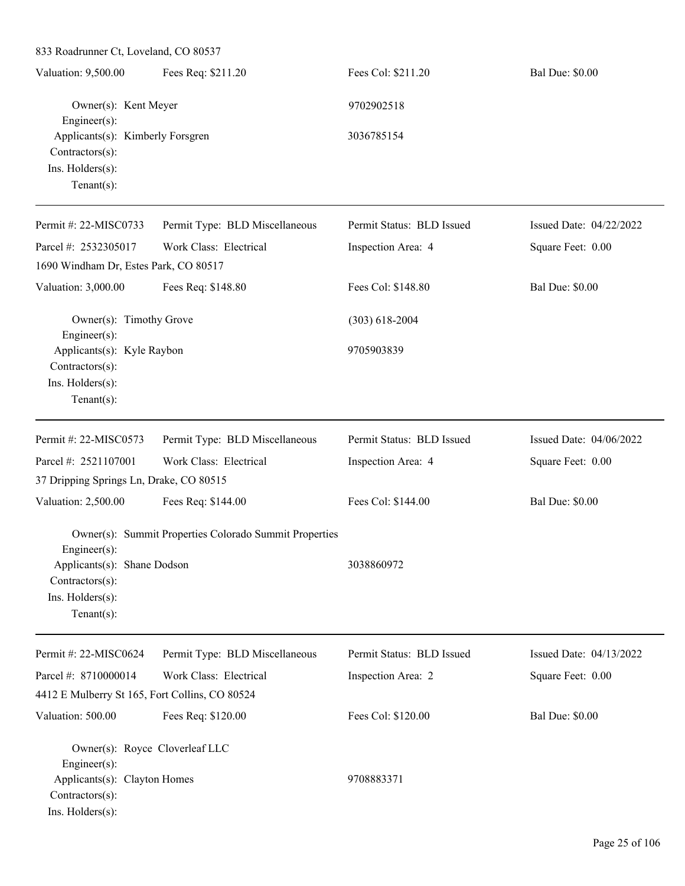Valuation: 9,500.00 Fees Req: \$211.20 Fees Col: \$211.20 Bal Due: \$0.00 Owner(s): Kent Meyer 9702902518 Engineer(s): Applicants(s): Kimberly Forsgren 3036785154 Contractors(s): Ins. Holders(s): Tenant(s): Permit #: 22-MISC0733 Parcel #: 2532305017 Permit Type: BLD Miscellaneous Work Class: Electrical Permit Status: BLD Issued Inspection Area: 4 Issued Date: 04/22/2022 Square Feet: 0.00 1690 Windham Dr, Estes Park, CO 80517 Valuation: 3,000.00 Fees Req: \$148.80 Fees Col: \$148.80 Bal Due: \$0.00 Owner(s): Timothy Grove (303) 618-2004 Engineer(s): Applicants(s): Kyle Raybon 9705903839 Contractors(s): Ins. Holders(s): Tenant(s): Permit #: 22-MISC0573 Parcel #: 2521107001 Permit Type: BLD Miscellaneous Work Class: Electrical Permit Status: BLD Issued Inspection Area: 4 Issued Date: 04/06/2022 Square Feet: 0.00 37 Dripping Springs Ln, Drake, CO 80515 Valuation: 2,500.00 Fees Req: \$144.00 Fees Col: \$144.00 Bal Due: \$0.00 Owner(s): Summit Properties Colorado Summit Properties Engineer(s): Applicants(s): Shane Dodson 3038860972 Contractors(s): Ins. Holders(s): Tenant(s): Permit #: 22-MISC0624 Parcel #: 8710000014 Permit Type: BLD Miscellaneous Work Class: Electrical Permit Status: BLD Issued Inspection Area: 2 Issued Date: 04/13/2022 Square Feet: 0.00 4412 E Mulberry St 165, Fort Collins, CO 80524 Valuation: 500.00 Fees Req: \$120.00 Fees Col: \$120.00 Bal Due: \$0.00 Owner(s): Royce Cloverleaf LLC Engineer(s): Applicants(s): Clayton Homes 9708883371 Contractors(s): Ins. Holders(s):

833 Roadrunner Ct, Loveland, CO 80537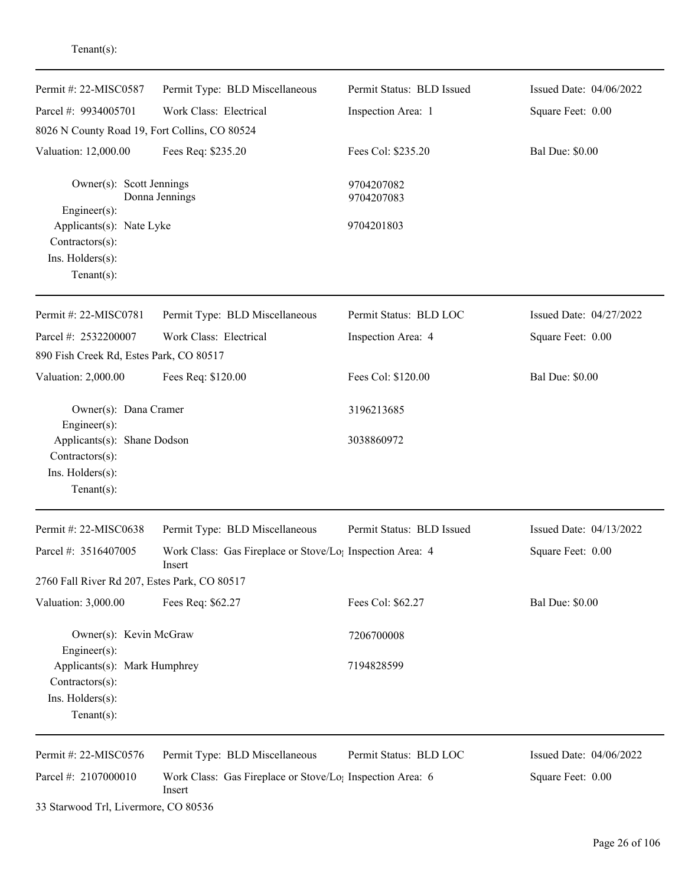| Permit #: 22-MISC0587                                                                | Permit Type: BLD Miscellaneous                                                  | Permit Status: BLD Issued | Issued Date: 04/06/2022 |
|--------------------------------------------------------------------------------------|---------------------------------------------------------------------------------|---------------------------|-------------------------|
| Parcel #: 9934005701                                                                 | Work Class: Electrical                                                          | Inspection Area: 1        | Square Feet: 0.00       |
| 8026 N County Road 19, Fort Collins, CO 80524                                        |                                                                                 |                           |                         |
| Valuation: 12,000.00                                                                 | Fees Req: \$235.20                                                              | Fees Col: \$235.20        | <b>Bal Due: \$0.00</b>  |
| Owner(s): Scott Jennings<br>Engineer(s):                                             | Donna Jennings                                                                  | 9704207082<br>9704207083  |                         |
| Applicants(s): Nate Lyke<br>Contractors(s):<br>Ins. Holders(s):<br>Tenant $(s)$ :    |                                                                                 | 9704201803                |                         |
| Permit #: 22-MISC0781                                                                | Permit Type: BLD Miscellaneous                                                  | Permit Status: BLD LOC    | Issued Date: 04/27/2022 |
| Parcel #: 2532200007                                                                 | Work Class: Electrical                                                          | Inspection Area: 4        | Square Feet: 0.00       |
| 890 Fish Creek Rd, Estes Park, CO 80517                                              |                                                                                 |                           |                         |
| Valuation: 2,000.00                                                                  | Fees Req: \$120.00                                                              | Fees Col: \$120.00        | <b>Bal Due: \$0.00</b>  |
| Owner(s): Dana Cramer<br>Engineer(s):                                                |                                                                                 | 3196213685                |                         |
| Applicants(s): Shane Dodson<br>Contractors(s):<br>Ins. Holders(s):<br>Tenant $(s)$ : |                                                                                 | 3038860972                |                         |
| Permit #: 22-MISC0638                                                                | Permit Type: BLD Miscellaneous                                                  | Permit Status: BLD Issued | Issued Date: 04/13/2022 |
| Parcel #: 3516407005                                                                 | Work Class: Gas Fireplace or Stove/Lo <sub>1</sub> Inspection Area: 4<br>Insert |                           | Square Feet: 0.00       |
| 2760 Fall River Rd 207, Estes Park, CO 80517                                         |                                                                                 |                           |                         |
| Valuation: 3,000.00                                                                  | Fees Req: \$62.27                                                               | Fees Col: \$62.27         | <b>Bal Due: \$0.00</b>  |
| Owner(s): Kevin McGraw<br>Engineer(s):                                               |                                                                                 | 7206700008                |                         |
| Applicants(s): Mark Humphrey<br>Contractors(s):                                      |                                                                                 | 7194828599                |                         |
| Ins. Holders(s):<br>Tenant $(s)$ :                                                   |                                                                                 |                           |                         |
| Permit #: 22-MISC0576                                                                | Permit Type: BLD Miscellaneous                                                  | Permit Status: BLD LOC    | Issued Date: 04/06/2022 |
| Parcel #: 2107000010                                                                 | Work Class: Gas Fireplace or Stove/Lo <sub>1</sub> Inspection Area: 6<br>Insert |                           | Square Feet: 0.00       |

33 Starwood Trl, Livermore, CO 80536

Tenant(s):

Page 26 of 106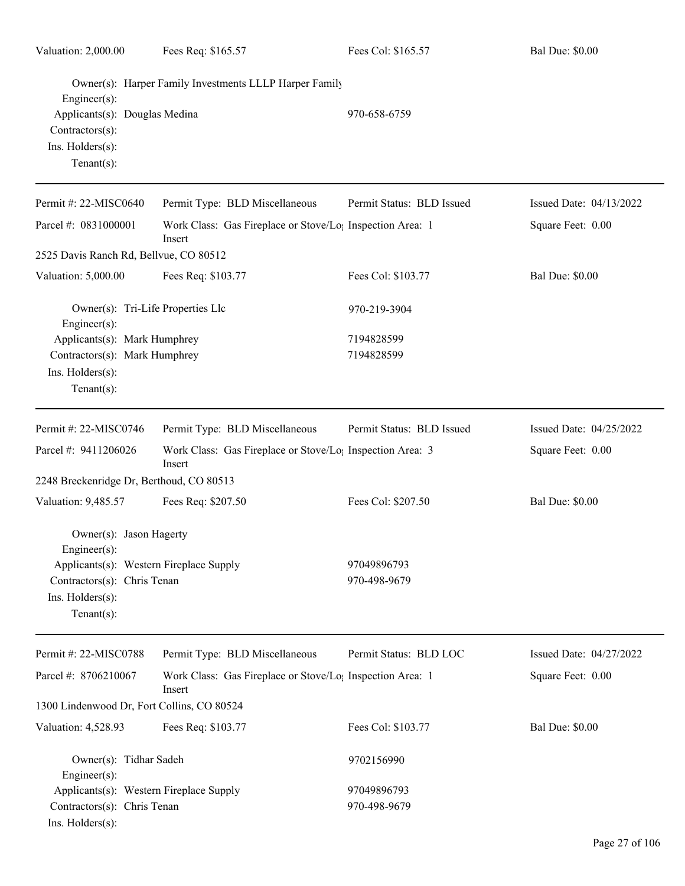| Valuation: 2,000.00                                                                    | Fees Req: \$165.57                                                              | Fees Col: \$165.57        | <b>Bal Due: \$0.00</b>  |
|----------------------------------------------------------------------------------------|---------------------------------------------------------------------------------|---------------------------|-------------------------|
| Engineer(s):                                                                           | Owner(s): Harper Family Investments LLLP Harper Family                          | 970-658-6759              |                         |
| Applicants(s): Douglas Medina<br>Contractors(s):<br>Ins. Holders(s):<br>Tenant $(s)$ : |                                                                                 |                           |                         |
| Permit #: 22-MISC0640                                                                  | Permit Type: BLD Miscellaneous                                                  | Permit Status: BLD Issued | Issued Date: 04/13/2022 |
| Parcel #: 0831000001                                                                   | Work Class: Gas Fireplace or Stove/Lo <sub>l</sub> Inspection Area: 1<br>Insert |                           | Square Feet: 0.00       |
| 2525 Davis Ranch Rd, Bellvue, CO 80512                                                 |                                                                                 |                           |                         |
| Valuation: 5,000.00                                                                    | Fees Req: \$103.77                                                              | Fees Col: \$103.77        | <b>Bal Due: \$0.00</b>  |
| Owner(s): Tri-Life Properties Llc<br>Engineer $(s)$ :                                  |                                                                                 | 970-219-3904              |                         |
| Applicants(s): Mark Humphrey                                                           |                                                                                 | 7194828599                |                         |
| Contractors(s): Mark Humphrey                                                          |                                                                                 | 7194828599                |                         |
| Ins. Holders(s):<br>Tenant $(s)$ :                                                     |                                                                                 |                           |                         |
| Permit #: 22-MISC0746                                                                  | Permit Type: BLD Miscellaneous                                                  | Permit Status: BLD Issued | Issued Date: 04/25/2022 |
| Parcel #: 9411206026                                                                   | Work Class: Gas Fireplace or Stove/Lo <sub>1</sub> Inspection Area: 3<br>Insert |                           | Square Feet: 0.00       |
| 2248 Breckenridge Dr, Berthoud, CO 80513                                               |                                                                                 |                           |                         |
| Valuation: 9,485.57                                                                    | Fees Req: \$207.50                                                              | Fees Col: \$207.50        | <b>Bal Due: \$0.00</b>  |
| Owner(s): Jason Hagerty<br>Engineer(s):                                                |                                                                                 |                           |                         |
| Applicants(s): Western Fireplace Supply                                                |                                                                                 | 97049896793               |                         |
| Contractors(s): Chris Tenan                                                            |                                                                                 | 970-498-9679              |                         |
| Ins. Holders(s):<br>Tenant $(s)$ :                                                     |                                                                                 |                           |                         |
| Permit #: 22-MISC0788                                                                  | Permit Type: BLD Miscellaneous                                                  | Permit Status: BLD LOC    | Issued Date: 04/27/2022 |
| Parcel #: 8706210067                                                                   | Work Class: Gas Fireplace or Stove/Lo <sub>1</sub> Inspection Area: 1<br>Insert |                           | Square Feet: 0.00       |
| 1300 Lindenwood Dr, Fort Collins, CO 80524                                             |                                                                                 |                           |                         |
| Valuation: 4,528.93                                                                    | Fees Req: \$103.77                                                              | Fees Col: \$103.77        | <b>Bal Due: \$0.00</b>  |
| Owner(s): Tidhar Sadeh<br>Engineer(s):                                                 |                                                                                 | 9702156990                |                         |
| Applicants(s): Western Fireplace Supply                                                |                                                                                 | 97049896793               |                         |
| Contractors(s): Chris Tenan<br>Ins. Holders(s):                                        |                                                                                 | 970-498-9679              |                         |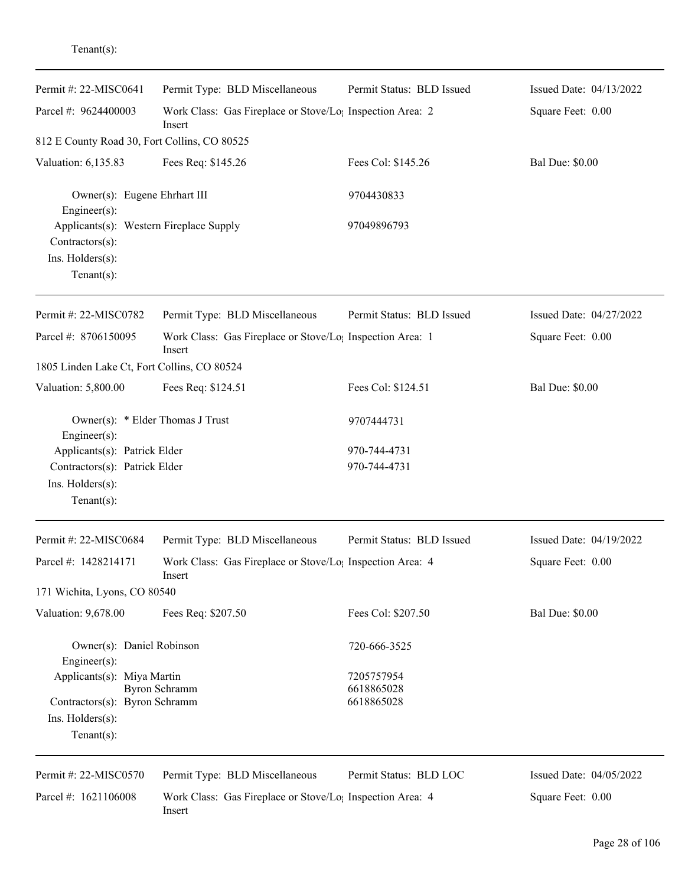| enant(s) |  |
|----------|--|
|          |  |

| Permit #: 22-MISC0641                                                                              | Permit Type: BLD Miscellaneous                                                  | Permit Status: BLD Issued    | Issued Date: 04/13/2022 |
|----------------------------------------------------------------------------------------------------|---------------------------------------------------------------------------------|------------------------------|-------------------------|
| Parcel #: 9624400003                                                                               | Work Class: Gas Fireplace or Stove/Lo <sub>1</sub> Inspection Area: 2<br>Insert |                              | Square Feet: 0.00       |
| 812 E County Road 30, Fort Collins, CO 80525                                                       |                                                                                 |                              |                         |
| Valuation: 6,135.83                                                                                | Fees Req: \$145.26                                                              | Fees Col: \$145.26           | <b>Bal Due: \$0.00</b>  |
| Owner(s): Eugene Ehrhart III<br>Engineer(s):                                                       |                                                                                 | 9704430833                   |                         |
| Applicants(s): Western Fireplace Supply<br>Contractors(s):<br>Ins. Holders(s):                     |                                                                                 | 97049896793                  |                         |
| Tenant $(s)$ :                                                                                     |                                                                                 |                              |                         |
| Permit #: 22-MISC0782                                                                              | Permit Type: BLD Miscellaneous                                                  | Permit Status: BLD Issued    | Issued Date: 04/27/2022 |
| Parcel #: 8706150095                                                                               | Work Class: Gas Fireplace or Stove/Lo; Inspection Area: 1<br>Insert             |                              | Square Feet: 0.00       |
| 1805 Linden Lake Ct, Fort Collins, CO 80524                                                        |                                                                                 |                              |                         |
| Valuation: 5,800.00                                                                                | Fees Req: \$124.51                                                              | Fees Col: \$124.51           | <b>Bal Due: \$0.00</b>  |
| Owner(s): * Elder Thomas J Trust<br>Engineer(s):                                                   |                                                                                 | 9707444731                   |                         |
| Applicants(s): Patrick Elder<br>Contractors(s): Patrick Elder<br>Ins. Holders(s):<br>$Tenant(s)$ : |                                                                                 | 970-744-4731<br>970-744-4731 |                         |
| Permit #: 22-MISC0684                                                                              | Permit Type: BLD Miscellaneous                                                  | Permit Status: BLD Issued    | Issued Date: 04/19/2022 |
| Parcel #: 1428214171                                                                               | Work Class: Gas Fireplace or Stove/Lo <sub>1</sub> Inspection Area: 4<br>Insert |                              | Square Feet: 0.00       |
| 171 Wichita, Lyons, CO 80540                                                                       |                                                                                 |                              |                         |
| Valuation: 9,678.00                                                                                | Fees Req: \$207.50                                                              | Fees Col: \$207.50           | <b>Bal Due: \$0.00</b>  |
| Owner(s): Daniel Robinson<br>Engineer(s):                                                          |                                                                                 | 720-666-3525                 |                         |
| Applicants(s): Miya Martin<br><b>Byron Schramm</b>                                                 |                                                                                 | 7205757954<br>6618865028     |                         |
| Contractors(s): Byron Schramm<br>Ins. Holders(s):<br>Tenant $(s)$ :                                |                                                                                 | 6618865028                   |                         |
| Permit #: 22-MISC0570                                                                              | Permit Type: BLD Miscellaneous                                                  | Permit Status: BLD LOC       | Issued Date: 04/05/2022 |
| Parcel #: 1621106008                                                                               | Work Class: Gas Fireplace or Stove/Lo <sub>1</sub> Inspection Area: 4<br>Insert |                              | Square Feet: 0.00       |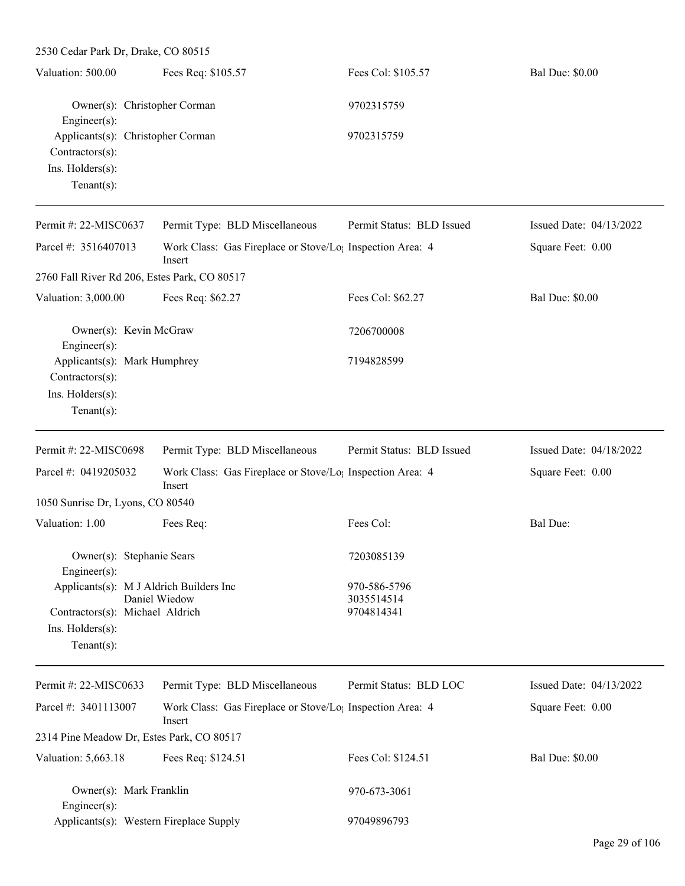| 2530 Cedar Park Dr, Drake, CO 80515                                                           |                                                                                 |                           |                         |
|-----------------------------------------------------------------------------------------------|---------------------------------------------------------------------------------|---------------------------|-------------------------|
| Valuation: 500.00                                                                             | Fees Req: \$105.57                                                              | Fees Col: \$105.57        | <b>Bal Due: \$0.00</b>  |
| Owner(s): Christopher Corman<br>Engineer $(s)$ :                                              |                                                                                 | 9702315759                |                         |
| Applicants(s): Christopher Corman<br>$Contractors(s)$ :<br>Ins. Holders(s):<br>Tenant $(s)$ : |                                                                                 | 9702315759                |                         |
| Permit #: 22-MISC0637                                                                         | Permit Type: BLD Miscellaneous                                                  | Permit Status: BLD Issued | Issued Date: 04/13/2022 |
| Parcel #: 3516407013                                                                          | Work Class: Gas Fireplace or Stove/Lo <sub>1</sub> Inspection Area: 4<br>Insert |                           | Square Feet: 0.00       |
| 2760 Fall River Rd 206, Estes Park, CO 80517                                                  |                                                                                 |                           |                         |
| Valuation: 3,000.00                                                                           | Fees Req: \$62.27                                                               | Fees Col: \$62.27         | <b>Bal Due: \$0.00</b>  |
| Owner(s): Kevin McGraw<br>Engineer $(s)$ :                                                    |                                                                                 | 7206700008                |                         |
| Applicants(s): Mark Humphrey<br>Contractors(s):<br>Ins. Holders(s):<br>Tenant $(s)$ :         |                                                                                 | 7194828599                |                         |
| Permit #: 22-MISC0698                                                                         | Permit Type: BLD Miscellaneous                                                  | Permit Status: BLD Issued | Issued Date: 04/18/2022 |
| Parcel #: 0419205032                                                                          | Work Class: Gas Fireplace or Stove/Lo <sub>!</sub> Inspection Area: 4<br>Insert |                           | Square Feet: 0.00       |
| 1050 Sunrise Dr, Lyons, CO 80540                                                              |                                                                                 |                           |                         |
| Valuation: 1.00                                                                               | Fees Req:                                                                       | Fees Col:                 | Bal Due:                |
| Owner(s): Stephanie Sears<br>$Engineer(s)$ :                                                  |                                                                                 | 7203085139                |                         |
| Applicants(s): M J Aldrich Builders Inc                                                       |                                                                                 | 970-586-5796              |                         |
| Contractors(s): Michael Aldrich<br>Ins. Holders(s):<br>Tenant $(s)$ :                         | Daniel Wiedow                                                                   | 3035514514<br>9704814341  |                         |
| Permit #: 22-MISC0633                                                                         | Permit Type: BLD Miscellaneous                                                  | Permit Status: BLD LOC    | Issued Date: 04/13/2022 |
| Parcel #: 3401113007                                                                          | Work Class: Gas Fireplace or Stove/Lo <sub>1</sub> Inspection Area: 4<br>Insert |                           | Square Feet: 0.00       |
| 2314 Pine Meadow Dr, Estes Park, CO 80517                                                     |                                                                                 |                           |                         |
| Valuation: 5,663.18                                                                           | Fees Req: \$124.51                                                              | Fees Col: \$124.51        | <b>Bal Due: \$0.00</b>  |
| Owner(s): Mark Franklin<br>$Engineer(s)$ :                                                    |                                                                                 | 970-673-3061              |                         |
| Applicants(s): Western Fireplace Supply                                                       |                                                                                 | 97049896793               |                         |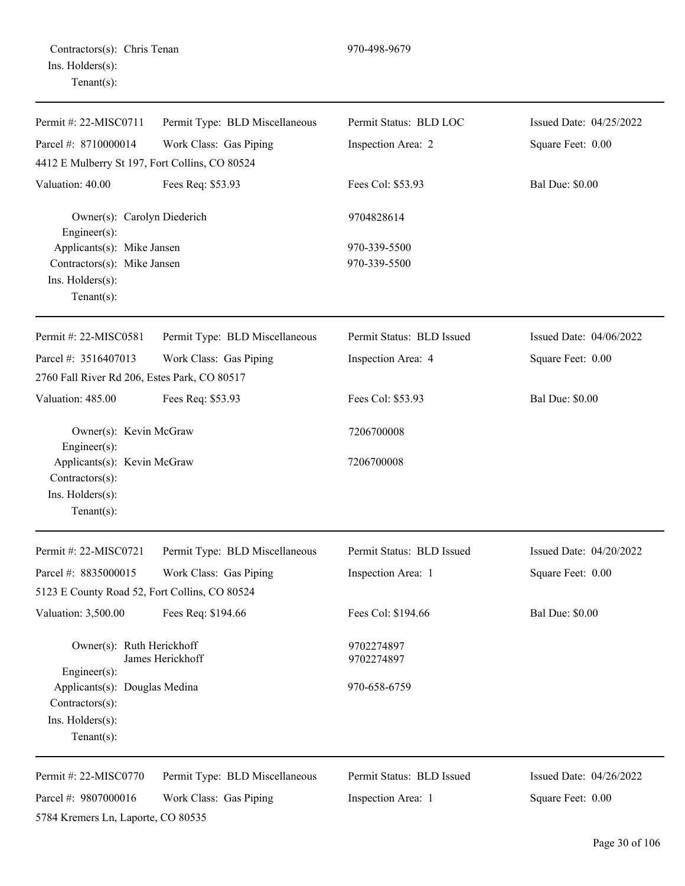Contractors(s): Chris Tenan 970-498-9679 Ins. Holders(s): Tenant(s):

| Permit #: 22-MISC0711                                                                           | Permit Type: BLD Miscellaneous                           | Permit Status: BLD LOC                          | Issued Date: 04/25/2022                      |
|-------------------------------------------------------------------------------------------------|----------------------------------------------------------|-------------------------------------------------|----------------------------------------------|
| Parcel #: 8710000014                                                                            | Work Class: Gas Piping                                   | Inspection Area: 2                              | Square Feet: 0.00                            |
| 4412 E Mulberry St 197, Fort Collins, CO 80524                                                  |                                                          |                                                 |                                              |
| Valuation: 40.00                                                                                | Fees Req: \$53.93                                        | Fees Col: \$53.93                               | <b>Bal Due: \$0.00</b>                       |
| Owner(s): Carolyn Diederich<br>Engineer(s):                                                     |                                                          | 9704828614                                      |                                              |
| Applicants(s): Mike Jansen<br>Contractors(s): Mike Jansen<br>Ins. Holders(s):<br>Tenant $(s)$ : |                                                          | 970-339-5500<br>970-339-5500                    |                                              |
| Permit #: 22-MISC0581                                                                           | Permit Type: BLD Miscellaneous                           | Permit Status: BLD Issued                       | Issued Date: 04/06/2022                      |
| Parcel #: 3516407013<br>2760 Fall River Rd 206, Estes Park, CO 80517                            | Work Class: Gas Piping                                   | Inspection Area: 4                              | Square Feet: 0.00                            |
| Valuation: 485.00                                                                               | Fees Req: \$53.93                                        | Fees Col: \$53.93                               | <b>Bal Due: \$0.00</b>                       |
| Owner(s): Kevin McGraw<br>Engineer(s):                                                          |                                                          | 7206700008                                      |                                              |
| Applicants(s): Kevin McGraw<br>Contractors(s):<br>Ins. Holders(s):<br>Tenant $(s)$ :            |                                                          | 7206700008                                      |                                              |
| Permit #: 22-MISC0721                                                                           | Permit Type: BLD Miscellaneous                           | Permit Status: BLD Issued                       | Issued Date: 04/20/2022                      |
| Parcel #: 8835000015<br>5123 E County Road 52, Fort Collins, CO 80524                           | Work Class: Gas Piping                                   | Inspection Area: 1                              | Square Feet: 0.00                            |
| Valuation: 3,500.00                                                                             | Fees Req: \$194.66                                       | Fees Col: \$194.66                              | <b>Bal Due: \$0.00</b>                       |
| Owner(s): Ruth Herickhoff<br>$Engineering(s)$ :                                                 | James Herickhoff                                         | 9702274897<br>9702274897                        |                                              |
| Applicants(s): Douglas Medina<br>Contractors(s):<br>Ins. Holders(s):<br>Tenant $(s)$ :          |                                                          | 970-658-6759                                    |                                              |
| Permit #: 22-MISC0770<br>Parcel #: 9807000016                                                   | Permit Type: BLD Miscellaneous<br>Work Class: Gas Piping | Permit Status: BLD Issued<br>Inspection Area: 1 | Issued Date: 04/26/2022<br>Square Feet: 0.00 |
| 5784 Kremers Ln, Laporte, CO 80535                                                              |                                                          |                                                 |                                              |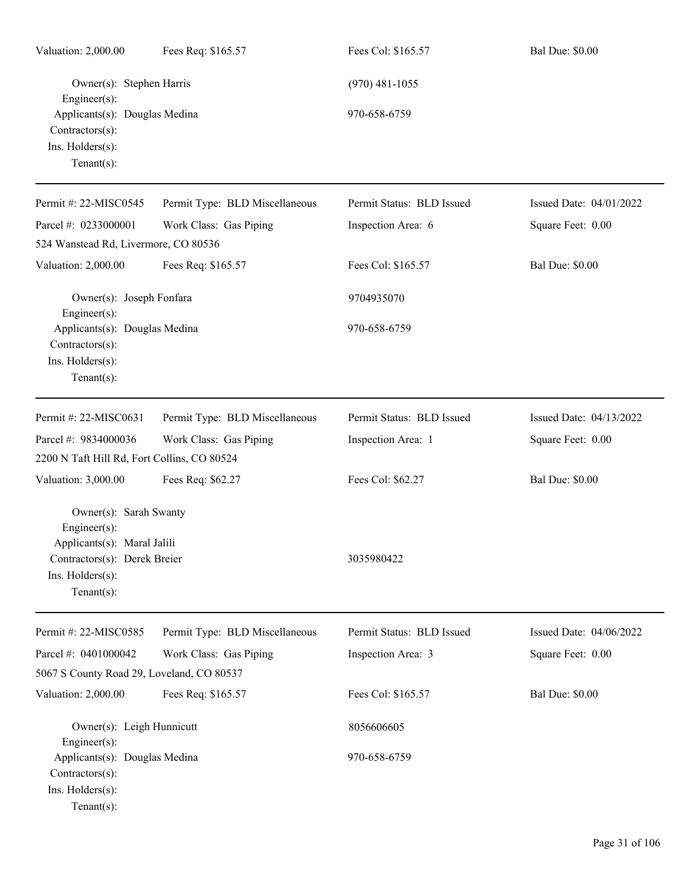| Valuation: 2,000.00                                                                                                                        | Fees Req: \$165.57             | Fees Col: \$165.57        | <b>Bal Due: \$0.00</b>  |
|--------------------------------------------------------------------------------------------------------------------------------------------|--------------------------------|---------------------------|-------------------------|
| Owner(s): Stephen Harris<br>Engineer(s):                                                                                                   |                                | $(970)$ 481-1055          |                         |
| Applicants(s): Douglas Medina<br>Contractors(s):<br>Ins. Holders(s):<br>Tenant $(s)$ :                                                     |                                | 970-658-6759              |                         |
| Permit #: 22-MISC0545                                                                                                                      | Permit Type: BLD Miscellaneous | Permit Status: BLD Issued | Issued Date: 04/01/2022 |
| Parcel #: 0233000001                                                                                                                       | Work Class: Gas Piping         | Inspection Area: 6        | Square Feet: 0.00       |
| 524 Wanstead Rd, Livermore, CO 80536                                                                                                       |                                |                           |                         |
| Valuation: 2,000.00                                                                                                                        | Fees Req: \$165.57             | Fees Col: \$165.57        | <b>Bal Due: \$0.00</b>  |
| Owner(s): Joseph Fonfara<br>Engineer(s):                                                                                                   |                                | 9704935070                |                         |
| Applicants(s): Douglas Medina<br>Contractors(s):<br>Ins. Holders(s):<br>$Tenant(s)$ :                                                      |                                | 970-658-6759              |                         |
| Permit #: 22-MISC0631                                                                                                                      | Permit Type: BLD Miscellaneous | Permit Status: BLD Issued | Issued Date: 04/13/2022 |
| Parcel #: 9834000036<br>2200 N Taft Hill Rd, Fort Collins, CO 80524                                                                        | Work Class: Gas Piping         | Inspection Area: 1        | Square Feet: 0.00       |
| Valuation: 3,000.00                                                                                                                        | Fees Req: \$62.27              | Fees Col: \$62.27         | <b>Bal Due: \$0.00</b>  |
| Owner(s): Sarah Swanty<br>Engineer(s):<br>Applicants(s): Maral Jalili<br>Contractors(s): Derek Breier<br>Ins. Holders(s):<br>$Tenant(s)$ : |                                | 3035980422                |                         |
| Permit #: 22-MISC0585                                                                                                                      | Permit Type: BLD Miscellaneous | Permit Status: BLD Issued | Issued Date: 04/06/2022 |
| Parcel #: 0401000042                                                                                                                       | Work Class: Gas Piping         | Inspection Area: 3        | Square Feet: 0.00       |
| 5067 S County Road 29, Loveland, CO 80537                                                                                                  |                                |                           |                         |
| Valuation: 2,000.00                                                                                                                        | Fees Req: \$165.57             | Fees Col: \$165.57        | <b>Bal Due: \$0.00</b>  |
| Owner(s): Leigh Hunnicutt<br>Engineer(s):                                                                                                  |                                | 8056606605                |                         |
| Applicants(s): Douglas Medina<br>Contractors(s):<br>Ins. Holders(s):<br>$Tenant(s)$ :                                                      |                                | 970-658-6759              |                         |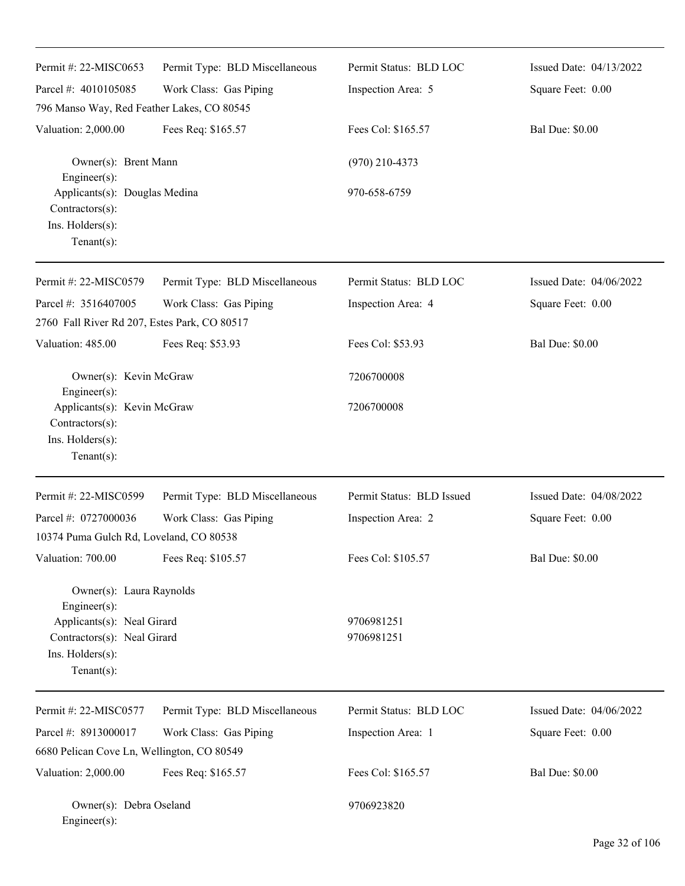| Permit #: 22-MISC0653                                                                                                                       | Permit Type: BLD Miscellaneous | Permit Status: BLD LOC    | Issued Date: 04/13/2022 |
|---------------------------------------------------------------------------------------------------------------------------------------------|--------------------------------|---------------------------|-------------------------|
| Parcel #: 4010105085                                                                                                                        | Work Class: Gas Piping         | Inspection Area: 5        | Square Feet: 0.00       |
| 796 Manso Way, Red Feather Lakes, CO 80545                                                                                                  |                                |                           |                         |
| Valuation: 2,000.00                                                                                                                         | Fees Req: \$165.57             | Fees Col: \$165.57        | <b>Bal Due: \$0.00</b>  |
| Owner(s): Brent Mann<br>Engineer(s):                                                                                                        |                                | $(970)$ 210-4373          |                         |
| Applicants(s): Douglas Medina<br>Contractors(s):<br>Ins. Holders(s):<br>Tenant $(s)$ :                                                      |                                | 970-658-6759              |                         |
| Permit #: 22-MISC0579                                                                                                                       | Permit Type: BLD Miscellaneous | Permit Status: BLD LOC    | Issued Date: 04/06/2022 |
| Parcel #: 3516407005                                                                                                                        | Work Class: Gas Piping         | Inspection Area: 4        | Square Feet: 0.00       |
| 2760 Fall River Rd 207, Estes Park, CO 80517                                                                                                |                                |                           |                         |
| Valuation: 485.00                                                                                                                           | Fees Req: \$53.93              | Fees Col: \$53.93         | <b>Bal Due: \$0.00</b>  |
| Owner(s): Kevin McGraw                                                                                                                      |                                | 7206700008                |                         |
| Engineer(s):<br>Applicants(s): Kevin McGraw<br>Contractors(s):<br>Ins. Holders(s):<br>$Tenant(s)$ :                                         |                                | 7206700008                |                         |
| Permit #: 22-MISC0599                                                                                                                       | Permit Type: BLD Miscellaneous | Permit Status: BLD Issued | Issued Date: 04/08/2022 |
| Parcel #: 0727000036                                                                                                                        | Work Class: Gas Piping         | Inspection Area: 2        | Square Feet: 0.00       |
| 10374 Puma Gulch Rd, Loveland, CO 80538                                                                                                     |                                |                           |                         |
| Valuation: 700.00                                                                                                                           | Fees Req: \$105.57             | Fees Col: \$105.57        | <b>Bal Due: \$0.00</b>  |
| Owner(s): Laura Raynolds<br>Engineer(s):<br>Applicants(s): Neal Girard<br>Contractors(s): Neal Girard<br>Ins. Holders(s):<br>Tenant $(s)$ : |                                | 9706981251<br>9706981251  |                         |
| Permit #: 22-MISC0577                                                                                                                       | Permit Type: BLD Miscellaneous | Permit Status: BLD LOC    | Issued Date: 04/06/2022 |
| Parcel #: 8913000017                                                                                                                        | Work Class: Gas Piping         | Inspection Area: 1        | Square Feet: 0.00       |
| 6680 Pelican Cove Ln, Wellington, CO 80549                                                                                                  |                                |                           |                         |
| Valuation: 2,000.00                                                                                                                         | Fees Req: \$165.57             | Fees Col: \$165.57        | <b>Bal Due: \$0.00</b>  |
| Owner(s): Debra Oseland<br>Engineer(s):                                                                                                     |                                | 9706923820                |                         |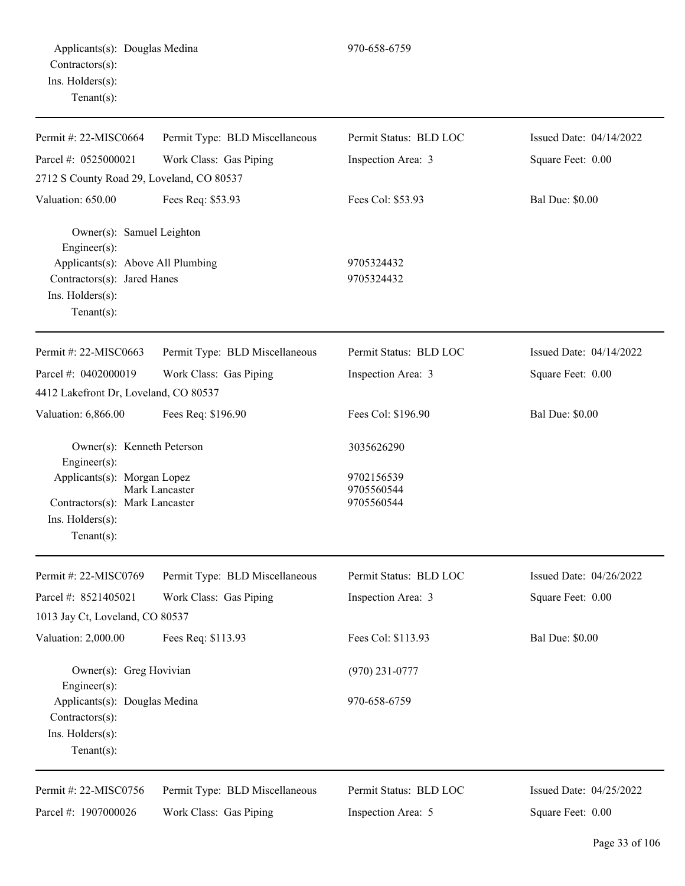Permit #: 22-MISC0664 Parcel #: 0525000021 Work Class: Gas Piping Inspection Area: 3 Square Feet: 0.00 2712 S County Road 29, Loveland, CO 80537 Valuation: 650.00 Fees Req: \$53.93 Fees Col: \$53.93 Bal Due: \$0.00 Owner(s): Samuel Leighton Engineer(s): Applicants(s): Above All Plumbing 9705324432 Contractors(s): Jared Hanes 9705324432 Ins. Holders(s): Tenant(s): Permit #: 22-MISC0663 Parcel #: 0402000019 Permit Type: BLD Miscellaneous Work Class: Gas Piping Permit Status: BLD LOC Inspection Area: 3 Issued Date: 04/14/2022 Square Feet: 0.00 4412 Lakefront Dr, Loveland, CO 80537 Valuation: 6,866.00 Fees Req: \$196.90 Fees Col: \$196.90 Fees Col: \$196.90 Bal Due: \$0.00 Owner(s): Kenneth Peterson 3035626290 Engineer(s): Applicants(s): Morgan Lopez 9702156539 Mark Lancaster 9705560544 Contractors(s): Mark Lancaster 9705560544 Ins. Holders(s): Tenant(s): Permit #: 22-MISC0769 Parcel #: 8521405021 Permit Type: BLD Miscellaneous Work Class: Gas Piping Permit Status: BLD LOC Inspection Area: 3 Issued Date: 04/26/2022 Square Feet: 0.00 1013 Jay Ct, Loveland, CO 80537 Valuation: 2,000.00 Fees Req: \$113.93 Fees Col: \$113.93 Bal Due: \$0.00 Owner(s): Greg Hovivian (970) 231-0777 Engineer(s): Applicants(s): Douglas Medina 970-658-6759 Contractors(s): Ins. Holders(s): Tenant(s): Permit #: 22-MISC0756 Parcel #: 1907000026 Permit Type: BLD Miscellaneous Work Class: Gas Piping Permit Status: BLD LOC Inspection Area: 5 Issued Date: 04/25/2022 Square Feet: 0.00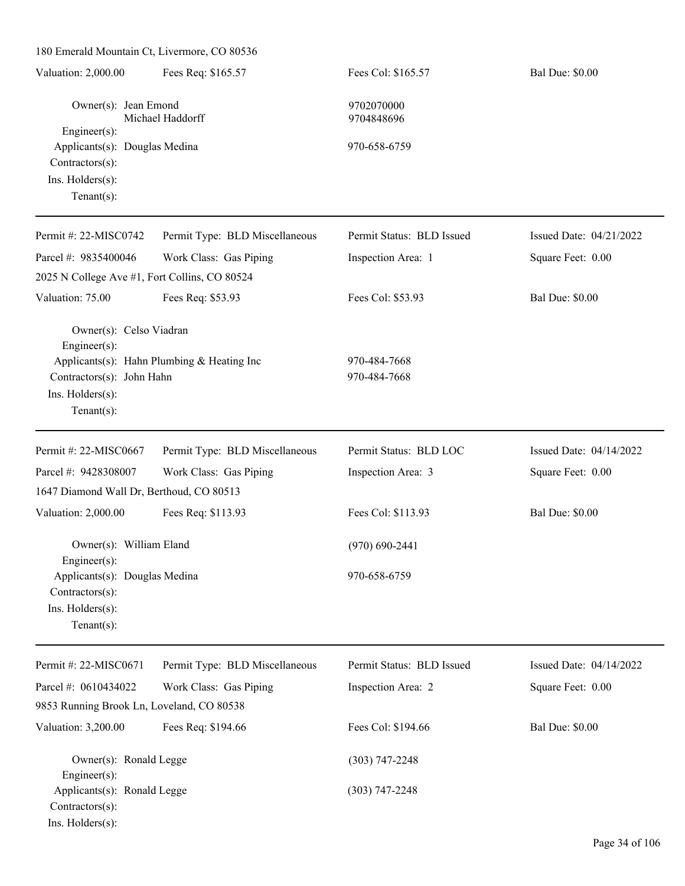| Valuation: 2,000.00                                                                                       | Fees Req: \$165.57                         | Fees Col: \$165.57           | <b>Bal Due: \$0.00</b>  |
|-----------------------------------------------------------------------------------------------------------|--------------------------------------------|------------------------------|-------------------------|
| Owner(s): Jean Emond                                                                                      | Michael Haddorff                           | 9702070000<br>9704848696     |                         |
| Engineer(s):<br>Applicants(s): Douglas Medina<br>Contractors(s):<br>Ins. Holders(s):<br>Tenant $(s)$ :    |                                            | 970-658-6759                 |                         |
| Permit #: 22-MISC0742                                                                                     | Permit Type: BLD Miscellaneous             | Permit Status: BLD Issued    | Issued Date: 04/21/2022 |
| Parcel #: 9835400046<br>2025 N College Ave #1, Fort Collins, CO 80524                                     | Work Class: Gas Piping                     | Inspection Area: 1           | Square Feet: 0.00       |
| Valuation: 75.00                                                                                          | Fees Req: \$53.93                          | Fees Col: \$53.93            | <b>Bal Due: \$0.00</b>  |
| Owner(s): Celso Viadran<br>Engineer(s):<br>Contractors(s): John Hahn<br>Ins. Holders(s):<br>$Tenant(s)$ : | Applicants(s): Hahn Plumbing & Heating Inc | 970-484-7668<br>970-484-7668 |                         |
| Permit #: 22-MISC0667                                                                                     | Permit Type: BLD Miscellaneous             | Permit Status: BLD LOC       | Issued Date: 04/14/2022 |
| Parcel #: 9428308007                                                                                      | Work Class: Gas Piping                     | Inspection Area: 3           | Square Feet: 0.00       |
| 1647 Diamond Wall Dr, Berthoud, CO 80513                                                                  |                                            |                              |                         |
| Valuation: 2,000.00                                                                                       | Fees Req: \$113.93                         | Fees Col: \$113.93           | <b>Bal Due: \$0.00</b>  |
| Owner(s): William Eland<br>Engineer $(s)$ :                                                               |                                            | $(970)$ 690-2441             |                         |
| Applicants(s): Douglas Medina<br>Contractors(s):<br>Ins. Holders(s):<br>Tenant $(s)$ :                    |                                            | 970-658-6759                 |                         |
| Permit #: 22-MISC0671                                                                                     | Permit Type: BLD Miscellaneous             | Permit Status: BLD Issued    | Issued Date: 04/14/2022 |
| Parcel #: 0610434022                                                                                      | Work Class: Gas Piping                     | Inspection Area: 2           | Square Feet: 0.00       |
| 9853 Running Brook Ln, Loveland, CO 80538                                                                 |                                            |                              |                         |
| Valuation: 3,200.00                                                                                       | Fees Req: \$194.66                         | Fees Col: \$194.66           | <b>Bal Due: \$0.00</b>  |
| Owner(s): Ronald Legge<br>Engineer(s):                                                                    |                                            | $(303) 747 - 2248$           |                         |
| Applicants(s): Ronald Legge<br>Contractors(s):<br>Ins. Holders(s):                                        |                                            | $(303) 747 - 2248$           |                         |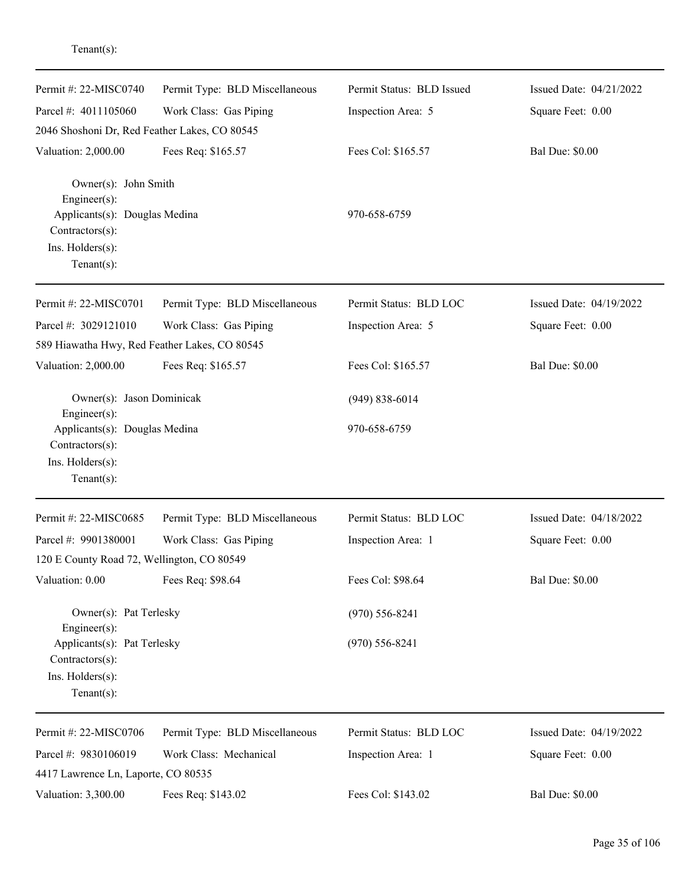| Permit #: 22-MISC0740                                                                                        | Permit Type: BLD Miscellaneous | Permit Status: BLD Issued | Issued Date: 04/21/2022 |
|--------------------------------------------------------------------------------------------------------------|--------------------------------|---------------------------|-------------------------|
| Parcel #: 4011105060                                                                                         | Work Class: Gas Piping         | Inspection Area: 5        | Square Feet: 0.00       |
| 2046 Shoshoni Dr, Red Feather Lakes, CO 80545                                                                |                                |                           |                         |
| Valuation: 2,000.00                                                                                          | Fees Req: \$165.57             | Fees Col: \$165.57        | <b>Bal Due: \$0.00</b>  |
| Owner(s): John Smith<br>Engineer(s):<br>Applicants(s): Douglas Medina<br>Contractors(s):<br>Ins. Holders(s): |                                | 970-658-6759              |                         |
| $Tenant(s)$ :                                                                                                |                                |                           |                         |
| Permit #: 22-MISC0701                                                                                        | Permit Type: BLD Miscellaneous | Permit Status: BLD LOC    | Issued Date: 04/19/2022 |
| Parcel #: 3029121010                                                                                         | Work Class: Gas Piping         | Inspection Area: 5        | Square Feet: 0.00       |
| 589 Hiawatha Hwy, Red Feather Lakes, CO 80545                                                                |                                |                           |                         |
| Valuation: 2,000.00                                                                                          | Fees Req: \$165.57             | Fees Col: \$165.57        | <b>Bal Due: \$0.00</b>  |
| Owner(s): Jason Dominicak                                                                                    |                                | $(949) 838 - 6014$        |                         |
| Engineer(s):<br>Applicants(s): Douglas Medina<br>Contractors(s):<br>Ins. Holders(s):<br>$Tenant(s)$ :        |                                | 970-658-6759              |                         |
| Permit #: 22-MISC0685                                                                                        | Permit Type: BLD Miscellaneous | Permit Status: BLD LOC    | Issued Date: 04/18/2022 |
| Parcel #: 9901380001                                                                                         | Work Class: Gas Piping         | Inspection Area: 1        | Square Feet: 0.00       |
| 120 E County Road 72, Wellington, CO 80549                                                                   |                                |                           |                         |
| Valuation: 0.00                                                                                              | Fees Req: \$98.64              | Fees Col: \$98.64         | <b>Bal Due: \$0.00</b>  |
| Owner(s): Pat Terlesky<br>Engineer(s):                                                                       |                                | $(970) 556 - 8241$        |                         |
| Applicants(s): Pat Terlesky<br>Contractors(s):<br>Ins. Holders(s):<br>Tenant $(s)$ :                         |                                | $(970)$ 556-8241          |                         |
| Permit #: 22-MISC0706                                                                                        | Permit Type: BLD Miscellaneous | Permit Status: BLD LOC    | Issued Date: 04/19/2022 |
| Parcel #: 9830106019<br>4417 Lawrence Ln, Laporte, CO 80535                                                  | Work Class: Mechanical         | Inspection Area: 1        | Square Feet: 0.00       |
| Valuation: 3,300.00                                                                                          | Fees Req: \$143.02             | Fees Col: \$143.02        | <b>Bal Due: \$0.00</b>  |

Tenant(s):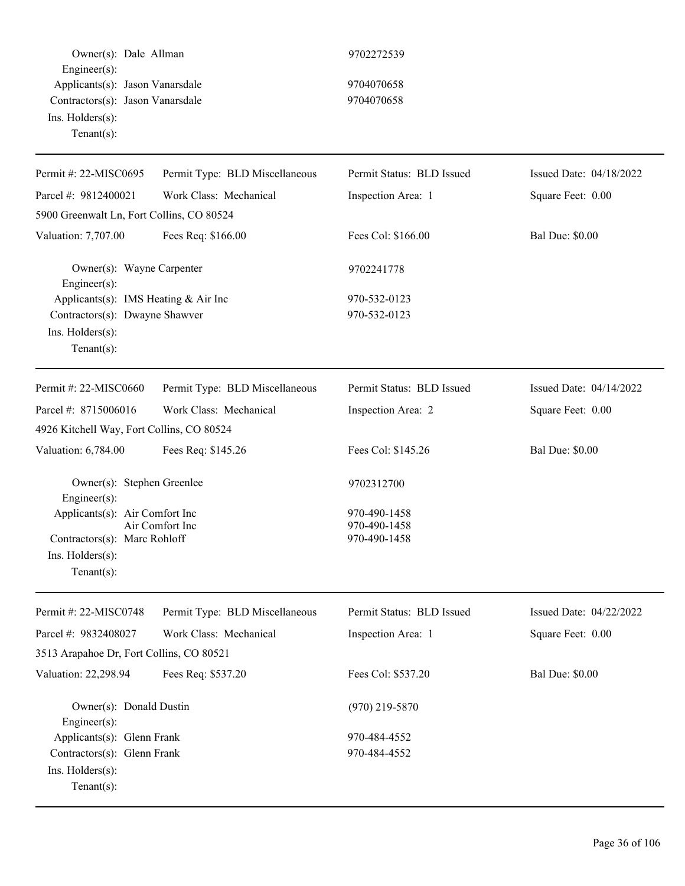Owner(s): Dale Allman 9702272539 Engineer(s): Applicants(s): Jason Vanarsdale 9704070658 Contractors(s): Jason Vanarsdale 9704070658 Ins. Holders(s): Tenant(s):

| Permit #: 22-MISC0695                                                                               | Permit Type: BLD Miscellaneous | Permit Status: BLD Issued                    | Issued Date: 04/18/2022 |
|-----------------------------------------------------------------------------------------------------|--------------------------------|----------------------------------------------|-------------------------|
| Parcel #: 9812400021                                                                                | Work Class: Mechanical         | Inspection Area: 1                           | Square Feet: 0.00       |
| 5900 Greenwalt Ln, Fort Collins, CO 80524                                                           |                                |                                              |                         |
| Valuation: 7,707.00                                                                                 | Fees Req: \$166.00             | Fees Col: \$166.00                           | <b>Bal Due: \$0.00</b>  |
| Owner(s): Wayne Carpenter<br>Engineer(s):                                                           |                                | 9702241778                                   |                         |
| Applicants(s): IMS Heating & Air Inc                                                                |                                | 970-532-0123                                 |                         |
| Contractors(s): Dwayne Shawver<br>Ins. Holders(s):<br>$Tenant(s)$ :                                 |                                | 970-532-0123                                 |                         |
| Permit #: 22-MISC0660                                                                               | Permit Type: BLD Miscellaneous | Permit Status: BLD Issued                    | Issued Date: 04/14/2022 |
| Parcel #: 8715006016                                                                                | Work Class: Mechanical         | Inspection Area: 2                           | Square Feet: 0.00       |
| 4926 Kitchell Way, Fort Collins, CO 80524                                                           |                                |                                              |                         |
| Valuation: 6,784.00                                                                                 | Fees Req: \$145.26             | Fees Col: \$145.26                           | <b>Bal Due: \$0.00</b>  |
| Owner(s): Stephen Greenlee<br>Engineer(s):                                                          |                                | 9702312700                                   |                         |
| Applicants(s): Air Comfort Inc<br>Contractors(s): Marc Rohloff<br>Ins. Holders(s):<br>$Tenant(s)$ : | Air Comfort Inc                | 970-490-1458<br>970-490-1458<br>970-490-1458 |                         |
| Permit #: 22-MISC0748                                                                               | Permit Type: BLD Miscellaneous | Permit Status: BLD Issued                    | Issued Date: 04/22/2022 |
| Parcel #: 9832408027                                                                                | Work Class: Mechanical         | Inspection Area: 1                           | Square Feet: 0.00       |
| 3513 Arapahoe Dr, Fort Collins, CO 80521                                                            |                                |                                              |                         |
| Valuation: 22,298.94                                                                                | Fees Req: \$537.20             | Fees Col: \$537.20                           | <b>Bal Due: \$0.00</b>  |
| Owner(s): Donald Dustin<br>Engineer $(s)$ :                                                         |                                | $(970)$ 219-5870                             |                         |
| Applicants(s): Glenn Frank                                                                          |                                | 970-484-4552                                 |                         |
| Contractors(s): Glenn Frank<br>Ins. Holders(s):<br>$Tenant(s)$ :                                    |                                | 970-484-4552                                 |                         |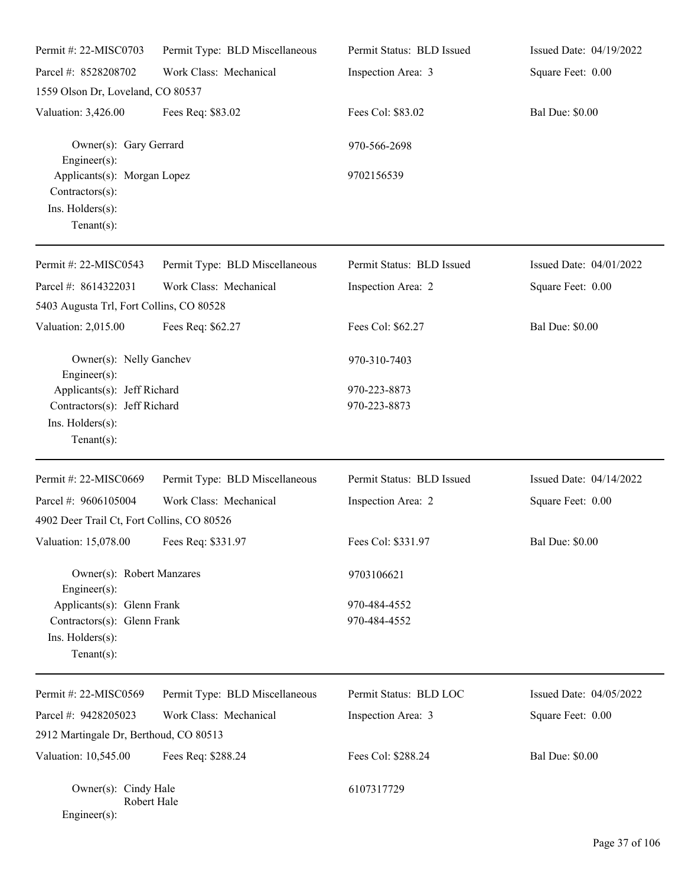| Permit #: 22-MISC0703                                                                | Permit Type: BLD Miscellaneous | Permit Status: BLD Issued | Issued Date: 04/19/2022 |
|--------------------------------------------------------------------------------------|--------------------------------|---------------------------|-------------------------|
| Parcel #: 8528208702                                                                 | Work Class: Mechanical         | Inspection Area: 3        | Square Feet: 0.00       |
| 1559 Olson Dr, Loveland, CO 80537                                                    |                                |                           |                         |
| Valuation: 3,426.00                                                                  | Fees Req: \$83.02              | Fees Col: \$83.02         | <b>Bal Due: \$0.00</b>  |
| Owner(s): Gary Gerrard<br>$Engineering(s)$ :                                         |                                | 970-566-2698              |                         |
| Applicants(s): Morgan Lopez<br>Contractors(s):<br>Ins. Holders(s):<br>Tenant $(s)$ : |                                | 9702156539                |                         |
| Permit #: 22-MISC0543                                                                | Permit Type: BLD Miscellaneous | Permit Status: BLD Issued | Issued Date: 04/01/2022 |
| Parcel #: 8614322031                                                                 | Work Class: Mechanical         | Inspection Area: 2        | Square Feet: 0.00       |
| 5403 Augusta Trl, Fort Collins, CO 80528                                             |                                |                           |                         |
| Valuation: 2,015.00                                                                  | Fees Req: \$62.27              | Fees Col: \$62.27         | <b>Bal Due: \$0.00</b>  |
| Owner(s): Nelly Ganchev<br>Engineer(s):                                              |                                | 970-310-7403              |                         |
| Applicants(s): Jeff Richard                                                          |                                | 970-223-8873              |                         |
| Contractors(s): Jeff Richard                                                         |                                | 970-223-8873              |                         |
| Ins. Holders(s):<br>$Tenant(s)$ :                                                    |                                |                           |                         |
| Permit #: 22-MISC0669                                                                | Permit Type: BLD Miscellaneous | Permit Status: BLD Issued | Issued Date: 04/14/2022 |
| Parcel #: 9606105004                                                                 | Work Class: Mechanical         | Inspection Area: 2        | Square Feet: 0.00       |
| 4902 Deer Trail Ct, Fort Collins, CO 80526                                           |                                |                           |                         |
| Valuation: 15,078.00                                                                 | Fees Req: \$331.97             | Fees Col: \$331.97        | <b>Bal Due: \$0.00</b>  |
| Owner(s): Robert Manzares<br>Engineer(s):                                            |                                | 9703106621                |                         |
| Applicants(s): Glenn Frank                                                           |                                | 970-484-4552              |                         |
| Contractors(s): Glenn Frank                                                          |                                | 970-484-4552              |                         |
| Ins. Holders(s):<br>Tenant $(s)$ :                                                   |                                |                           |                         |
| Permit #: 22-MISC0569                                                                | Permit Type: BLD Miscellaneous | Permit Status: BLD LOC    | Issued Date: 04/05/2022 |
| Parcel #: 9428205023                                                                 | Work Class: Mechanical         | Inspection Area: 3        | Square Feet: 0.00       |
| 2912 Martingale Dr, Berthoud, CO 80513                                               |                                |                           |                         |
| Valuation: 10,545.00                                                                 | Fees Req: \$288.24             | Fees Col: \$288.24        | <b>Bal Due: \$0.00</b>  |
| Owner(s): Cindy Hale<br>Robert Hale<br>$Engineering(s)$ :                            |                                | 6107317729                |                         |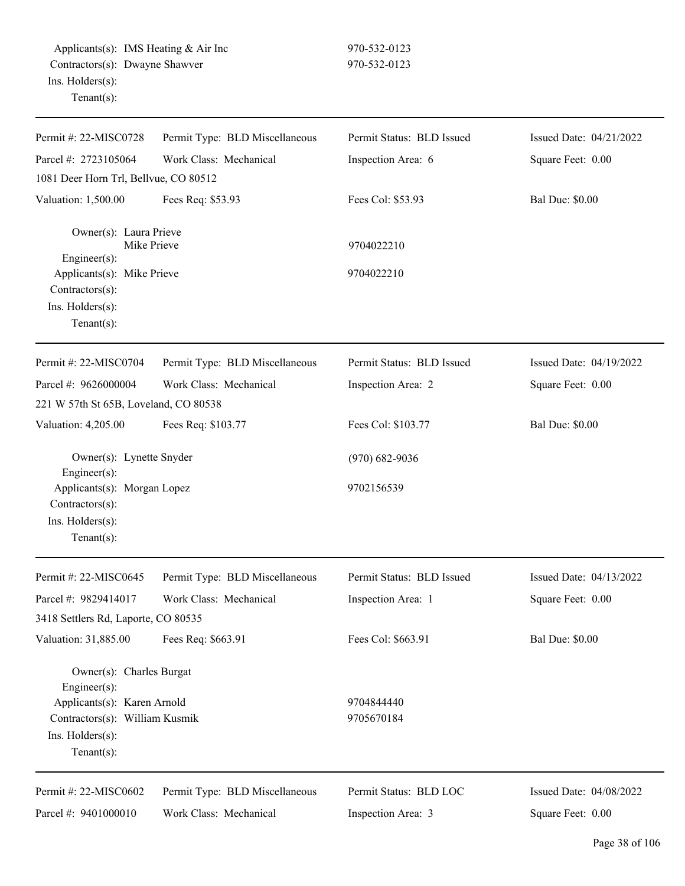| Permit #: 22-MISC0728                                                                               | Permit Type: BLD Miscellaneous | Permit Status: BLD Issued | Issued Date: 04/21/2022 |
|-----------------------------------------------------------------------------------------------------|--------------------------------|---------------------------|-------------------------|
| Parcel #: 2723105064                                                                                | Work Class: Mechanical         | Inspection Area: 6        | Square Feet: 0.00       |
| 1081 Deer Horn Trl, Bellvue, CO 80512                                                               |                                |                           |                         |
| Valuation: 1,500.00                                                                                 | Fees Req: \$53.93              | Fees Col: \$53.93         | <b>Bal Due: \$0.00</b>  |
| Owner(s): Laura Prieve<br>Mike Prieve                                                               |                                | 9704022210                |                         |
| Engineer(s):<br>Applicants(s): Mike Prieve<br>Contractors(s):<br>Ins. Holders(s):<br>Tenant $(s)$ : |                                | 9704022210                |                         |
| Permit #: 22-MISC0704                                                                               | Permit Type: BLD Miscellaneous | Permit Status: BLD Issued | Issued Date: 04/19/2022 |
| Parcel #: 9626000004                                                                                | Work Class: Mechanical         | Inspection Area: 2        | Square Feet: 0.00       |
| 221 W 57th St 65B, Loveland, CO 80538                                                               |                                |                           |                         |
| Valuation: 4,205.00                                                                                 | Fees Req: \$103.77             | Fees Col: \$103.77        | <b>Bal Due: \$0.00</b>  |
| Owner(s): Lynette Snyder<br>Engineer(s):                                                            |                                | $(970) 682 - 9036$        |                         |
| Applicants(s): Morgan Lopez<br>Contractors(s):<br>Ins. Holders(s):<br>$Tenant(s)$ :                 |                                | 9702156539                |                         |
| Permit #: 22-MISC0645                                                                               | Permit Type: BLD Miscellaneous | Permit Status: BLD Issued | Issued Date: 04/13/2022 |
| Parcel #: 9829414017                                                                                | Work Class: Mechanical         | Inspection Area: 1        | Square Feet: 0.00       |
| 3418 Settlers Rd, Laporte, CO 80535<br>Valuation: 31,885.00                                         | Fees Req: \$663.91             | Fees Col: \$663.91        | <b>Bal Due: \$0.00</b>  |
| Owner(s): Charles Burgat<br>Engineer(s):                                                            |                                |                           |                         |
| Applicants(s): Karen Arnold<br>Contractors(s): William Kusmik<br>Ins. Holders(s):<br>Tenant $(s)$ : |                                | 9704844440<br>9705670184  |                         |
| Permit #: 22-MISC0602                                                                               | Permit Type: BLD Miscellaneous | Permit Status: BLD LOC    | Issued Date: 04/08/2022 |
| Parcel #: 9401000010                                                                                | Work Class: Mechanical         | Inspection Area: 3        | Square Feet: 0.00       |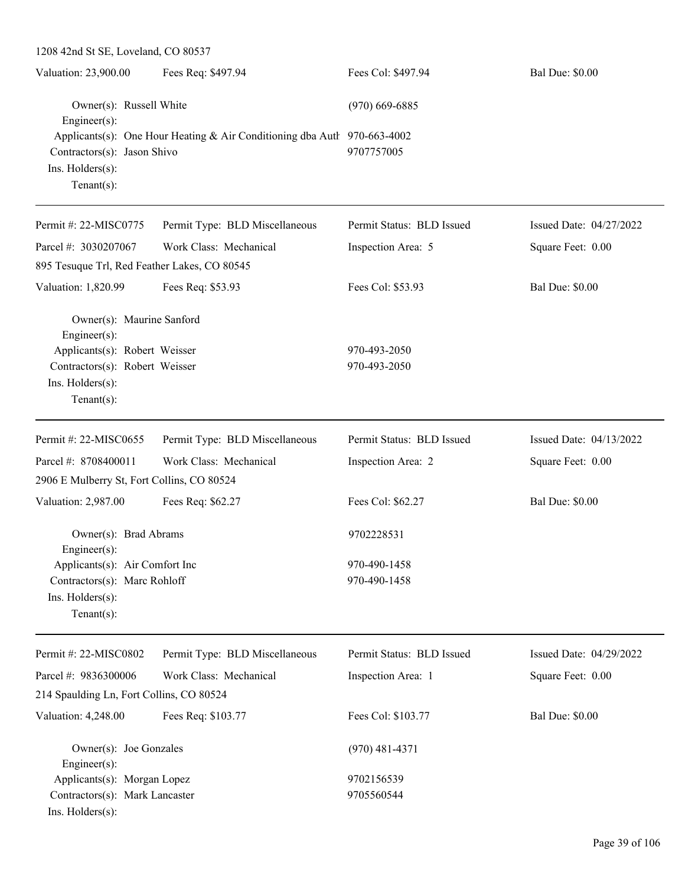| 1208 42nd St SE, Loveland, CO 80537                                                                                                                                                      |                                |                              |                         |
|------------------------------------------------------------------------------------------------------------------------------------------------------------------------------------------|--------------------------------|------------------------------|-------------------------|
| Valuation: 23,900.00                                                                                                                                                                     | Fees Req: \$497.94             | Fees Col: \$497.94           | <b>Bal Due: \$0.00</b>  |
| Owner(s): Russell White<br>Engineer(s):<br>Applicants(s): One Hour Heating & Air Conditioning dba Autl 970-663-4002<br>Contractors(s): Jason Shivo<br>Ins. Holders(s):<br>Tenant $(s)$ : |                                | $(970)$ 669-6885             |                         |
|                                                                                                                                                                                          |                                | 9707757005                   |                         |
| Permit #: 22-MISC0775                                                                                                                                                                    | Permit Type: BLD Miscellaneous | Permit Status: BLD Issued    | Issued Date: 04/27/2022 |
| Parcel #: 3030207067                                                                                                                                                                     | Work Class: Mechanical         | Inspection Area: 5           | Square Feet: 0.00       |
| 895 Tesuque Trl, Red Feather Lakes, CO 80545                                                                                                                                             |                                |                              |                         |
| Valuation: 1,820.99                                                                                                                                                                      | Fees Req: \$53.93              | Fees Col: \$53.93            | <b>Bal Due: \$0.00</b>  |
| Owner(s): Maurine Sanford<br>Engineer(s):                                                                                                                                                |                                |                              |                         |
| Applicants(s): Robert Weisser                                                                                                                                                            |                                | 970-493-2050                 |                         |
| Contractors(s): Robert Weisser<br>Ins. Holders(s):<br>Tenant $(s)$ :                                                                                                                     |                                | 970-493-2050                 |                         |
| Permit#: 22-MISC0655                                                                                                                                                                     | Permit Type: BLD Miscellaneous | Permit Status: BLD Issued    | Issued Date: 04/13/2022 |
| Parcel #: 8708400011                                                                                                                                                                     | Work Class: Mechanical         | Inspection Area: 2           | Square Feet: 0.00       |
| 2906 E Mulberry St, Fort Collins, CO 80524                                                                                                                                               |                                |                              |                         |
| Valuation: 2,987.00                                                                                                                                                                      | Fees Req: \$62.27              | Fees Col: \$62.27            | <b>Bal Due: \$0.00</b>  |
| Owner(s): Brad Abrams<br>$Engineering(s)$ :                                                                                                                                              |                                | 9702228531                   |                         |
| Applicants(s): Air Comfort Inc<br>Contractors(s): Marc Rohloff<br>Ins. Holders(s):<br>Tenant $(s)$ :                                                                                     |                                | 970-490-1458<br>970-490-1458 |                         |
| Permit #: 22-MISC0802                                                                                                                                                                    | Permit Type: BLD Miscellaneous | Permit Status: BLD Issued    | Issued Date: 04/29/2022 |
| Parcel #: 9836300006                                                                                                                                                                     | Work Class: Mechanical         | Inspection Area: 1           | Square Feet: 0.00       |
| 214 Spaulding Ln, Fort Collins, CO 80524                                                                                                                                                 |                                |                              |                         |
| Valuation: 4,248.00                                                                                                                                                                      | Fees Req: \$103.77             | Fees Col: \$103.77           | <b>Bal Due: \$0.00</b>  |
| Owner(s): Joe Gonzales<br>Engineer(s):                                                                                                                                                   |                                | $(970)$ 481-4371             |                         |
| Applicants(s): Morgan Lopez                                                                                                                                                              |                                | 9702156539                   |                         |
| Contractors(s): Mark Lancaster<br>Ins. Holders(s):                                                                                                                                       |                                | 9705560544                   |                         |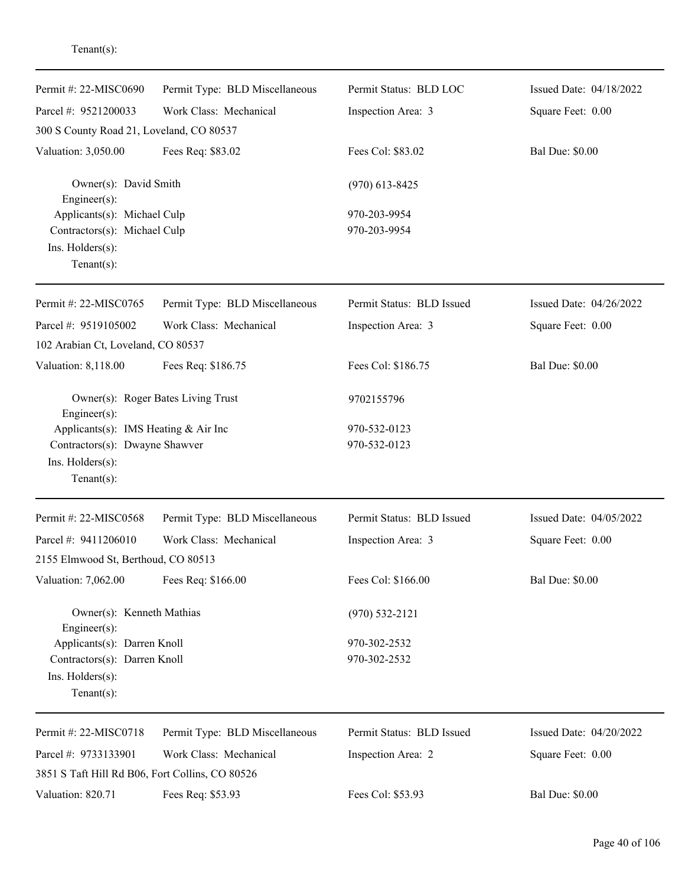| Permit #: 22-MISC0690                                                                                    | Permit Type: BLD Miscellaneous | Permit Status: BLD LOC       | Issued Date: 04/18/2022 |
|----------------------------------------------------------------------------------------------------------|--------------------------------|------------------------------|-------------------------|
| Parcel #: 9521200033                                                                                     | Work Class: Mechanical         | Inspection Area: 3           | Square Feet: 0.00       |
| 300 S County Road 21, Loveland, CO 80537                                                                 |                                |                              |                         |
| Valuation: 3,050.00                                                                                      | Fees Req: \$83.02              | Fees Col: \$83.02            | <b>Bal Due: \$0.00</b>  |
| Owner(s): David Smith<br>Engineer(s):                                                                    |                                | $(970)$ 613-8425             |                         |
| Applicants(s): Michael Culp<br>Contractors(s): Michael Culp<br>Ins. $H$ olders $(s)$ :<br>Tenant $(s)$ : |                                | 970-203-9954<br>970-203-9954 |                         |
| Permit #: 22-MISC0765                                                                                    | Permit Type: BLD Miscellaneous | Permit Status: BLD Issued    | Issued Date: 04/26/2022 |
| Parcel #: 9519105002                                                                                     | Work Class: Mechanical         | Inspection Area: 3           | Square Feet: 0.00       |
| 102 Arabian Ct, Loveland, CO 80537                                                                       |                                |                              |                         |
| Valuation: 8,118.00                                                                                      | Fees Req: \$186.75             | Fees Col: \$186.75           | <b>Bal Due: \$0.00</b>  |
| Owner(s): Roger Bates Living Trust<br>Engineer(s):                                                       |                                | 9702155796                   |                         |
| Applicants(s): IMS Heating & Air Inc                                                                     |                                | 970-532-0123                 |                         |
| Contractors(s): Dwayne Shawver<br>Ins. Holders(s):<br>Tenant $(s)$ :                                     |                                | 970-532-0123                 |                         |
| Permit #: 22-MISC0568                                                                                    | Permit Type: BLD Miscellaneous | Permit Status: BLD Issued    | Issued Date: 04/05/2022 |
| Parcel #: 9411206010                                                                                     | Work Class: Mechanical         | Inspection Area: 3           | Square Feet: 0.00       |
| 2155 Elmwood St, Berthoud, CO 80513                                                                      |                                |                              |                         |
| Valuation: 7,062.00                                                                                      | Fees Req: \$166.00             | Fees Col: \$166.00           | <b>Bal Due: \$0.00</b>  |
| Owner(s): Kenneth Mathias<br>Engineer(s):                                                                |                                | $(970)$ 532-2121             |                         |
| Applicants(s): Darren Knoll                                                                              |                                | 970-302-2532                 |                         |
| Contractors(s): Darren Knoll<br>Ins. Holders(s):<br>Tenant $(s)$ :                                       |                                | 970-302-2532                 |                         |
| Permit #: 22-MISC0718                                                                                    | Permit Type: BLD Miscellaneous | Permit Status: BLD Issued    | Issued Date: 04/20/2022 |
| Parcel #: 9733133901                                                                                     | Work Class: Mechanical         | Inspection Area: 2           | Square Feet: 0.00       |
| 3851 S Taft Hill Rd B06, Fort Collins, CO 80526                                                          |                                |                              |                         |
| Valuation: 820.71                                                                                        | Fees Req: \$53.93              | Fees Col: \$53.93            | <b>Bal Due: \$0.00</b>  |

Tenant(s):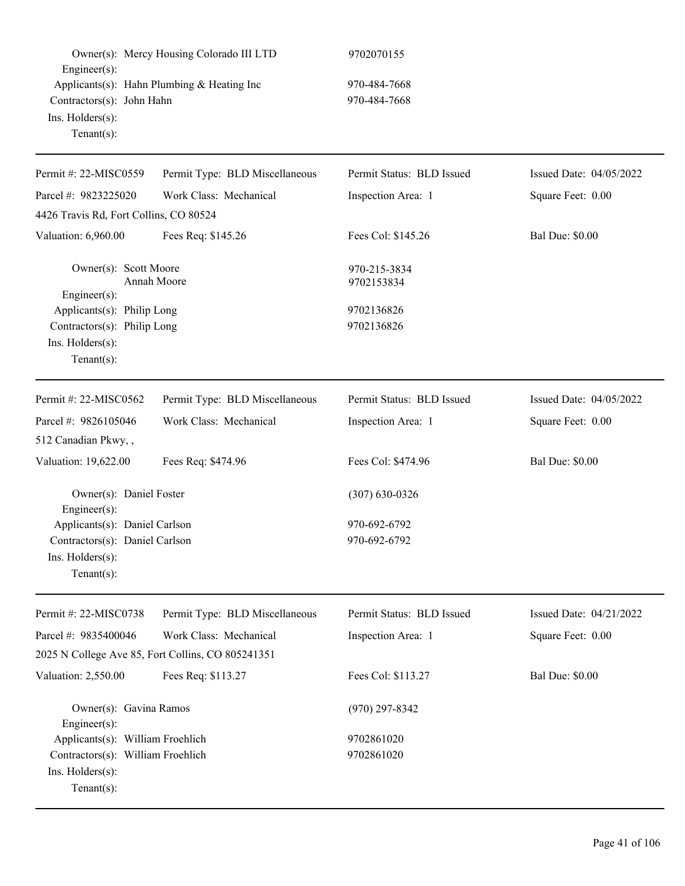| Engineer(s):<br>Contractors(s): John Hahn<br>Ins. Holders(s):<br>$Tenant(s)$ :                             | Owner(s): Mercy Housing Colorado III LTD<br>Applicants(s): Hahn Plumbing & Heating Inc | 9702070155<br>970-484-7668<br>970-484-7668 |                         |
|------------------------------------------------------------------------------------------------------------|----------------------------------------------------------------------------------------|--------------------------------------------|-------------------------|
| Permit #: 22-MISC0559                                                                                      | Permit Type: BLD Miscellaneous                                                         | Permit Status: BLD Issued                  | Issued Date: 04/05/2022 |
| Parcel #: 9823225020                                                                                       | Work Class: Mechanical                                                                 | Inspection Area: 1                         | Square Feet: 0.00       |
| 4426 Travis Rd, Fort Collins, CO 80524                                                                     |                                                                                        |                                            |                         |
| Valuation: 6,960.00                                                                                        | Fees Req: \$145.26                                                                     | Fees Col: \$145.26                         | <b>Bal Due: \$0.00</b>  |
| Owner(s): Scott Moore<br>Engineer $(s)$ :                                                                  | Annah Moore                                                                            | 970-215-3834<br>9702153834                 |                         |
| Applicants(s): Philip Long<br>Contractors(s): Philip Long<br>Ins. Holders(s):<br>$Tenant(s)$ :             |                                                                                        | 9702136826<br>9702136826                   |                         |
| Permit #: 22-MISC0562                                                                                      | Permit Type: BLD Miscellaneous                                                         | Permit Status: BLD Issued                  | Issued Date: 04/05/2022 |
| Parcel #: 9826105046                                                                                       | Work Class: Mechanical                                                                 | Inspection Area: 1                         | Square Feet: 0.00       |
| 512 Canadian Pkwy,,                                                                                        |                                                                                        |                                            |                         |
| Valuation: 19,622.00                                                                                       | Fees Req: \$474.96                                                                     | Fees Col: \$474.96                         | <b>Bal Due: \$0.00</b>  |
| Owner(s): Daniel Foster<br>Engineer(s):                                                                    |                                                                                        | $(307) 630 - 0326$                         |                         |
| Applicants(s): Daniel Carlson                                                                              |                                                                                        | 970-692-6792                               |                         |
| Contractors(s): Daniel Carlson                                                                             |                                                                                        | 970-692-6792                               |                         |
| Ins. Holders(s):<br>$Tenant(s)$ :                                                                          |                                                                                        |                                            |                         |
| Permit #: 22-MISC0738                                                                                      | Permit Type: BLD Miscellaneous                                                         | Permit Status: BLD Issued                  | Issued Date: 04/21/2022 |
| Parcel #: 9835400046                                                                                       | Work Class: Mechanical                                                                 | Inspection Area: 1                         | Square Feet: 0.00       |
|                                                                                                            | 2025 N College Ave 85, Fort Collins, CO 805241351                                      |                                            |                         |
| Valuation: 2,550.00                                                                                        | Fees Req: \$113.27                                                                     | Fees Col: \$113.27                         | <b>Bal Due: \$0.00</b>  |
| Owner(s): Gavina Ramos<br>Engineer(s):                                                                     |                                                                                        | $(970)$ 297-8342                           |                         |
| Applicants(s): William Froehlich<br>Contractors(s): William Froehlich<br>Ins. Holders(s):<br>$Tenant(s)$ : |                                                                                        | 9702861020<br>9702861020                   |                         |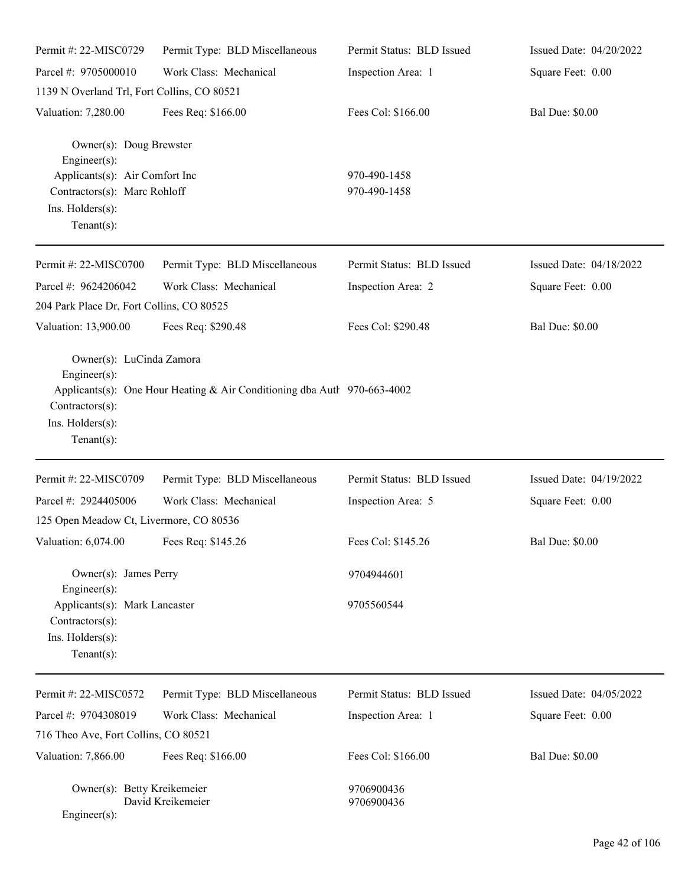| Permit #: 22-MISC0729                                                                                                                                 | Permit Type: BLD Miscellaneous                                           | Permit Status: BLD Issued    | Issued Date: 04/20/2022 |
|-------------------------------------------------------------------------------------------------------------------------------------------------------|--------------------------------------------------------------------------|------------------------------|-------------------------|
| Parcel #: 9705000010                                                                                                                                  | Work Class: Mechanical                                                   | Inspection Area: 1           | Square Feet: 0.00       |
| 1139 N Overland Trl, Fort Collins, CO 80521                                                                                                           |                                                                          |                              |                         |
| Valuation: 7,280.00                                                                                                                                   | Fees Req: \$166.00                                                       | Fees Col: \$166.00           | <b>Bal Due: \$0.00</b>  |
| Owner(s): Doug Brewster<br>$Engineering(s)$ :<br>Applicants(s): Air Comfort Inc<br>Contractors(s): Marc Rohloff<br>Ins. Holders(s):<br>Tenant $(s)$ : |                                                                          | 970-490-1458<br>970-490-1458 |                         |
| Permit #: 22-MISC0700                                                                                                                                 | Permit Type: BLD Miscellaneous                                           | Permit Status: BLD Issued    | Issued Date: 04/18/2022 |
| Parcel #: 9624206042                                                                                                                                  | Work Class: Mechanical                                                   | Inspection Area: 2           | Square Feet: 0.00       |
| 204 Park Place Dr, Fort Collins, CO 80525                                                                                                             |                                                                          |                              |                         |
| Valuation: 13,900.00                                                                                                                                  | Fees Req: \$290.48                                                       | Fees Col: \$290.48           | <b>Bal Due: \$0.00</b>  |
| Owner(s): LuCinda Zamora<br>$Engineering(s)$ :<br>Contractors(s):<br>Ins. Holders(s):<br>Tenant $(s)$ :                                               | Applicants(s): One Hour Heating & Air Conditioning dba Autl 970-663-4002 |                              |                         |
| Permit #: 22-MISC0709                                                                                                                                 | Permit Type: BLD Miscellaneous                                           | Permit Status: BLD Issued    | Issued Date: 04/19/2022 |
| Parcel #: 2924405006                                                                                                                                  | Work Class: Mechanical                                                   | Inspection Area: 5           | Square Feet: 0.00       |
| 125 Open Meadow Ct, Livermore, CO 80536                                                                                                               |                                                                          |                              |                         |
| Valuation: 6,074.00 Fees Req: \$145.26                                                                                                                |                                                                          | Fees Col: \$145.26           | <b>Bal Due: \$0.00</b>  |
| Owner(s): James Perry                                                                                                                                 |                                                                          | 9704944601                   |                         |
| Engineer(s):<br>Applicants(s): Mark Lancaster<br>$Contractors(s)$ :<br>Ins. Holders(s):<br>Tenant $(s)$ :                                             |                                                                          | 9705560544                   |                         |
| Permit #: 22-MISC0572                                                                                                                                 | Permit Type: BLD Miscellaneous                                           | Permit Status: BLD Issued    | Issued Date: 04/05/2022 |
| Parcel #: 9704308019                                                                                                                                  | Work Class: Mechanical                                                   | Inspection Area: 1           | Square Feet: 0.00       |
| 716 Theo Ave, Fort Collins, CO 80521                                                                                                                  |                                                                          |                              |                         |
| Valuation: 7,866.00                                                                                                                                   | Fees Req: \$166.00                                                       | Fees Col: \$166.00           | <b>Bal Due: \$0.00</b>  |
| Owner(s): Betty Kreikemeier<br>Engineer(s):                                                                                                           | David Kreikemeier                                                        | 9706900436<br>9706900436     |                         |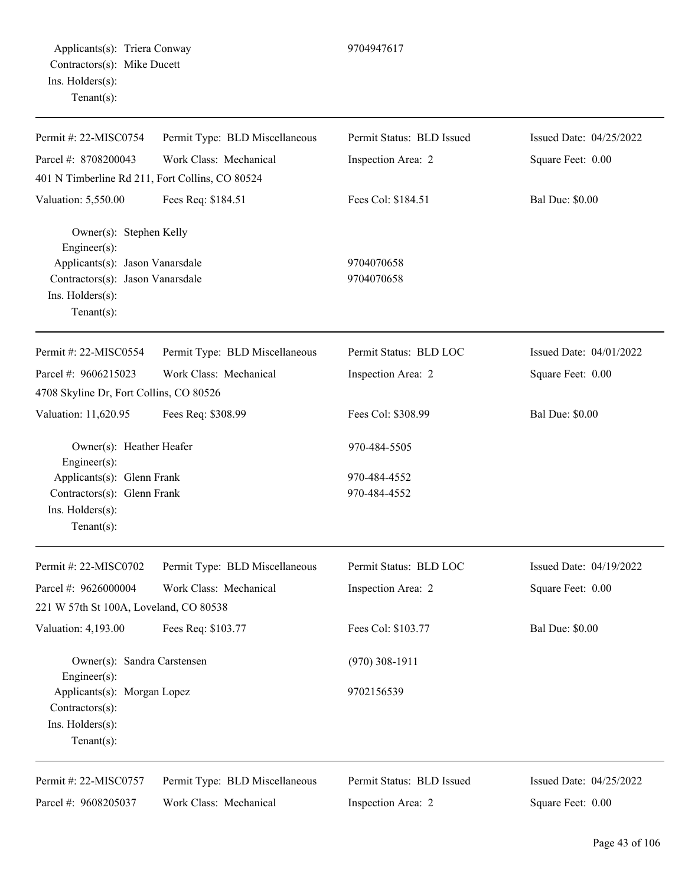| Permit #: 22-MISC0754                                              | Permit Type: BLD Miscellaneous | Permit Status: BLD Issued | Issued Date: 04/25/2022 |
|--------------------------------------------------------------------|--------------------------------|---------------------------|-------------------------|
| Parcel #: 8708200043                                               | Work Class: Mechanical         | Inspection Area: 2        | Square Feet: 0.00       |
| 401 N Timberline Rd 211, Fort Collins, CO 80524                    |                                |                           |                         |
| Valuation: 5,550.00                                                | Fees Req: \$184.51             | Fees Col: \$184.51        | <b>Bal Due: \$0.00</b>  |
| Owner(s): Stephen Kelly<br>Engineer(s):                            |                                |                           |                         |
| Applicants(s): Jason Vanarsdale                                    |                                | 9704070658                |                         |
| Contractors(s): Jason Vanarsdale                                   |                                | 9704070658                |                         |
| Ins. Holders(s):<br>Tenant $(s)$ :                                 |                                |                           |                         |
| Permit #: 22-MISC0554                                              | Permit Type: BLD Miscellaneous | Permit Status: BLD LOC    | Issued Date: 04/01/2022 |
| Parcel #: 9606215023                                               | Work Class: Mechanical         | Inspection Area: 2        | Square Feet: 0.00       |
| 4708 Skyline Dr, Fort Collins, CO 80526                            |                                |                           |                         |
| Valuation: 11,620.95                                               | Fees Req: \$308.99             | Fees Col: \$308.99        | <b>Bal Due: \$0.00</b>  |
| Owner(s): Heather Heafer<br>Engineer(s):                           |                                | 970-484-5505              |                         |
| Applicants(s): Glenn Frank                                         |                                | 970-484-4552              |                         |
| Contractors(s): Glenn Frank                                        |                                | 970-484-4552              |                         |
| Ins. Holders(s):<br>Tenant $(s)$ :                                 |                                |                           |                         |
| Permit #: 22-MISC0702                                              | Permit Type: BLD Miscellaneous | Permit Status: BLD LOC    | Issued Date: 04/19/2022 |
| Parcel #: 9626000004                                               | Work Class: Mechanical         | Inspection Area: 2        | Square Feet: 0.00       |
| 221 W 57th St 100A, Loveland, CO 80538                             |                                |                           |                         |
| Valuation: 4,193.00                                                | Fees Req: \$103.77             | Fees Col: \$103.77        | <b>Bal Due: \$0.00</b>  |
| Owner(s): Sandra Carstensen<br>Engineer(s):                        |                                | $(970)$ 308-1911          |                         |
| Applicants(s): Morgan Lopez<br>Contractors(s):<br>Ins. Holders(s): |                                | 9702156539                |                         |
| Tenant $(s)$ :                                                     |                                |                           |                         |
| Permit #: 22-MISC0757                                              | Permit Type: BLD Miscellaneous | Permit Status: BLD Issued | Issued Date: 04/25/2022 |
| Parcel #: 9608205037                                               | Work Class: Mechanical         | Inspection Area: 2        | Square Feet: 0.00       |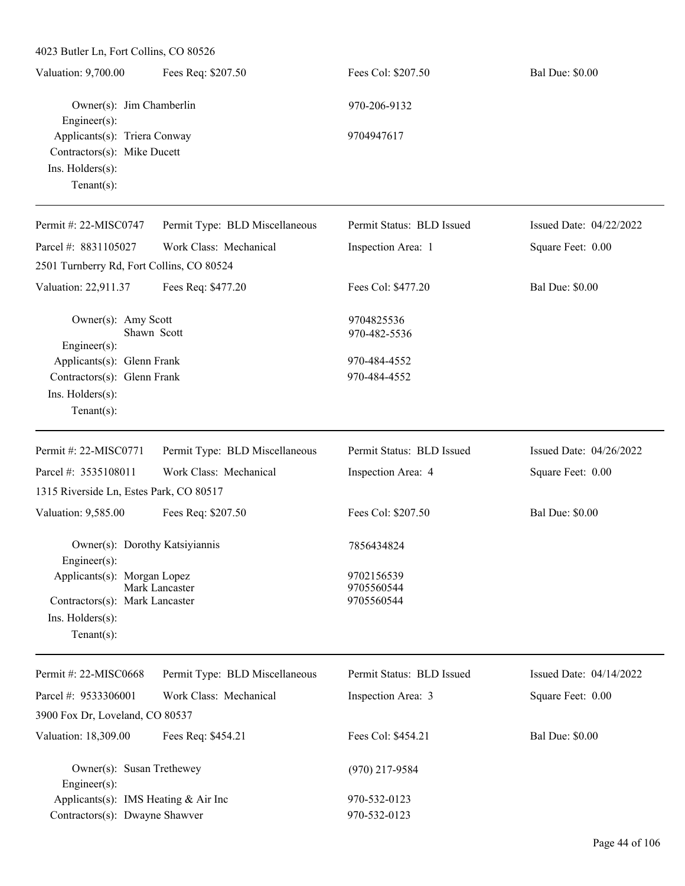| 4023 Butler Ln, Fort Collins, CO 80526                                                             |                                |                                        |                         |
|----------------------------------------------------------------------------------------------------|--------------------------------|----------------------------------------|-------------------------|
| Valuation: 9,700.00                                                                                | Fees Req: \$207.50             | Fees Col: \$207.50                     | <b>Bal Due: \$0.00</b>  |
| Owner(s): Jim Chamberlin<br>Engineer(s):                                                           |                                | 970-206-9132                           |                         |
| Applicants(s): Triera Conway<br>Contractors(s): Mike Ducett<br>Ins. Holders(s):<br>$Tenant(s)$ :   |                                | 9704947617                             |                         |
| Permit #: 22-MISC0747                                                                              | Permit Type: BLD Miscellaneous | Permit Status: BLD Issued              | Issued Date: 04/22/2022 |
| Parcel #: 8831105027                                                                               | Work Class: Mechanical         | Inspection Area: 1                     | Square Feet: 0.00       |
| 2501 Turnberry Rd, Fort Collins, CO 80524                                                          |                                |                                        |                         |
| Valuation: 22,911.37                                                                               | Fees Req: \$477.20             | Fees Col: \$477.20                     | <b>Bal Due: \$0.00</b>  |
| Owner(s): Amy Scott<br>Engineer(s):                                                                | Shawn Scott                    | 9704825536<br>970-482-5536             |                         |
| Applicants(s): Glenn Frank<br>Contractors(s): Glenn Frank<br>Ins. Holders(s):<br>$Tenant(s)$ :     |                                | 970-484-4552<br>970-484-4552           |                         |
| Permit #: 22-MISC0771                                                                              | Permit Type: BLD Miscellaneous | Permit Status: BLD Issued              | Issued Date: 04/26/2022 |
| Parcel #: 3535108011                                                                               | Work Class: Mechanical         | Inspection Area: 4                     | Square Feet: 0.00       |
| 1315 Riverside Ln, Estes Park, CO 80517                                                            |                                |                                        |                         |
| Valuation: 9,585.00                                                                                | Fees Req: \$207.50             | Fees Col: \$207.50                     | <b>Bal Due: \$0.00</b>  |
| Owner(s): Dorothy Katsiyiannis<br>Engineer(s):                                                     |                                | 7856434824                             |                         |
| Applicants(s): Morgan Lopez<br>Contractors(s): Mark Lancaster<br>Ins. Holders(s):<br>$Tenant(s)$ : | Mark Lancaster                 | 9702156539<br>9705560544<br>9705560544 |                         |
| Permit #: 22-MISC0668                                                                              | Permit Type: BLD Miscellaneous | Permit Status: BLD Issued              | Issued Date: 04/14/2022 |
|                                                                                                    |                                |                                        |                         |

| 1 UHHI $\pi$ . 22-ivit. Coooo                                | I CHIII Type. DLD MISCORATOUS | TUHIII Status. DLD ISSUCC | <b>155000 Date:</b> $97/17/2922$ |
|--------------------------------------------------------------|-------------------------------|---------------------------|----------------------------------|
| Parcel #: 9533306001                                         | Work Class: Mechanical        | Inspection Area: 3        | Square Feet: 0.00                |
| 3900 Fox Dr, Loveland, CO 80537                              |                               |                           |                                  |
| Valuation: 18,309.00                                         | Fees Req: \$454.21            | Fees Col: \$454.21        | <b>Bal Due: \$0.00</b>           |
| Owner(s): Susan Trethewey                                    |                               | $(970)$ 217-9584          |                                  |
| $Engineering(s)$ :<br>Applicants(s): IMS Heating $& Air Inc$ |                               | 970-532-0123              |                                  |
| Contractors(s): Dwayne Shawver                               |                               | 970-532-0123              |                                  |
|                                                              |                               |                           |                                  |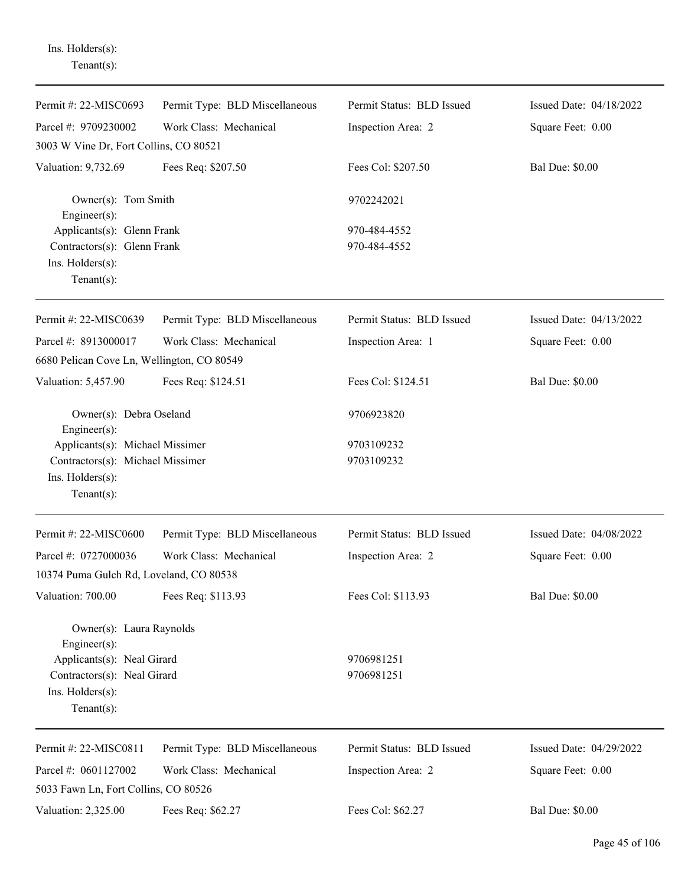Ins. Holders(s): Tenant(s):

| Permit #: 22-MISC0693                                                                                     | Permit Type: BLD Miscellaneous | Permit Status: BLD Issued    | Issued Date: 04/18/2022 |
|-----------------------------------------------------------------------------------------------------------|--------------------------------|------------------------------|-------------------------|
| Parcel #: 9709230002                                                                                      | Work Class: Mechanical         | Inspection Area: 2           | Square Feet: 0.00       |
| 3003 W Vine Dr, Fort Collins, CO 80521                                                                    |                                |                              |                         |
| Valuation: 9,732.69                                                                                       | Fees Req: \$207.50             | Fees Col: \$207.50           | <b>Bal Due: \$0.00</b>  |
| Owner(s): Tom Smith<br>$Engineering(s)$ :                                                                 |                                | 9702242021                   |                         |
| Applicants(s): Glenn Frank<br>Contractors(s): Glenn Frank<br>Ins. Holders(s):<br>Tenant $(s)$ :           |                                | 970-484-4552<br>970-484-4552 |                         |
| Permit #: 22-MISC0639                                                                                     | Permit Type: BLD Miscellaneous | Permit Status: BLD Issued    | Issued Date: 04/13/2022 |
| Parcel #: 8913000017<br>6680 Pelican Cove Ln, Wellington, CO 80549                                        | Work Class: Mechanical         | Inspection Area: 1           | Square Feet: 0.00       |
| Valuation: 5,457.90                                                                                       | Fees Req: \$124.51             | Fees Col: \$124.51           | <b>Bal Due: \$0.00</b>  |
| Owner(s): Debra Oseland<br>Engineer(s):                                                                   |                                | 9706923820                   |                         |
| Applicants(s): Michael Missimer<br>Contractors(s): Michael Missimer<br>Ins. Holders(s):<br>Tenant $(s)$ : |                                | 9703109232<br>9703109232     |                         |
| Permit #: 22-MISC0600                                                                                     | Permit Type: BLD Miscellaneous | Permit Status: BLD Issued    | Issued Date: 04/08/2022 |
| Parcel #: 0727000036<br>10374 Puma Gulch Rd, Loveland, CO 80538                                           | Work Class: Mechanical         | Inspection Area: 2           | Square Feet: 0.00       |
| Valuation: 700.00                                                                                         | Fees Req: \$113.93             | Fees Col: \$113.93           | <b>Bal Due: \$0.00</b>  |
| Owner(s): Laura Raynolds<br>$Engineering(s)$ :                                                            |                                |                              |                         |
| Applicants(s): Neal Girard<br>Contractors(s): Neal Girard<br>Ins. Holders(s):<br>Tenant $(s)$ :           |                                | 9706981251<br>9706981251     |                         |
| Permit #: 22-MISC0811                                                                                     | Permit Type: BLD Miscellaneous | Permit Status: BLD Issued    | Issued Date: 04/29/2022 |
| Parcel #: 0601127002                                                                                      | Work Class: Mechanical         | Inspection Area: 2           | Square Feet: 0.00       |
| 5033 Fawn Ln, Fort Collins, CO 80526<br>Valuation: 2,325.00                                               | Fees Req: \$62.27              | Fees Col: \$62.27            | <b>Bal Due: \$0.00</b>  |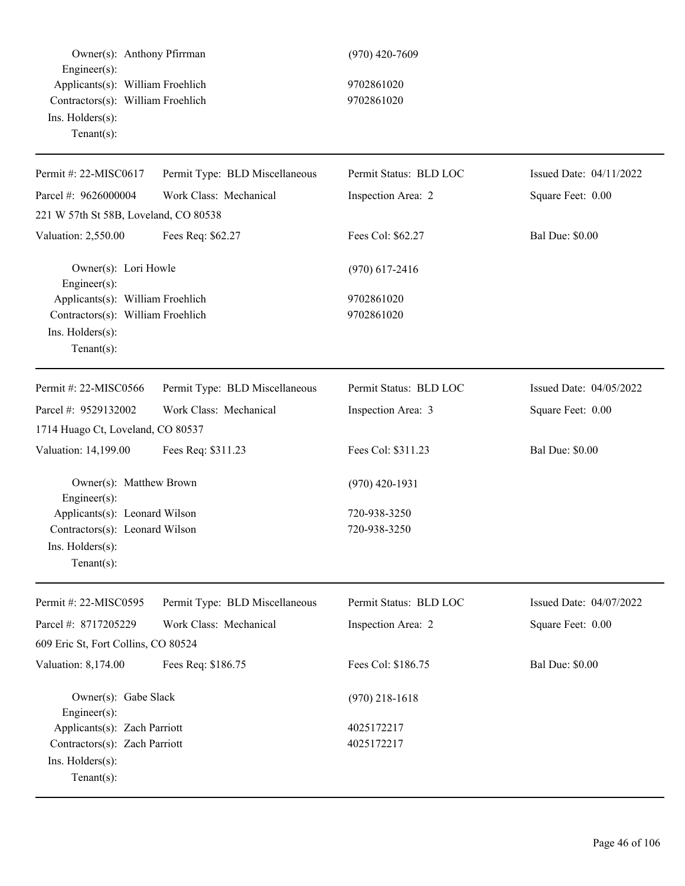Owner(s): Anthony Pfirman (970) 420-7609 Engineer(s): Applicants(s): William Froehlich 9702861020 Contractors(s): William Froehlich 9702861020 Ins. Holders(s): Tenant(s): Permit #: 22-MISC0617 Parcel #: 9626000004 Permit Type: BLD Miscellaneous Work Class: Mechanical Permit Status: BLD LOC Inspection Area: 2 Issued Date: 04/11/2022 Square Feet: 0.00 221 W 57th St 58B, Loveland, CO 80538 Valuation: 2,550.00 Fees Req: \$62.27 Fees Col: \$62.27 Bal Due: \$0.00 Owner(s): Lori Howle (970) 617-2416 Engineer(s): Applicants(s): William Froehlich 9702861020 Contractors(s): William Froehlich 9702861020 Ins. Holders(s): Tenant(s): Permit #: 22-MISC0566 Parcel #: 9529132002 Permit Type: BLD Miscellaneous Work Class: Mechanical Permit Status: BLD LOC Inspection Area: 3 Issued Date: 04/05/2022 Square Feet: 0.00 1714 Huago Ct, Loveland, CO 80537 Valuation: 14,199.00 Fees Req: \$311.23 Fees Col: \$311.23 Bal Due: \$0.00 Owner(s): Matthew Brown (970) 420-1931 Engineer(s): Applicants(s): Leonard Wilson 720-938-3250 Contractors(s): Leonard Wilson 720-938-3250 Ins. Holders(s): Tenant(s): Permit #: 22-MISC0595 Parcel #: 8717205229 Permit Type: BLD Miscellaneous Work Class: Mechanical Permit Status: BLD LOC Inspection Area: 2 Issued Date: 04/07/2022 Square Feet: 0.00 609 Eric St, Fort Collins, CO 80524 Valuation: 8,174.00 Fees Req: \$186.75 Fees Col: \$186.75 Bal Due: \$0.00 Owner(s): Gabe Slack (970) 218-1618 Engineer(s): Applicants(s): Zach Parriott 4025172217 Contractors(s): Zach Parriott 4025172217 Ins. Holders(s): Tenant(s):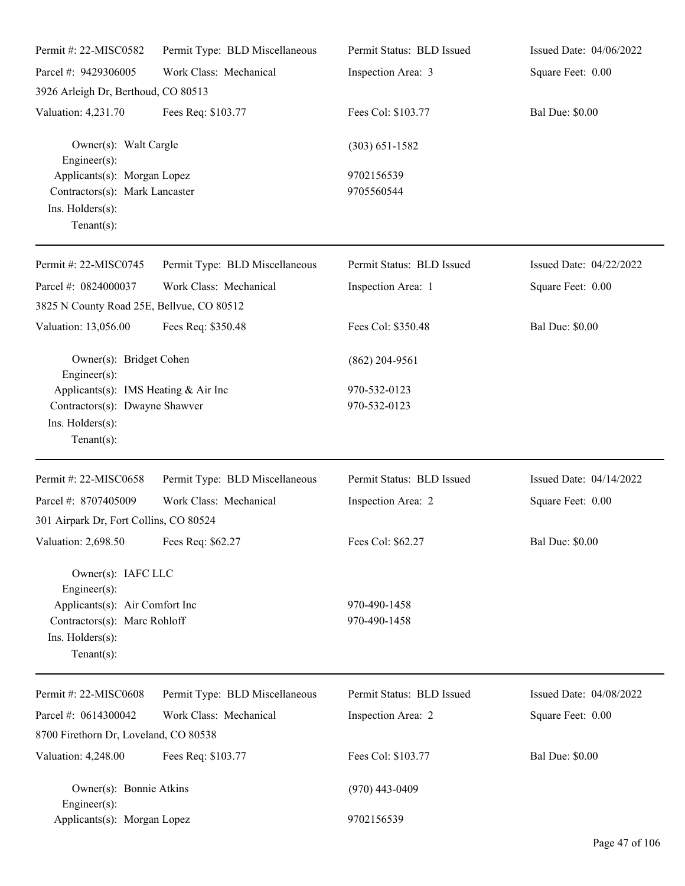| Permit #: 22-MISC0582                                                                                                                            | Permit Type: BLD Miscellaneous | Permit Status: BLD Issued    | Issued Date: 04/06/2022 |
|--------------------------------------------------------------------------------------------------------------------------------------------------|--------------------------------|------------------------------|-------------------------|
| Parcel #: 9429306005                                                                                                                             | Work Class: Mechanical         | Inspection Area: 3           | Square Feet: 0.00       |
| 3926 Arleigh Dr, Berthoud, CO 80513                                                                                                              |                                |                              |                         |
| Valuation: 4,231.70                                                                                                                              | Fees Req: \$103.77             | Fees Col: \$103.77           | <b>Bal Due: \$0.00</b>  |
| Owner(s): Walt Cargle<br>$Engineering(s)$ :                                                                                                      |                                | $(303) 651 - 1582$           |                         |
| Applicants(s): Morgan Lopez<br>Contractors(s): Mark Lancaster<br>Ins. Holders(s):<br>$Tenant(s)$ :                                               |                                | 9702156539<br>9705560544     |                         |
| Permit #: 22-MISC0745                                                                                                                            | Permit Type: BLD Miscellaneous | Permit Status: BLD Issued    | Issued Date: 04/22/2022 |
| Parcel #: 0824000037<br>3825 N County Road 25E, Bellvue, CO 80512                                                                                | Work Class: Mechanical         | Inspection Area: 1           | Square Feet: 0.00       |
| Valuation: 13,056.00                                                                                                                             | Fees Req: \$350.48             | Fees Col: \$350.48           | <b>Bal Due: \$0.00</b>  |
| Owner(s): Bridget Cohen<br>$Engineering(s)$ :                                                                                                    |                                | $(862)$ 204-9561             |                         |
| Applicants(s): IMS Heating & Air Inc<br>Contractors(s): Dwayne Shawver<br>Ins. Holders(s):<br>Tenant $(s)$ :                                     |                                | 970-532-0123<br>970-532-0123 |                         |
| Permit #: 22-MISC0658                                                                                                                            | Permit Type: BLD Miscellaneous | Permit Status: BLD Issued    | Issued Date: 04/14/2022 |
| Parcel #: 8707405009<br>301 Airpark Dr, Fort Collins, CO 80524                                                                                   | Work Class: Mechanical         | Inspection Area: 2           | Square Feet: 0.00       |
| Valuation: 2,698.50 Fees Req: \$62.27                                                                                                            |                                | Fees Col: \$62.27            | <b>Bal Due: \$0.00</b>  |
| Owner(s): IAFC LLC<br>$Engineering(s)$ :<br>Applicants(s): Air Comfort Inc<br>Contractors(s): Marc Rohloff<br>Ins. Holders(s):<br>Tenant $(s)$ : |                                | 970-490-1458<br>970-490-1458 |                         |
| Permit #: 22-MISC0608                                                                                                                            | Permit Type: BLD Miscellaneous | Permit Status: BLD Issued    | Issued Date: 04/08/2022 |
| Parcel #: 0614300042                                                                                                                             | Work Class: Mechanical         | Inspection Area: 2           | Square Feet: 0.00       |
| 8700 Firethorn Dr, Loveland, CO 80538                                                                                                            |                                |                              |                         |
| Valuation: 4,248.00                                                                                                                              | Fees Req: \$103.77             | Fees Col: \$103.77           | <b>Bal Due: \$0.00</b>  |
| Owner(s): Bonnie Atkins<br>$Engineering(s)$ :                                                                                                    |                                | $(970)$ 443-0409             |                         |
| Applicants(s): Morgan Lopez                                                                                                                      |                                | 9702156539                   |                         |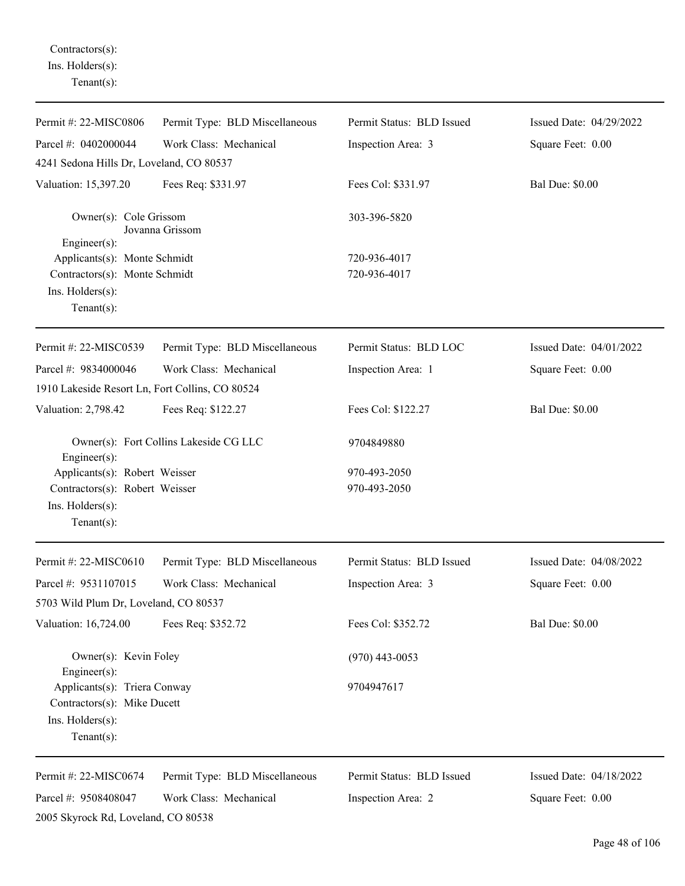Contractors(s): Ins. Holders(s): Tenant(s):

| Permit #: 22-MISC0806                                                                             | Permit Type: BLD Miscellaneous         | Permit Status: BLD Issued | Issued Date: 04/29/2022 |
|---------------------------------------------------------------------------------------------------|----------------------------------------|---------------------------|-------------------------|
| Parcel #: 0402000044                                                                              | Work Class: Mechanical                 | Inspection Area: 3        | Square Feet: 0.00       |
| 4241 Sedona Hills Dr, Loveland, CO 80537                                                          |                                        |                           |                         |
| Valuation: 15,397.20                                                                              | Fees Req: \$331.97                     | Fees Col: \$331.97        | <b>Bal Due: \$0.00</b>  |
| Owner(s): Cole Grissom<br>Jovanna Grissom<br>Engineer(s):                                         |                                        | 303-396-5820              |                         |
| Applicants(s): Monte Schmidt                                                                      |                                        | 720-936-4017              |                         |
| Contractors(s): Monte Schmidt                                                                     |                                        | 720-936-4017              |                         |
| Ins. Holders(s):<br>Tenant $(s)$ :                                                                |                                        |                           |                         |
| Permit #: 22-MISC0539                                                                             | Permit Type: BLD Miscellaneous         | Permit Status: BLD LOC    | Issued Date: 04/01/2022 |
| Parcel #: 9834000046                                                                              | Work Class: Mechanical                 | Inspection Area: 1        | Square Feet: 0.00       |
| 1910 Lakeside Resort Ln, Fort Collins, CO 80524                                                   |                                        |                           |                         |
| Valuation: 2,798.42                                                                               | Fees Req: \$122.27                     | Fees Col: \$122.27        | <b>Bal Due: \$0.00</b>  |
| Engineer(s):                                                                                      | Owner(s): Fort Collins Lakeside CG LLC | 9704849880                |                         |
| Applicants(s): Robert Weisser                                                                     |                                        | 970-493-2050              |                         |
| Contractors(s): Robert Weisser<br>Ins. Holders(s):<br>Tenant $(s)$ :                              |                                        | 970-493-2050              |                         |
| Permit #: 22-MISC0610                                                                             | Permit Type: BLD Miscellaneous         | Permit Status: BLD Issued | Issued Date: 04/08/2022 |
| Parcel #: 9531107015                                                                              | Work Class: Mechanical                 | Inspection Area: 3        | Square Feet: 0.00       |
| 5703 Wild Plum Dr, Loveland, CO 80537                                                             |                                        |                           |                         |
| Valuation: 16,724.00                                                                              | Fees Req: \$352.72                     | Fees Col: \$352.72        | <b>Bal Due: \$0.00</b>  |
| Owner(s): Kevin Foley<br>Engineer(s):                                                             |                                        | $(970)$ 443-0053          |                         |
| Applicants(s): Triera Conway<br>Contractors(s): Mike Ducett<br>Ins. Holders(s):<br>Tenant $(s)$ : |                                        | 9704947617                |                         |
|                                                                                                   |                                        |                           |                         |
| Permit #: 22-MISC0674                                                                             | Permit Type: BLD Miscellaneous         | Permit Status: BLD Issued | Issued Date: 04/18/2022 |
| Parcel #: 9508408047                                                                              | Work Class: Mechanical                 | Inspection Area: 2        | Square Feet: 0.00       |
| 2005 Skyrock Rd, Loveland, CO 80538                                                               |                                        |                           |                         |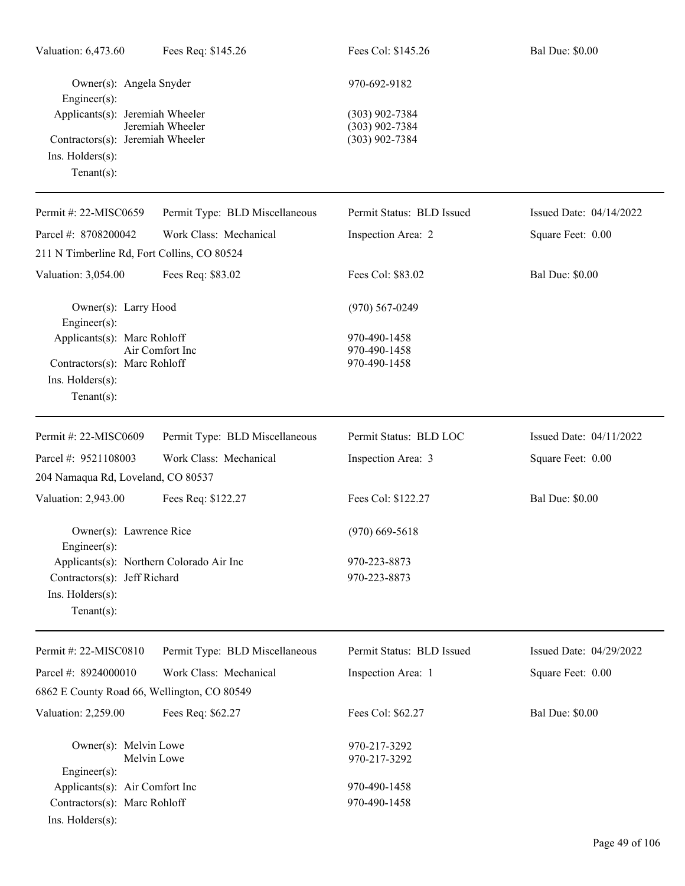| Valuation: 6,473.60                                                                                           | Fees Req: \$145.26             | Fees Col: \$145.26                                       | <b>Bal Due: \$0.00</b>  |
|---------------------------------------------------------------------------------------------------------------|--------------------------------|----------------------------------------------------------|-------------------------|
| Owner(s): Angela Snyder<br>Engineer(s):                                                                       |                                | 970-692-9182                                             |                         |
| Applicants(s): Jeremiah Wheeler<br>Contractors(s): Jeremiah Wheeler<br>Ins. Holders(s):<br>Tenant $(s)$ :     | Jeremiah Wheeler               | $(303)$ 902-7384<br>$(303)$ 902-7384<br>$(303)$ 902-7384 |                         |
| Permit #: 22-MISC0659                                                                                         | Permit Type: BLD Miscellaneous | Permit Status: BLD Issued                                | Issued Date: 04/14/2022 |
| Parcel #: 8708200042                                                                                          | Work Class: Mechanical         | Inspection Area: 2                                       | Square Feet: 0.00       |
| 211 N Timberline Rd, Fort Collins, CO 80524                                                                   |                                |                                                          |                         |
| Valuation: 3,054.00                                                                                           | Fees Req: \$83.02              | Fees Col: \$83.02                                        | <b>Bal Due: \$0.00</b>  |
| Owner(s): Larry Hood<br>$Engineering(s)$ :                                                                    |                                | $(970)$ 567-0249                                         |                         |
| Applicants(s): Marc Rohloff<br>Contractors(s): Marc Rohloff<br>Ins. Holders(s):<br>$Tenant(s)$ :              | Air Comfort Inc                | 970-490-1458<br>970-490-1458<br>970-490-1458             |                         |
| Permit #: 22-MISC0609                                                                                         | Permit Type: BLD Miscellaneous | Permit Status: BLD LOC                                   | Issued Date: 04/11/2022 |
| Parcel #: 9521108003                                                                                          | Work Class: Mechanical         | Inspection Area: 3                                       | Square Feet: 0.00       |
| 204 Namaqua Rd, Loveland, CO 80537                                                                            |                                |                                                          |                         |
| Valuation: 2,943.00                                                                                           | Fees Req: \$122.27             | Fees Col: \$122.27                                       | <b>Bal Due: \$0.00</b>  |
| Owner(s): Lawrence Rice<br>$Engineering(s)$ :                                                                 |                                | $(970)$ 669-5618                                         |                         |
| Applicants(s): Northern Colorado Air Inc<br>Contractors(s): Jeff Richard<br>Ins. Holders(s):<br>$Tenant(s)$ : |                                | 970-223-8873<br>970-223-8873                             |                         |
| Permit #: 22-MISC0810                                                                                         | Permit Type: BLD Miscellaneous | Permit Status: BLD Issued                                | Issued Date: 04/29/2022 |
| Parcel #: 8924000010                                                                                          | Work Class: Mechanical         | Inspection Area: 1                                       | Square Feet: 0.00       |
| 6862 E County Road 66, Wellington, CO 80549                                                                   |                                |                                                          |                         |
| Valuation: 2,259.00                                                                                           | Fees Req: \$62.27              | Fees Col: \$62.27                                        | <b>Bal Due: \$0.00</b>  |
| Owner(s): Melvin Lowe<br>Engineer(s):                                                                         | Melvin Lowe                    | 970-217-3292<br>970-217-3292                             |                         |
| Applicants(s): Air Comfort Inc                                                                                |                                | 970-490-1458                                             |                         |
| Contractors(s): Marc Rohloff<br>Ins. Holders(s):                                                              |                                | 970-490-1458                                             |                         |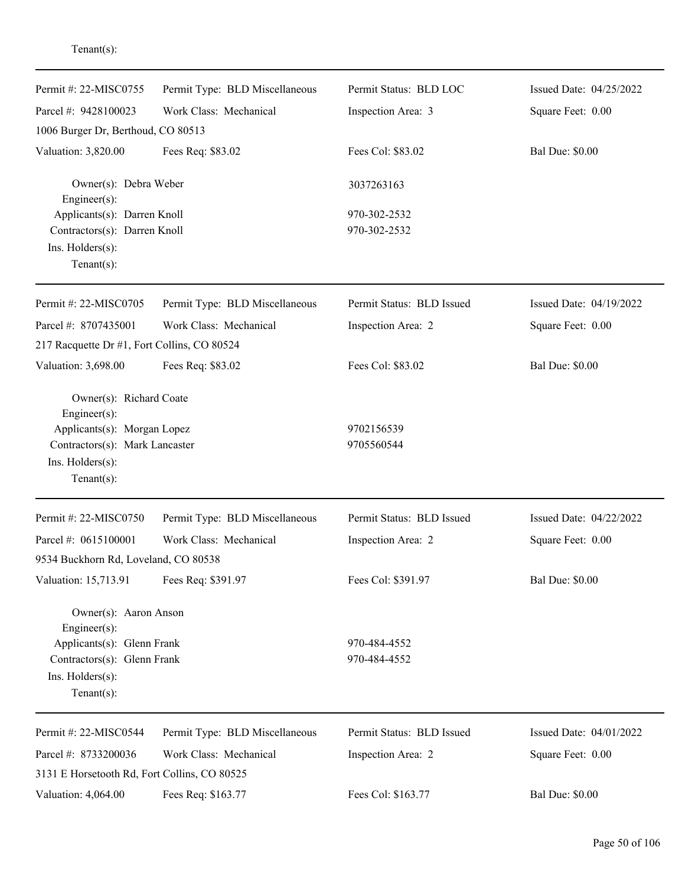| Permit #: 22-MISC0755                                                                              | Permit Type: BLD Miscellaneous | Permit Status: BLD LOC    | Issued Date: 04/25/2022 |
|----------------------------------------------------------------------------------------------------|--------------------------------|---------------------------|-------------------------|
| Parcel #: 9428100023                                                                               | Work Class: Mechanical         | Inspection Area: 3        | Square Feet: 0.00       |
| 1006 Burger Dr, Berthoud, CO 80513                                                                 |                                |                           |                         |
| Valuation: 3,820.00                                                                                | Fees Req: \$83.02              | Fees Col: \$83.02         | <b>Bal Due: \$0.00</b>  |
| Owner(s): Debra Weber<br>Engineer(s):                                                              |                                | 3037263163                |                         |
| Applicants(s): Darren Knoll                                                                        |                                | 970-302-2532              |                         |
| Contractors(s): Darren Knoll<br>Ins. Holders(s):<br>$Tenant(s)$ :                                  |                                | 970-302-2532              |                         |
| Permit #: 22-MISC0705                                                                              | Permit Type: BLD Miscellaneous | Permit Status: BLD Issued | Issued Date: 04/19/2022 |
| Parcel #: 8707435001                                                                               | Work Class: Mechanical         | Inspection Area: 2        | Square Feet: 0.00       |
| 217 Racquette Dr #1, Fort Collins, CO 80524                                                        |                                |                           |                         |
| Valuation: 3,698.00                                                                                | Fees Req: \$83.02              | Fees Col: \$83.02         | <b>Bal Due: \$0.00</b>  |
| Owner(s): Richard Coate<br>Engineer(s):                                                            |                                |                           |                         |
| Applicants(s): Morgan Lopez<br>Contractors(s): Mark Lancaster<br>Ins. Holders(s):<br>$Tenant(s)$ : |                                | 9702156539<br>9705560544  |                         |
| Permit #: 22-MISC0750                                                                              | Permit Type: BLD Miscellaneous | Permit Status: BLD Issued | Issued Date: 04/22/2022 |
| Parcel #: 0615100001                                                                               | Work Class: Mechanical         | Inspection Area: 2        | Square Feet: 0.00       |
| 9534 Buckhorn Rd, Loveland, CO 80538                                                               |                                |                           |                         |
| Valuation: 15,713.91                                                                               | Fees Req: \$391.97             | Fees Col: \$391.97        | <b>Bal Due: \$0.00</b>  |
| Owner(s): Aaron Anson<br>Engineer(s):                                                              |                                |                           |                         |
| Applicants(s): Glenn Frank                                                                         |                                | 970-484-4552              |                         |
| Contractors(s): Glenn Frank                                                                        |                                | 970-484-4552              |                         |
| Ins. Holders(s):<br>$Tenant(s)$ :                                                                  |                                |                           |                         |
| Permit #: 22-MISC0544                                                                              | Permit Type: BLD Miscellaneous | Permit Status: BLD Issued | Issued Date: 04/01/2022 |
| Parcel #: 8733200036                                                                               | Work Class: Mechanical         | Inspection Area: 2        | Square Feet: 0.00       |
| 3131 E Horsetooth Rd, Fort Collins, CO 80525                                                       |                                |                           |                         |
| Valuation: 4,064.00                                                                                | Fees Req: \$163.77             | Fees Col: \$163.77        | <b>Bal Due: \$0.00</b>  |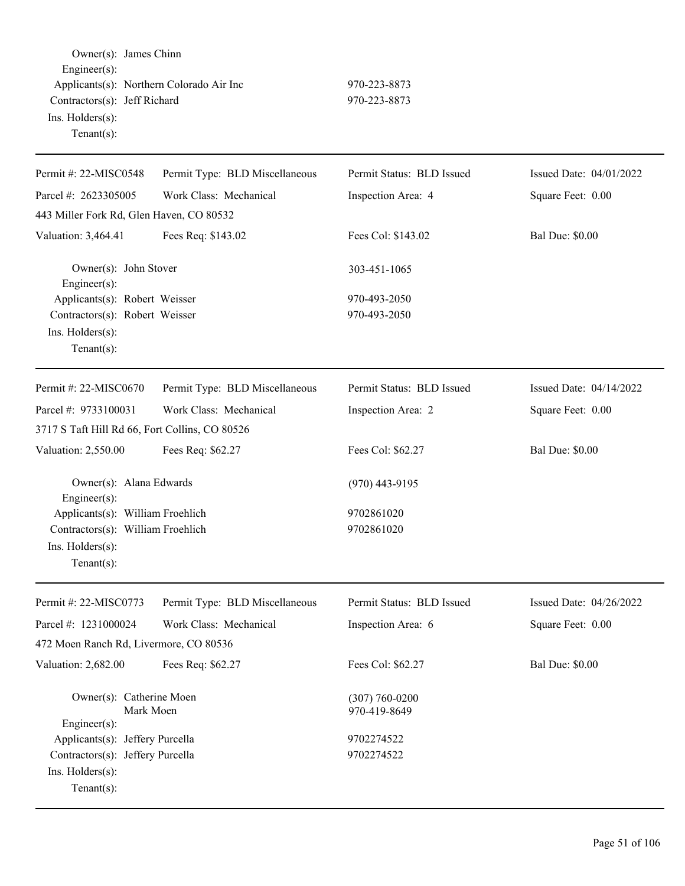Owner(s): James Chinn Engineer(s): Applicants(s): Northern Colorado Air Inc 970-223-8873 Contractors(s): Jeff Richard 970-223-8873 Ins. Holders(s): Tenant(s):

| Permit #: 22-MISC0548                                                                                      | Permit Type: BLD Miscellaneous | Permit Status: BLD Issued          | Issued Date: 04/01/2022 |
|------------------------------------------------------------------------------------------------------------|--------------------------------|------------------------------------|-------------------------|
| Parcel #: 2623305005                                                                                       | Work Class: Mechanical         | Inspection Area: 4                 | Square Feet: 0.00       |
| 443 Miller Fork Rd, Glen Haven, CO 80532                                                                   |                                |                                    |                         |
| Valuation: 3,464.41                                                                                        | Fees Req: \$143.02             | Fees Col: \$143.02                 | <b>Bal Due: \$0.00</b>  |
| Owner(s): John Stover<br>Engineer(s):                                                                      |                                | 303-451-1065                       |                         |
| Applicants(s): Robert Weisser<br>Contractors(s): Robert Weisser<br>Ins. Holders(s):<br>$Tenant(s)$ :       |                                | 970-493-2050<br>970-493-2050       |                         |
|                                                                                                            |                                |                                    |                         |
| Permit #: 22-MISC0670                                                                                      | Permit Type: BLD Miscellaneous | Permit Status: BLD Issued          | Issued Date: 04/14/2022 |
| Parcel #: 9733100031                                                                                       | Work Class: Mechanical         | Inspection Area: 2                 | Square Feet: 0.00       |
| 3717 S Taft Hill Rd 66, Fort Collins, CO 80526                                                             |                                |                                    |                         |
| Valuation: 2,550.00                                                                                        | Fees Req: \$62.27              | Fees Col: \$62.27                  | <b>Bal Due: \$0.00</b>  |
| Owner(s): Alana Edwards<br>Engineer(s):                                                                    |                                | $(970)$ 443-9195                   |                         |
| Applicants(s): William Froehlich<br>Contractors(s): William Froehlich<br>Ins. Holders(s):<br>$Tenant(s)$ : |                                | 9702861020<br>9702861020           |                         |
| Permit #: 22-MISC0773                                                                                      | Permit Type: BLD Miscellaneous | Permit Status: BLD Issued          | Issued Date: 04/26/2022 |
| Parcel #: 1231000024                                                                                       | Work Class: Mechanical         | Inspection Area: 6                 | Square Feet: 0.00       |
| 472 Moen Ranch Rd, Livermore, CO 80536                                                                     |                                |                                    |                         |
| Valuation: 2,682.00                                                                                        | Fees Req: \$62.27              | Fees Col: \$62.27                  | <b>Bal Due: \$0.00</b>  |
| Owner(s): Catherine Moen<br>Mark Moen<br>Engineer(s):                                                      |                                | $(307) 760 - 0200$<br>970-419-8649 |                         |
| Applicants(s): Jeffery Purcella<br>Contractors(s): Jeffery Purcella<br>Ins. Holders(s):<br>Tenant $(s)$ :  |                                | 9702274522<br>9702274522           |                         |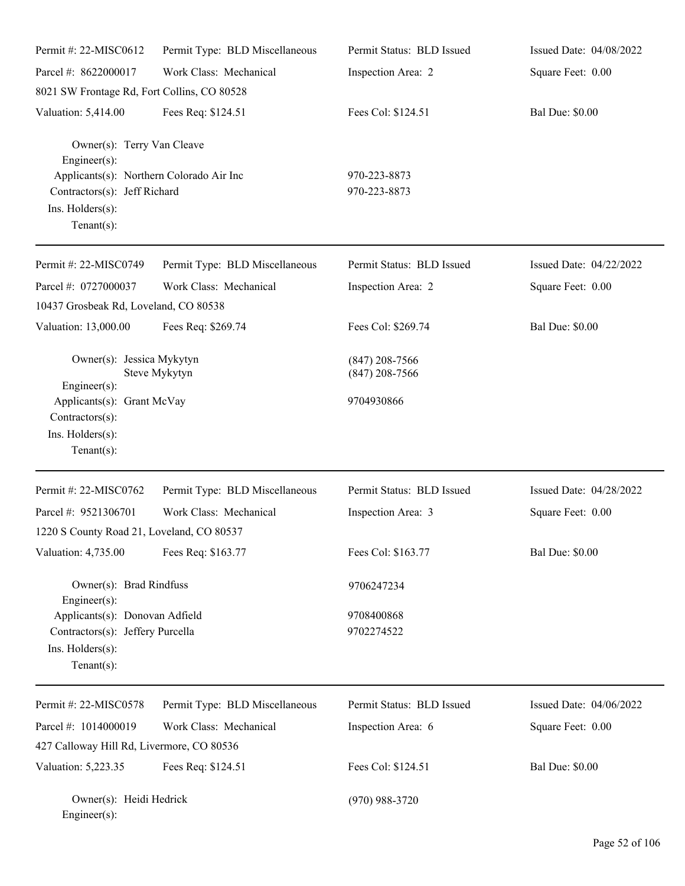| Permit #: 22-MISC0612                                                                                                      | Permit Type: BLD Miscellaneous | Permit Status: BLD Issued            | Issued Date: 04/08/2022 |
|----------------------------------------------------------------------------------------------------------------------------|--------------------------------|--------------------------------------|-------------------------|
| Parcel #: 8622000017                                                                                                       | Work Class: Mechanical         | Inspection Area: 2                   | Square Feet: 0.00       |
| 8021 SW Frontage Rd, Fort Collins, CO 80528                                                                                |                                |                                      |                         |
| Valuation: 5,414.00                                                                                                        | Fees Req: \$124.51             | Fees Col: \$124.51                   | <b>Bal Due: \$0.00</b>  |
| Owner(s): Terry Van Cleave<br>Engineer $(s)$ :<br>Applicants(s): Northern Colorado Air Inc<br>Contractors(s): Jeff Richard |                                | 970-223-8873<br>970-223-8873         |                         |
| Ins. Holders(s):<br>Tenant $(s)$ :                                                                                         |                                |                                      |                         |
| Permit #: 22-MISC0749                                                                                                      | Permit Type: BLD Miscellaneous | Permit Status: BLD Issued            | Issued Date: 04/22/2022 |
| Parcel #: 0727000037                                                                                                       | Work Class: Mechanical         | Inspection Area: 2                   | Square Feet: 0.00       |
| 10437 Grosbeak Rd, Loveland, CO 80538                                                                                      |                                |                                      |                         |
| Valuation: 13,000.00                                                                                                       | Fees Req: \$269.74             | Fees Col: \$269.74                   | <b>Bal Due: \$0.00</b>  |
| Owner(s): Jessica Mykytyn                                                                                                  | Steve Mykytyn                  | $(847)$ 208-7566<br>$(847)$ 208-7566 |                         |
| Engineer(s):<br>Applicants(s): Grant McVay<br>Contractors(s):<br>Ins. Holders(s):<br>Tenant $(s)$ :                        |                                | 9704930866                           |                         |
| Permit #: 22-MISC0762                                                                                                      | Permit Type: BLD Miscellaneous | Permit Status: BLD Issued            | Issued Date: 04/28/2022 |
| Parcel #: 9521306701                                                                                                       | Work Class: Mechanical         | Inspection Area: 3                   | Square Feet: 0.00       |
| 1220 S County Road 21, Loveland, CO 80537                                                                                  |                                |                                      |                         |
| Valuation: 4,735.00                                                                                                        | Fees Req: \$163.77             | Fees Col: \$163.77                   | <b>Bal Due: \$0.00</b>  |
| Owner(s): Brad Rindfuss                                                                                                    |                                | 9706247234                           |                         |
| Engineer(s):<br>Applicants(s): Donovan Adfield<br>Contractors(s): Jeffery Purcella<br>Ins. Holders(s):<br>Tenant $(s)$ :   |                                | 9708400868<br>9702274522             |                         |
| Permit #: 22-MISC0578                                                                                                      | Permit Type: BLD Miscellaneous | Permit Status: BLD Issued            | Issued Date: 04/06/2022 |
| Parcel #: 1014000019                                                                                                       | Work Class: Mechanical         | Inspection Area: 6                   | Square Feet: 0.00       |
| 427 Calloway Hill Rd, Livermore, CO 80536                                                                                  |                                |                                      |                         |
| Valuation: 5,223.35                                                                                                        | Fees Req: \$124.51             | Fees Col: \$124.51                   | <b>Bal Due: \$0.00</b>  |
| Owner(s): Heidi Hedrick<br>$Engineer(s)$ :                                                                                 |                                | $(970)$ 988-3720                     |                         |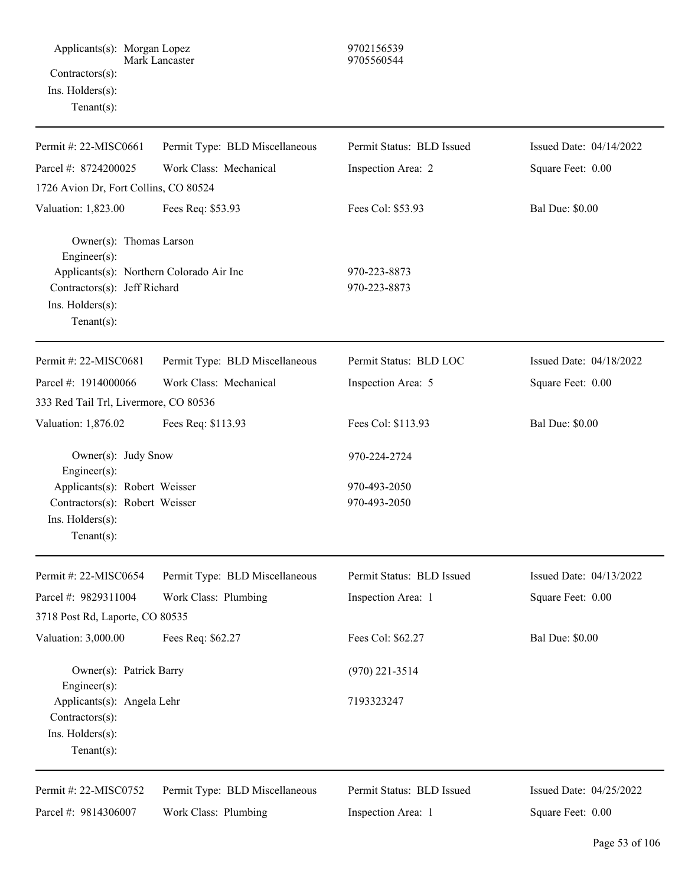| Permit #: 22-MISC0661                                                                                                                                    | Permit Type: BLD Miscellaneous | Permit Status: BLD Issued    | Issued Date: 04/14/2022 |
|----------------------------------------------------------------------------------------------------------------------------------------------------------|--------------------------------|------------------------------|-------------------------|
| Parcel #: 8724200025                                                                                                                                     | Work Class: Mechanical         | Inspection Area: 2           | Square Feet: 0.00       |
| 1726 Avion Dr, Fort Collins, CO 80524                                                                                                                    |                                |                              |                         |
| Valuation: 1,823.00                                                                                                                                      | Fees Req: \$53.93              | Fees Col: \$53.93            | <b>Bal Due: \$0.00</b>  |
| Owner(s): Thomas Larson<br>Engineer(s):<br>Applicants(s): Northern Colorado Air Inc<br>Contractors(s): Jeff Richard<br>Ins. Holders(s):<br>$Tenant(s)$ : |                                | 970-223-8873<br>970-223-8873 |                         |
| Permit #: 22-MISC0681                                                                                                                                    | Permit Type: BLD Miscellaneous | Permit Status: BLD LOC       | Issued Date: 04/18/2022 |
| Parcel #: 1914000066                                                                                                                                     | Work Class: Mechanical         | Inspection Area: 5           | Square Feet: 0.00       |
| 333 Red Tail Trl, Livermore, CO 80536                                                                                                                    |                                |                              |                         |
| Valuation: 1,876.02                                                                                                                                      | Fees Req: \$113.93             | Fees Col: \$113.93           | <b>Bal Due: \$0.00</b>  |
| Owner(s): Judy Snow<br>Engineer(s):                                                                                                                      |                                | 970-224-2724                 |                         |
| Applicants(s): Robert Weisser<br>Contractors(s): Robert Weisser<br>Ins. Holders(s):<br>$Tenant(s)$ :                                                     |                                | 970-493-2050<br>970-493-2050 |                         |
| Permit #: 22-MISC0654                                                                                                                                    | Permit Type: BLD Miscellaneous | Permit Status: BLD Issued    | Issued Date: 04/13/2022 |
| Parcel #: 9829311004                                                                                                                                     | Work Class: Plumbing           | Inspection Area: 1           | Square Feet: 0.00       |
| 3718 Post Rd, Laporte, CO 80535                                                                                                                          |                                |                              |                         |
| Valuation: 3,000.00                                                                                                                                      | Fees Req: \$62.27              | Fees Col: \$62.27            | <b>Bal Due: \$0.00</b>  |
| Owner(s): Patrick Barry<br>Engineer(s):                                                                                                                  |                                | $(970)$ 221-3514             |                         |
| Applicants(s): Angela Lehr<br>Contractors(s):<br>Ins. Holders(s):<br>Tenant $(s)$ :                                                                      |                                | 7193323247                   |                         |
| Permit #: 22-MISC0752                                                                                                                                    | Permit Type: BLD Miscellaneous | Permit Status: BLD Issued    | Issued Date: 04/25/2022 |
| Parcel #: 9814306007                                                                                                                                     | Work Class: Plumbing           | Inspection Area: 1           | Square Feet: 0.00       |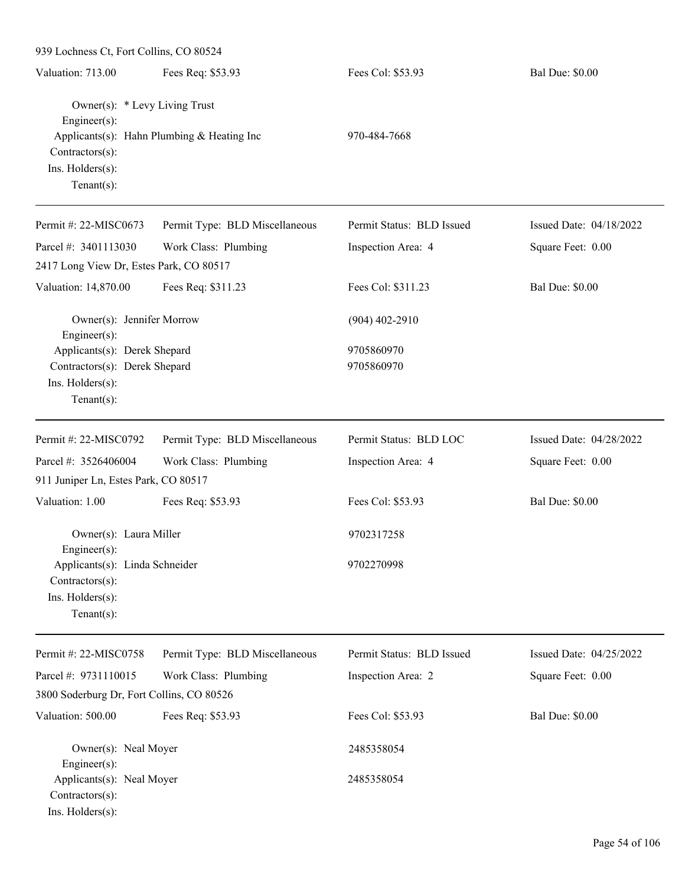| 939 Lochness Ct, Fort Collins, CO 80524                                                                        |                                |                           |                         |
|----------------------------------------------------------------------------------------------------------------|--------------------------------|---------------------------|-------------------------|
| Valuation: 713.00                                                                                              | Fees Req: \$53.93              | Fees Col: \$53.93         | <b>Bal Due: \$0.00</b>  |
| Owner(s): * Levy Living Trust<br>Engineer(s):<br>Applicants(s): Hahn Plumbing & Heating Inc<br>Contractors(s): |                                | 970-484-7668              |                         |
| Ins. Holders(s):<br>Tenant $(s)$ :                                                                             |                                |                           |                         |
| Permit #: 22-MISC0673                                                                                          | Permit Type: BLD Miscellaneous | Permit Status: BLD Issued | Issued Date: 04/18/2022 |
| Parcel #: 3401113030                                                                                           | Work Class: Plumbing           | Inspection Area: 4        | Square Feet: 0.00       |
| 2417 Long View Dr, Estes Park, CO 80517                                                                        |                                |                           |                         |
| Valuation: 14,870.00                                                                                           | Fees Req: \$311.23             | Fees Col: \$311.23        | <b>Bal Due: \$0.00</b>  |
| Owner(s): Jennifer Morrow<br>Engineer(s):                                                                      |                                | $(904)$ 402-2910          |                         |
| Applicants(s): Derek Shepard                                                                                   |                                | 9705860970                |                         |
| Contractors(s): Derek Shepard                                                                                  |                                | 9705860970                |                         |
| Ins. Holders(s):                                                                                               |                                |                           |                         |
| Tenant $(s)$ :                                                                                                 |                                |                           |                         |
| Permit #: 22-MISC0792                                                                                          | Permit Type: BLD Miscellaneous | Permit Status: BLD LOC    | Issued Date: 04/28/2022 |
| Parcel #: 3526406004                                                                                           | Work Class: Plumbing           | Inspection Area: 4        | Square Feet: 0.00       |
| 911 Juniper Ln, Estes Park, CO 80517                                                                           |                                |                           |                         |
| Valuation: 1.00                                                                                                | Fees Req: \$53.93              | Fees Col: \$53.93         | <b>Bal Due: \$0.00</b>  |
| Owner(s): Laura Miller<br>$Engineering(s)$ :                                                                   |                                | 9702317258                |                         |
| Applicants(s): Linda Schneider<br>Contractors(s):                                                              |                                | 9702270998                |                         |
| Ins. Holders(s):                                                                                               |                                |                           |                         |
| $Tenant(s)$ :                                                                                                  |                                |                           |                         |
| Permit #: 22-MISC0758                                                                                          | Permit Type: BLD Miscellaneous | Permit Status: BLD Issued | Issued Date: 04/25/2022 |
| Parcel #: 9731110015                                                                                           | Work Class: Plumbing           | Inspection Area: 2        | Square Feet: 0.00       |
| 3800 Soderburg Dr, Fort Collins, CO 80526                                                                      |                                |                           |                         |
| Valuation: 500.00                                                                                              | Fees Req: \$53.93              | Fees Col: \$53.93         | <b>Bal Due: \$0.00</b>  |
| Owner(s): Neal Moyer                                                                                           |                                | 2485358054                |                         |
| Engineer(s):<br>Applicants(s): Neal Moyer                                                                      |                                | 2485358054                |                         |
| Contractors(s):<br>Ins. Holders(s):                                                                            |                                |                           |                         |
|                                                                                                                |                                |                           |                         |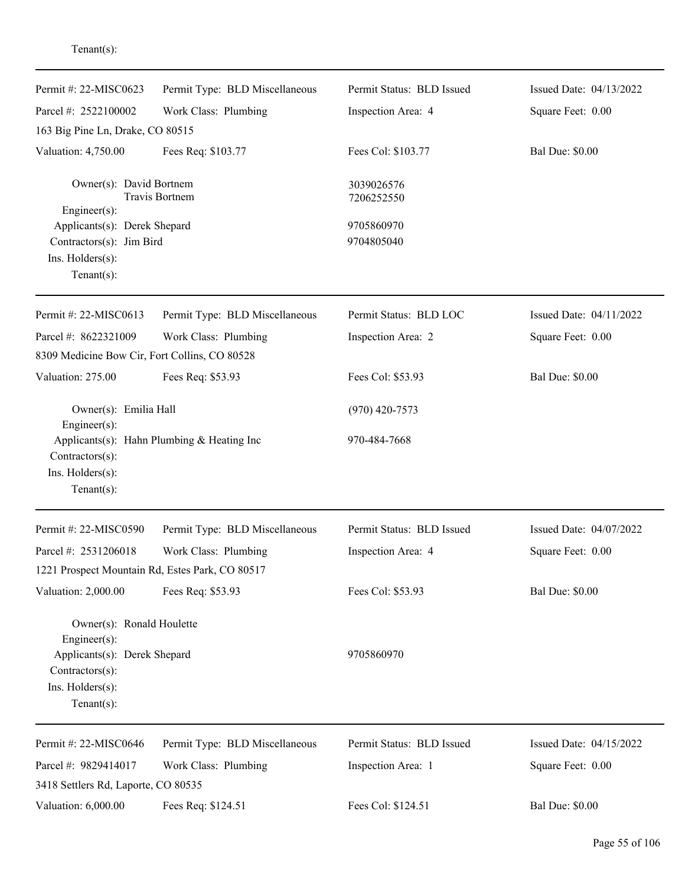| Permit #: 22-MISC0623                                                                                                                 | Permit Type: BLD Miscellaneous             | Permit Status: BLD Issued | Issued Date: 04/13/2022 |
|---------------------------------------------------------------------------------------------------------------------------------------|--------------------------------------------|---------------------------|-------------------------|
| Parcel #: 2522100002                                                                                                                  | Work Class: Plumbing                       | Inspection Area: 4        | Square Feet: 0.00       |
| 163 Big Pine Ln, Drake, CO 80515                                                                                                      |                                            |                           |                         |
| Valuation: 4,750.00                                                                                                                   | Fees Req: \$103.77                         | Fees Col: \$103.77        | <b>Bal Due: \$0.00</b>  |
| Owner(s): David Bortnem<br>Travis Bortnem<br>$Engineering(s)$ :                                                                       |                                            | 3039026576<br>7206252550  |                         |
| Applicants(s): Derek Shepard<br>Contractors(s): Jim Bird<br>Ins. Holders(s):<br>$Tenant(s)$ :                                         |                                            | 9705860970<br>9704805040  |                         |
| Permit #: 22-MISC0613                                                                                                                 | Permit Type: BLD Miscellaneous             | Permit Status: BLD LOC    | Issued Date: 04/11/2022 |
| Parcel #: 8622321009<br>8309 Medicine Bow Cir, Fort Collins, CO 80528                                                                 | Work Class: Plumbing                       | Inspection Area: 2        | Square Feet: 0.00       |
| Valuation: 275.00                                                                                                                     | Fees Req: \$53.93                          | Fees Col: \$53.93         | <b>Bal Due: \$0.00</b>  |
| Owner(s): Emilia Hall<br>Engineer $(s)$ :                                                                                             |                                            | $(970)$ 420-7573          |                         |
| Contractors(s):<br>Ins. Holders(s):<br>$Tenant(s)$ :                                                                                  | Applicants(s): Hahn Plumbing & Heating Inc | 970-484-7668              |                         |
| Permit #: 22-MISC0590                                                                                                                 | Permit Type: BLD Miscellaneous             | Permit Status: BLD Issued | Issued Date: 04/07/2022 |
| Parcel #: 2531206018                                                                                                                  | Work Class: Plumbing                       | Inspection Area: 4        | Square Feet: 0.00       |
| 1221 Prospect Mountain Rd, Estes Park, CO 80517                                                                                       |                                            |                           |                         |
| Valuation: 2,000.00                                                                                                                   | Fees Req: \$53.93                          | Fees Col: \$53.93         | <b>Bal Due: \$0.00</b>  |
| Owner(s): Ronald Houlette<br>Engineer $(s)$ :<br>Applicants(s): Derek Shepard<br>Contractors(s):<br>Ins. Holders(s):<br>$Tenant(s)$ : |                                            | 9705860970                |                         |
| Permit #: 22-MISC0646                                                                                                                 | Permit Type: BLD Miscellaneous             | Permit Status: BLD Issued | Issued Date: 04/15/2022 |
| Parcel #: 9829414017                                                                                                                  | Work Class: Plumbing                       | Inspection Area: 1        | Square Feet: 0.00       |
| 3418 Settlers Rd, Laporte, CO 80535                                                                                                   |                                            |                           |                         |
| Valuation: 6,000.00                                                                                                                   | Fees Req: \$124.51                         | Fees Col: \$124.51        | <b>Bal Due: \$0.00</b>  |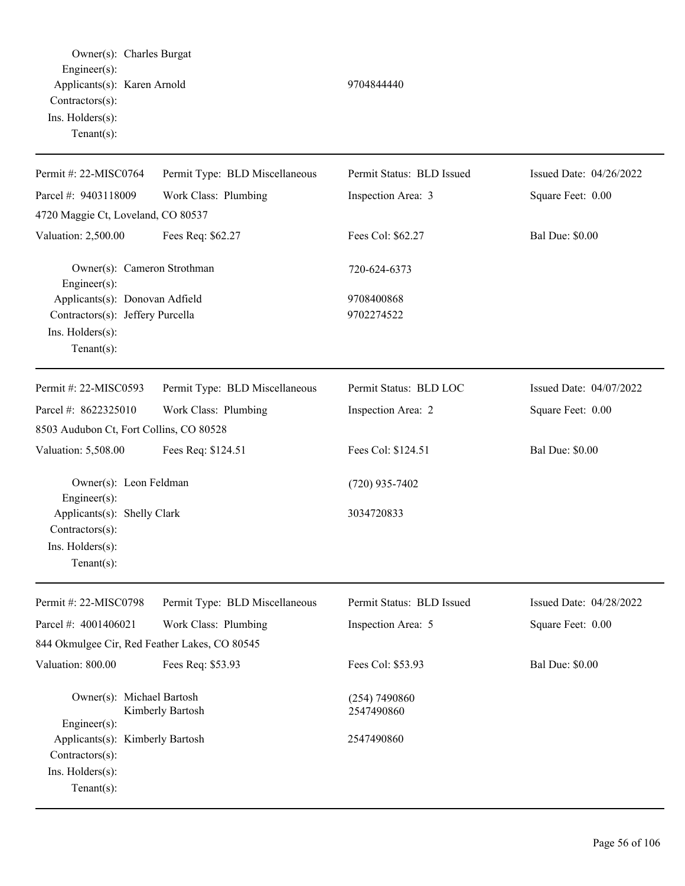| Owner(s): Charles Burgat<br>Engineer(s):<br>Applicants(s): Karen Arnold<br>Contractors(s):<br>Ins. Holders(s):<br>Tenant $(s)$ :      |                                | 9704844440                     |                         |
|---------------------------------------------------------------------------------------------------------------------------------------|--------------------------------|--------------------------------|-------------------------|
| Permit #: 22-MISC0764                                                                                                                 | Permit Type: BLD Miscellaneous | Permit Status: BLD Issued      | Issued Date: 04/26/2022 |
| Parcel #: 9403118009                                                                                                                  | Work Class: Plumbing           | Inspection Area: 3             | Square Feet: 0.00       |
| 4720 Maggie Ct, Loveland, CO 80537                                                                                                    |                                |                                |                         |
| Valuation: 2,500.00                                                                                                                   | Fees Req: \$62.27              | Fees Col: \$62.27              | <b>Bal Due: \$0.00</b>  |
| Owner(s): Cameron Strothman<br>Engineer(s):                                                                                           |                                | 720-624-6373                   |                         |
| Applicants(s): Donovan Adfield<br>Contractors(s): Jeffery Purcella<br>Ins. Holders(s):<br>Tenant $(s)$ :                              |                                | 9708400868<br>9702274522       |                         |
| Permit #: 22-MISC0593                                                                                                                 | Permit Type: BLD Miscellaneous | Permit Status: BLD LOC         | Issued Date: 04/07/2022 |
| Parcel #: 8622325010<br>8503 Audubon Ct, Fort Collins, CO 80528                                                                       | Work Class: Plumbing           | Inspection Area: 2             | Square Feet: 0.00       |
| Valuation: 5,508.00                                                                                                                   | Fees Req: \$124.51             | Fees Col: \$124.51             | <b>Bal Due: \$0.00</b>  |
| Owner(s): Leon Feldman<br>Engineer(s):<br>Applicants(s): Shelly Clark<br>Contractors(s):<br>Ins. $H$ olders $(s)$ :<br>Tenant $(s)$ : |                                | $(720)$ 935-7402<br>3034720833 |                         |
| Permit #: 22-MISC0798                                                                                                                 | Permit Type: BLD Miscellaneous | Permit Status: BLD Issued      | Issued Date: 04/28/2022 |
| Parcel #: 4001406021                                                                                                                  | Work Class: Plumbing           | Inspection Area: 5             | Square Feet: 0.00       |
| 844 Okmulgee Cir, Red Feather Lakes, CO 80545                                                                                         |                                |                                |                         |
| Valuation: 800.00                                                                                                                     | Fees Req: \$53.93              | Fees Col: \$53.93              | <b>Bal Due: \$0.00</b>  |
| Owner(s): Michael Bartosh<br>Engineer(s):                                                                                             | Kimberly Bartosh               | (254) 7490860<br>2547490860    |                         |
| Applicants(s): Kimberly Bartosh<br>Contractors(s):<br>Ins. Holders(s):<br>Tenant $(s)$ :                                              |                                | 2547490860                     |                         |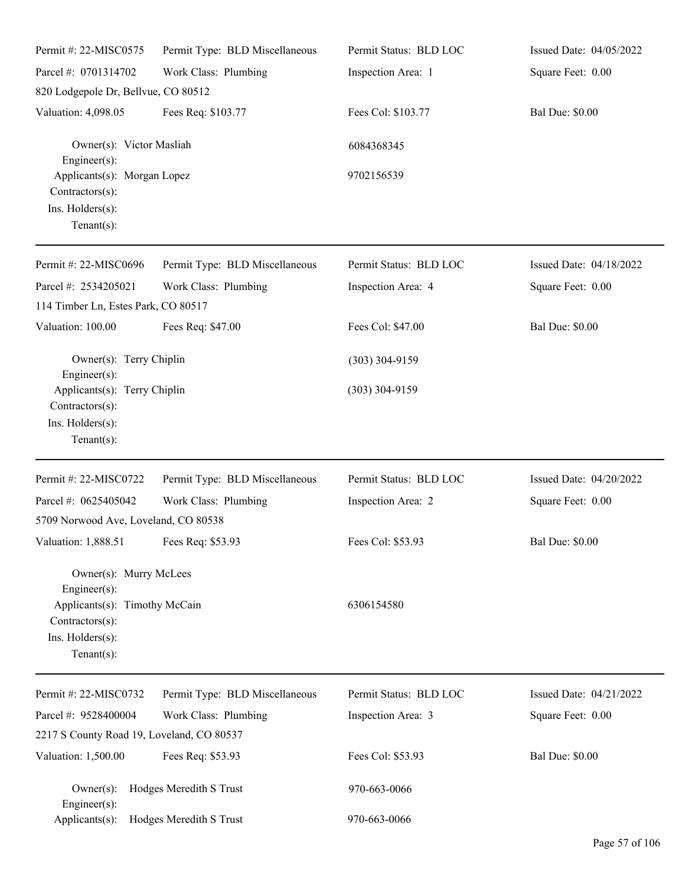| Permit #: 22-MISC0575                                                                                                               | Permit Type: BLD Miscellaneous | Permit Status: BLD LOC | Issued Date: 04/05/2022 |
|-------------------------------------------------------------------------------------------------------------------------------------|--------------------------------|------------------------|-------------------------|
| Parcel #: 0701314702                                                                                                                | Work Class: Plumbing           | Inspection Area: 1     | Square Feet: 0.00       |
| 820 Lodgepole Dr, Bellvue, CO 80512                                                                                                 |                                |                        |                         |
| Valuation: 4,098.05                                                                                                                 | Fees Req: \$103.77             | Fees Col: \$103.77     | <b>Bal Due: \$0.00</b>  |
| Owner(s): Victor Masliah<br>Engineer(s):                                                                                            |                                | 6084368345             |                         |
| Applicants(s): Morgan Lopez<br>Contractors(s):<br>Ins. Holders(s):<br>Tenant $(s)$ :                                                |                                | 9702156539             |                         |
| Permit #: 22-MISC0696                                                                                                               | Permit Type: BLD Miscellaneous | Permit Status: BLD LOC | Issued Date: 04/18/2022 |
| Parcel #: 2534205021<br>114 Timber Ln, Estes Park, CO 80517                                                                         | Work Class: Plumbing           | Inspection Area: 4     | Square Feet: 0.00       |
| Valuation: 100.00                                                                                                                   | Fees Req: \$47.00              | Fees Col: \$47.00      | <b>Bal Due: \$0.00</b>  |
| Owner(s): Terry Chiplin<br>Engineer(s):                                                                                             |                                | $(303)$ 304-9159       |                         |
| Applicants(s): Terry Chiplin<br>Contractors(s):<br>Ins. Holders(s):<br>Tenant $(s)$ :                                               |                                | $(303)$ 304-9159       |                         |
| Permit #: 22-MISC0722                                                                                                               | Permit Type: BLD Miscellaneous | Permit Status: BLD LOC | Issued Date: 04/20/2022 |
| Parcel #: 0625405042                                                                                                                | Work Class: Plumbing           | Inspection Area: 2     | Square Feet: 0.00       |
| 5709 Norwood Ave, Loveland, CO 80538                                                                                                |                                |                        |                         |
| Valuation: 1,888.51 Fees Req: \$53.93                                                                                               |                                | Fees Col: \$53.93      | <b>Bal Due: \$0.00</b>  |
| Owner(s): Murry McLees<br>Engineer(s):<br>Applicants(s): Timothy McCain<br>$Contractors(s)$ :<br>Ins. Holders(s):<br>Tenant $(s)$ : |                                | 6306154580             |                         |
| Permit #: 22-MISC0732                                                                                                               | Permit Type: BLD Miscellaneous | Permit Status: BLD LOC | Issued Date: 04/21/2022 |
| Parcel #: 9528400004                                                                                                                | Work Class: Plumbing           | Inspection Area: 3     | Square Feet: 0.00       |
| 2217 S County Road 19, Loveland, CO 80537                                                                                           |                                |                        |                         |
| Valuation: 1,500.00                                                                                                                 | Fees Req: \$53.93              | Fees Col: \$53.93      | <b>Bal Due: \$0.00</b>  |
| $Owner(s)$ :<br>Engineer(s):                                                                                                        | Hodges Meredith S Trust        | 970-663-0066           |                         |
| Applicants(s):                                                                                                                      | Hodges Meredith S Trust        | 970-663-0066           |                         |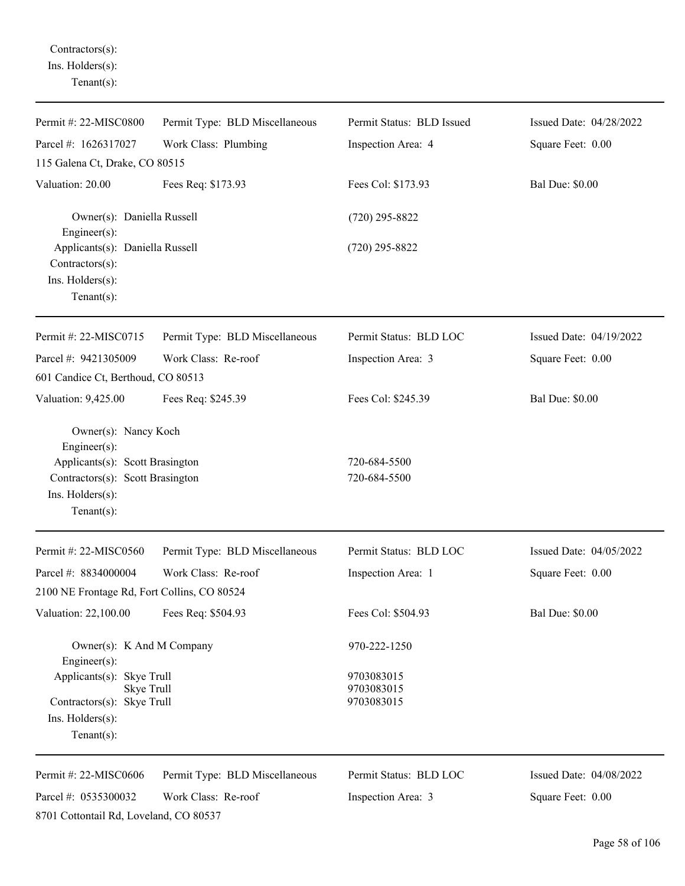Contractors(s): Ins. Holders(s): Tenant(s):

| Permit #: 22-MISC0800                                                                                             | Permit Type: BLD Miscellaneous | Permit Status: BLD Issued              | Issued Date: 04/28/2022 |
|-------------------------------------------------------------------------------------------------------------------|--------------------------------|----------------------------------------|-------------------------|
| Parcel #: 1626317027                                                                                              | Work Class: Plumbing           | Inspection Area: 4                     | Square Feet: 0.00       |
| 115 Galena Ct, Drake, CO 80515                                                                                    |                                |                                        |                         |
| Valuation: 20.00                                                                                                  | Fees Req: \$173.93             | Fees Col: \$173.93                     | <b>Bal Due: \$0.00</b>  |
| Owner(s): Daniella Russell<br>Engineer $(s)$ :                                                                    |                                | $(720)$ 295-8822                       |                         |
| Applicants(s): Daniella Russell<br>Contractors(s):<br>Ins. Holders(s):<br>Tenant $(s)$ :                          |                                | $(720)$ 295-8822                       |                         |
| Permit #: 22-MISC0715                                                                                             | Permit Type: BLD Miscellaneous | Permit Status: BLD LOC                 | Issued Date: 04/19/2022 |
| Parcel #: 9421305009                                                                                              | Work Class: Re-roof            | Inspection Area: 3                     | Square Feet: 0.00       |
| 601 Candice Ct, Berthoud, CO 80513                                                                                |                                |                                        |                         |
| Valuation: 9,425.00                                                                                               | Fees Req: \$245.39             | Fees Col: \$245.39                     | <b>Bal Due: \$0.00</b>  |
| Owner(s): Nancy Koch<br>Engineer(s):                                                                              |                                |                                        |                         |
| Applicants(s): Scott Brasington<br>Contractors(s): Scott Brasington<br>Ins. Holders(s):<br>Tenant $(s)$ :         |                                | 720-684-5500<br>720-684-5500           |                         |
| Permit #: 22-MISC0560                                                                                             | Permit Type: BLD Miscellaneous | Permit Status: BLD LOC                 | Issued Date: 04/05/2022 |
| Parcel #: 8834000004<br>2100 NE Frontage Rd, Fort Collins, CO 80524                                               | Work Class: Re-roof            | Inspection Area: 1                     | Square Feet: 0.00       |
| Valuation: 22,100.00                                                                                              | Fees Req: \$504.93             | Fees Col: \$504.93                     | <b>Bal Due: \$0.00</b>  |
| Owner(s): K And M Company<br>Engineer(s):                                                                         |                                | 970-222-1250                           |                         |
| Applicants(s): Skye Trull<br>Skye Trull<br>Contractors(s): Skye Trull<br>$Ins.$ Holders $(s)$ :<br>Tenant $(s)$ : |                                | 9703083015<br>9703083015<br>9703083015 |                         |
| Permit #: 22-MISC0606                                                                                             | Permit Type: BLD Miscellaneous | Permit Status: BLD LOC                 | Issued Date: 04/08/2022 |
| Parcel #: 0535300032<br>8701 Cottontail Rd, Loveland, CO 80537                                                    | Work Class: Re-roof            | Inspection Area: 3                     | Square Feet: 0.00       |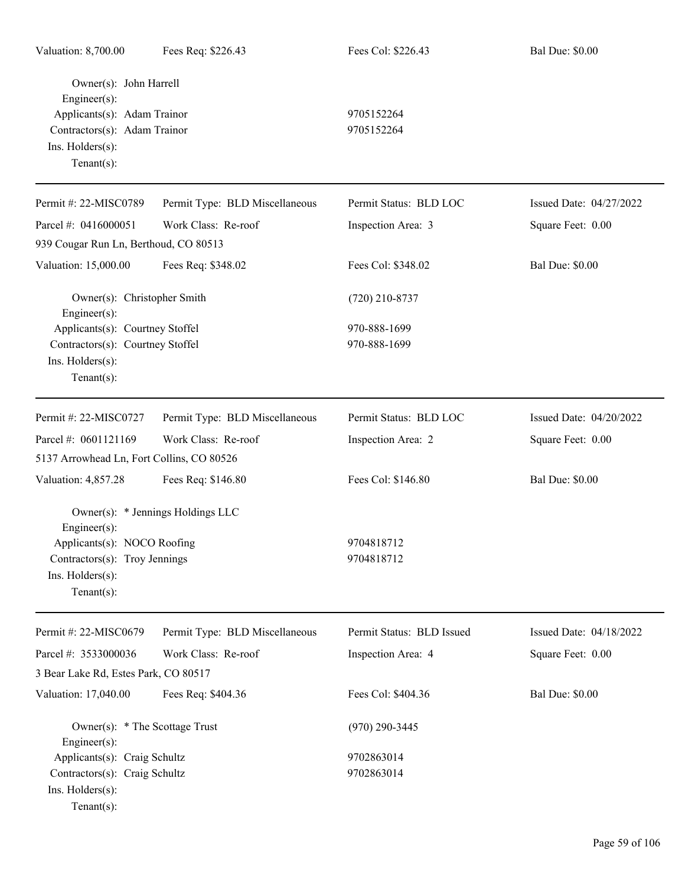| Owner(s): John Harrell                      |                                   |                           |                         |
|---------------------------------------------|-----------------------------------|---------------------------|-------------------------|
| Engineer(s):<br>Applicants(s): Adam Trainor |                                   | 9705152264                |                         |
| Contractors(s): Adam Trainor                |                                   | 9705152264                |                         |
| Ins. Holders(s):                            |                                   |                           |                         |
| Tenant $(s)$ :                              |                                   |                           |                         |
|                                             |                                   |                           |                         |
| Permit #: 22-MISC0789                       | Permit Type: BLD Miscellaneous    | Permit Status: BLD LOC    | Issued Date: 04/27/2022 |
| Parcel #: 0416000051                        | Work Class: Re-roof               | Inspection Area: 3        | Square Feet: 0.00       |
| 939 Cougar Run Ln, Berthoud, CO 80513       |                                   |                           |                         |
| Valuation: 15,000.00                        | Fees Req: \$348.02                | Fees Col: \$348.02        | <b>Bal Due: \$0.00</b>  |
| Owner(s): Christopher Smith<br>Engineer(s): |                                   | $(720)$ 210-8737          |                         |
| Applicants(s): Courtney Stoffel             |                                   | 970-888-1699              |                         |
| Contractors(s): Courtney Stoffel            |                                   | 970-888-1699              |                         |
| Ins. Holders(s):                            |                                   |                           |                         |
| Tenant $(s)$ :                              |                                   |                           |                         |
| Permit #: 22-MISC0727                       | Permit Type: BLD Miscellaneous    | Permit Status: BLD LOC    | Issued Date: 04/20/2022 |
| Parcel #: 0601121169                        | Work Class: Re-roof               | Inspection Area: 2        | Square Feet: 0.00       |
| 5137 Arrowhead Ln, Fort Collins, CO 80526   |                                   |                           |                         |
| Valuation: 4,857.28                         | Fees Req: \$146.80                | Fees Col: \$146.80        | <b>Bal Due: \$0.00</b>  |
|                                             | Owner(s): * Jennings Holdings LLC |                           |                         |
| Engineer(s):                                |                                   |                           |                         |
| Applicants(s): NOCO Roofing                 |                                   | 9704818712                |                         |
| Contractors(s): Troy Jennings               |                                   | 9704818712                |                         |
| Ins. $H$ olders $(s)$ :                     |                                   |                           |                         |
| Tenant $(s)$ :                              |                                   |                           |                         |
| Permit #: 22-MISC0679                       | Permit Type: BLD Miscellaneous    | Permit Status: BLD Issued | Issued Date: 04/18/2022 |
| Parcel #: 3533000036                        | Work Class: Re-roof               | Inspection Area: 4        | Square Feet: 0.00       |
| 3 Bear Lake Rd, Estes Park, CO 80517        |                                   |                           |                         |
| Valuation: 17,040.00                        | Fees Req: \$404.36                | Fees Col: \$404.36        | <b>Bal Due: \$0.00</b>  |
| Owner(s): * The Scottage Trust              |                                   | $(970)$ 290-3445          |                         |
| Engineer(s):                                |                                   |                           |                         |
| Applicants(s): Craig Schultz                |                                   | 9702863014                |                         |
| Contractors(s): Craig Schultz               |                                   | 9702863014                |                         |
| Ins. Holders(s):                            |                                   |                           |                         |
| Tenant $(s)$ :                              |                                   |                           |                         |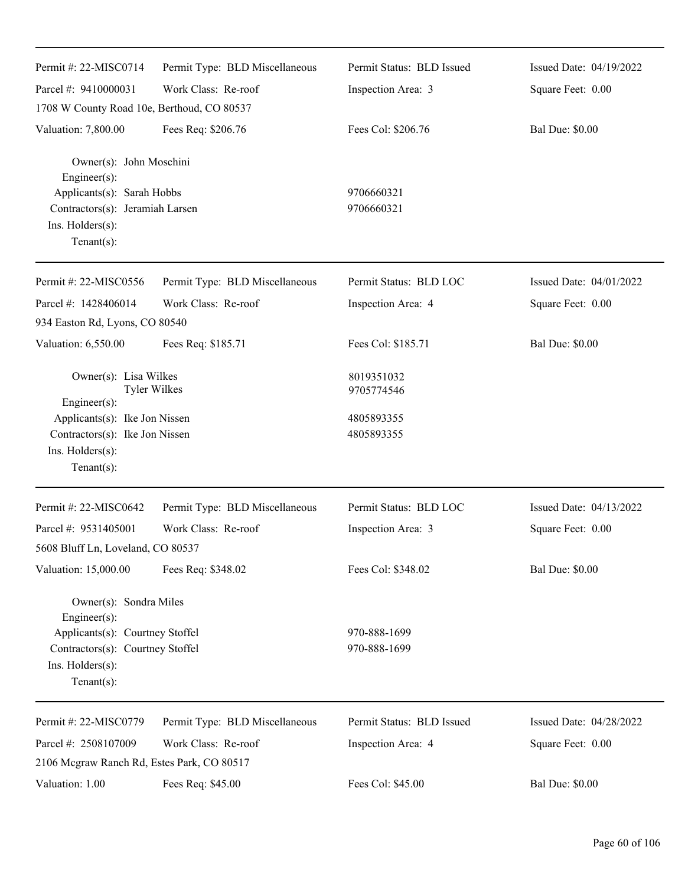| Permit #: 22-MISC0714                                                                                                                               | Permit Type: BLD Miscellaneous | Permit Status: BLD Issued    | Issued Date: 04/19/2022 |
|-----------------------------------------------------------------------------------------------------------------------------------------------------|--------------------------------|------------------------------|-------------------------|
| Parcel #: 9410000031                                                                                                                                | Work Class: Re-roof            | Inspection Area: 3           | Square Feet: 0.00       |
| 1708 W County Road 10e, Berthoud, CO 80537                                                                                                          |                                |                              |                         |
| Valuation: 7,800.00                                                                                                                                 | Fees Req: \$206.76             | Fees Col: \$206.76           | <b>Bal Due: \$0.00</b>  |
| Owner(s): John Moschini<br>Engineer(s):<br>Applicants(s): Sarah Hobbs<br>Contractors(s): Jeramiah Larsen<br>Ins. Holders(s):<br>Tenant $(s)$ :      |                                | 9706660321<br>9706660321     |                         |
| Permit #: 22-MISC0556                                                                                                                               | Permit Type: BLD Miscellaneous | Permit Status: BLD LOC       | Issued Date: 04/01/2022 |
| Parcel #: 1428406014                                                                                                                                | Work Class: Re-roof            | Inspection Area: 4           | Square Feet: 0.00       |
| 934 Easton Rd, Lyons, CO 80540                                                                                                                      |                                |                              |                         |
| Valuation: 6,550.00                                                                                                                                 | Fees Req: \$185.71             | Fees Col: \$185.71           | <b>Bal Due: \$0.00</b>  |
| Owner(s): Lisa Wilkes<br><b>Tyler Wilkes</b><br>Engineer(s):                                                                                        |                                | 8019351032<br>9705774546     |                         |
| Applicants(s): Ike Jon Nissen<br>Contractors(s): Ike Jon Nissen<br>Ins. Holders(s):<br>Tenant $(s)$ :                                               |                                | 4805893355<br>4805893355     |                         |
| Permit #: 22-MISC0642                                                                                                                               | Permit Type: BLD Miscellaneous | Permit Status: BLD LOC       | Issued Date: 04/13/2022 |
| Parcel #: 9531405001<br>5608 Bluff Ln, Loveland, CO 80537                                                                                           | Work Class: Re-roof            | Inspection Area: 3           | Square Feet: 0.00       |
| Valuation: 15,000.00                                                                                                                                | Fees Req: \$348.02             | Fees Col: \$348.02           | <b>Bal Due: \$0.00</b>  |
| Owner(s): Sondra Miles<br>Engineer(s):<br>Applicants(s): Courtney Stoffel<br>Contractors(s): Courtney Stoffel<br>Ins. Holders(s):<br>Tenant $(s)$ : |                                | 970-888-1699<br>970-888-1699 |                         |
| Permit #: 22-MISC0779                                                                                                                               | Permit Type: BLD Miscellaneous | Permit Status: BLD Issued    | Issued Date: 04/28/2022 |
| Parcel #: 2508107009                                                                                                                                | Work Class: Re-roof            | Inspection Area: 4           | Square Feet: 0.00       |
| 2106 Mcgraw Ranch Rd, Estes Park, CO 80517                                                                                                          |                                |                              |                         |
| Valuation: 1.00                                                                                                                                     | Fees Req: \$45.00              | Fees Col: \$45.00            | <b>Bal Due: \$0.00</b>  |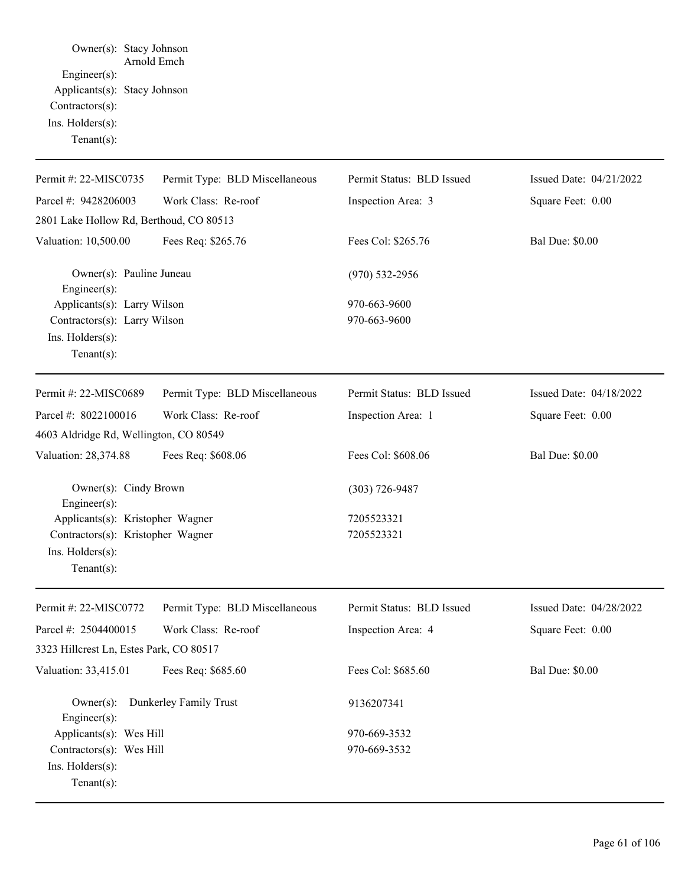Owner(s): Stacy Johnson Arnold Emch Engineer(s): Applicants(s): Stacy Johnson Contractors(s): Ins. Holders(s): Tenant(s):

| Permit #: 22-MISC0735                                                                                       | Permit Type: BLD Miscellaneous | Permit Status: BLD Issued | Issued Date: 04/21/2022 |
|-------------------------------------------------------------------------------------------------------------|--------------------------------|---------------------------|-------------------------|
| Parcel #: 9428206003                                                                                        | Work Class: Re-roof            | Inspection Area: 3        | Square Feet: 0.00       |
| 2801 Lake Hollow Rd, Berthoud, CO 80513                                                                     |                                |                           |                         |
| Valuation: 10,500.00                                                                                        | Fees Req: \$265.76             | Fees Col: \$265.76        | <b>Bal Due: \$0.00</b>  |
| Owner(s): Pauline Juneau<br>Engineer(s):                                                                    |                                | $(970)$ 532-2956          |                         |
| Applicants(s): Larry Wilson                                                                                 |                                | 970-663-9600              |                         |
| Contractors(s): Larry Wilson<br>Ins. Holders(s):<br>Tenant $(s)$ :                                          |                                | 970-663-9600              |                         |
| Permit #: 22-MISC0689                                                                                       | Permit Type: BLD Miscellaneous | Permit Status: BLD Issued | Issued Date: 04/18/2022 |
| Parcel #: 8022100016                                                                                        | Work Class: Re-roof            | Inspection Area: 1        | Square Feet: 0.00       |
| 4603 Aldridge Rd, Wellington, CO 80549                                                                      |                                |                           |                         |
| Valuation: 28,374.88                                                                                        | Fees Req: \$608.06             | Fees Col: \$608.06        | <b>Bal Due: \$0.00</b>  |
| Owner(s): Cindy Brown<br>Engineer(s):                                                                       |                                | $(303) 726 - 9487$        |                         |
| Applicants(s): Kristopher Wagner<br>Contractors(s): Kristopher Wagner<br>Ins. Holders(s):<br>Tenant $(s)$ : |                                | 7205523321<br>7205523321  |                         |
| Permit #: 22-MISC0772                                                                                       | Permit Type: BLD Miscellaneous | Permit Status: BLD Issued | Issued Date: 04/28/2022 |
| Parcel #: 2504400015                                                                                        | Work Class: Re-roof            | Inspection Area: 4        | Square Feet: 0.00       |
| 3323 Hillcrest Ln, Estes Park, CO 80517                                                                     |                                |                           |                         |
| Valuation: 33,415.01 Fees Req: \$685.60                                                                     |                                | Fees Col: \$685.60        | <b>Bal Due: \$0.00</b>  |
| $Owner(s)$ :<br>Engineer $(s)$ :                                                                            | Dunkerley Family Trust         | 9136207341                |                         |
| Applicants(s): Wes Hill                                                                                     |                                | 970-669-3532              |                         |
| Contractors(s): Wes Hill<br>Ins. Holders(s):<br>Tenant $(s)$ :                                              |                                | 970-669-3532              |                         |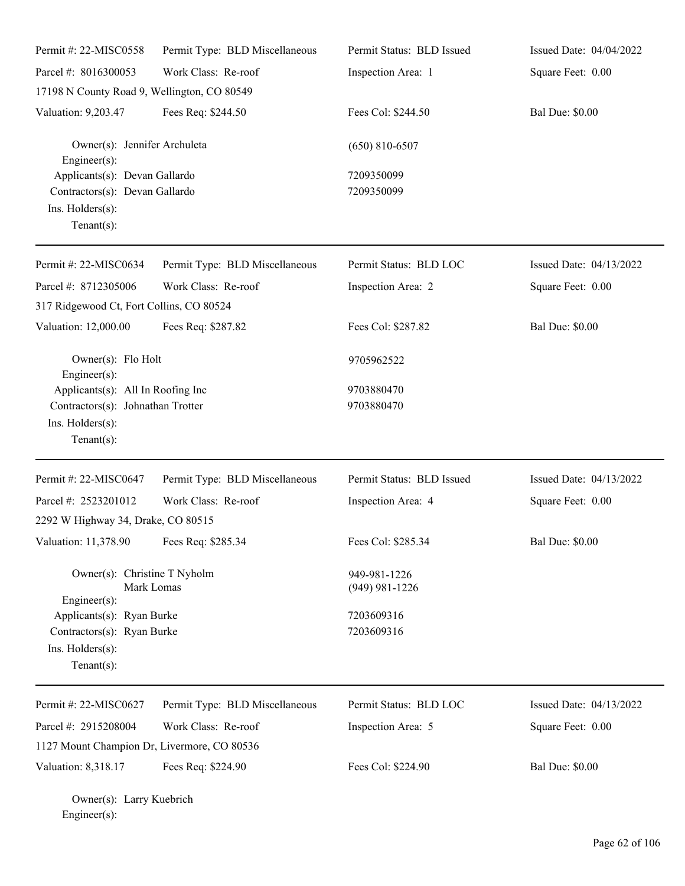| Permit #: 22-MISC0558                                                                                 | Permit Type: BLD Miscellaneous | Permit Status: BLD Issued        | Issued Date: 04/04/2022 |
|-------------------------------------------------------------------------------------------------------|--------------------------------|----------------------------------|-------------------------|
| Parcel #: 8016300053                                                                                  | Work Class: Re-roof            | Inspection Area: 1               | Square Feet: 0.00       |
| 17198 N County Road 9, Wellington, CO 80549                                                           |                                |                                  |                         |
| Valuation: 9,203.47                                                                                   | Fees Req: \$244.50             | Fees Col: \$244.50               | <b>Bal Due: \$0.00</b>  |
| Owner(s): Jennifer Archuleta<br>Engineer(s):                                                          |                                | $(650)$ 810-6507                 |                         |
| Applicants(s): Devan Gallardo<br>Contractors(s): Devan Gallardo<br>Ins. Holders(s):<br>Tenant $(s)$ : |                                | 7209350099<br>7209350099         |                         |
| Permit #: 22-MISC0634                                                                                 | Permit Type: BLD Miscellaneous | Permit Status: BLD LOC           | Issued Date: 04/13/2022 |
| Parcel #: 8712305006                                                                                  | Work Class: Re-roof            | Inspection Area: 2               | Square Feet: 0.00       |
| 317 Ridgewood Ct, Fort Collins, CO 80524                                                              |                                |                                  |                         |
| Valuation: 12,000.00                                                                                  | Fees Req: \$287.82             | Fees Col: \$287.82               | <b>Bal Due: \$0.00</b>  |
| Owner(s): Flo Holt<br>Engineer(s):                                                                    |                                | 9705962522                       |                         |
| Applicants(s): All In Roofing Inc                                                                     |                                | 9703880470                       |                         |
| Contractors(s): Johnathan Trotter<br>Ins. Holders(s):<br>Tenant $(s)$ :                               |                                | 9703880470                       |                         |
| Permit #: 22-MISC0647                                                                                 | Permit Type: BLD Miscellaneous | Permit Status: BLD Issued        | Issued Date: 04/13/2022 |
| Parcel #: 2523201012                                                                                  | Work Class: Re-roof            | Inspection Area: 4               | Square Feet: 0.00       |
| 2292 W Highway 34, Drake, CO 80515                                                                    |                                |                                  |                         |
| Valuation: 11,378.90                                                                                  | Fees Req: \$285.34             | Fees Col: \$285.34               | <b>Bal Due: \$0.00</b>  |
| Owner(s): Christine T Nyholm<br>Mark Lomas<br>$Engineering(s)$ :                                      |                                | 949-981-1226<br>$(949)$ 981-1226 |                         |
| Applicants(s): Ryan Burke<br>Contractors(s): Ryan Burke<br>Ins. Holders(s):<br>Tenant $(s)$ :         |                                | 7203609316<br>7203609316         |                         |
| Permit #: 22-MISC0627                                                                                 | Permit Type: BLD Miscellaneous | Permit Status: BLD LOC           | Issued Date: 04/13/2022 |
| Parcel #: 2915208004<br>1127 Mount Champion Dr, Livermore, CO 80536                                   | Work Class: Re-roof            | Inspection Area: 5               | Square Feet: 0.00       |
| Valuation: 8,318.17                                                                                   | Fees Req: \$224.90             | Fees Col: \$224.90               | <b>Bal Due: \$0.00</b>  |

Owner(s): Larry Kuebrich Engineer(s):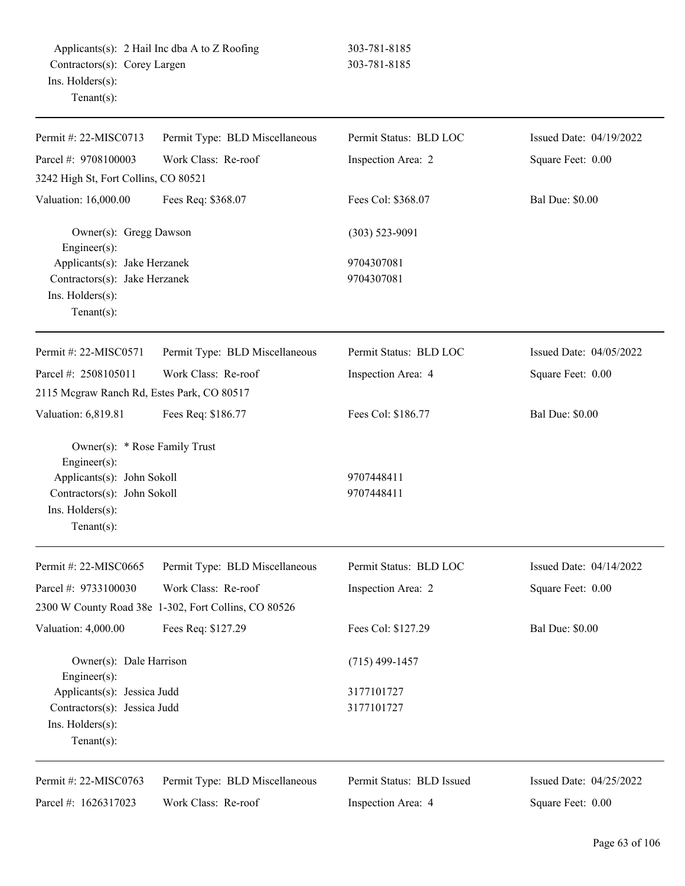| Permit #: 22-MISC0713                                                                                                                           | Permit Type: BLD Miscellaneous                       | Permit Status: BLD LOC    | Issued Date: 04/19/2022 |
|-------------------------------------------------------------------------------------------------------------------------------------------------|------------------------------------------------------|---------------------------|-------------------------|
| Parcel #: 9708100003                                                                                                                            | Work Class: Re-roof                                  | Inspection Area: 2        | Square Feet: 0.00       |
| 3242 High St, Fort Collins, CO 80521                                                                                                            |                                                      |                           |                         |
| Valuation: 16,000.00                                                                                                                            | Fees Req: \$368.07                                   | Fees Col: \$368.07        | <b>Bal Due: \$0.00</b>  |
| Owner(s): Gregg Dawson<br>Engineer(s):                                                                                                          |                                                      | $(303)$ 523-9091          |                         |
| Applicants(s): Jake Herzanek<br>Contractors(s): Jake Herzanek<br>Ins. Holders(s):<br>Tenant $(s)$ :                                             |                                                      | 9704307081<br>9704307081  |                         |
| Permit #: 22-MISC0571                                                                                                                           | Permit Type: BLD Miscellaneous                       | Permit Status: BLD LOC    | Issued Date: 04/05/2022 |
| Parcel #: 2508105011                                                                                                                            | Work Class: Re-roof                                  | Inspection Area: 4        | Square Feet: 0.00       |
| 2115 Mcgraw Ranch Rd, Estes Park, CO 80517                                                                                                      |                                                      |                           |                         |
| Valuation: 6,819.81                                                                                                                             | Fees Req: \$186.77                                   | Fees Col: \$186.77        | <b>Bal Due: \$0.00</b>  |
| Owner(s): * Rose Family Trust<br>Engineer(s):<br>Applicants(s): John Sokoll<br>Contractors(s): John Sokoll<br>Ins. Holders(s):<br>$Tenant(s)$ : |                                                      | 9707448411<br>9707448411  |                         |
| Permit #: 22-MISC0665                                                                                                                           | Permit Type: BLD Miscellaneous                       | Permit Status: BLD LOC    | Issued Date: 04/14/2022 |
| Parcel #: 9733100030                                                                                                                            | Work Class: Re-roof                                  | Inspection Area: 2        | Square Feet: 0.00       |
|                                                                                                                                                 |                                                      |                           |                         |
|                                                                                                                                                 | 2300 W County Road 38e 1-302, Fort Collins, CO 80526 |                           |                         |
| Valuation: 4,000.00                                                                                                                             | Fees Req: \$127.29                                   | Fees Col: \$127.29        | <b>Bal Due: \$0.00</b>  |
| Owner(s): Dale Harrison<br>Engineer(s):                                                                                                         |                                                      | $(715)$ 499-1457          |                         |
| Applicants(s): Jessica Judd                                                                                                                     |                                                      | 3177101727                |                         |
| Contractors(s): Jessica Judd                                                                                                                    |                                                      | 3177101727                |                         |
| Ins. Holders(s):                                                                                                                                |                                                      |                           |                         |
| Tenant $(s)$ :                                                                                                                                  |                                                      |                           |                         |
| Permit #: 22-MISC0763                                                                                                                           | Permit Type: BLD Miscellaneous                       | Permit Status: BLD Issued | Issued Date: 04/25/2022 |
| Parcel #: 1626317023                                                                                                                            | Work Class: Re-roof                                  | Inspection Area: 4        | Square Feet: 0.00       |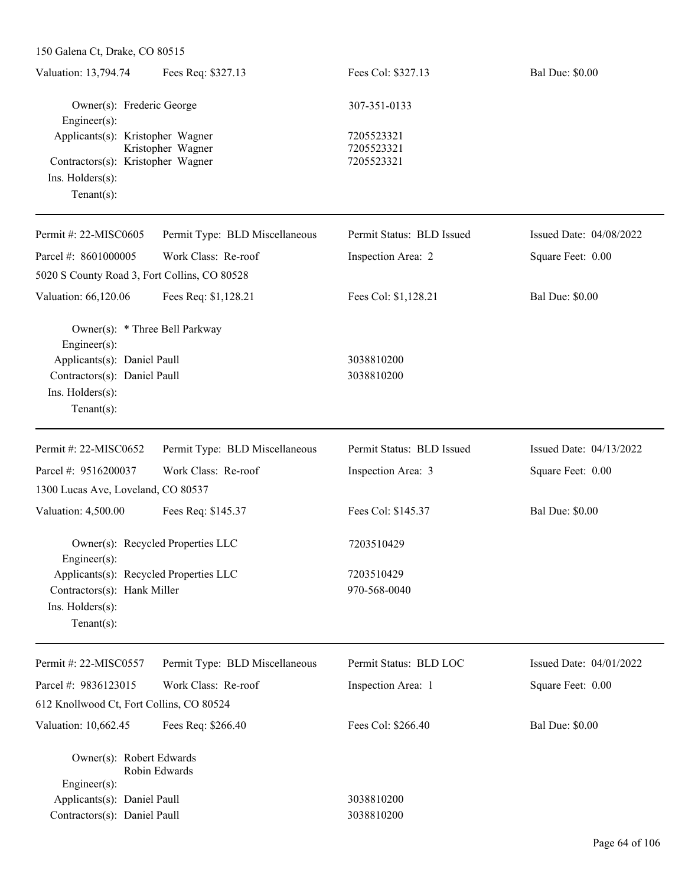| Valuation: 13,794.74                                                  | Fees Req: \$327.13                | Fees Col: \$327.13                     | <b>Bal Due: \$0.00</b>  |
|-----------------------------------------------------------------------|-----------------------------------|----------------------------------------|-------------------------|
| Owner(s): Frederic George<br>Engineer(s):                             |                                   | 307-351-0133                           |                         |
| Applicants(s): Kristopher Wagner<br>Contractors(s): Kristopher Wagner | Kristopher Wagner                 | 7205523321<br>7205523321<br>7205523321 |                         |
| $Ins.$ Holders $(s)$ :<br>Tenant $(s)$ :                              |                                   |                                        |                         |
| Permit #: 22-MISC0605                                                 | Permit Type: BLD Miscellaneous    | Permit Status: BLD Issued              | Issued Date: 04/08/2022 |
| Parcel #: 8601000005                                                  | Work Class: Re-roof               | Inspection Area: 2                     | Square Feet: 0.00       |
| 5020 S County Road 3, Fort Collins, CO 80528                          |                                   |                                        |                         |
| Valuation: 66,120.06                                                  | Fees Req: \$1,128.21              | Fees Col: \$1,128.21                   | <b>Bal Due: \$0.00</b>  |
| Owner(s): * Three Bell Parkway<br>Engineer(s):                        |                                   |                                        |                         |
| Applicants(s): Daniel Paull                                           |                                   | 3038810200                             |                         |
| Contractors(s): Daniel Paull                                          |                                   | 3038810200                             |                         |
| Ins. Holders(s):<br>Tenant $(s)$ :                                    |                                   |                                        |                         |
| Permit #: 22-MISC0652                                                 | Permit Type: BLD Miscellaneous    | Permit Status: BLD Issued              | Issued Date: 04/13/2022 |
| Parcel #: 9516200037                                                  | Work Class: Re-roof               | Inspection Area: 3                     | Square Feet: 0.00       |
| 1300 Lucas Ave, Loveland, CO 80537                                    |                                   |                                        |                         |
| Valuation: 4,500.00                                                   | Fees Req: \$145.37                | Fees Col: \$145.37                     | <b>Bal Due: \$0.00</b>  |
| Engineer(s):                                                          | Owner(s): Recycled Properties LLC | 7203510429                             |                         |
| Applicants(s): Recycled Properties LLC                                |                                   | 7203510429                             |                         |
| Contractors(s): Hank Miller                                           |                                   | 970-568-0040                           |                         |
| Ins. Holders(s):                                                      |                                   |                                        |                         |
| Tenant $(s)$ :                                                        |                                   |                                        |                         |
| Permit #: 22-MISC0557                                                 | Permit Type: BLD Miscellaneous    | Permit Status: BLD LOC                 | Issued Date: 04/01/2022 |
| Parcel #: 9836123015                                                  | Work Class: Re-roof               | Inspection Area: 1                     | Square Feet: 0.00       |
| 612 Knollwood Ct, Fort Collins, CO 80524                              |                                   |                                        |                         |
| Valuation: 10,662.45                                                  | Fees Req: \$266.40                | Fees Col: \$266.40                     | <b>Bal Due: \$0.00</b>  |
| Owner(s): Robert Edwards                                              | Robin Edwards                     |                                        |                         |
| Engineer(s):                                                          |                                   |                                        |                         |
| Applicants(s): Daniel Paull                                           |                                   | 3038810200                             |                         |
| Contractors(s): Daniel Paull                                          |                                   | 3038810200                             |                         |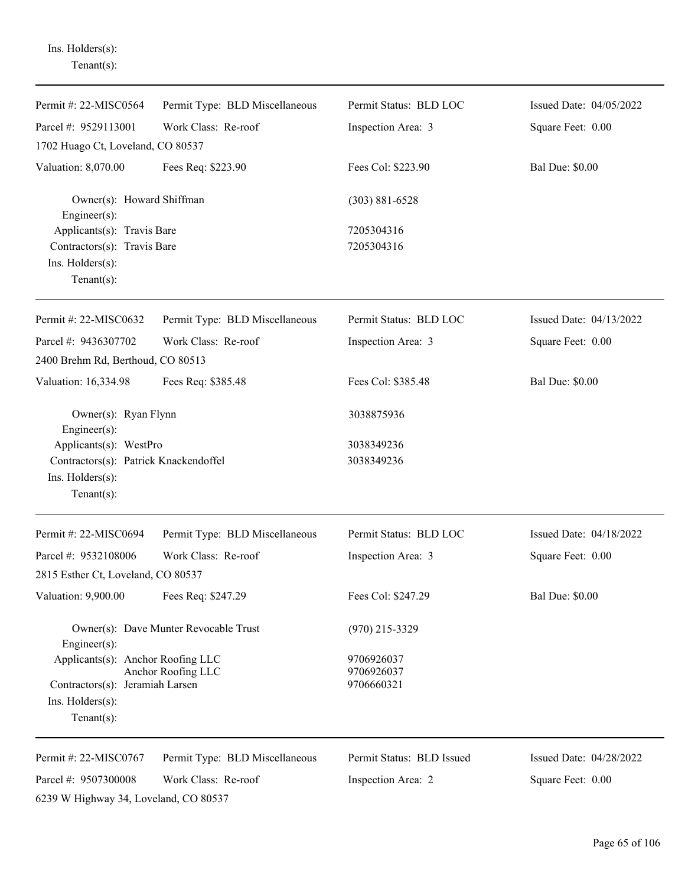Tenant(s): Permit #: 22-MISC0564 Parcel #: 9529113001 Permit Type: BLD Miscellaneous Work Class: Re-roof Permit Status: BLD LOC Inspection Area: 3 Issued Date: 04/05/2022 Square Feet: 0.00 1702 Huago Ct, Loveland, CO 80537 Valuation: 8,070.00 Fees Req: \$223.90 Fees Col: \$223.90 Bal Due: \$0.00 Owner(s): Howard Shiffman (303) 881-6528 Engineer(s): Applicants(s): Travis Bare 7205304316 Contractors(s): Travis Bare 7205304316 Ins. Holders(s): Tenant(s): Permit #: 22-MISC0632 Parcel #: 9436307702 Permit Type: BLD Miscellaneous Work Class: Re-roof Permit Status: BLD LOC Inspection Area: 3 Issued Date: 04/13/2022 Square Feet: 0.00 2400 Brehm Rd, Berthoud, CO 80513 Valuation: 16,334.98 Fees Req: \$385.48 Fees Col: \$385.48 Bal Due: \$0.00 Owner(s): Ryan Flynn 3038875936 Engineer(s): Applicants(s): WestPro 3038349236 Contractors(s): Patrick Knackendoffel 3038349236 Ins. Holders(s): Tenant(s): Permit #: 22-MISC0694 Parcel #: 9532108006 Permit Type: BLD Miscellaneous Work Class: Re-roof Permit Status: BLD LOC Inspection Area: 3 Issued Date: 04/18/2022 Square Feet: 0.00 2815 Esther Ct, Loveland, CO 80537 Valuation: 9,900.00 Fees Req: \$247.29 Fees Col: \$247.29 Bal Due: \$0.00 Owner(s): Dave Munter Revocable Trust (970) 215-3329 Engineer(s): Applicants(s): Anchor Roofing LLC 9706926037 Anchor Roofing LLC 9706926037 Contractors(s): Jeramiah Larsen 9706660321 Ins. Holders(s): Tenant(s): Permit #: 22-MISC0767 Parcel #: 9507300008 Permit Type: BLD Miscellaneous Work Class: Re-roof Permit Status: BLD Issued Inspection Area: 2 Issued Date: 04/28/2022 Square Feet: 0.00

Ins. Holders(s):

6239 W Highway 34, Loveland, CO 80537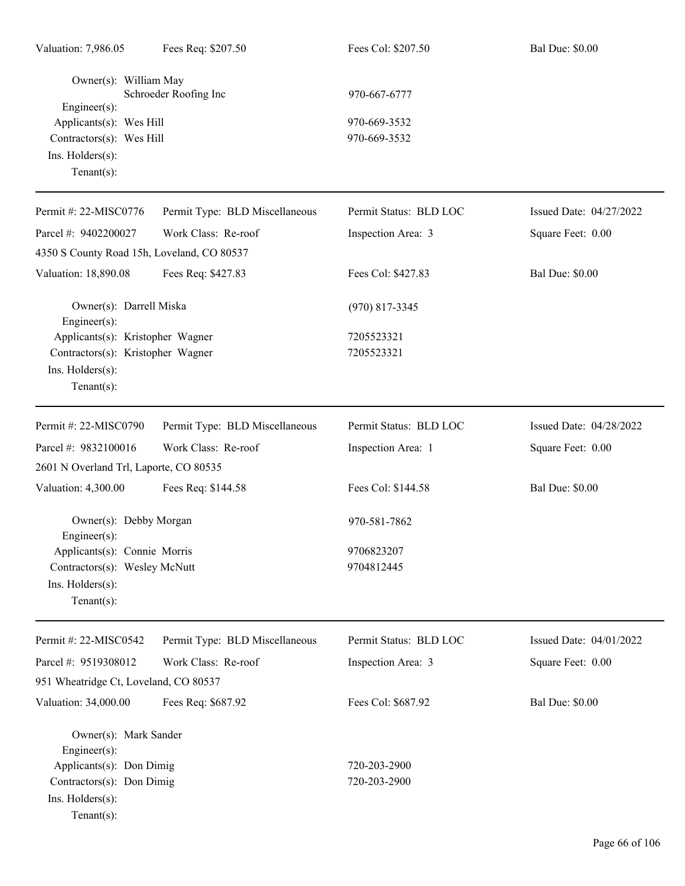| Valuation: 7,986.05                                                                                                                  | Fees Req: \$207.50             | Fees Col: \$207.50                           | <b>Bal Due: \$0.00</b>  |
|--------------------------------------------------------------------------------------------------------------------------------------|--------------------------------|----------------------------------------------|-------------------------|
| Owner(s): William May<br>$Engineering(s)$ :<br>Applicants(s): Wes Hill<br>Contractors(s): Wes Hill<br>Ins. Holders(s):<br>Tenant(s): | Schroeder Roofing Inc          | 970-667-6777<br>970-669-3532<br>970-669-3532 |                         |
| Permit #: 22-MISC0776                                                                                                                | Permit Type: BLD Miscellaneous | Permit Status: BLD LOC                       | Issued Date: 04/27/2022 |
| Parcel #: 9402200027                                                                                                                 | Work Class: Re-roof            | Inspection Area: 3                           | Square Feet: 0.00       |
| 4350 S County Road 15h, Loveland, CO 80537                                                                                           |                                |                                              |                         |
| Valuation: 18,890.08                                                                                                                 | Fees Req: \$427.83             | Fees Col: \$427.83                           | <b>Bal Due: \$0.00</b>  |
| Owner(s): Darrell Miska<br>Engineer(s):                                                                                              |                                | $(970)$ 817-3345                             |                         |
| Applicants(s): Kristopher Wagner<br>Contractors(s): Kristopher Wagner<br>Ins. Holders(s):<br>Tenant(s):                              |                                | 7205523321<br>7205523321                     |                         |
| Permit #: 22-MISC0790                                                                                                                | Permit Type: BLD Miscellaneous | Permit Status: BLD LOC                       | Issued Date: 04/28/2022 |
| Parcel #: 9832100016                                                                                                                 | Work Class: Re-roof            | Inspection Area: 1                           | Square Feet: 0.00       |
| 2601 N Overland Trl, Laporte, CO 80535                                                                                               |                                |                                              |                         |
| Valuation: 4,300.00                                                                                                                  | Fees Req: \$144.58             | Fees Col: \$144.58                           | <b>Bal Due: \$0.00</b>  |
| Owner(s): Debby Morgan<br>Engineer(s):                                                                                               |                                | 970-581-7862                                 |                         |
| Applicants(s): Connie Morris                                                                                                         |                                | 9706823207                                   |                         |
| Contractors(s): Wesley McNutt<br>Ins. Holders(s):<br>Tenant $(s)$ :                                                                  |                                | 9704812445                                   |                         |
| Permit #: 22-MISC0542                                                                                                                | Permit Type: BLD Miscellaneous | Permit Status: BLD LOC                       | Issued Date: 04/01/2022 |
| Parcel #: 9519308012                                                                                                                 | Work Class: Re-roof            | Inspection Area: 3                           | Square Feet: 0.00       |
| 951 Wheatridge Ct, Loveland, CO 80537                                                                                                |                                |                                              |                         |
| Valuation: 34,000.00                                                                                                                 | Fees Req: \$687.92             | Fees Col: \$687.92                           | <b>Bal Due: \$0.00</b>  |
| Owner(s): Mark Sander<br>Engineer(s):<br>Applicants(s): Don Dimig<br>Contractors(s): Don Dimig<br>Ins. Holders(s):<br>$Tenant(s)$ :  |                                | 720-203-2900<br>720-203-2900                 |                         |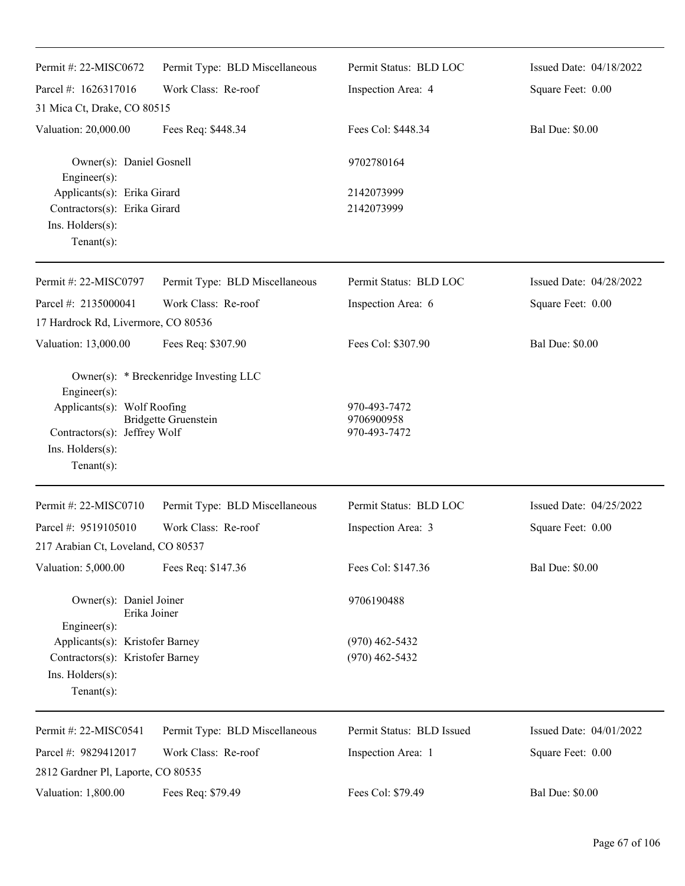| Permit #: 22-MISC0672                                                                                            | Permit Type: BLD Miscellaneous                                        | Permit Status: BLD LOC                     | Issued Date: 04/18/2022 |
|------------------------------------------------------------------------------------------------------------------|-----------------------------------------------------------------------|--------------------------------------------|-------------------------|
| Parcel #: 1626317016                                                                                             | Work Class: Re-roof                                                   | Inspection Area: 4                         | Square Feet: 0.00       |
| 31 Mica Ct, Drake, CO 80515                                                                                      |                                                                       |                                            |                         |
| Valuation: 20,000.00                                                                                             | Fees Req: \$448.34                                                    | Fees Col: \$448.34                         | <b>Bal Due: \$0.00</b>  |
| Owner(s): Daniel Gosnell<br>Engineer(s):                                                                         |                                                                       | 9702780164                                 |                         |
| Applicants(s): Erika Girard<br>Contractors(s): Erika Girard<br>Ins. $H$ olders $(s)$ :<br>$Tenant(s)$ :          |                                                                       | 2142073999<br>2142073999                   |                         |
| Permit #: 22-MISC0797                                                                                            | Permit Type: BLD Miscellaneous                                        | Permit Status: BLD LOC                     | Issued Date: 04/28/2022 |
| Parcel #: 2135000041                                                                                             | Work Class: Re-roof                                                   | Inspection Area: 6                         | Square Feet: 0.00       |
| 17 Hardrock Rd, Livermore, CO 80536                                                                              |                                                                       |                                            |                         |
| Valuation: 13,000.00                                                                                             | Fees Req: \$307.90                                                    | Fees Col: \$307.90                         | <b>Bal Due: \$0.00</b>  |
| Engineer(s):<br>Applicants(s): Wolf Roofing<br>Contractors(s): Jeffrey Wolf<br>Ins. Holders(s):<br>$Tenant(s)$ : | Owner(s): * Breckenridge Investing LLC<br><b>Bridgette Gruenstein</b> | 970-493-7472<br>9706900958<br>970-493-7472 |                         |
| Permit #: 22-MISC0710                                                                                            | Permit Type: BLD Miscellaneous                                        | Permit Status: BLD LOC                     | Issued Date: 04/25/2022 |
| Parcel #: 9519105010                                                                                             | Work Class: Re-roof                                                   | Inspection Area: 3                         | Square Feet: 0.00       |
| 217 Arabian Ct, Loveland, CO 80537                                                                               |                                                                       |                                            |                         |
| Valuation: 5,000.00                                                                                              | Fees Req: \$147.36                                                    | Fees Col: \$147.36                         | <b>Bal Due: \$0.00</b>  |
| Owner(s): Daniel Joiner<br>Erika Joiner<br>Engineer(s):                                                          |                                                                       | 9706190488                                 |                         |
| Applicants(s): Kristofer Barney<br>Contractors(s): Kristofer Barney<br>Ins. Holders(s):<br>$Tenant(s)$ :         |                                                                       | $(970)$ 462-5432<br>$(970)$ 462-5432       |                         |
| Permit #: 22-MISC0541                                                                                            | Permit Type: BLD Miscellaneous                                        | Permit Status: BLD Issued                  | Issued Date: 04/01/2022 |
| Parcel #: 9829412017                                                                                             | Work Class: Re-roof                                                   | Inspection Area: 1                         | Square Feet: 0.00       |
| 2812 Gardner Pl, Laporte, CO 80535                                                                               |                                                                       |                                            |                         |
| Valuation: 1,800.00                                                                                              | Fees Req: \$79.49                                                     | Fees Col: \$79.49                          | <b>Bal Due: \$0.00</b>  |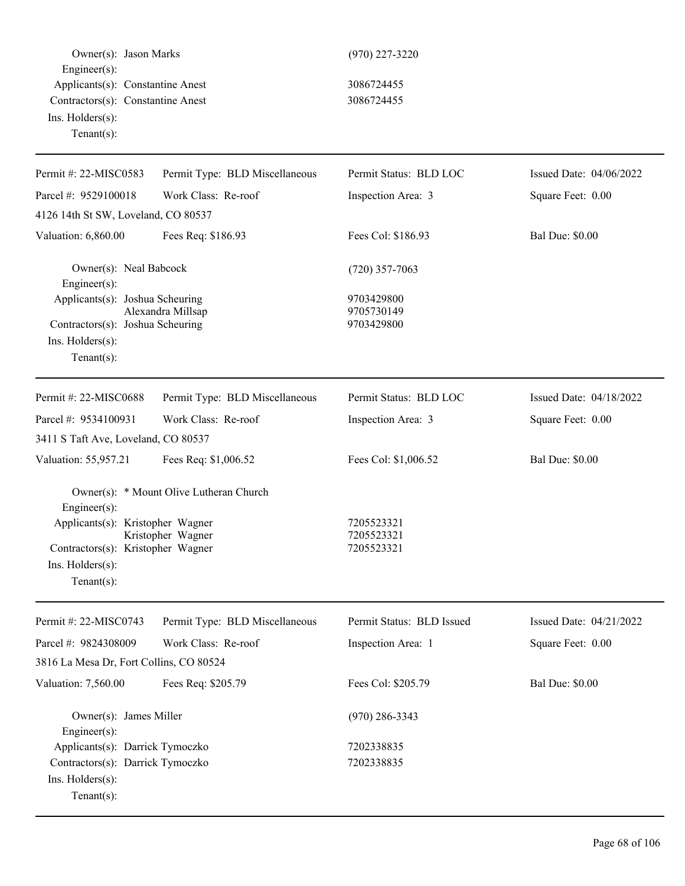| Owner(s): Jason Marks<br>Engineer(s):<br>Applicants(s): Constantine Anest<br>Contractors(s): Constantine Anest<br>Ins. Holders(s):<br>Tenant $(s)$ : |                                                              | $(970)$ 227-3220<br>3086724455<br>3086724455 |                         |
|------------------------------------------------------------------------------------------------------------------------------------------------------|--------------------------------------------------------------|----------------------------------------------|-------------------------|
| Permit #: 22-MISC0583                                                                                                                                | Permit Type: BLD Miscellaneous                               | Permit Status: BLD LOC                       | Issued Date: 04/06/2022 |
| Parcel #: 9529100018                                                                                                                                 | Work Class: Re-roof                                          | Inspection Area: 3                           | Square Feet: 0.00       |
| 4126 14th St SW, Loveland, CO 80537                                                                                                                  |                                                              |                                              |                         |
| Valuation: 6,860.00                                                                                                                                  | Fees Req: \$186.93                                           | Fees Col: \$186.93                           | <b>Bal Due: \$0.00</b>  |
| Owner(s): Neal Babcock<br>Engineer(s):                                                                                                               |                                                              | $(720)$ 357-7063                             |                         |
| Applicants(s): Joshua Scheuring<br>Contractors(s): Joshua Scheuring<br>Ins. Holders(s):<br>Tenant $(s)$ :                                            | Alexandra Millsap                                            | 9703429800<br>9705730149<br>9703429800       |                         |
| Permit #: 22-MISC0688                                                                                                                                | Permit Type: BLD Miscellaneous                               | Permit Status: BLD LOC                       | Issued Date: 04/18/2022 |
| Parcel #: 9534100931                                                                                                                                 | Work Class: Re-roof                                          | Inspection Area: 3                           | Square Feet: 0.00       |
| 3411 S Taft Ave, Loveland, CO 80537                                                                                                                  |                                                              |                                              |                         |
| Valuation: 55,957.21                                                                                                                                 | Fees Req: \$1,006.52                                         | Fees Col: \$1,006.52                         | <b>Bal Due: \$0.00</b>  |
| Engineer(s):<br>Applicants(s): Kristopher Wagner<br>Contractors(s): Kristopher Wagner<br>Ins. Holders(s):<br>Tenant $(s)$ :                          | Owner(s): * Mount Olive Lutheran Church<br>Kristopher Wagner | 7205523321<br>7205523321<br>7205523321       |                         |
| Permit #: 22-MISC0743                                                                                                                                | Permit Type: BLD Miscellaneous                               | Permit Status: BLD Issued                    | Issued Date: 04/21/2022 |
| Parcel #: 9824308009                                                                                                                                 | Work Class: Re-roof                                          | Inspection Area: 1                           | Square Feet: 0.00       |
| 3816 La Mesa Dr, Fort Collins, CO 80524                                                                                                              |                                                              |                                              |                         |
| Valuation: 7,560.00                                                                                                                                  | Fees Req: \$205.79                                           | Fees Col: \$205.79                           | <b>Bal Due: \$0.00</b>  |
| Owner(s): James Miller<br>$Engineering(s)$ :                                                                                                         |                                                              | $(970)$ 286-3343                             |                         |
| Applicants(s): Darrick Tymoczko<br>Contractors(s): Darrick Tymoczko<br>Ins. Holders(s):<br>Tenant $(s)$ :                                            |                                                              | 7202338835<br>7202338835                     |                         |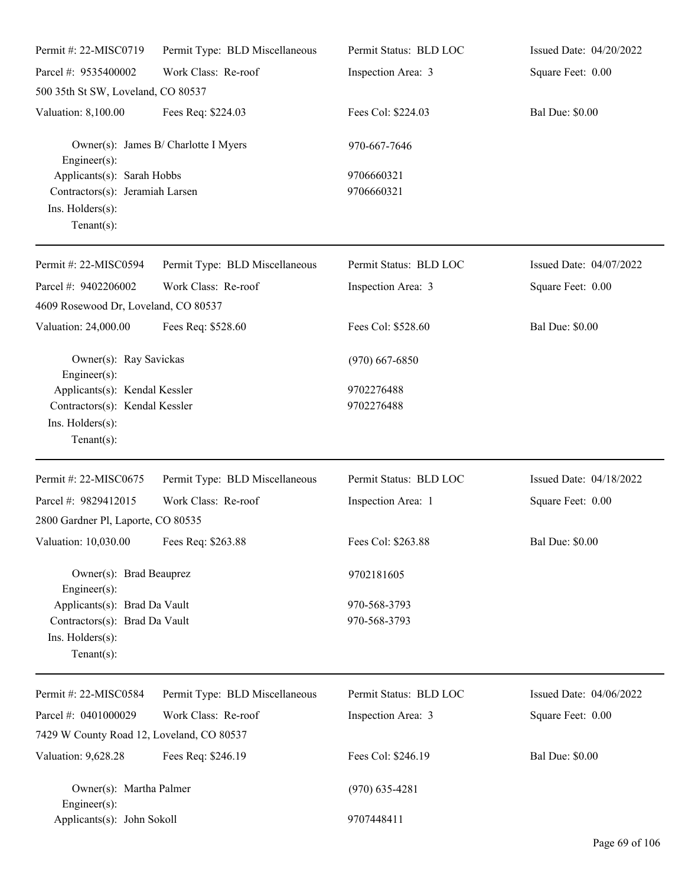| Permit #: 22-MISC0719                                                                                 | Permit Type: BLD Miscellaneous       | Permit Status: BLD LOC       | Issued Date: 04/20/2022 |
|-------------------------------------------------------------------------------------------------------|--------------------------------------|------------------------------|-------------------------|
| Parcel #: 9535400002                                                                                  | Work Class: Re-roof                  | Inspection Area: 3           | Square Feet: 0.00       |
| 500 35th St SW, Loveland, CO 80537                                                                    |                                      |                              |                         |
| Valuation: 8,100.00                                                                                   | Fees Req: \$224.03                   | Fees Col: \$224.03           | <b>Bal Due: \$0.00</b>  |
| $Engineering(s)$ :                                                                                    | Owner(s): James B/ Charlotte I Myers | 970-667-7646                 |                         |
| Applicants(s): Sarah Hobbs<br>Contractors(s): Jeramiah Larsen<br>Ins. Holders(s):<br>Tenant $(s)$ :   |                                      | 9706660321<br>9706660321     |                         |
| Permit #: 22-MISC0594                                                                                 | Permit Type: BLD Miscellaneous       | Permit Status: BLD LOC       | Issued Date: 04/07/2022 |
| Parcel #: 9402206002<br>4609 Rosewood Dr, Loveland, CO 80537                                          | Work Class: Re-roof                  | Inspection Area: 3           | Square Feet: 0.00       |
| Valuation: 24,000.00                                                                                  | Fees Req: \$528.60                   | Fees Col: \$528.60           | <b>Bal Due: \$0.00</b>  |
| Owner(s): Ray Savickas<br>Engineer $(s)$ :                                                            |                                      | $(970)$ 667-6850             |                         |
| Applicants(s): Kendal Kessler<br>Contractors(s): Kendal Kessler<br>Ins. Holders(s):<br>Tenant $(s)$ : |                                      | 9702276488<br>9702276488     |                         |
| Permit #: 22-MISC0675                                                                                 | Permit Type: BLD Miscellaneous       | Permit Status: BLD LOC       | Issued Date: 04/18/2022 |
| Parcel #: 9829412015<br>2800 Gardner Pl, Laporte, CO 80535                                            | Work Class: Re-roof                  | Inspection Area: 1           | Square Feet: 0.00       |
| Valuation: 10,030.00 Fees Req: \$263.88                                                               |                                      | Fees Col: \$263.88           | <b>Bal Due: \$0.00</b>  |
| Owner(s): Brad Beauprez<br>Engineer $(s)$ :                                                           |                                      | 9702181605                   |                         |
| Applicants(s): Brad Da Vault<br>Contractors(s): Brad Da Vault<br>Ins. Holders(s):<br>Tenant $(s)$ :   |                                      | 970-568-3793<br>970-568-3793 |                         |
| Permit #: 22-MISC0584                                                                                 | Permit Type: BLD Miscellaneous       | Permit Status: BLD LOC       | Issued Date: 04/06/2022 |
| Parcel #: 0401000029<br>7429 W County Road 12, Loveland, CO 80537                                     | Work Class: Re-roof                  | Inspection Area: 3           | Square Feet: 0.00       |
| Valuation: 9,628.28                                                                                   | Fees Req: \$246.19                   | Fees Col: \$246.19           | <b>Bal Due: \$0.00</b>  |
| Owner(s): Martha Palmer<br>Engineer $(s)$ :                                                           |                                      | $(970)$ 635-4281             |                         |
| Applicants(s): John Sokoll                                                                            |                                      | 9707448411                   |                         |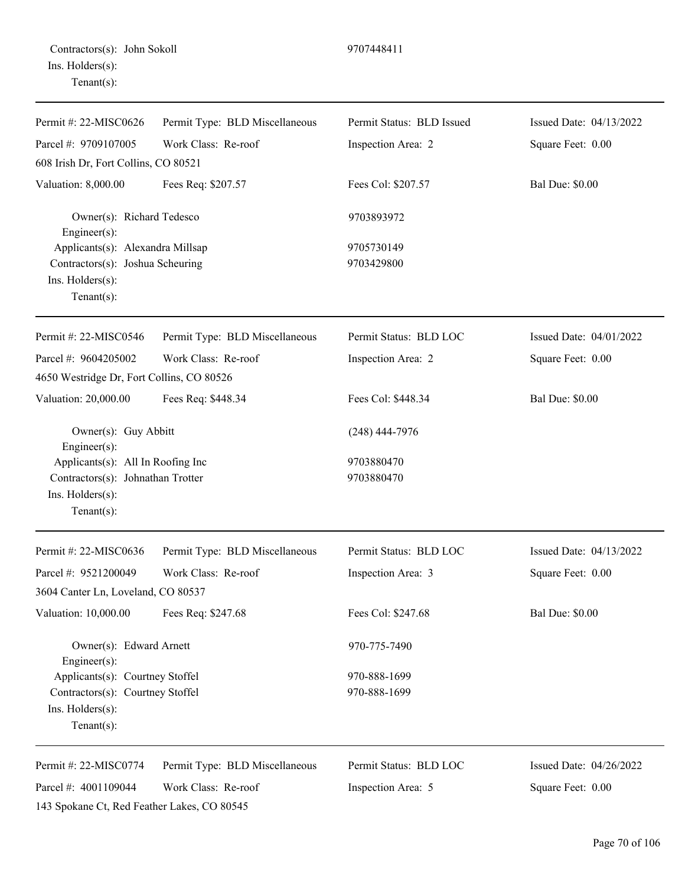| Permit #: 22-MISC0626                                                                                       | Permit Type: BLD Miscellaneous | Permit Status: BLD Issued | Issued Date: 04/13/2022 |
|-------------------------------------------------------------------------------------------------------------|--------------------------------|---------------------------|-------------------------|
| Parcel #: 9709107005                                                                                        | Work Class: Re-roof            | Inspection Area: 2        | Square Feet: 0.00       |
| 608 Irish Dr, Fort Collins, CO 80521                                                                        |                                |                           |                         |
| Valuation: 8,000.00                                                                                         | Fees Req: \$207.57             | Fees Col: \$207.57        | <b>Bal Due: \$0.00</b>  |
| Owner(s): Richard Tedesco<br>Engineer(s):<br>Applicants(s): Alexandra Millsap                               |                                | 9703893972                |                         |
|                                                                                                             |                                | 9705730149                |                         |
| Contractors(s): Joshua Scheuring<br>Ins. Holders(s):<br>Tenant $(s)$ :                                      |                                | 9703429800                |                         |
| Permit #: 22-MISC0546                                                                                       | Permit Type: BLD Miscellaneous | Permit Status: BLD LOC    | Issued Date: 04/01/2022 |
| Parcel #: 9604205002                                                                                        | Work Class: Re-roof            | Inspection Area: 2        | Square Feet: 0.00       |
| 4650 Westridge Dr, Fort Collins, CO 80526                                                                   |                                |                           |                         |
| Valuation: 20,000.00                                                                                        | Fees Req: \$448.34             | Fees Col: \$448.34        | <b>Bal Due: \$0.00</b>  |
| Owner(s): Guy Abbitt<br>Engineer(s):                                                                        |                                | $(248)$ 444-7976          |                         |
| Applicants(s): All In Roofing Inc<br>Contractors(s): Johnathan Trotter<br>Ins. Holders(s):<br>$Tenant(s)$ : |                                | 9703880470<br>9703880470  |                         |
| Permit #: 22-MISC0636                                                                                       | Permit Type: BLD Miscellaneous | Permit Status: BLD LOC    | Issued Date: 04/13/2022 |
| Parcel #: 9521200049                                                                                        | Work Class: Re-roof            | Inspection Area: 3        | Square Feet: 0.00       |
| 3604 Canter Ln, Loveland, CO 80537                                                                          |                                |                           |                         |
| Valuation: 10,000.00                                                                                        | Fees Req: \$247.68             | Fees Col: \$247.68        | <b>Bal Due: \$0.00</b>  |
| Owner(s): Edward Arnett<br>Engineer(s):                                                                     |                                | 970-775-7490              |                         |
| Applicants(s): Courtney Stoffel                                                                             |                                | 970-888-1699              |                         |
| Contractors(s): Courtney Stoffel<br>Ins. Holders(s):<br>Tenant $(s)$ :                                      |                                | 970-888-1699              |                         |
| Permit #: 22-MISC0774                                                                                       | Permit Type: BLD Miscellaneous | Permit Status: BLD LOC    | Issued Date: 04/26/2022 |
| Parcel #: 4001109044                                                                                        | Work Class: Re-roof            | Inspection Area: 5        | Square Feet: 0.00       |

143 Spokane Ct, Red Feather Lakes, CO 80545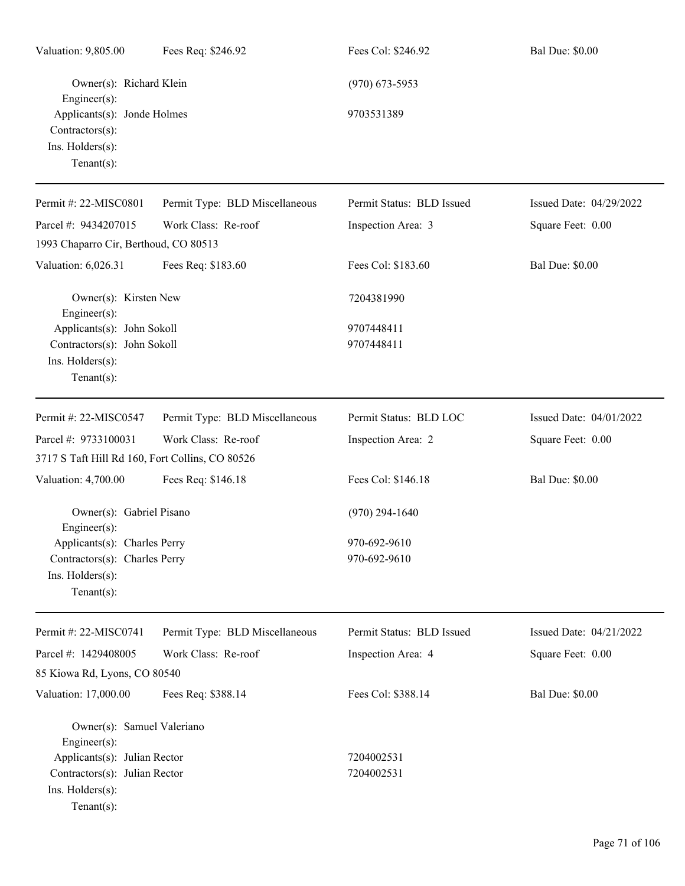| Valuation: 9,805.00                                                                                | Fees Req: \$246.92             | Fees Col: \$246.92        | <b>Bal Due: \$0.00</b>  |
|----------------------------------------------------------------------------------------------------|--------------------------------|---------------------------|-------------------------|
| Owner(s): Richard Klein<br>$Engineering(s)$ :                                                      |                                | $(970)$ 673-5953          |                         |
| Applicants(s): Jonde Holmes<br>Contractors(s):<br>Ins. Holders(s):<br>Tenant $(s)$ :               |                                | 9703531389                |                         |
| Permit #: 22-MISC0801                                                                              | Permit Type: BLD Miscellaneous | Permit Status: BLD Issued | Issued Date: 04/29/2022 |
| Parcel #: 9434207015                                                                               | Work Class: Re-roof            | Inspection Area: 3        | Square Feet: 0.00       |
| 1993 Chaparro Cir, Berthoud, CO 80513                                                              |                                |                           |                         |
| Valuation: 6,026.31                                                                                | Fees Req: \$183.60             | Fees Col: \$183.60        | <b>Bal Due: \$0.00</b>  |
| Owner(s): Kirsten New<br>$Engineering(s)$ :                                                        |                                | 7204381990                |                         |
| Applicants(s): John Sokoll                                                                         |                                | 9707448411                |                         |
| Contractors(s): John Sokoll<br>Ins. Holders(s):<br>Tenant $(s)$ :                                  |                                | 9707448411                |                         |
| Permit #: 22-MISC0547                                                                              | Permit Type: BLD Miscellaneous | Permit Status: BLD LOC    | Issued Date: 04/01/2022 |
| Parcel #: 9733100031<br>3717 S Taft Hill Rd 160, Fort Collins, CO 80526                            | Work Class: Re-roof            | Inspection Area: 2        | Square Feet: 0.00       |
| Valuation: 4,700.00                                                                                | Fees Req: \$146.18             | Fees Col: \$146.18        | <b>Bal Due: \$0.00</b>  |
| Owner(s): Gabriel Pisano<br>$Engineer(s)$ :                                                        |                                | $(970)$ 294-1640          |                         |
| Applicants(s): Charles Perry                                                                       |                                | 970-692-9610              |                         |
| Contractors(s): Charles Perry                                                                      |                                | 970-692-9610              |                         |
| Ins. Holders(s):<br>$Tenant(s)$ :                                                                  |                                |                           |                         |
| Permit #: 22-MISC0741                                                                              | Permit Type: BLD Miscellaneous | Permit Status: BLD Issued | Issued Date: 04/21/2022 |
| Parcel #: 1429408005                                                                               | Work Class: Re-roof            | Inspection Area: 4        | Square Feet: 0.00       |
| 85 Kiowa Rd, Lyons, CO 80540                                                                       |                                |                           |                         |
| Valuation: 17,000.00                                                                               | Fees Req: \$388.14             | Fees Col: \$388.14        | <b>Bal Due: \$0.00</b>  |
| Owner(s): Samuel Valeriano<br>$Engineering(s)$ :                                                   |                                |                           |                         |
| Applicants(s): Julian Rector<br>Contractors(s): Julian Rector<br>Ins. Holders(s):<br>$Tenant(s)$ : |                                | 7204002531<br>7204002531  |                         |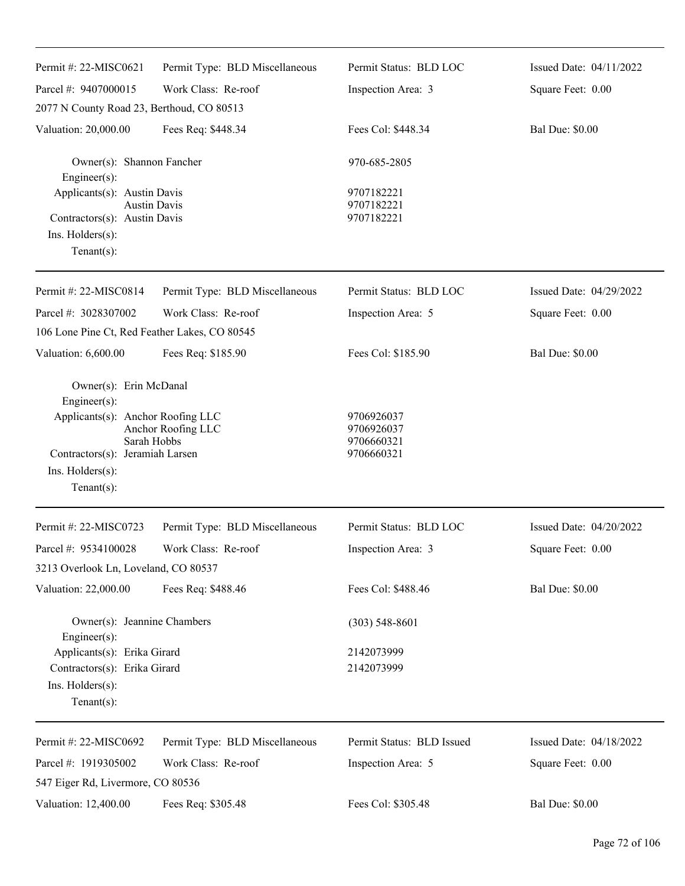| Permit #: 22-MISC0621                                                                                                                               | Permit Type: BLD Miscellaneous    | Permit Status: BLD LOC                               | Issued Date: 04/11/2022 |
|-----------------------------------------------------------------------------------------------------------------------------------------------------|-----------------------------------|------------------------------------------------------|-------------------------|
| Parcel #: 9407000015                                                                                                                                | Work Class: Re-roof               | Inspection Area: 3                                   | Square Feet: 0.00       |
| 2077 N County Road 23, Berthoud, CO 80513                                                                                                           |                                   |                                                      |                         |
| Valuation: 20,000.00                                                                                                                                | Fees Req: \$448.34                | Fees Col: \$448.34                                   | <b>Bal Due: \$0.00</b>  |
| Owner(s): Shannon Fancher<br>$Engineering(s)$ :                                                                                                     |                                   | 970-685-2805                                         |                         |
| Applicants(s): Austin Davis<br>Contractors(s): Austin Davis<br>Ins. Holders(s):                                                                     | <b>Austin Davis</b>               | 9707182221<br>9707182221<br>9707182221               |                         |
| $Tenant(s)$ :                                                                                                                                       |                                   |                                                      |                         |
| Permit #: 22-MISC0814                                                                                                                               | Permit Type: BLD Miscellaneous    | Permit Status: BLD LOC                               | Issued Date: 04/29/2022 |
| Parcel #: 3028307002                                                                                                                                | Work Class: Re-roof               | Inspection Area: 5                                   | Square Feet: 0.00       |
| 106 Lone Pine Ct, Red Feather Lakes, CO 80545                                                                                                       |                                   |                                                      |                         |
| Valuation: 6,600.00                                                                                                                                 | Fees Req: \$185.90                | Fees Col: \$185.90                                   | <b>Bal Due: \$0.00</b>  |
| Owner(s): Erin McDanal<br>Engineer(s):<br>Applicants(s): Anchor Roofing LLC<br>Contractors(s): Jeramiah Larsen<br>Ins. Holders(s):<br>$Tenant(s)$ : | Anchor Roofing LLC<br>Sarah Hobbs | 9706926037<br>9706926037<br>9706660321<br>9706660321 |                         |
| Permit #: 22-MISC0723                                                                                                                               | Permit Type: BLD Miscellaneous    | Permit Status: BLD LOC                               | Issued Date: 04/20/2022 |
| Parcel #: 9534100028                                                                                                                                | Work Class: Re-roof               | Inspection Area: 3                                   | Square Feet: 0.00       |
| 3213 Overlook Ln, Loveland, CO 80537                                                                                                                |                                   |                                                      |                         |
| Valuation: 22,000.00                                                                                                                                | Fees Req: \$488.46                | Fees Col: \$488.46                                   | <b>Bal Due: \$0.00</b>  |
| Owner(s): Jeannine Chambers<br>Engineer(s):                                                                                                         |                                   | $(303)$ 548-8601                                     |                         |
| Applicants(s): Erika Girard                                                                                                                         |                                   | 2142073999                                           |                         |
| Contractors(s): Erika Girard<br>Ins. Holders(s):<br>$Tenant(s)$ :                                                                                   |                                   | 2142073999                                           |                         |
| Permit #: 22-MISC0692                                                                                                                               | Permit Type: BLD Miscellaneous    | Permit Status: BLD Issued                            | Issued Date: 04/18/2022 |
| Parcel #: 1919305002                                                                                                                                | Work Class: Re-roof               | Inspection Area: 5                                   | Square Feet: 0.00       |
| 547 Eiger Rd, Livermore, CO 80536                                                                                                                   |                                   |                                                      |                         |
| Valuation: 12,400.00                                                                                                                                | Fees Req: \$305.48                | Fees Col: \$305.48                                   | <b>Bal Due: \$0.00</b>  |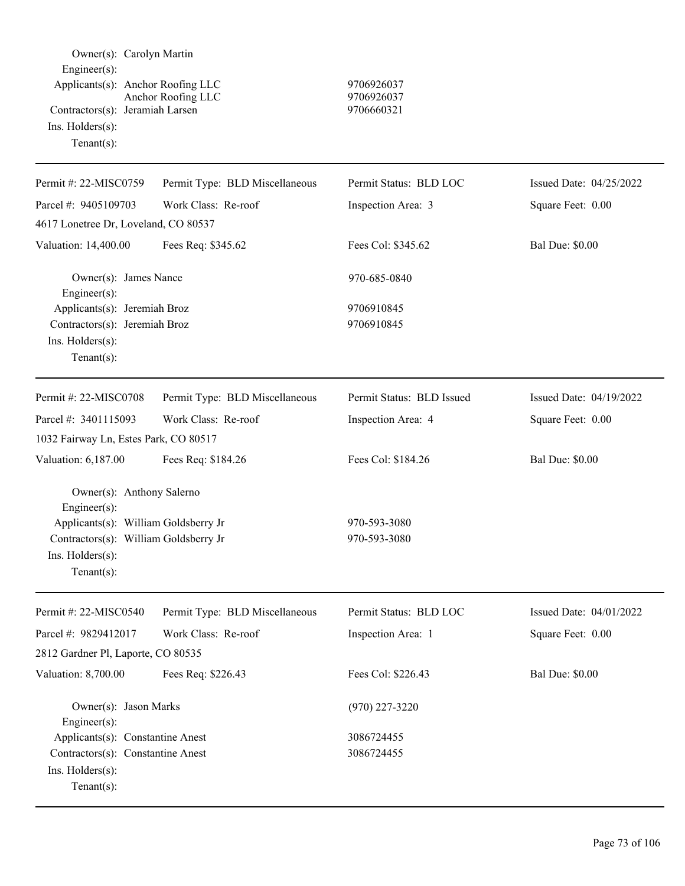| Owner(s): Carolyn Martin<br>Engineer(s):<br>Applicants(s): Anchor Roofing LLC<br>Contractors(s): Jeramiah Larsen<br>Ins. Holders(s):<br>$Tenant(s)$ :                 | Anchor Roofing LLC             | 9706926037<br>9706926037<br>9706660321 |                         |
|-----------------------------------------------------------------------------------------------------------------------------------------------------------------------|--------------------------------|----------------------------------------|-------------------------|
| Permit #: 22-MISC0759                                                                                                                                                 | Permit Type: BLD Miscellaneous | Permit Status: BLD LOC                 | Issued Date: 04/25/2022 |
| Parcel #: 9405109703                                                                                                                                                  | Work Class: Re-roof            | Inspection Area: 3                     | Square Feet: 0.00       |
| 4617 Lonetree Dr, Loveland, CO 80537                                                                                                                                  |                                |                                        |                         |
| Valuation: 14,400.00                                                                                                                                                  | Fees Req: \$345.62             | Fees Col: \$345.62                     | <b>Bal Due: \$0.00</b>  |
| Owner(s): James Nance<br>Engineer(s):<br>Applicants(s): Jeremiah Broz                                                                                                 |                                | 970-685-0840<br>9706910845             |                         |
| Contractors(s): Jeremiah Broz<br>Ins. Holders(s):<br>$Tenant(s)$ :                                                                                                    |                                | 9706910845                             |                         |
| Permit #: 22-MISC0708                                                                                                                                                 | Permit Type: BLD Miscellaneous | Permit Status: BLD Issued              | Issued Date: 04/19/2022 |
| Parcel #: 3401115093                                                                                                                                                  | Work Class: Re-roof            | Inspection Area: 4                     | Square Feet: 0.00       |
| 1032 Fairway Ln, Estes Park, CO 80517                                                                                                                                 |                                |                                        |                         |
| Valuation: 6,187.00                                                                                                                                                   | Fees Req: \$184.26             | Fees Col: \$184.26                     | <b>Bal Due: \$0.00</b>  |
| Owner(s): Anthony Salerno<br>Engineer(s):<br>Applicants(s): William Goldsberry Jr<br>Contractors(s): William Goldsberry Jr<br>$Ins.$ Holders $(s)$ :<br>$Tenant(s)$ : |                                | 970-593-3080<br>970-593-3080           |                         |
| Permit #: 22-MISC0540                                                                                                                                                 | Permit Type: BLD Miscellaneous | Permit Status: BLD LOC                 | Issued Date: 04/01/2022 |
| Parcel #: 9829412017                                                                                                                                                  | Work Class: Re-roof            | Inspection Area: 1                     | Square Feet: 0.00       |
| 2812 Gardner Pl, Laporte, CO 80535                                                                                                                                    |                                |                                        |                         |
| Valuation: 8,700.00                                                                                                                                                   | Fees Req: \$226.43             | Fees Col: \$226.43                     | <b>Bal Due: \$0.00</b>  |
| Owner(s): Jason Marks<br>Engineer(s):                                                                                                                                 |                                | $(970)$ 227-3220                       |                         |
| Applicants(s): Constantine Anest<br>Contractors(s): Constantine Anest<br>Ins. Holders(s):<br>$Tenant(s)$ :                                                            |                                | 3086724455<br>3086724455               |                         |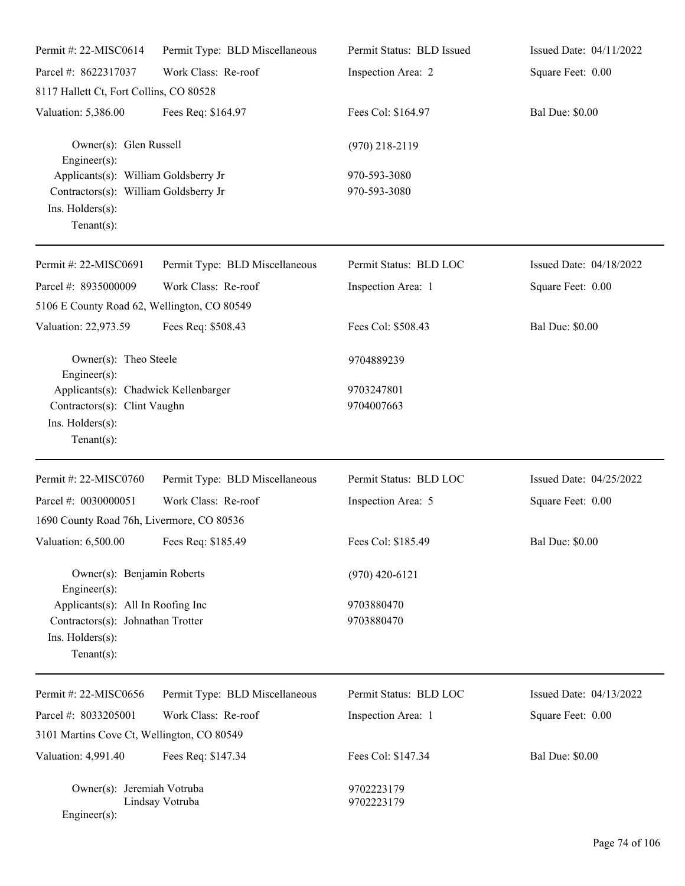| Permit #: 22-MISC0614                                                                                               | Permit Type: BLD Miscellaneous | Permit Status: BLD Issued    | Issued Date: 04/11/2022 |
|---------------------------------------------------------------------------------------------------------------------|--------------------------------|------------------------------|-------------------------|
| Parcel #: 8622317037                                                                                                | Work Class: Re-roof            | Inspection Area: 2           | Square Feet: 0.00       |
| 8117 Hallett Ct, Fort Collins, CO 80528                                                                             |                                |                              |                         |
| Valuation: 5,386.00                                                                                                 | Fees Req: \$164.97             | Fees Col: \$164.97           | <b>Bal Due: \$0.00</b>  |
| Owner(s): Glen Russell<br>Engineer $(s)$ :                                                                          |                                | $(970)$ 218-2119             |                         |
| Applicants(s): William Goldsberry Jr<br>Contractors(s): William Goldsberry Jr<br>Ins. Holders(s):<br>Tenant $(s)$ : |                                | 970-593-3080<br>970-593-3080 |                         |
| Permit #: 22-MISC0691                                                                                               | Permit Type: BLD Miscellaneous | Permit Status: BLD LOC       | Issued Date: 04/18/2022 |
| Parcel #: 8935000009                                                                                                | Work Class: Re-roof            | Inspection Area: 1           | Square Feet: 0.00       |
| 5106 E County Road 62, Wellington, CO 80549                                                                         |                                |                              |                         |
| Valuation: 22,973.59                                                                                                | Fees Req: \$508.43             | Fees Col: \$508.43           | <b>Bal Due: \$0.00</b>  |
| Owner(s): Theo Steele<br>Engineer(s):                                                                               |                                | 9704889239                   |                         |
| Applicants(s): Chadwick Kellenbarger<br>Contractors(s): Clint Vaughn<br>Ins. Holders(s):<br>Tenant $(s)$ :          |                                | 9703247801<br>9704007663     |                         |
| Permit #: 22-MISC0760                                                                                               | Permit Type: BLD Miscellaneous | Permit Status: BLD LOC       | Issued Date: 04/25/2022 |
| Parcel #: 0030000051                                                                                                | Work Class: Re-roof            | Inspection Area: 5           | Square Feet: 0.00       |
| 1690 County Road 76h, Livermore, CO 80536                                                                           |                                |                              |                         |
| Valuation: 6,500.00 Fees Req: \$185.49                                                                              |                                | Fees Col: \$185.49           | <b>Bal Due: \$0.00</b>  |
| Owner(s): Benjamin Roberts<br>Engineer $(s)$ :                                                                      |                                | $(970)$ 420-6121             |                         |
| Applicants(s): All In Roofing Inc<br>Contractors(s): Johnathan Trotter<br>Ins. Holders(s):<br>Tenant $(s)$ :        |                                | 9703880470<br>9703880470     |                         |
| Permit #: 22-MISC0656                                                                                               | Permit Type: BLD Miscellaneous | Permit Status: BLD LOC       | Issued Date: 04/13/2022 |
| Parcel #: 8033205001                                                                                                | Work Class: Re-roof            | Inspection Area: 1           | Square Feet: 0.00       |
| 3101 Martins Cove Ct, Wellington, CO 80549                                                                          |                                |                              |                         |
| Valuation: 4,991.40                                                                                                 | Fees Req: \$147.34             | Fees Col: \$147.34           | <b>Bal Due: \$0.00</b>  |
| Owner(s): Jeremiah Votruba<br>Engineer(s):                                                                          | Lindsay Votruba                | 9702223179<br>9702223179     |                         |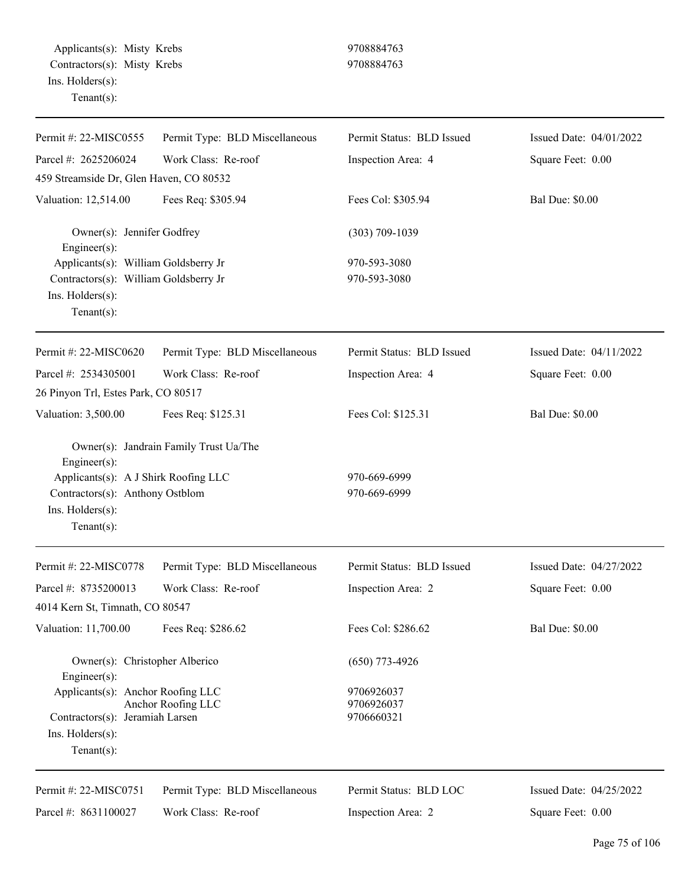Applicants(s): Misty Krebs 9708884763 Contractors(s): Misty Krebs 9708884763 Ins. Holders(s): Tenant(s):

| Permit #: 22-MISC0555                                                                                                        | Permit Type: BLD Miscellaneous         | Permit Status: BLD Issued              | Issued Date: 04/01/2022 |
|------------------------------------------------------------------------------------------------------------------------------|----------------------------------------|----------------------------------------|-------------------------|
| Parcel #: 2625206024                                                                                                         | Work Class: Re-roof                    | Inspection Area: 4                     | Square Feet: 0.00       |
| 459 Streamside Dr, Glen Haven, CO 80532                                                                                      |                                        |                                        |                         |
| Valuation: 12,514.00                                                                                                         | Fees Req: \$305.94                     | Fees Col: \$305.94                     | <b>Bal Due: \$0.00</b>  |
| Owner(s): Jennifer Godfrey<br>Engineer(s):                                                                                   |                                        | $(303)$ 709-1039                       |                         |
| Applicants(s): William Goldsberry Jr<br>Contractors(s): William Goldsberry Jr<br>Ins. Holders(s):<br>$Tenant(s)$ :           |                                        | 970-593-3080<br>970-593-3080           |                         |
| Permit #: 22-MISC0620                                                                                                        | Permit Type: BLD Miscellaneous         | Permit Status: BLD Issued              | Issued Date: 04/11/2022 |
| Parcel #: 2534305001                                                                                                         | Work Class: Re-roof                    | Inspection Area: 4                     | Square Feet: 0.00       |
| 26 Pinyon Trl, Estes Park, CO 80517                                                                                          |                                        |                                        |                         |
| Valuation: 3,500.00                                                                                                          | Fees Req: \$125.31                     | Fees Col: \$125.31                     | <b>Bal Due: \$0.00</b>  |
| Engineer(s):<br>Applicants(s): A J Shirk Roofing LLC<br>Contractors(s): Anthony Ostblom<br>Ins. Holders(s):<br>$Tenant(s)$ : | Owner(s): Jandrain Family Trust Ua/The | 970-669-6999<br>970-669-6999           |                         |
| Permit #: 22-MISC0778                                                                                                        | Permit Type: BLD Miscellaneous         | Permit Status: BLD Issued              | Issued Date: 04/27/2022 |
| Parcel #: 8735200013<br>4014 Kern St, Timnath, CO 80547                                                                      | Work Class: Re-roof                    | Inspection Area: 2                     | Square Feet: 0.00       |
| Valuation: 11,700.00                                                                                                         | Fees Req: \$286.62                     | Fees Col: \$286.62                     | <b>Bal Due: \$0.00</b>  |
| Owner(s): Christopher Alberico<br>$Engineering(s)$ :                                                                         |                                        | $(650)$ 773-4926                       |                         |
| Applicants(s): Anchor Roofing LLC<br>Contractors(s): Jeramiah Larsen<br>$Ins.$ Holders $(s)$ :<br>$Tenant(s)$ :              | Anchor Roofing LLC                     | 9706926037<br>9706926037<br>9706660321 |                         |
| Permit #: 22-MISC0751                                                                                                        | Permit Type: BLD Miscellaneous         | Permit Status: BLD LOC                 | Issued Date: 04/25/2022 |
| Parcel #: 8631100027                                                                                                         | Work Class: Re-roof                    | Inspection Area: 2                     | Square Feet: 0.00       |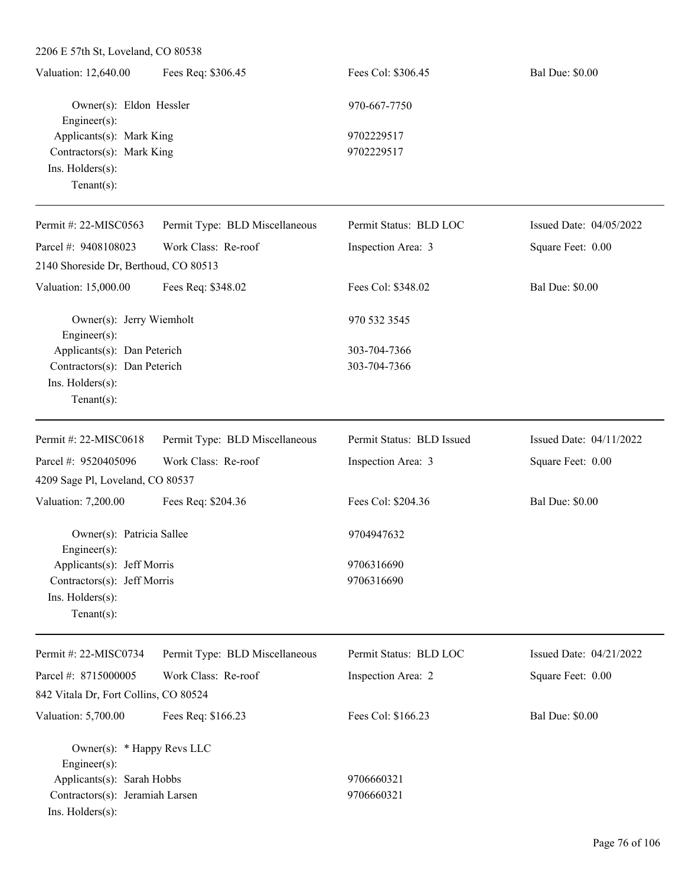| Valuation: 12,640.00      | Fees Req: \$306.45 | Fees Col: \$306.45 | <b>Bal Due: \$0.00</b> |
|---------------------------|--------------------|--------------------|------------------------|
| Owner(s): Eldon Hessler   |                    | 970-667-7750       |                        |
| Engineer $(s)$ :          |                    |                    |                        |
| Applicants(s): Mark King  |                    | 9702229517         |                        |
| Contractors(s): Mark King |                    | 9702229517         |                        |
| $Ins.$ Holders $(s)$ :    |                    |                    |                        |
| Tenant $(s)$ :            |                    |                    |                        |

| Permit #: 22-MISC0563                                       | Permit Type: BLD Miscellaneous | Permit Status: BLD LOC    | Issued Date: $04/05/2022$ |
|-------------------------------------------------------------|--------------------------------|---------------------------|---------------------------|
| Parcel #: 9408108023                                        | Work Class: Re-roof            | Inspection Area: 3        | Square Feet: 0.00         |
| 2140 Shoreside Dr, Berthoud, CO 80513                       |                                |                           |                           |
| Valuation: 15,000.00                                        | Fees Req: \$348.02             | Fees Col: \$348.02        | <b>Bal Due: \$0.00</b>    |
| Owner(s): Jerry Wiemholt<br>$Engineering(s)$ :              |                                | 970 532 3545              |                           |
| Applicants(s): Dan Peterich<br>Contractors(s): Dan Peterich |                                | 303-704-7366              |                           |
|                                                             |                                | 303-704-7366              |                           |
| $Ins.$ Holders $(s)$ :                                      |                                |                           |                           |
| Tenant $(s)$ :                                              |                                |                           |                           |
| Permit #: $22-MISCO618$                                     | Permit Type: BLD Miscellaneous | Permit Status: BLD Issued | Issued Date: 04/11/2022   |
| Parcel #: 9520405096                                        | Work Class: Re-roof            | Inspection Area: 3        | Square Feet: 0.00         |
| 4209 Sage Pl, Loveland, CO 80537                            |                                |                           |                           |
| Valuation: 7,200.00                                         | Fees Req: \$204.36             | Fees Col: \$204.36        | <b>Bal Due: \$0.00</b>    |
| Owner(s): Patricia Sallee<br>$E$ ngineer $(s)$ :            |                                | 9704947632                |                           |

Engineer(s): Applicants(s): Jeff Morris 9706316690 Contractors(s): Jeff Morris 9706316690 Ins. Holders(s): Tenant(s):

842 Vitala Dr, Fort Collins, CO 80524

Permit #: 22-MISC0734

Parcel #: 8715000005

Permit Type: BLD Miscellaneous Permit Status: BLD LOC Inspection Area: 2 Issued Date: 04/21/2022 Square Feet: 0.00 Valuation: 5,700.00 Fees Req: \$166.23 Fees Col: \$166.23 Bal Due: \$0.00

|                            | Owner(s): $*$ Happy Revs LLC    |            |
|----------------------------|---------------------------------|------------|
| $Engineer(s)$ :            |                                 |            |
| Applicants(s): Sarah Hobbs |                                 | 9706660321 |
|                            | Contractors(s): Jeramiah Larsen | 9706660321 |
| $Ins.$ Holders $(s)$ :     |                                 |            |

Work Class: Re-roof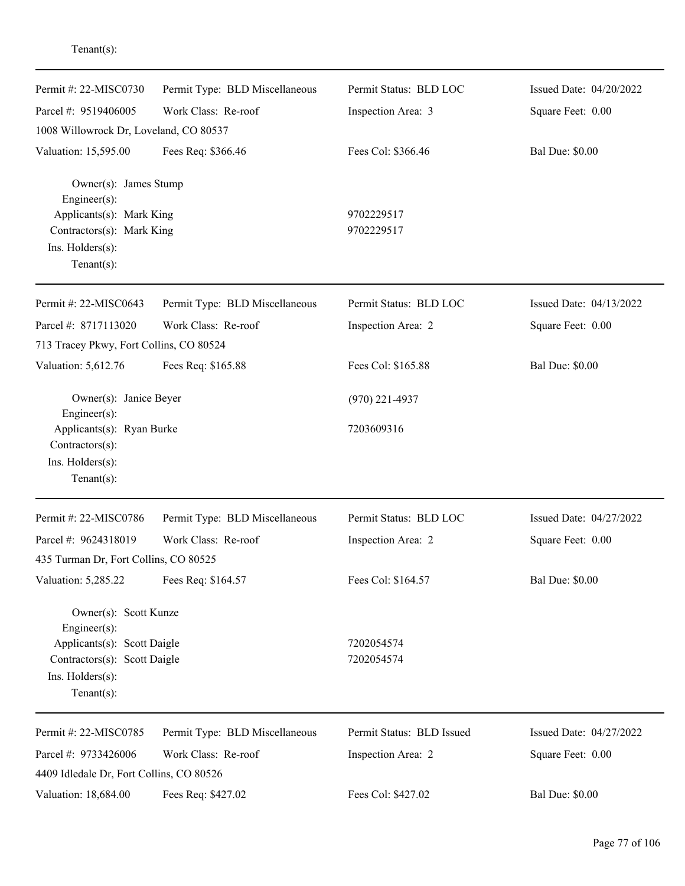| Permit #: 22-MISC0730                                                              | Permit Type: BLD Miscellaneous | Permit Status: BLD LOC    | Issued Date: 04/20/2022 |
|------------------------------------------------------------------------------------|--------------------------------|---------------------------|-------------------------|
| Parcel #: 9519406005                                                               | Work Class: Re-roof            | Inspection Area: 3        | Square Feet: 0.00       |
| 1008 Willowrock Dr, Loveland, CO 80537                                             |                                |                           |                         |
| Valuation: 15,595.00                                                               | Fees Req: \$366.46             | Fees Col: \$366.46        | <b>Bal Due: \$0.00</b>  |
| Owner(s): James Stump<br>$Engineering(s)$ :                                        |                                |                           |                         |
| Applicants(s): Mark King                                                           |                                | 9702229517                |                         |
| Contractors(s): Mark King                                                          |                                | 9702229517                |                         |
| Ins. Holders(s):<br>Tenant $(s)$ :                                                 |                                |                           |                         |
| Permit #: 22-MISC0643                                                              | Permit Type: BLD Miscellaneous | Permit Status: BLD LOC    | Issued Date: 04/13/2022 |
| Parcel #: 8717113020                                                               | Work Class: Re-roof            | Inspection Area: 2        | Square Feet: 0.00       |
| 713 Tracey Pkwy, Fort Collins, CO 80524                                            |                                |                           |                         |
| Valuation: 5,612.76                                                                | Fees Req: \$165.88             | Fees Col: \$165.88        | <b>Bal Due: \$0.00</b>  |
| Owner(s): Janice Beyer<br>Engineer(s):                                             |                                | $(970)$ 221-4937          |                         |
| Applicants(s): Ryan Burke<br>Contractors(s):<br>Ins. Holders(s):<br>Tenant $(s)$ : |                                | 7203609316                |                         |
| Permit #: 22-MISC0786                                                              | Permit Type: BLD Miscellaneous | Permit Status: BLD LOC    | Issued Date: 04/27/2022 |
| Parcel #: 9624318019                                                               | Work Class: Re-roof            | Inspection Area: 2        | Square Feet: 0.00       |
| 435 Turman Dr, Fort Collins, CO 80525                                              |                                |                           |                         |
| Valuation: 5,285.22                                                                | Fees Req: \$164.57             | Fees Col: \$164.57        | <b>Bal Due: \$0.00</b>  |
| Owner(s): Scott Kunze<br>Engineer(s):                                              |                                |                           |                         |
| Applicants(s): Scott Daigle                                                        |                                | 7202054574                |                         |
| Contractors(s): Scott Daigle                                                       |                                | 7202054574                |                         |
| Ins. Holders(s):                                                                   |                                |                           |                         |
| Tenant $(s)$ :                                                                     |                                |                           |                         |
| Permit #: 22-MISC0785                                                              | Permit Type: BLD Miscellaneous | Permit Status: BLD Issued | Issued Date: 04/27/2022 |
| Parcel #: 9733426006                                                               | Work Class: Re-roof            | Inspection Area: 2        | Square Feet: 0.00       |
| 4409 Idledale Dr, Fort Collins, CO 80526                                           |                                |                           |                         |
| Valuation: 18,684.00                                                               | Fees Req: \$427.02             | Fees Col: \$427.02        | <b>Bal Due: \$0.00</b>  |

Tenant(s):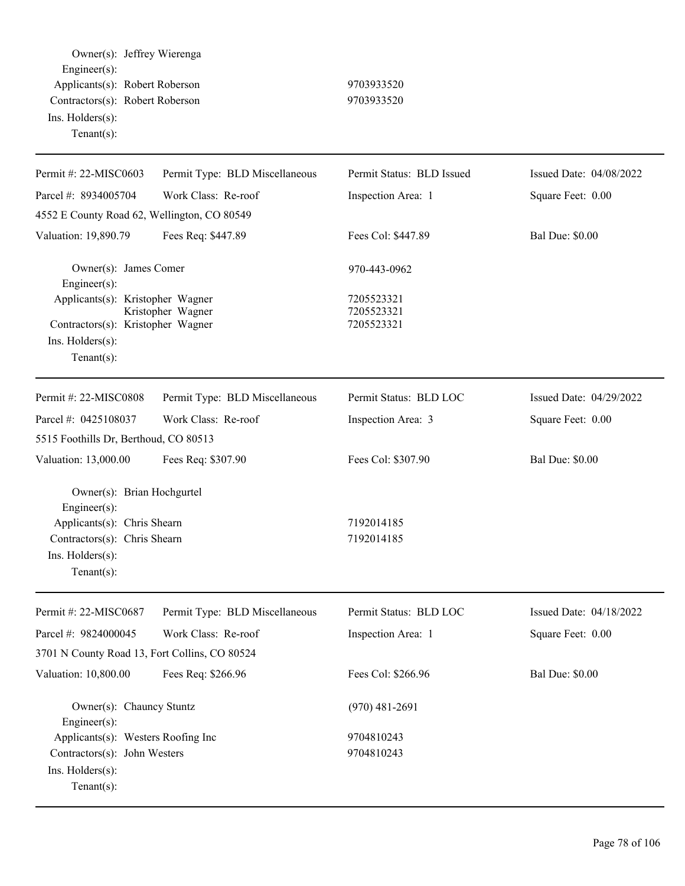| Owner(s): Jeffrey Wierenga<br>Engineer(s):<br>Applicants(s): Robert Roberson<br>Contractors(s): Robert Roberson<br>Ins. Holders(s):<br>Tenant $(s)$ :       |                                | 9703933520<br>9703933520               |                         |
|-------------------------------------------------------------------------------------------------------------------------------------------------------------|--------------------------------|----------------------------------------|-------------------------|
| Permit #: 22-MISC0603                                                                                                                                       | Permit Type: BLD Miscellaneous | Permit Status: BLD Issued              | Issued Date: 04/08/2022 |
| Parcel #: 8934005704                                                                                                                                        | Work Class: Re-roof            | Inspection Area: 1                     | Square Feet: 0.00       |
| 4552 E County Road 62, Wellington, CO 80549                                                                                                                 |                                |                                        |                         |
| Valuation: 19,890.79                                                                                                                                        | Fees Req: \$447.89             | Fees Col: \$447.89                     | <b>Bal Due: \$0.00</b>  |
| Owner(s): James Comer<br>Engineer(s):                                                                                                                       |                                | 970-443-0962                           |                         |
| Applicants(s): Kristopher Wagner<br>Contractors(s): Kristopher Wagner<br>$Ins.$ Holders $(s)$ :<br>Tenant $(s)$ :                                           | Kristopher Wagner              | 7205523321<br>7205523321<br>7205523321 |                         |
| Permit #: 22-MISC0808                                                                                                                                       | Permit Type: BLD Miscellaneous | Permit Status: BLD LOC                 | Issued Date: 04/29/2022 |
| Parcel #: 0425108037                                                                                                                                        | Work Class: Re-roof            | Inspection Area: 3                     | Square Feet: 0.00       |
| 5515 Foothills Dr, Berthoud, CO 80513                                                                                                                       |                                |                                        |                         |
| Valuation: 13,000.00                                                                                                                                        | Fees Req: \$307.90             | Fees Col: \$307.90                     | <b>Bal Due: \$0.00</b>  |
| Owner(s): Brian Hochgurtel<br>$Engineering(s)$ :<br>Applicants(s): Chris Shearn<br>Contractors(s): Chris Shearn<br>$Ins.$ Holders $(s)$ :<br>Tenant $(s)$ : |                                | 7192014185<br>7192014185               |                         |
| Permit #: 22-MISC0687                                                                                                                                       | Permit Type: BLD Miscellaneous | Permit Status: BLD LOC                 | Issued Date: 04/18/2022 |
| Parcel #: 9824000045                                                                                                                                        | Work Class: Re-roof            | Inspection Area: 1                     | Square Feet: 0.00       |
| 3701 N County Road 13, Fort Collins, CO 80524                                                                                                               |                                |                                        |                         |
| Valuation: 10,800.00                                                                                                                                        | Fees Req: \$266.96             | Fees Col: \$266.96                     | <b>Bal Due: \$0.00</b>  |
| Owner(s): Chauncy Stuntz<br>Engineer(s):                                                                                                                    |                                | $(970)$ 481-2691                       |                         |
| Applicants(s): Westers Roofing Inc<br>Contractors(s): John Westers<br>Ins. Holders(s):<br>Tenant $(s)$ :                                                    |                                | 9704810243<br>9704810243               |                         |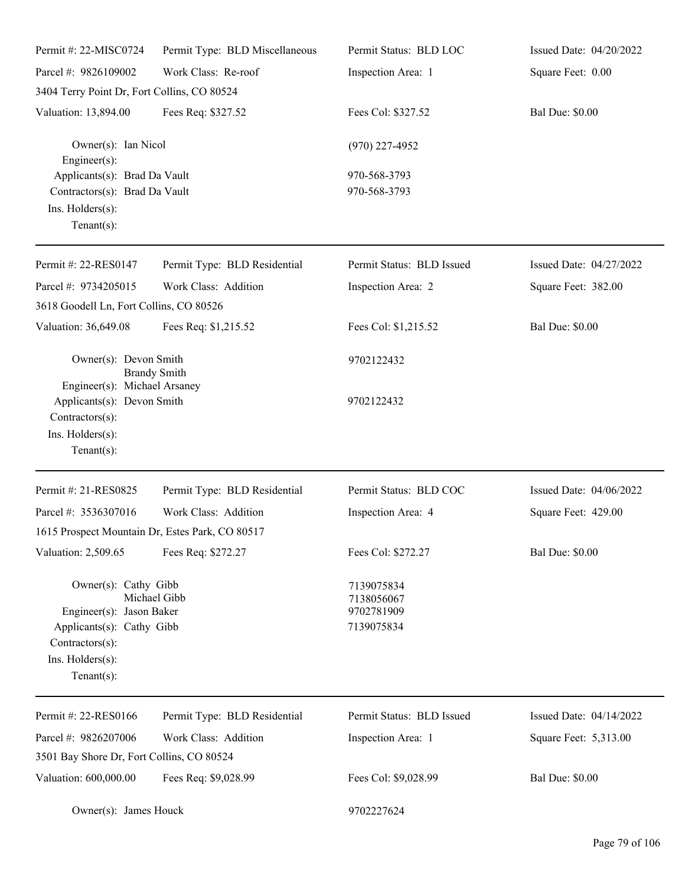| Permit #: 22-MISC0724                                                                                                                  | Permit Type: BLD Miscellaneous | Permit Status: BLD LOC                               | Issued Date: 04/20/2022 |
|----------------------------------------------------------------------------------------------------------------------------------------|--------------------------------|------------------------------------------------------|-------------------------|
| Parcel #: 9826109002                                                                                                                   | Work Class: Re-roof            | Inspection Area: 1                                   | Square Feet: 0.00       |
| 3404 Terry Point Dr, Fort Collins, CO 80524                                                                                            |                                |                                                      |                         |
| Valuation: 13,894.00                                                                                                                   | Fees Req: \$327.52             | Fees Col: \$327.52                                   | <b>Bal Due: \$0.00</b>  |
| Owner(s): Ian Nicol<br>$Engineering(s)$ :                                                                                              |                                | $(970)$ 227-4952                                     |                         |
| Applicants(s): Brad Da Vault<br>Contractors(s): Brad Da Vault<br>Ins. Holders(s):<br>Tenant $(s)$ :                                    |                                | 970-568-3793<br>970-568-3793                         |                         |
| Permit #: 22-RES0147                                                                                                                   | Permit Type: BLD Residential   | Permit Status: BLD Issued                            | Issued Date: 04/27/2022 |
| Parcel #: 9734205015                                                                                                                   | Work Class: Addition           | Inspection Area: 2                                   | Square Feet: 382.00     |
| 3618 Goodell Ln, Fort Collins, CO 80526                                                                                                |                                |                                                      |                         |
| Valuation: 36,649.08                                                                                                                   | Fees Req: \$1,215.52           | Fees Col: \$1,215.52                                 | <b>Bal Due: \$0.00</b>  |
| Owner(s): Devon Smith<br>Engineer(s): Michael Arsaney                                                                                  | <b>Brandy Smith</b>            | 9702122432                                           |                         |
| Applicants(s): Devon Smith<br>Contractors(s):<br>Ins. Holders(s):<br>Tenant $(s)$ :                                                    |                                | 9702122432                                           |                         |
| Permit #: 21-RES0825                                                                                                                   | Permit Type: BLD Residential   | Permit Status: BLD COC                               | Issued Date: 04/06/2022 |
| Parcel #: 3536307016                                                                                                                   | Work Class: Addition           | Inspection Area: 4                                   | Square Feet: 429.00     |
| 1615 Prospect Mountain Dr, Estes Park, CO 80517                                                                                        |                                |                                                      |                         |
| Valuation: 2,509.65                                                                                                                    | Fees Req: \$272.27             | Fees Col: \$272.27                                   | <b>Bal Due: \$0.00</b>  |
| Owner(s): Cathy Gibb<br>Engineer(s): Jason Baker<br>Applicants(s): Cathy Gibb<br>Contractors(s):<br>Ins. Holders(s):<br>Tenant $(s)$ : | Michael Gibb                   | 7139075834<br>7138056067<br>9702781909<br>7139075834 |                         |
| Permit #: 22-RES0166                                                                                                                   | Permit Type: BLD Residential   | Permit Status: BLD Issued                            | Issued Date: 04/14/2022 |
| Parcel #: 9826207006                                                                                                                   | Work Class: Addition           | Inspection Area: 1                                   | Square Feet: 5,313.00   |
| 3501 Bay Shore Dr, Fort Collins, CO 80524                                                                                              |                                |                                                      |                         |
| Valuation: 600,000.00                                                                                                                  | Fees Req: \$9,028.99           | Fees Col: \$9,028.99                                 | <b>Bal Due: \$0.00</b>  |
| Owner(s): James Houck                                                                                                                  |                                | 9702227624                                           |                         |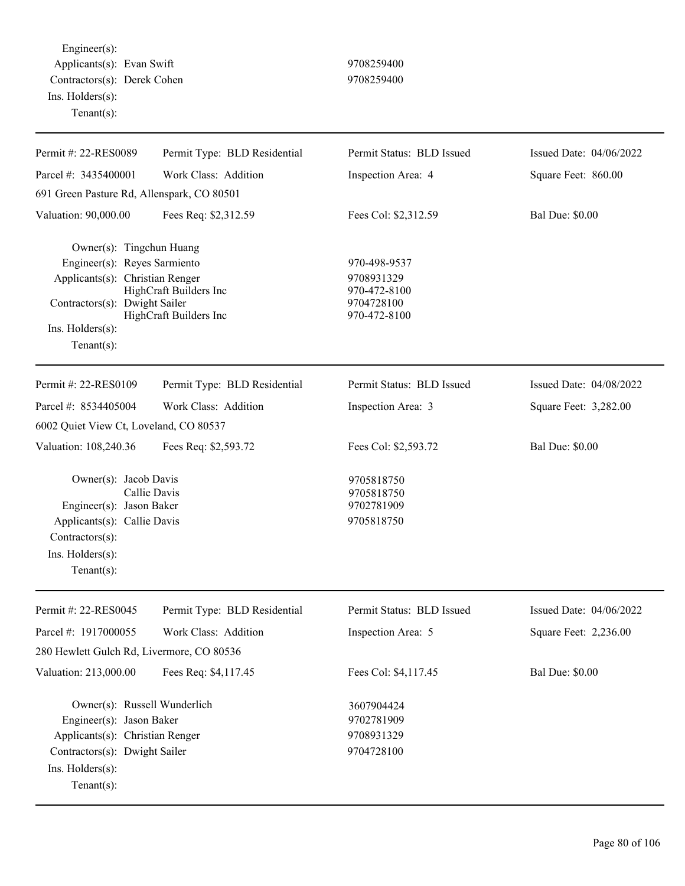Engineer(s): Applicants(s): Evan Swift 9708259400 Contractors(s): Derek Cohen 9708259400 Ins. Holders(s): Tenant(s):

| Permit #: 22-RES0089                                                                                                                                               | Permit Type: BLD Residential                     | Permit Status: BLD Issued                                                | Issued Date: 04/06/2022 |
|--------------------------------------------------------------------------------------------------------------------------------------------------------------------|--------------------------------------------------|--------------------------------------------------------------------------|-------------------------|
| Parcel #: 3435400001                                                                                                                                               | Work Class: Addition                             | Inspection Area: 4                                                       | Square Feet: 860.00     |
| 691 Green Pasture Rd, Allenspark, CO 80501                                                                                                                         |                                                  |                                                                          |                         |
| Valuation: 90,000.00                                                                                                                                               | Fees Req: \$2,312.59                             | Fees Col: \$2,312.59                                                     | <b>Bal Due: \$0.00</b>  |
| Owner(s): Tingchun Huang<br>Engineer(s): Reyes Sarmiento<br>Applicants(s): Christian Renger<br>Contractors(s): Dwight Sailer<br>Ins. Holders(s):<br>Tenant $(s)$ : | HighCraft Builders Inc<br>HighCraft Builders Inc | 970-498-9537<br>9708931329<br>970-472-8100<br>9704728100<br>970-472-8100 |                         |
| Permit #: 22-RES0109                                                                                                                                               | Permit Type: BLD Residential                     | Permit Status: BLD Issued                                                | Issued Date: 04/08/2022 |
| Parcel #: 8534405004                                                                                                                                               | Work Class: Addition                             | Inspection Area: 3                                                       | Square Feet: 3,282.00   |
| 6002 Quiet View Ct, Loveland, CO 80537                                                                                                                             |                                                  |                                                                          |                         |
| Valuation: 108,240.36                                                                                                                                              | Fees Req: \$2,593.72                             | Fees Col: \$2,593.72                                                     | <b>Bal Due: \$0.00</b>  |
| Owner(s): Jacob Davis<br>Callie Davis<br>Engineer(s): Jason Baker<br>Applicants(s): Callie Davis<br>Contractors(s):<br>Ins. Holders(s):<br>Tenant $(s)$ :          |                                                  | 9705818750<br>9705818750<br>9702781909<br>9705818750                     |                         |
| Permit #: 22-RES0045                                                                                                                                               | Permit Type: BLD Residential                     | Permit Status: BLD Issued                                                | Issued Date: 04/06/2022 |
| Parcel #: 1917000055                                                                                                                                               | Work Class: Addition                             | Inspection Area: 5                                                       | Square Feet: 2,236.00   |
| 280 Hewlett Gulch Rd, Livermore, CO 80536                                                                                                                          |                                                  |                                                                          |                         |
| Valuation: 213,000.00                                                                                                                                              | Fees Req: \$4,117.45                             | Fees Col: \$4,117.45                                                     | <b>Bal Due: \$0.00</b>  |
| Owner(s): Russell Wunderlich<br>Engineer(s): Jason Baker<br>Applicants(s): Christian Renger<br>Contractors(s): Dwight Sailer<br>Ins. Holders(s):<br>Tenant $(s)$ : |                                                  | 3607904424<br>9702781909<br>9708931329<br>9704728100                     |                         |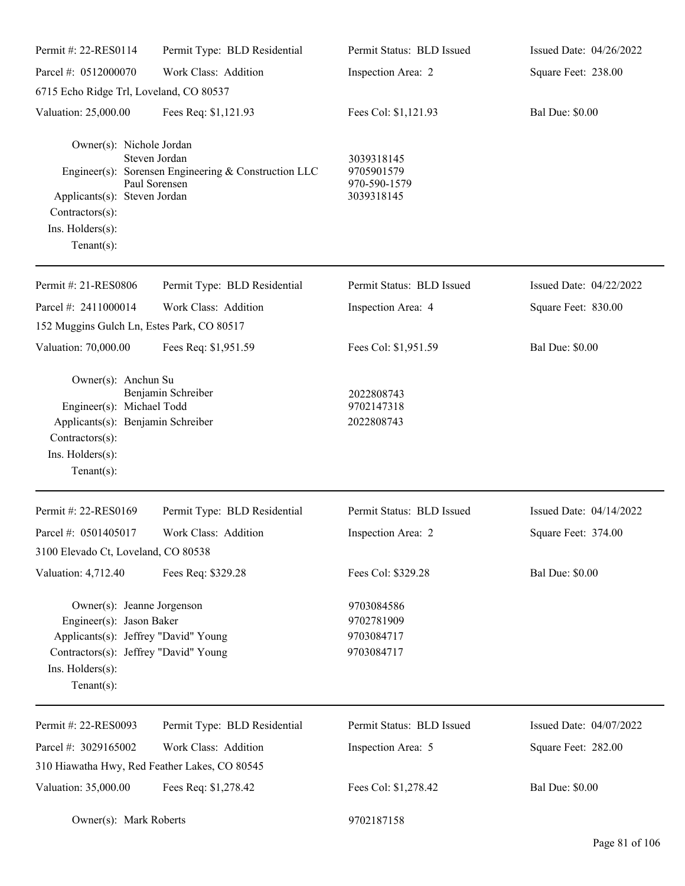| Permit #: 22-RES0114                                                                                                                                                          | Permit Type: BLD Residential                                                           | Permit Status: BLD Issued                              | Issued Date: 04/26/2022 |
|-------------------------------------------------------------------------------------------------------------------------------------------------------------------------------|----------------------------------------------------------------------------------------|--------------------------------------------------------|-------------------------|
| Parcel #: 0512000070                                                                                                                                                          | Work Class: Addition                                                                   | Inspection Area: 2                                     | Square Feet: 238.00     |
| 6715 Echo Ridge Trl, Loveland, CO 80537                                                                                                                                       |                                                                                        |                                                        |                         |
| Valuation: 25,000.00                                                                                                                                                          | Fees Req: \$1,121.93                                                                   | Fees Col: \$1,121.93                                   | <b>Bal Due: \$0.00</b>  |
| Owner(s): Nichole Jordan<br>Applicants(s): Steven Jordan<br>Contractors(s):<br>Ins. Holders(s):<br>$Tenant(s)$ :                                                              | Steven Jordan<br>Engineer(s): Sorensen Engineering & Construction LLC<br>Paul Sorensen | 3039318145<br>9705901579<br>970-590-1579<br>3039318145 |                         |
| Permit #: 21-RES0806                                                                                                                                                          | Permit Type: BLD Residential                                                           | Permit Status: BLD Issued                              | Issued Date: 04/22/2022 |
| Parcel #: 2411000014                                                                                                                                                          | Work Class: Addition                                                                   | Inspection Area: 4                                     | Square Feet: 830.00     |
| 152 Muggins Gulch Ln, Estes Park, CO 80517                                                                                                                                    |                                                                                        |                                                        |                         |
| Valuation: 70,000.00                                                                                                                                                          | Fees Req: \$1,951.59                                                                   | Fees Col: \$1,951.59                                   | <b>Bal Due: \$0.00</b>  |
| Owner(s): Anchun Su<br>Engineer(s): Michael Todd<br>Applicants(s): Benjamin Schreiber<br>Contractors(s):<br>Ins. Holders(s):<br>$Tenant(s)$ :                                 | Benjamin Schreiber                                                                     | 2022808743<br>9702147318<br>2022808743                 |                         |
| Permit #: 22-RES0169                                                                                                                                                          | Permit Type: BLD Residential                                                           | Permit Status: BLD Issued                              | Issued Date: 04/14/2022 |
| Parcel #: 0501405017                                                                                                                                                          | Work Class: Addition                                                                   | Inspection Area: 2                                     | Square Feet: 374.00     |
| 3100 Elevado Ct, Loveland, CO 80538                                                                                                                                           |                                                                                        |                                                        |                         |
| Valuation: 4,712.40                                                                                                                                                           | Fees Req: \$329.28                                                                     | Fees Col: \$329.28                                     | <b>Bal Due: \$0.00</b>  |
| Owner(s): Jeanne Jorgenson<br>Engineer(s): Jason Baker<br>Applicants(s): Jeffrey "David" Young<br>Contractors(s): Jeffrey "David" Young<br>Ins. Holders(s):<br>Tenant $(s)$ : |                                                                                        | 9703084586<br>9702781909<br>9703084717<br>9703084717   |                         |
| Permit #: 22-RES0093                                                                                                                                                          | Permit Type: BLD Residential                                                           | Permit Status: BLD Issued                              | Issued Date: 04/07/2022 |
| Parcel #: 3029165002                                                                                                                                                          | Work Class: Addition                                                                   | Inspection Area: 5                                     | Square Feet: 282.00     |
| 310 Hiawatha Hwy, Red Feather Lakes, CO 80545                                                                                                                                 |                                                                                        |                                                        |                         |
| Valuation: 35,000.00                                                                                                                                                          | Fees Req: \$1,278.42                                                                   | Fees Col: \$1,278.42                                   | <b>Bal Due: \$0.00</b>  |
| Owner(s): Mark Roberts                                                                                                                                                        |                                                                                        | 9702187158                                             |                         |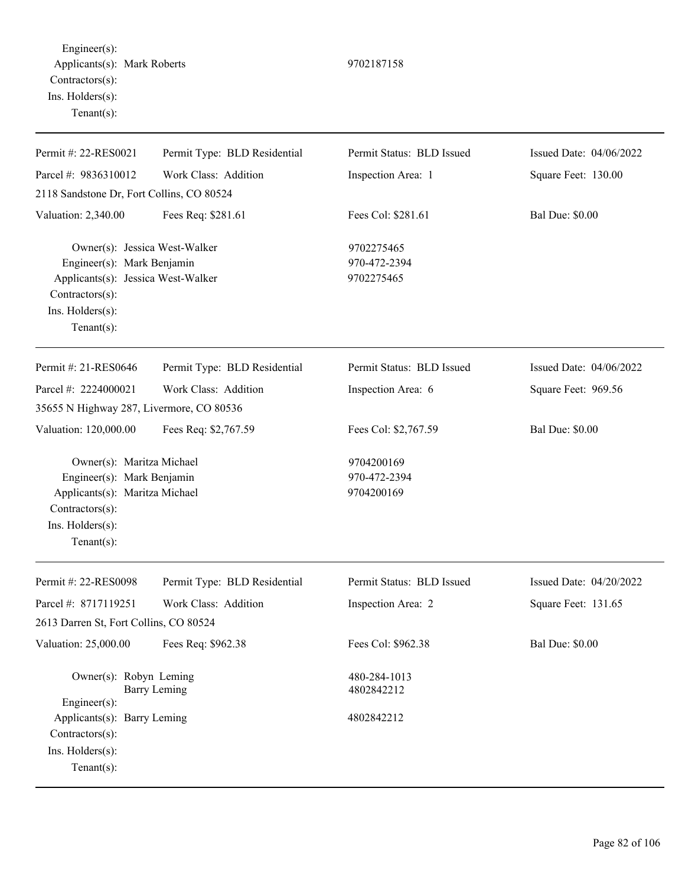Engineer(s): Applicants(s): Mark Roberts 9702187158 Contractors(s): Ins. Holders(s): Tenant(s):

| Permit #: 22-RES0021                                                                                                                                       | Permit Type: BLD Residential | Permit Status: BLD Issued                | Issued Date: 04/06/2022 |
|------------------------------------------------------------------------------------------------------------------------------------------------------------|------------------------------|------------------------------------------|-------------------------|
| Parcel #: 9836310012                                                                                                                                       | Work Class: Addition         | Inspection Area: 1                       | Square Feet: 130.00     |
| 2118 Sandstone Dr, Fort Collins, CO 80524                                                                                                                  |                              |                                          |                         |
| Valuation: 2,340.00                                                                                                                                        | Fees Req: \$281.61           | Fees Col: \$281.61                       | <b>Bal Due: \$0.00</b>  |
| Owner(s): Jessica West-Walker<br>Engineer(s): Mark Benjamin<br>Applicants(s): Jessica West-Walker<br>Contractors(s):<br>Ins. Holders(s):<br>Tenant $(s)$ : |                              | 9702275465<br>970-472-2394<br>9702275465 |                         |
| Permit #: 21-RES0646                                                                                                                                       | Permit Type: BLD Residential | Permit Status: BLD Issued                | Issued Date: 04/06/2022 |
| Parcel #: 2224000021                                                                                                                                       | Work Class: Addition         | Inspection Area: 6                       | Square Feet: 969.56     |
| 35655 N Highway 287, Livermore, CO 80536                                                                                                                   |                              |                                          |                         |
| Valuation: 120,000.00                                                                                                                                      | Fees Req: \$2,767.59         | Fees Col: \$2,767.59                     | <b>Bal Due: \$0.00</b>  |
| Owner(s): Maritza Michael<br>Engineer(s): Mark Benjamin<br>Applicants(s): Maritza Michael<br>Contractors(s):<br>Ins. Holders(s):<br>Tenant $(s)$ :         |                              | 9704200169<br>970-472-2394<br>9704200169 |                         |
| Permit #: 22-RES0098                                                                                                                                       | Permit Type: BLD Residential | Permit Status: BLD Issued                | Issued Date: 04/20/2022 |
| Parcel #: 8717119251<br>2613 Darren St, Fort Collins, CO 80524                                                                                             | Work Class: Addition         | Inspection Area: 2                       | Square Feet: 131.65     |
| Valuation: 25,000.00                                                                                                                                       | Fees Req: \$962.38           | Fees Col: \$962.38                       | <b>Bal Due: \$0.00</b>  |
| Owner(s): Robyn Leming<br>Engineer(s):                                                                                                                     | <b>Barry Leming</b>          | 480-284-1013<br>4802842212               |                         |
| Applicants(s): Barry Leming<br>Contractors(s):<br>Ins. Holders(s):<br>Tenant $(s)$ :                                                                       |                              | 4802842212                               |                         |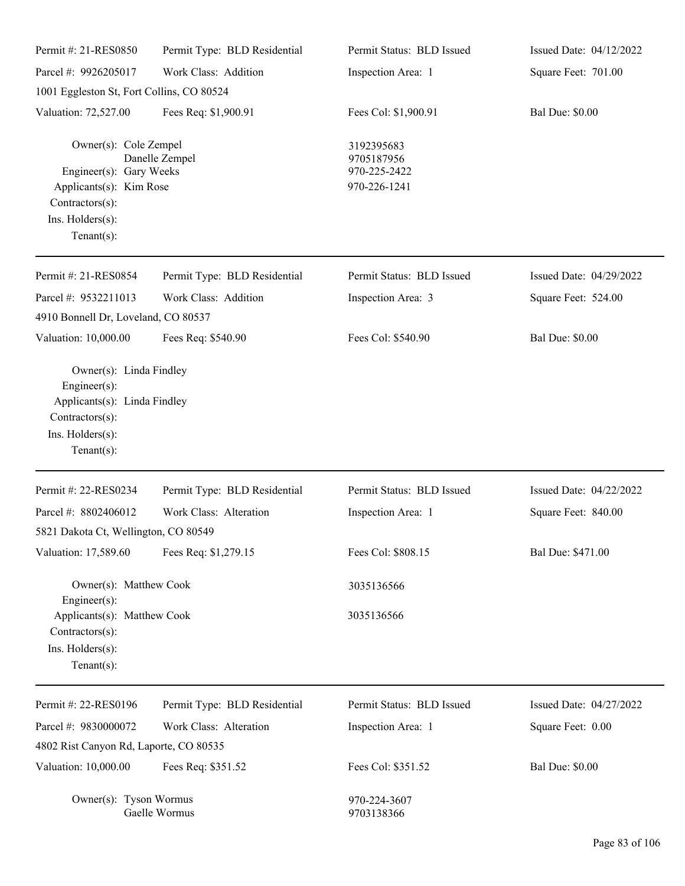| Permit #: 21-RES0850                                                                                                                 | Permit Type: BLD Residential | Permit Status: BLD Issued                                | Issued Date: 04/12/2022 |
|--------------------------------------------------------------------------------------------------------------------------------------|------------------------------|----------------------------------------------------------|-------------------------|
| Parcel #: 9926205017                                                                                                                 | Work Class: Addition         | Inspection Area: 1                                       | Square Feet: 701.00     |
| 1001 Eggleston St, Fort Collins, CO 80524                                                                                            |                              |                                                          |                         |
| Valuation: 72,527.00                                                                                                                 | Fees Req: \$1,900.91         | Fees Col: \$1,900.91                                     | <b>Bal Due: \$0.00</b>  |
| Owner(s): Cole Zempel<br>Engineer(s): Gary Weeks<br>Applicants(s): Kim Rose<br>Contractors(s):<br>Ins. Holders(s):<br>Tenant $(s)$ : | Danelle Zempel               | 3192395683<br>9705187956<br>970-225-2422<br>970-226-1241 |                         |
| Permit #: 21-RES0854                                                                                                                 | Permit Type: BLD Residential | Permit Status: BLD Issued                                | Issued Date: 04/29/2022 |
| Parcel #: 9532211013                                                                                                                 | Work Class: Addition         | Inspection Area: 3                                       | Square Feet: 524.00     |
| 4910 Bonnell Dr, Loveland, CO 80537                                                                                                  |                              |                                                          |                         |
| Valuation: 10,000.00                                                                                                                 | Fees Req: \$540.90           | Fees Col: \$540.90                                       | <b>Bal Due: \$0.00</b>  |
| Engineer(s):<br>Applicants(s): Linda Findley<br>Contractors(s):<br>Ins. $H$ olders $(s)$ :<br>Tenant $(s)$ :                         |                              |                                                          |                         |
| Permit #: 22-RES0234                                                                                                                 | Permit Type: BLD Residential | Permit Status: BLD Issued                                | Issued Date: 04/22/2022 |
| Parcel #: 8802406012<br>5821 Dakota Ct, Wellington, CO 80549                                                                         | Work Class: Alteration       | Inspection Area: 1                                       | Square Feet: 840.00     |
| Valuation: 17,589.60                                                                                                                 | Fees Req: \$1,279.15         | Fees Col: \$808.15                                       | Bal Due: \$471.00       |
| Owner(s): Matthew Cook<br>$Engineering(s)$ :                                                                                         |                              | 3035136566                                               |                         |
| Applicants(s): Matthew Cook<br>Contractors(s):<br>Ins. Holders(s):<br>Tenant $(s)$ :                                                 |                              | 3035136566                                               |                         |
| Permit #: 22-RES0196                                                                                                                 | Permit Type: BLD Residential | Permit Status: BLD Issued                                | Issued Date: 04/27/2022 |
| Parcel #: 9830000072                                                                                                                 | Work Class: Alteration       | Inspection Area: 1                                       | Square Feet: 0.00       |
| 4802 Rist Canyon Rd, Laporte, CO 80535                                                                                               |                              |                                                          |                         |
| Valuation: 10,000.00                                                                                                                 | Fees Req: \$351.52           | Fees Col: \$351.52                                       | <b>Bal Due: \$0.00</b>  |
| Owner(s): Tyson Wormus                                                                                                               | Gaelle Wormus                | 970-224-3607<br>9703138366                               |                         |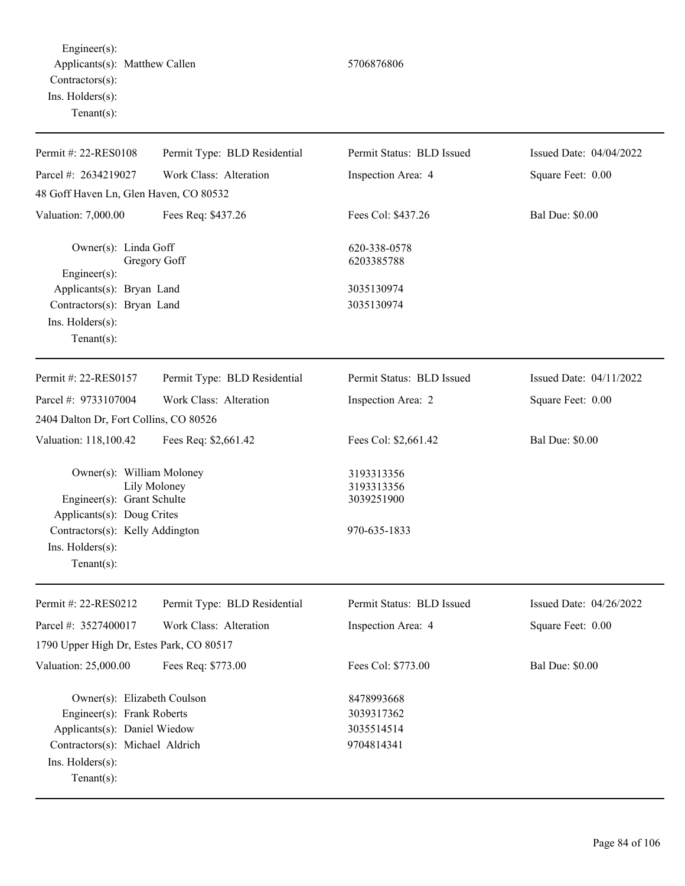Engineer(s): Applicants(s): Matthew Callen 5706876806 Contractors(s): Ins. Holders(s): Tenant(s):

Tenant(s):

| Permit #: 22-RES0108                                                                                                         | Permit Type: BLD Residential | Permit Status: BLD Issued                              | Issued Date: 04/04/2022 |
|------------------------------------------------------------------------------------------------------------------------------|------------------------------|--------------------------------------------------------|-------------------------|
| Parcel #: 2634219027                                                                                                         | Work Class: Alteration       | Inspection Area: 4                                     | Square Feet: 0.00       |
| 48 Goff Haven Ln, Glen Haven, CO 80532                                                                                       |                              |                                                        |                         |
| Valuation: 7,000.00                                                                                                          | Fees Req: \$437.26           | Fees Col: \$437.26                                     | <b>Bal Due: \$0.00</b>  |
| Owner(s): Linda Goff<br>Engineer(s):                                                                                         | Gregory Goff                 | 620-338-0578<br>6203385788                             |                         |
| Applicants(s): Bryan Land                                                                                                    |                              | 3035130974                                             |                         |
| Contractors(s): Bryan Land                                                                                                   |                              | 3035130974                                             |                         |
| Ins. Holders(s):<br>Tenant $(s)$ :                                                                                           |                              |                                                        |                         |
|                                                                                                                              |                              |                                                        |                         |
| Permit #: 22-RES0157                                                                                                         | Permit Type: BLD Residential | Permit Status: BLD Issued                              | Issued Date: 04/11/2022 |
| Parcel #: 9733107004                                                                                                         | Work Class: Alteration       | Inspection Area: 2                                     | Square Feet: 0.00       |
| 2404 Dalton Dr, Fort Collins, CO 80526                                                                                       |                              |                                                        |                         |
| Valuation: 118,100.42                                                                                                        | Fees Req: \$2,661.42         | Fees Col: \$2,661.42                                   | <b>Bal Due: \$0.00</b>  |
| Owner(s): William Moloney<br>Engineer(s): Grant Schulte<br>Applicants(s): Doug Crites<br>Contractors(s): Kelly Addington     | Lily Moloney                 | 3193313356<br>3193313356<br>3039251900<br>970-635-1833 |                         |
| Ins. Holders(s):<br>Tenant $(s)$ :                                                                                           |                              |                                                        |                         |
| Permit #: 22-RES0212                                                                                                         | Permit Type: BLD Residential | Permit Status: BLD Issued                              | Issued Date: 04/26/2022 |
| Parcel #: 3527400017                                                                                                         | Work Class: Alteration       | Inspection Area: 4                                     | Square Feet: 0.00       |
| 1790 Upper High Dr, Estes Park, CO 80517                                                                                     |                              |                                                        |                         |
| Valuation: 25,000.00                                                                                                         | Fees Req: \$773.00           | Fees Col: \$773.00                                     | <b>Bal Due: \$0.00</b>  |
| Owner(s): Elizabeth Coulson<br>Engineer(s): Frank Roberts<br>Applicants(s): Daniel Wiedow<br>Contractors(s): Michael Aldrich |                              | 8478993668<br>3039317362<br>3035514514<br>9704814341   |                         |
| Ins. Holders(s):                                                                                                             |                              |                                                        |                         |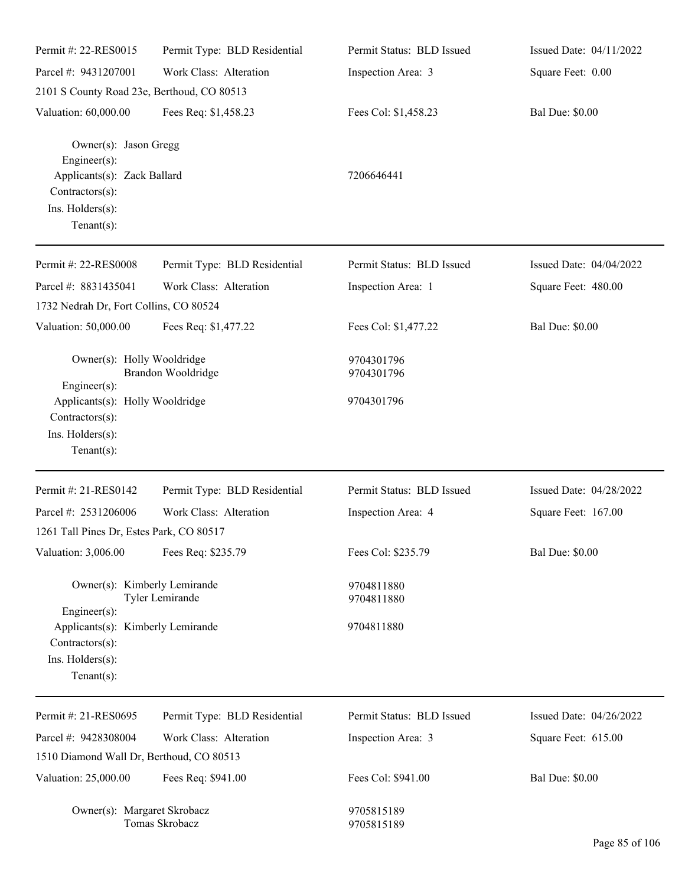| Permit #: 22-RES0015                                                                                                          | Permit Type: BLD Residential | Permit Status: BLD Issued | Issued Date: 04/11/2022 |
|-------------------------------------------------------------------------------------------------------------------------------|------------------------------|---------------------------|-------------------------|
| Parcel #: 9431207001                                                                                                          | Work Class: Alteration       | Inspection Area: 3        | Square Feet: 0.00       |
| 2101 S County Road 23e, Berthoud, CO 80513                                                                                    |                              |                           |                         |
| Valuation: 60,000.00                                                                                                          | Fees Req: \$1,458.23         | Fees Col: \$1,458.23      | <b>Bal Due: \$0.00</b>  |
| Owner(s): Jason Gregg<br>Engineer(s):<br>Applicants(s): Zack Ballard<br>Contractors(s):<br>Ins. Holders(s):<br>Tenant $(s)$ : |                              | 7206646441                |                         |
| Permit #: 22-RES0008                                                                                                          | Permit Type: BLD Residential | Permit Status: BLD Issued | Issued Date: 04/04/2022 |
| Parcel #: 8831435041<br>1732 Nedrah Dr, Fort Collins, CO 80524                                                                | Work Class: Alteration       | Inspection Area: 1        | Square Feet: 480.00     |
| Valuation: 50,000.00                                                                                                          | Fees Req: \$1,477.22         | Fees Col: \$1,477.22      | <b>Bal Due: \$0.00</b>  |
| Owner(s): Holly Wooldridge<br>Engineer(s):                                                                                    | Brandon Wooldridge           | 9704301796<br>9704301796  |                         |
| Applicants(s): Holly Wooldridge<br>Contractors(s):<br>Ins. Holders(s):<br>Tenant $(s)$ :                                      |                              | 9704301796                |                         |
| Permit #: 21-RES0142                                                                                                          | Permit Type: BLD Residential | Permit Status: BLD Issued | Issued Date: 04/28/2022 |
| Parcel #: 2531206006                                                                                                          | Work Class: Alteration       | Inspection Area: 4        | Square Feet: 167.00     |
| 1261 Tall Pines Dr, Estes Park, CO 80517                                                                                      |                              |                           |                         |
| Valuation: 3,006.00                                                                                                           | Fees Req: \$235.79           | Fees Col: \$235.79        | <b>Bal Due: \$0.00</b>  |
| Owner(s): Kimberly Lemirande<br>Engineer(s):                                                                                  | Tyler Lemirande              | 9704811880<br>9704811880  |                         |
| Applicants(s): Kimberly Lemirande<br>Contractors(s):<br>Ins. Holders(s):<br>Tenant $(s)$ :                                    |                              | 9704811880                |                         |
| Permit #: 21-RES0695                                                                                                          | Permit Type: BLD Residential | Permit Status: BLD Issued | Issued Date: 04/26/2022 |
| Parcel #: 9428308004                                                                                                          | Work Class: Alteration       | Inspection Area: 3        | Square Feet: 615.00     |
| 1510 Diamond Wall Dr, Berthoud, CO 80513                                                                                      |                              |                           |                         |
| Valuation: 25,000.00                                                                                                          | Fees Req: \$941.00           | Fees Col: \$941.00        | <b>Bal Due: \$0.00</b>  |
| Owner(s): Margaret Skrobacz                                                                                                   | Tomas Skrobacz               | 9705815189<br>9705815189  |                         |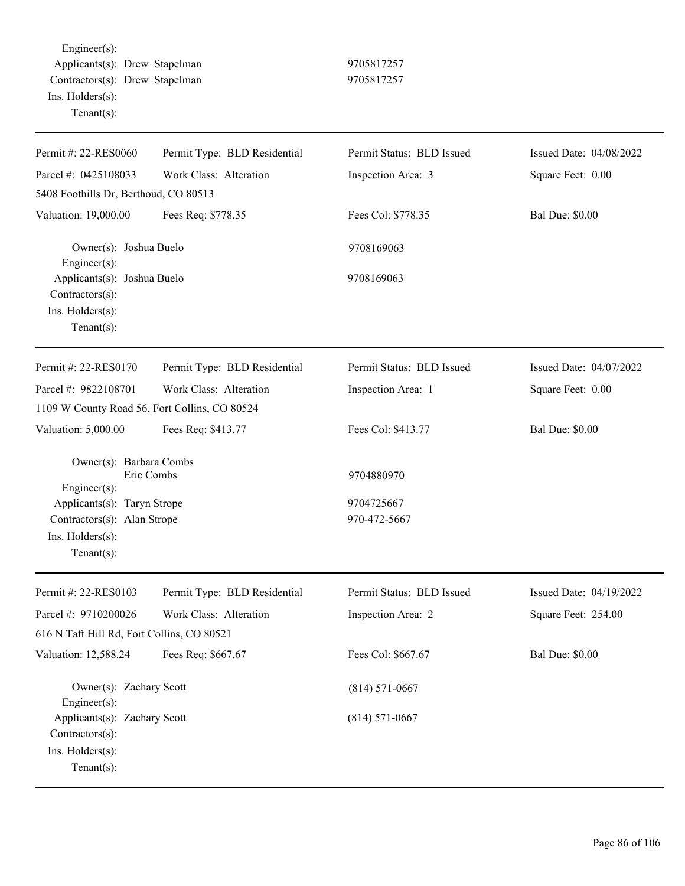Engineer(s): Applicants(s): Drew Stapelman 9705817257 Contractors(s): Drew Stapelman 9705817257 Ins. Holders(s): Tenant(s):

| Permit Status: BLD Issued<br>Permit #: 22-RES0060<br>Permit Type: BLD Residential<br>Issued Date: 04/08/2022<br>Parcel #: 0425108033<br>Work Class: Alteration<br>Square Feet: 0.00<br>Inspection Area: 3<br>5408 Foothills Dr, Berthoud, CO 80513<br>Fees Req: \$778.35<br>Fees Col: \$778.35<br><b>Bal Due: \$0.00</b><br>Valuation: 19,000.00<br>Owner(s): Joshua Buelo<br>9708169063 |
|------------------------------------------------------------------------------------------------------------------------------------------------------------------------------------------------------------------------------------------------------------------------------------------------------------------------------------------------------------------------------------------|
|                                                                                                                                                                                                                                                                                                                                                                                          |
|                                                                                                                                                                                                                                                                                                                                                                                          |
|                                                                                                                                                                                                                                                                                                                                                                                          |
|                                                                                                                                                                                                                                                                                                                                                                                          |
|                                                                                                                                                                                                                                                                                                                                                                                          |
| $Engineering(s)$ :<br>Applicants(s): Joshua Buelo<br>9708169063                                                                                                                                                                                                                                                                                                                          |
| $Contractors(s)$ :                                                                                                                                                                                                                                                                                                                                                                       |
| Ins. Holders(s):<br>Tenant $(s)$ :                                                                                                                                                                                                                                                                                                                                                       |
|                                                                                                                                                                                                                                                                                                                                                                                          |
| Permit #: 22-RES0170<br>Permit Type: BLD Residential<br>Permit Status: BLD Issued<br>Issued Date: 04/07/2022                                                                                                                                                                                                                                                                             |
| Parcel #: 9822108701<br>Work Class: Alteration<br>Square Feet: 0.00<br>Inspection Area: 1                                                                                                                                                                                                                                                                                                |
| 1109 W County Road 56, Fort Collins, CO 80524                                                                                                                                                                                                                                                                                                                                            |
| <b>Bal Due: \$0.00</b><br>Valuation: 5,000.00<br>Fees Req: \$413.77<br>Fees Col: \$413.77                                                                                                                                                                                                                                                                                                |
| Owner(s): Barbara Combs<br>Eric Combs                                                                                                                                                                                                                                                                                                                                                    |
| 9704880970<br>$Engineering(s)$ :                                                                                                                                                                                                                                                                                                                                                         |
| Applicants(s): Taryn Strope<br>9704725667                                                                                                                                                                                                                                                                                                                                                |
| Contractors(s): Alan Strope<br>970-472-5667                                                                                                                                                                                                                                                                                                                                              |
| Ins. Holders(s):                                                                                                                                                                                                                                                                                                                                                                         |
| Tenant $(s)$ :                                                                                                                                                                                                                                                                                                                                                                           |
| Permit #: 22-RES0103<br>Permit Type: BLD Residential<br>Permit Status: BLD Issued<br>Issued Date: 04/19/2022                                                                                                                                                                                                                                                                             |
| Parcel #: 9710200026<br>Work Class: Alteration<br>Inspection Area: 2<br>Square Feet: 254.00                                                                                                                                                                                                                                                                                              |
| 616 N Taft Hill Rd, Fort Collins, CO 80521                                                                                                                                                                                                                                                                                                                                               |
| Valuation: 12,588.24<br>Fees Col: \$667.67<br><b>Bal Due: \$0.00</b><br>Fees Req: \$667.67                                                                                                                                                                                                                                                                                               |
| Owner(s): Zachary Scott<br>$(814) 571 - 0667$                                                                                                                                                                                                                                                                                                                                            |
| Engineer $(s)$ :                                                                                                                                                                                                                                                                                                                                                                         |
| Applicants(s): Zachary Scott<br>$(814) 571 - 0667$<br>Contractors(s):                                                                                                                                                                                                                                                                                                                    |
| Ins. Holders(s):                                                                                                                                                                                                                                                                                                                                                                         |
| Tenant $(s)$ :                                                                                                                                                                                                                                                                                                                                                                           |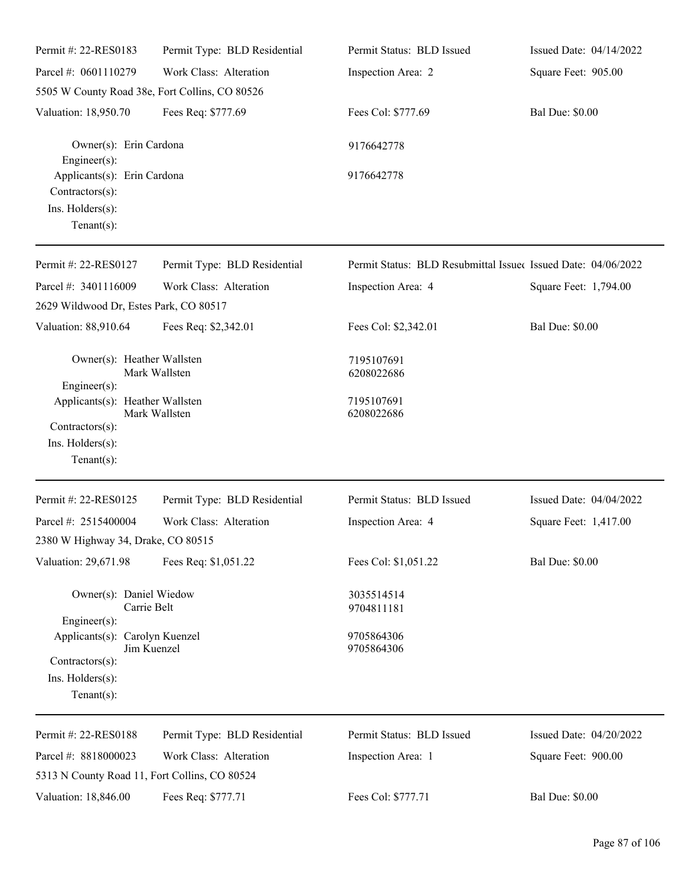| Permit #: 22-RES0183                                                                     | Permit Type: BLD Residential                   | Permit Status: BLD Issued                                     | Issued Date: 04/14/2022 |
|------------------------------------------------------------------------------------------|------------------------------------------------|---------------------------------------------------------------|-------------------------|
| Parcel #: 0601110279                                                                     | Work Class: Alteration                         | Inspection Area: 2                                            | Square Feet: 905.00     |
|                                                                                          | 5505 W County Road 38e, Fort Collins, CO 80526 |                                                               |                         |
| Valuation: 18,950.70                                                                     | Fees Req: \$777.69                             | Fees Col: \$777.69                                            | <b>Bal Due: \$0.00</b>  |
| Owner(s): Erin Cardona<br>Engineer(s):                                                   |                                                | 9176642778                                                    |                         |
| Applicants(s): Erin Cardona<br>Contractors(s):<br>Ins. Holders(s):<br>Tenant $(s)$ :     |                                                | 9176642778                                                    |                         |
| Permit #: 22-RES0127                                                                     | Permit Type: BLD Residential                   | Permit Status: BLD Resubmittal Issued Issued Date: 04/06/2022 |                         |
| Parcel #: 3401116009<br>2629 Wildwood Dr, Estes Park, CO 80517                           | Work Class: Alteration                         | Inspection Area: 4                                            | Square Feet: 1,794.00   |
| Valuation: 88,910.64                                                                     | Fees Req: \$2,342.01                           | Fees Col: \$2,342.01                                          | <b>Bal Due: \$0.00</b>  |
| Owner(s): Heather Wallsten<br>Engineer(s):                                               | Mark Wallsten                                  | 7195107691<br>6208022686                                      |                         |
| Applicants(s): Heather Wallsten<br>Contractors(s):<br>Ins. Holders(s):<br>Tenant $(s)$ : | Mark Wallsten                                  | 7195107691<br>6208022686                                      |                         |
| Permit #: 22-RES0125                                                                     | Permit Type: BLD Residential                   | Permit Status: BLD Issued                                     | Issued Date: 04/04/2022 |
| Parcel #: 2515400004<br>2380 W Highway 34, Drake, CO 80515                               | Work Class: Alteration                         | Inspection Area: 4                                            | Square Feet: 1,417.00   |
| Valuation: 29,671.98                                                                     | Fees Req: \$1,051.22                           | Fees Col: \$1,051.22                                          | <b>Bal Due: \$0.00</b>  |
| Owner(s): Daniel Wiedow<br>Engineer(s):                                                  | Carrie Belt                                    | 3035514514<br>9704811181                                      |                         |
| Applicants(s): Carolyn Kuenzel<br>Contractors(s):<br>Ins. Holders(s):<br>Tenant $(s)$ :  | Jim Kuenzel                                    | 9705864306<br>9705864306                                      |                         |
| Permit #: 22-RES0188                                                                     | Permit Type: BLD Residential                   | Permit Status: BLD Issued                                     | Issued Date: 04/20/2022 |
| Parcel #: 8818000023                                                                     | Work Class: Alteration                         | Inspection Area: 1                                            | Square Feet: 900.00     |
| 5313 N County Road 11, Fort Collins, CO 80524                                            |                                                |                                                               |                         |

Valuation: 18,846.00 Fees Req: \$777.71 Fees Col: \$777.71 Bal Due: \$0.00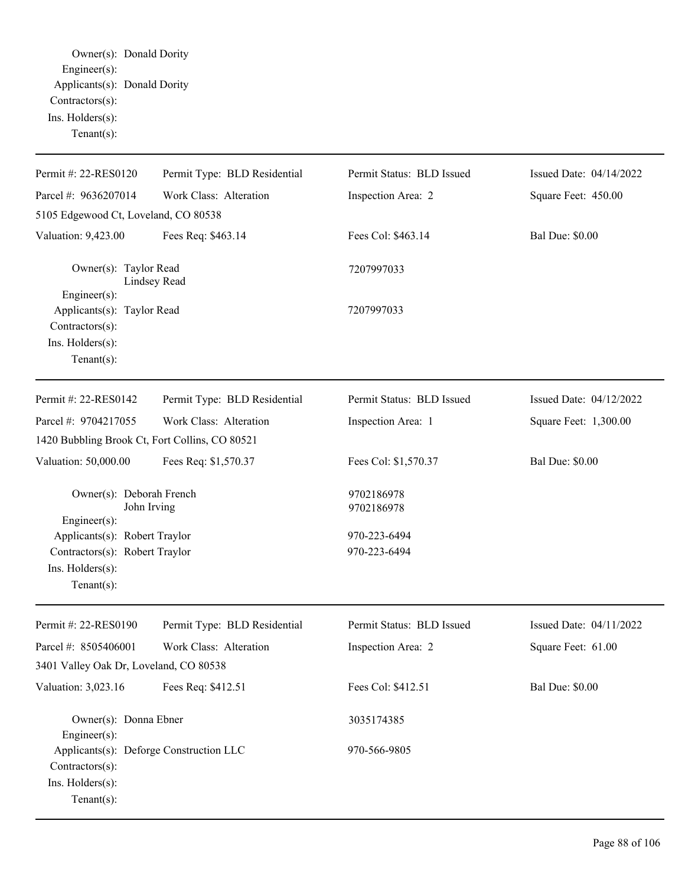Owner(s): Donald Dority Engineer(s): Applicants(s): Donald Dority Contractors(s): Ins. Holders(s): Tenant(s):

| Permit #: 22-RES0120                                                                             | Permit Type: BLD Residential | Permit Status: BLD Issued | Issued Date: 04/14/2022 |
|--------------------------------------------------------------------------------------------------|------------------------------|---------------------------|-------------------------|
| Parcel #: 9636207014                                                                             | Work Class: Alteration       | Inspection Area: 2        | Square Feet: 450.00     |
| 5105 Edgewood Ct, Loveland, CO 80538                                                             |                              |                           |                         |
| Valuation: 9,423.00                                                                              | Fees Req: \$463.14           | Fees Col: \$463.14        | <b>Bal Due: \$0.00</b>  |
| Owner(s): Taylor Read<br>Engineer(s):                                                            | Lindsey Read                 | 7207997033                |                         |
| Applicants(s): Taylor Read<br>Contractors(s):<br>Ins. Holders(s):<br>Tenant $(s)$ :              |                              | 7207997033                |                         |
| Permit #: 22-RES0142                                                                             | Permit Type: BLD Residential | Permit Status: BLD Issued | Issued Date: 04/12/2022 |
| Parcel #: 9704217055                                                                             | Work Class: Alteration       | Inspection Area: 1        | Square Feet: 1,300.00   |
| 1420 Bubbling Brook Ct, Fort Collins, CO 80521                                                   |                              |                           |                         |
| Valuation: 50,000.00                                                                             | Fees Req: \$1,570.37         | Fees Col: \$1,570.37      | <b>Bal Due: \$0.00</b>  |
| Owner(s): Deborah French<br>John Irving<br>Engineer(s):                                          |                              | 9702186978<br>9702186978  |                         |
| Applicants(s): Robert Traylor                                                                    |                              | 970-223-6494              |                         |
| Contractors(s): Robert Traylor<br>Ins. Holders(s):<br>Tenant $(s)$ :                             |                              | 970-223-6494              |                         |
| Permit #: 22-RES0190                                                                             | Permit Type: BLD Residential | Permit Status: BLD Issued | Issued Date: 04/11/2022 |
| Parcel #: 8505406001                                                                             | Work Class: Alteration       | Inspection Area: 2        | Square Feet: 61.00      |
| 3401 Valley Oak Dr, Loveland, CO 80538                                                           |                              |                           |                         |
| Valuation: 3,023.16                                                                              | Fees Req: \$412.51           | Fees Col: \$412.51        | <b>Bal Due: \$0.00</b>  |
| Owner(s): Donna Ebner<br>$Engineering(s)$ :                                                      |                              | 3035174385                |                         |
| Applicants(s): Deforge Construction LLC<br>Contractors(s):<br>Ins. Holders(s):<br>Tenant $(s)$ : |                              | 970-566-9805              |                         |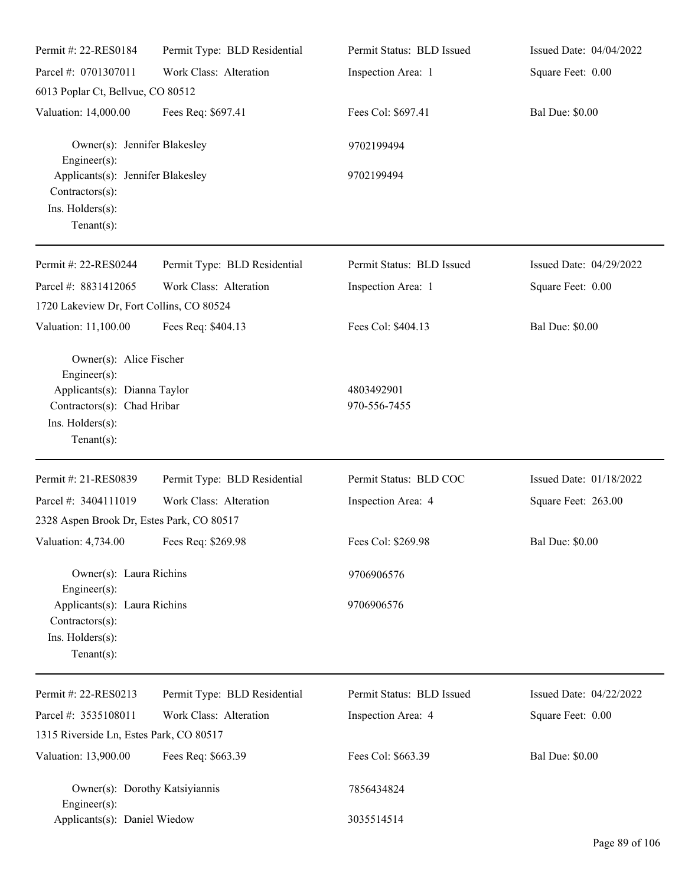| Permit #: 22-RES0184                                                                                                                         | Permit Type: BLD Residential | Permit Status: BLD Issued  | Issued Date: 04/04/2022 |
|----------------------------------------------------------------------------------------------------------------------------------------------|------------------------------|----------------------------|-------------------------|
| Parcel #: 0701307011                                                                                                                         | Work Class: Alteration       | Inspection Area: 1         | Square Feet: 0.00       |
| 6013 Poplar Ct, Bellvue, CO 80512                                                                                                            |                              |                            |                         |
| Valuation: 14,000.00                                                                                                                         | Fees Req: \$697.41           | Fees Col: \$697.41         | <b>Bal Due: \$0.00</b>  |
| Owner(s): Jennifer Blakesley<br>$Engineer(s)$ :                                                                                              |                              | 9702199494                 |                         |
| Applicants(s): Jennifer Blakesley<br>Contractors(s):<br>Ins. Holders(s):<br>Tenant $(s)$ :                                                   |                              | 9702199494                 |                         |
| Permit #: 22-RES0244                                                                                                                         | Permit Type: BLD Residential | Permit Status: BLD Issued  | Issued Date: 04/29/2022 |
| Parcel #: 8831412065<br>1720 Lakeview Dr, Fort Collins, CO 80524                                                                             | Work Class: Alteration       | Inspection Area: 1         | Square Feet: 0.00       |
| Valuation: 11,100.00                                                                                                                         | Fees Req: \$404.13           | Fees Col: \$404.13         | <b>Bal Due: \$0.00</b>  |
| Owner(s): Alice Fischer<br>Engineer(s):<br>Applicants(s): Dianna Taylor<br>Contractors(s): Chad Hribar<br>Ins. Holders(s):<br>Tenant $(s)$ : |                              | 4803492901<br>970-556-7455 |                         |
| Permit #: 21-RES0839                                                                                                                         | Permit Type: BLD Residential | Permit Status: BLD COC     | Issued Date: 01/18/2022 |
| Parcel #: 3404111019                                                                                                                         | Work Class: Alteration       | Inspection Area: 4         | Square Feet: 263.00     |
| 2328 Aspen Brook Dr, Estes Park, CO 80517                                                                                                    |                              |                            |                         |
| Valuation: 4,734.00 Fees Req: \$269.98                                                                                                       |                              | Fees Col: \$269.98         | <b>Bal Due: \$0.00</b>  |
| Owner(s): Laura Richins<br>Engineer(s):                                                                                                      |                              | 9706906576                 |                         |
| Applicants(s): Laura Richins<br>$Contractors(s)$ :<br>Ins. Holders(s):<br>Tenant $(s)$ :                                                     |                              | 9706906576                 |                         |
| Permit #: 22-RES0213                                                                                                                         | Permit Type: BLD Residential | Permit Status: BLD Issued  | Issued Date: 04/22/2022 |
| Parcel #: 3535108011                                                                                                                         | Work Class: Alteration       | Inspection Area: 4         | Square Feet: 0.00       |
| 1315 Riverside Ln, Estes Park, CO 80517                                                                                                      |                              |                            |                         |
| Valuation: 13,900.00                                                                                                                         | Fees Req: \$663.39           | Fees Col: \$663.39         | <b>Bal Due: \$0.00</b>  |
| Owner(s): Dorothy Katsiyiannis<br>Engineer $(s)$ :                                                                                           |                              | 7856434824                 |                         |
| Applicants(s): Daniel Wiedow                                                                                                                 |                              | 3035514514                 |                         |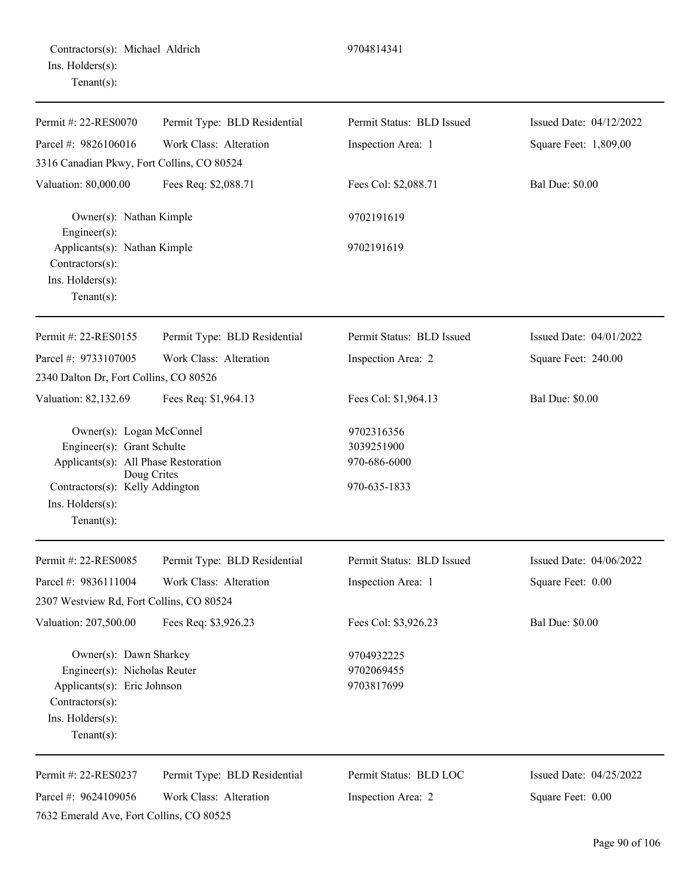| Permit #: 22-RES0070                            | Permit Type: BLD Residential | Permit Status: BLD Issued | Issued Date: 04/12/2022 |
|-------------------------------------------------|------------------------------|---------------------------|-------------------------|
| Parcel #: 9826106016                            | Work Class: Alteration       | Inspection Area: 1        | Square Feet: 1,809.00   |
| 3316 Canadian Pkwy, Fort Collins, CO 80524      |                              |                           |                         |
| Valuation: 80,000.00                            | Fees Req: \$2,088.71         | Fees Col: \$2,088.71      | <b>Bal Due: \$0.00</b>  |
| Owner(s): Nathan Kimple<br>Engineer $(s)$ :     |                              | 9702191619                |                         |
| Applicants(s): Nathan Kimple<br>Contractors(s): |                              | 9702191619                |                         |
| Ins. Holders(s):<br>Tenant $(s)$ :              |                              |                           |                         |
| Permit #: 22-RES0155                            | Permit Type: BLD Residential | Permit Status: BLD Issued | Issued Date: 04/01/2022 |
| Parcel #: 9733107005                            | Work Class: Alteration       | Inspection Area: 2        | Square Feet: 240.00     |
| 2340 Dalton Dr, Fort Collins, CO 80526          |                              |                           |                         |
| Valuation: 82,132.69                            | Fees Req: \$1,964.13         | Fees Col: \$1,964.13      | <b>Bal Due: \$0.00</b>  |
| Owner(s): Logan McConnel                        |                              | 9702316356                |                         |
| Engineer(s): Grant Schulte                      |                              | 3039251900                |                         |
| Applicants(s): All Phase Restoration            | Doug Crites                  | 970-686-6000              |                         |
| Contractors(s): Kelly Addington                 |                              | 970-635-1833              |                         |
| Ins. Holders(s):                                |                              |                           |                         |
| Tenant $(s)$ :                                  |                              |                           |                         |
| Permit #: 22-RES0085                            | Permit Type: BLD Residential | Permit Status: BLD Issued | Issued Date: 04/06/2022 |
| Parcel #: 9836111004                            | Work Class: Alteration       | Inspection Area: 1        | Square Feet: 0.00       |
| 2307 Westview Rd, Fort Collins, CO 80524        |                              |                           |                         |
| Valuation: 207,500.00                           | Fees Req: \$3,926.23         | Fees Col: \$3,926.23      | <b>Bal Due: \$0.00</b>  |
| Owner(s): Dawn Sharkey                          |                              | 9704932225                |                         |
| Engineer(s): Nicholas Reuter                    |                              | 9702069455                |                         |
| Applicants(s): Eric Johnson                     |                              | 9703817699                |                         |
| Contractors(s):                                 |                              |                           |                         |
| Ins. Holders(s):<br>$Tenant(s)$ :               |                              |                           |                         |
| Permit #: 22-RES0237                            | Permit Type: BLD Residential | Permit Status: BLD LOC    | Issued Date: 04/25/2022 |
| Parcel #: 9624109056                            | Work Class: Alteration       | Inspection Area: 2        | Square Feet: 0.00       |
| 7632 Emerald Ave, Fort Collins, CO 80525        |                              |                           |                         |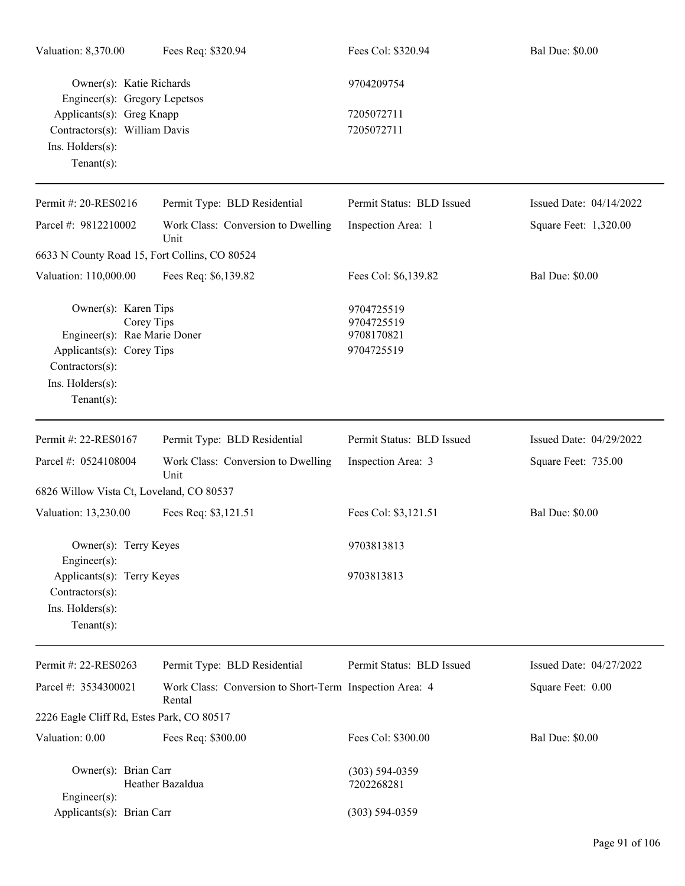| Valuation: 8,370.00                                                                                                                                      | Fees Req: \$320.94                                                | Fees Col: \$320.94                                   | <b>Bal Due: \$0.00</b>  |
|----------------------------------------------------------------------------------------------------------------------------------------------------------|-------------------------------------------------------------------|------------------------------------------------------|-------------------------|
| Owner(s): Katie Richards<br>Engineer(s): Gregory Lepetsos                                                                                                |                                                                   | 9704209754                                           |                         |
| Applicants(s): Greg Knapp<br>Contractors(s): William Davis<br>Ins. Holders(s):<br>Tenant $(s)$ :                                                         |                                                                   | 7205072711<br>7205072711                             |                         |
| Permit #: 20-RES0216                                                                                                                                     | Permit Type: BLD Residential                                      | Permit Status: BLD Issued                            | Issued Date: 04/14/2022 |
| Parcel #: 9812210002                                                                                                                                     | Work Class: Conversion to Dwelling<br>Unit                        | Inspection Area: 1                                   | Square Feet: 1,320.00   |
| 6633 N County Road 15, Fort Collins, CO 80524                                                                                                            |                                                                   |                                                      |                         |
| Valuation: 110,000.00                                                                                                                                    | Fees Req: \$6,139.82                                              | Fees Col: \$6,139.82                                 | <b>Bal Due: \$0.00</b>  |
| Owner(s): Karen Tips<br>Corey Tips<br>Engineer(s): Rae Marie Doner<br>Applicants(s): Corey Tips<br>Contractors(s):<br>Ins. Holders(s):<br>Tenant $(s)$ : |                                                                   | 9704725519<br>9704725519<br>9708170821<br>9704725519 |                         |
| Permit #: 22-RES0167                                                                                                                                     | Permit Type: BLD Residential                                      | Permit Status: BLD Issued                            | Issued Date: 04/29/2022 |
| Parcel #: 0524108004                                                                                                                                     | Work Class: Conversion to Dwelling<br>Unit                        | Inspection Area: 3                                   | Square Feet: 735.00     |
| 6826 Willow Vista Ct, Loveland, CO 80537                                                                                                                 |                                                                   |                                                      |                         |
| Valuation: 13,230.00                                                                                                                                     | Fees Req: \$3,121.51                                              | Fees Col: \$3,121.51                                 | <b>Bal Due: \$0.00</b>  |
| Owner(s): Terry Keyes<br>Engineer(s):                                                                                                                    |                                                                   | 9703813813                                           |                         |
| Applicants(s): Terry Keyes<br>Contractors(s):<br>Ins. Holders(s):<br>Tenant $(s)$ :                                                                      |                                                                   | 9703813813                                           |                         |
| Permit #: 22-RES0263                                                                                                                                     | Permit Type: BLD Residential                                      | Permit Status: BLD Issued                            | Issued Date: 04/27/2022 |
| Parcel #: 3534300021                                                                                                                                     | Work Class: Conversion to Short-Term Inspection Area: 4<br>Rental |                                                      | Square Feet: 0.00       |
| 2226 Eagle Cliff Rd, Estes Park, CO 80517                                                                                                                |                                                                   |                                                      |                         |
| Valuation: 0.00                                                                                                                                          | Fees Req: \$300.00                                                | Fees Col: \$300.00                                   | <b>Bal Due: \$0.00</b>  |
| Owner(s): Brian Carr<br>Engineer(s):                                                                                                                     | Heather Bazaldua                                                  | $(303) 594 - 0359$<br>7202268281                     |                         |
| Applicants(s): Brian Carr                                                                                                                                |                                                                   | $(303) 594 - 0359$                                   |                         |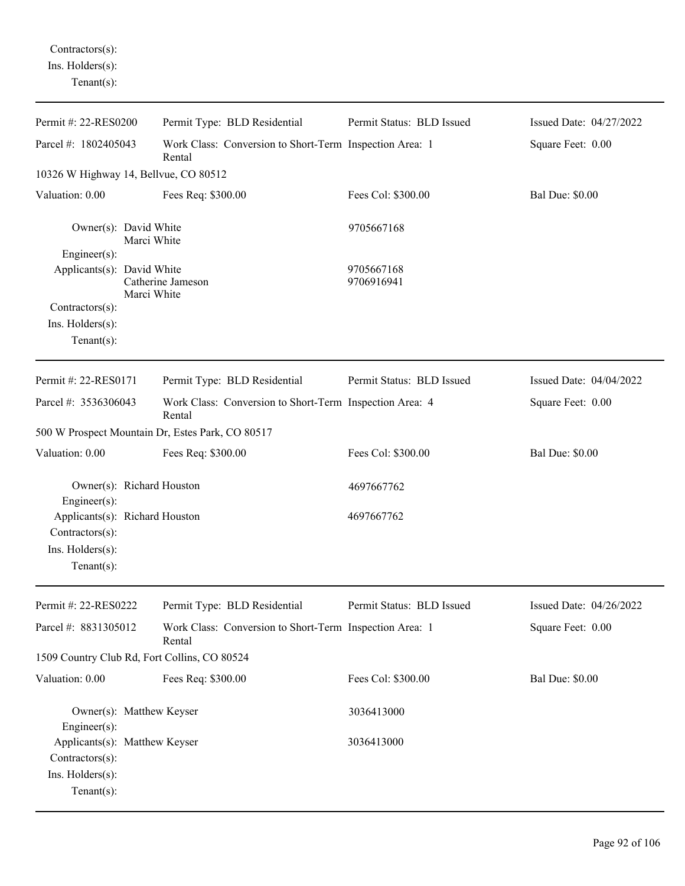Contractors(s): Ins. Holders(s):

| Permit #: 22-RES0200                                                                    | Permit Type: BLD Residential                                      | Permit Status: BLD Issued | Issued Date: 04/27/2022 |
|-----------------------------------------------------------------------------------------|-------------------------------------------------------------------|---------------------------|-------------------------|
| Parcel #: 1802405043                                                                    | Work Class: Conversion to Short-Term Inspection Area: 1<br>Rental |                           | Square Feet: 0.00       |
| 10326 W Highway 14, Bellvue, CO 80512                                                   |                                                                   |                           |                         |
| Valuation: 0.00                                                                         | Fees Req: \$300.00                                                | Fees Col: \$300.00        | <b>Bal Due: \$0.00</b>  |
| Owner(s): David White<br>Marci White<br>Engineer(s):                                    |                                                                   | 9705667168                |                         |
| Applicants(s): David White<br>Marci White                                               | Catherine Jameson                                                 | 9705667168<br>9706916941  |                         |
| Contractors(s):                                                                         |                                                                   |                           |                         |
| Ins. Holders(s):<br>Tenant $(s)$ :                                                      |                                                                   |                           |                         |
| Permit #: 22-RES0171                                                                    | Permit Type: BLD Residential                                      | Permit Status: BLD Issued | Issued Date: 04/04/2022 |
| Parcel #: 3536306043                                                                    | Work Class: Conversion to Short-Term Inspection Area: 4<br>Rental |                           | Square Feet: 0.00       |
| 500 W Prospect Mountain Dr, Estes Park, CO 80517                                        |                                                                   |                           |                         |
| Valuation: 0.00                                                                         | Fees Req: \$300.00                                                | Fees Col: \$300.00        | <b>Bal Due: \$0.00</b>  |
| Owner(s): Richard Houston<br>Engineer(s):                                               |                                                                   | 4697667762                |                         |
| Applicants(s): Richard Houston<br>Contractors(s):<br>Ins. Holders(s):<br>Tenant $(s)$ : |                                                                   | 4697667762                |                         |
| Permit #: 22-RES0222                                                                    | Permit Type: BLD Residential                                      | Permit Status: BLD Issued | Issued Date: 04/26/2022 |
| Parcel #: 8831305012                                                                    | Work Class: Conversion to Short-Term Inspection Area: 1<br>Rental |                           | Square Feet: 0.00       |
| 1509 Country Club Rd, Fort Collins, CO 80524                                            |                                                                   |                           |                         |
| Valuation: 0.00                                                                         | Fees Req: \$300.00                                                | Fees Col: \$300.00        | <b>Bal Due: \$0.00</b>  |
| Owner(s): Matthew Keyser<br>Engineer(s):                                                |                                                                   | 3036413000                |                         |
| Applicants(s): Matthew Keyser<br>Contractors(s):<br>Ins. Holders(s):<br>$Tenant(s)$ :   |                                                                   | 3036413000                |                         |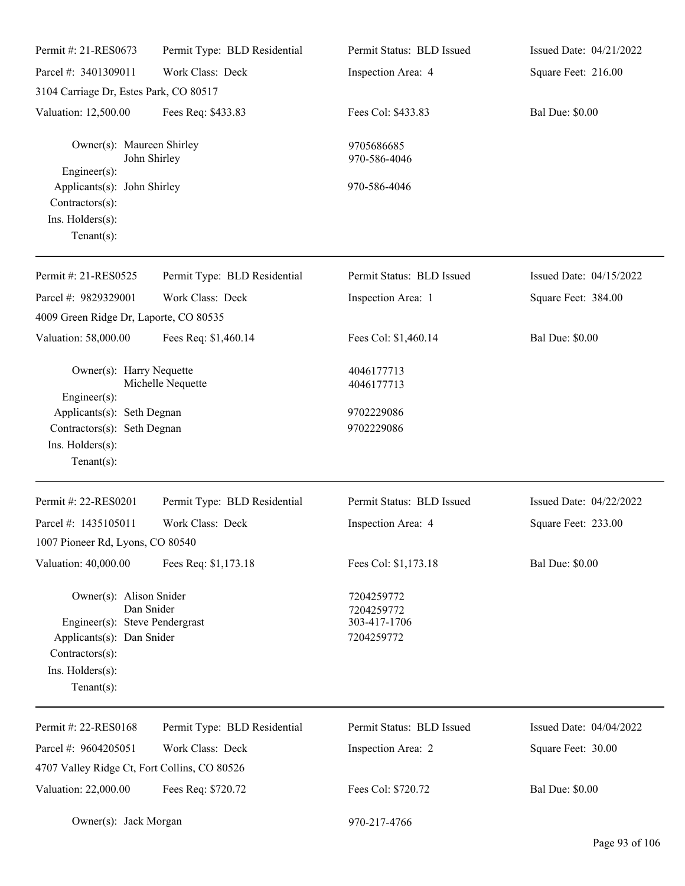| Permit #: 21-RES0673                                                                                                                           | Permit Type: BLD Residential | Permit Status: BLD Issued                              | Issued Date: 04/21/2022 |
|------------------------------------------------------------------------------------------------------------------------------------------------|------------------------------|--------------------------------------------------------|-------------------------|
| Parcel #: 3401309011                                                                                                                           | Work Class: Deck             | Inspection Area: 4                                     | Square Feet: 216.00     |
| 3104 Carriage Dr, Estes Park, CO 80517                                                                                                         |                              |                                                        |                         |
| Valuation: 12,500.00                                                                                                                           | Fees Req: \$433.83           | Fees Col: \$433.83                                     | <b>Bal Due: \$0.00</b>  |
| Owner(s): Maureen Shirley<br>$Engineering(s)$ :                                                                                                | John Shirley                 | 9705686685<br>970-586-4046                             |                         |
| Applicants(s): John Shirley<br>Contractors(s):<br>Ins. Holders(s):<br>$Tenant(s)$ :                                                            |                              | 970-586-4046                                           |                         |
| Permit #: 21-RES0525                                                                                                                           | Permit Type: BLD Residential | Permit Status: BLD Issued                              | Issued Date: 04/15/2022 |
| Parcel #: 9829329001                                                                                                                           | Work Class: Deck             | Inspection Area: 1                                     | Square Feet: 384.00     |
| 4009 Green Ridge Dr, Laporte, CO 80535                                                                                                         |                              |                                                        |                         |
| Valuation: 58,000.00                                                                                                                           | Fees Req: \$1,460.14         | Fees Col: \$1,460.14                                   | <b>Bal Due: \$0.00</b>  |
| Owner(s): Harry Nequette<br>Engineer(s):                                                                                                       | Michelle Nequette            | 4046177713<br>4046177713                               |                         |
| Applicants(s): Seth Degnan<br>Contractors(s): Seth Degnan<br>Ins. Holders(s):<br>$Tenant(s)$ :                                                 |                              | 9702229086<br>9702229086                               |                         |
| Permit #: 22-RES0201                                                                                                                           | Permit Type: BLD Residential | Permit Status: BLD Issued                              | Issued Date: 04/22/2022 |
| Parcel #: 1435105011<br>1007 Pioneer Rd, Lyons, CO 80540                                                                                       | Work Class: Deck             | Inspection Area: 4                                     | Square Feet: 233.00     |
| Valuation: 40,000.00                                                                                                                           | Fees Req: \$1,173.18         | Fees Col: \$1,173.18                                   | <b>Bal Due: \$0.00</b>  |
| Owner(s): Alison Snider<br>Engineer(s): Steve Pendergrast<br>Applicants(s): Dan Snider<br>Contractors(s):<br>Ins. Holders(s):<br>$Tenant(s)$ : | Dan Snider                   | 7204259772<br>7204259772<br>303-417-1706<br>7204259772 |                         |
| Permit #: 22-RES0168                                                                                                                           | Permit Type: BLD Residential | Permit Status: BLD Issued                              | Issued Date: 04/04/2022 |
| Parcel #: 9604205051                                                                                                                           | Work Class: Deck             | Inspection Area: 2                                     | Square Feet: 30.00      |
| 4707 Valley Ridge Ct, Fort Collins, CO 80526                                                                                                   |                              |                                                        |                         |
| Valuation: 22,000.00                                                                                                                           | Fees Req: \$720.72           | Fees Col: \$720.72                                     | <b>Bal Due: \$0.00</b>  |
| Owner(s): Jack Morgan                                                                                                                          |                              | 970-217-4766                                           |                         |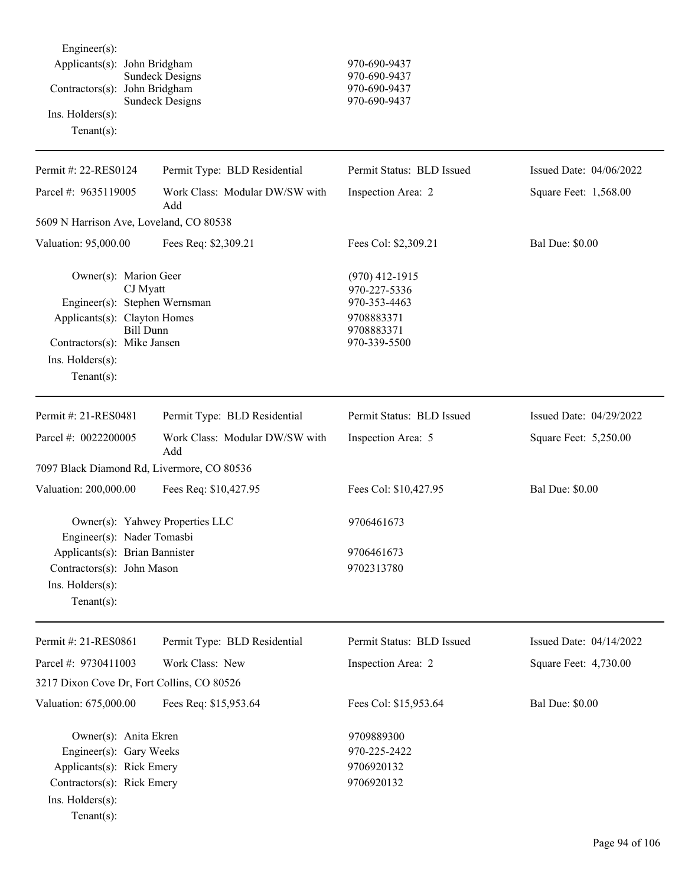Engineer(s): Applicants(s): John Bridgham 970-690-9437 Contractors(s): John Bridgham 970-690-9437 Sundeck Designs 970-690-9437 Ins. Holders(s): Tenant(s):

# Sundeck Designs 970-690-9437

| Permit #: 22-RES0124                                                                                                                                                                        | Permit Type: BLD Residential          | Permit Status: BLD Issued                                                                    | Issued Date: 04/06/2022 |
|---------------------------------------------------------------------------------------------------------------------------------------------------------------------------------------------|---------------------------------------|----------------------------------------------------------------------------------------------|-------------------------|
| Parcel #: 9635119005                                                                                                                                                                        | Work Class: Modular DW/SW with<br>Add | Inspection Area: 2                                                                           | Square Feet: 1,568.00   |
| 5609 N Harrison Ave, Loveland, CO 80538                                                                                                                                                     |                                       |                                                                                              |                         |
| Valuation: 95,000.00                                                                                                                                                                        | Fees Req: \$2,309.21                  | Fees Col: \$2,309.21                                                                         | <b>Bal Due: \$0.00</b>  |
| Owner(s): Marion Geer<br>CJ Myatt<br>Engineer(s): Stephen Wernsman<br>Applicants(s): Clayton Homes<br><b>Bill Dunn</b><br>Contractors(s): Mike Jansen<br>Ins. Holders(s):<br>Tenant $(s)$ : |                                       | $(970)$ 412-1915<br>970-227-5336<br>970-353-4463<br>9708883371<br>9708883371<br>970-339-5500 |                         |
| Permit #: 21-RES0481                                                                                                                                                                        | Permit Type: BLD Residential          | Permit Status: BLD Issued                                                                    | Issued Date: 04/29/2022 |
| Parcel #: 0022200005                                                                                                                                                                        | Work Class: Modular DW/SW with<br>Add | Inspection Area: 5                                                                           | Square Feet: 5,250.00   |
| 7097 Black Diamond Rd, Livermore, CO 80536                                                                                                                                                  |                                       |                                                                                              |                         |
| Valuation: 200,000.00                                                                                                                                                                       | Fees Req: \$10,427.95                 | Fees Col: \$10,427.95                                                                        | <b>Bal Due: \$0.00</b>  |
| Engineer(s): Nader Tomasbi                                                                                                                                                                  | Owner(s): Yahwey Properties LLC       | 9706461673                                                                                   |                         |
| Applicants(s): Brian Bannister                                                                                                                                                              |                                       | 9706461673                                                                                   |                         |
| Contractors(s): John Mason                                                                                                                                                                  |                                       | 9702313780                                                                                   |                         |
| Ins. Holders(s):<br>Tenant $(s)$ :                                                                                                                                                          |                                       |                                                                                              |                         |
| Permit #: 21-RES0861                                                                                                                                                                        | Permit Type: BLD Residential          | Permit Status: BLD Issued                                                                    | Issued Date: 04/14/2022 |
| Parcel #: 9730411003                                                                                                                                                                        | Work Class: New                       | Inspection Area: 2                                                                           | Square Feet: 4,730.00   |
| 3217 Dixon Cove Dr, Fort Collins, CO 80526                                                                                                                                                  |                                       |                                                                                              |                         |
| Valuation: 675,000.00                                                                                                                                                                       | Fees Req: \$15,953.64                 | Fees Col: \$15,953.64                                                                        | <b>Bal Due: \$0.00</b>  |
| Owner(s): Anita Ekren<br>Engineer(s): Gary Weeks<br>Applicants(s): Rick Emery<br>Contractors(s): Rick Emery<br>Ins. Holders(s):<br>$Tenant(s)$ :                                            |                                       | 9709889300<br>970-225-2422<br>9706920132<br>9706920132                                       |                         |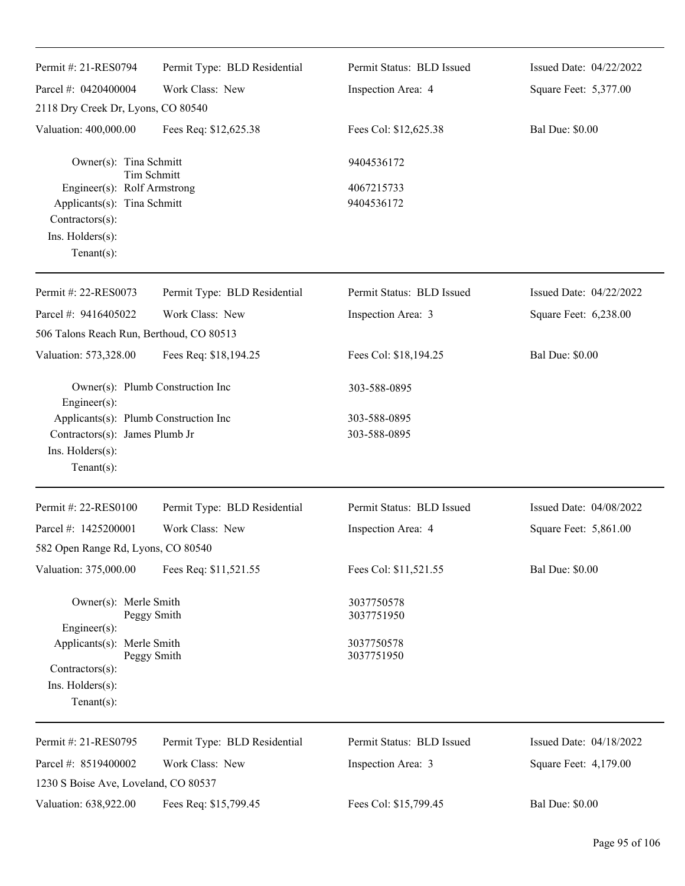| Permit #: 21-RES0794                                                                                                      | Permit Type: BLD Residential     | Permit Status: BLD Issued | Issued Date: 04/22/2022 |
|---------------------------------------------------------------------------------------------------------------------------|----------------------------------|---------------------------|-------------------------|
| Parcel #: 0420400004                                                                                                      | Work Class: New                  | Inspection Area: 4        | Square Feet: 5,377.00   |
| 2118 Dry Creek Dr, Lyons, CO 80540                                                                                        |                                  |                           |                         |
| Valuation: 400,000.00                                                                                                     | Fees Req: \$12,625.38            | Fees Col: \$12,625.38     | <b>Bal Due: \$0.00</b>  |
| Owner(s): Tina Schmitt                                                                                                    | <b>Tim Schmitt</b>               | 9404536172                |                         |
| Engineer(s): Rolf Armstrong<br>Applicants(s): Tina Schmitt<br>Contractors(s):<br>Ins. $H$ olders $(s)$ :<br>$Tenant(s)$ : |                                  | 4067215733<br>9404536172  |                         |
| Permit #: 22-RES0073                                                                                                      | Permit Type: BLD Residential     | Permit Status: BLD Issued | Issued Date: 04/22/2022 |
| Parcel #: 9416405022                                                                                                      | Work Class: New                  | Inspection Area: 3        | Square Feet: 6,238.00   |
| 506 Talons Reach Run, Berthoud, CO 80513                                                                                  |                                  |                           |                         |
| Valuation: 573,328.00                                                                                                     | Fees Req: \$18,194.25            | Fees Col: \$18,194.25     | <b>Bal Due: \$0.00</b>  |
| Engineer(s):                                                                                                              | Owner(s): Plumb Construction Inc | 303-588-0895              |                         |
| Applicants(s): Plumb Construction Inc                                                                                     |                                  | 303-588-0895              |                         |
| Contractors(s): James Plumb Jr<br>Ins. Holders(s):<br>$Tenant(s)$ :                                                       |                                  | 303-588-0895              |                         |
| Permit #: 22-RES0100                                                                                                      | Permit Type: BLD Residential     | Permit Status: BLD Issued | Issued Date: 04/08/2022 |
| Parcel #: 1425200001                                                                                                      | Work Class: New                  | Inspection Area: 4        | Square Feet: 5,861.00   |
| 582 Open Range Rd, Lyons, CO 80540                                                                                        |                                  |                           |                         |
| Valuation: 375,000.00                                                                                                     | Fees Req: \$11,521.55            | Fees Col: \$11,521.55     | <b>Bal Due: \$0.00</b>  |
| Owner(s): Merle Smith<br>$Engineering(s)$ :                                                                               | Peggy Smith                      | 3037750578<br>3037751950  |                         |
| Applicants(s): Merle Smith<br>Contractors(s):<br>Ins. Holders(s):<br>Tenant $(s)$ :                                       | Peggy Smith                      | 3037750578<br>3037751950  |                         |
| Permit #: 21-RES0795                                                                                                      | Permit Type: BLD Residential     | Permit Status: BLD Issued | Issued Date: 04/18/2022 |
| Parcel #: 8519400002                                                                                                      | Work Class: New                  | Inspection Area: 3        | Square Feet: 4,179.00   |
| 1230 S Boise Ave, Loveland, CO 80537                                                                                      |                                  |                           |                         |
| Valuation: 638,922.00                                                                                                     | Fees Req: \$15,799.45            | Fees Col: \$15,799.45     | <b>Bal Due: \$0.00</b>  |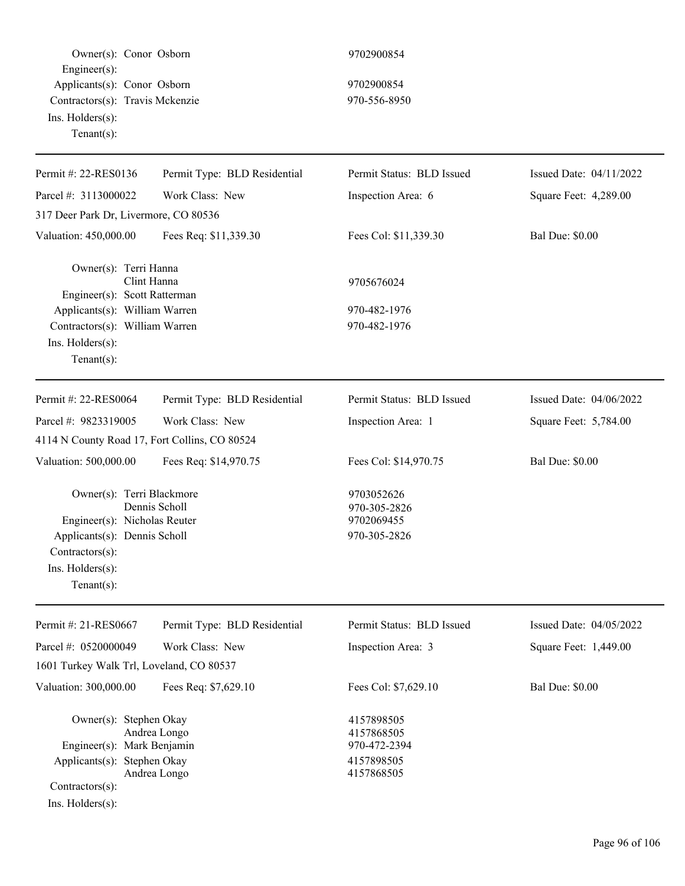Owner(s): Conor Osborn 9702900854 Engineer(s): Applicants(s): Conor Osborn 9702900854 Contractors(s): Travis Mckenzie 970-556-8950 Ins. Holders(s): Tenant(s):

| Permit Type: BLD Residential                                                                                                            | Permit Status: BLD Issued                                                                        | Issued Date: 04/11/2022 |
|-----------------------------------------------------------------------------------------------------------------------------------------|--------------------------------------------------------------------------------------------------|-------------------------|
| Work Class: New                                                                                                                         | Inspection Area: 6                                                                               | Square Feet: 4,289.00   |
| 317 Deer Park Dr, Livermore, CO 80536                                                                                                   |                                                                                                  |                         |
| Fees Req: \$11,339.30                                                                                                                   | Fees Col: \$11,339.30                                                                            | <b>Bal Due: \$0.00</b>  |
| Owner(s): Terri Hanna<br>Clint Hanna<br>Engineer(s): Scott Ratterman<br>Applicants(s): William Warren<br>Contractors(s): William Warren | 9705676024<br>970-482-1976<br>970-482-1976                                                       |                         |
|                                                                                                                                         | Permit Status: BLD Issued                                                                        | Issued Date: 04/06/2022 |
|                                                                                                                                         |                                                                                                  | Square Feet: 5,784.00   |
|                                                                                                                                         |                                                                                                  |                         |
| Fees Req: \$14,970.75                                                                                                                   | Fees Col: \$14,970.75                                                                            | <b>Bal Due: \$0.00</b>  |
| Owner(s): Terri Blackmore<br>Dennis Scholl<br>Engineer(s): Nicholas Reuter<br>Applicants(s): Dennis Scholl                              | 9703052626<br>970-305-2826<br>9702069455<br>970-305-2826                                         |                         |
| Permit Type: BLD Residential                                                                                                            | Permit Status: BLD Issued                                                                        | Issued Date: 04/05/2022 |
| Work Class: New                                                                                                                         | Inspection Area: 3                                                                               | Square Feet: 1,449.00   |
| 1601 Turkey Walk Trl, Loveland, CO 80537                                                                                                |                                                                                                  |                         |
| Fees Req: \$7,629.10                                                                                                                    | Fees Col: \$7,629.10                                                                             | <b>Bal Due: \$0.00</b>  |
| Owner(s): Stephen Okay<br>Andrea Longo<br>Engineer(s): Mark Benjamin<br>Applicants(s): Stephen Okay<br>Andrea Longo                     | 4157898505<br>4157868505<br>970-472-2394<br>4157898505<br>4157868505                             |                         |
|                                                                                                                                         | Permit Type: BLD Residential<br>Work Class: New<br>4114 N County Road 17, Fort Collins, CO 80524 | Inspection Area: 1      |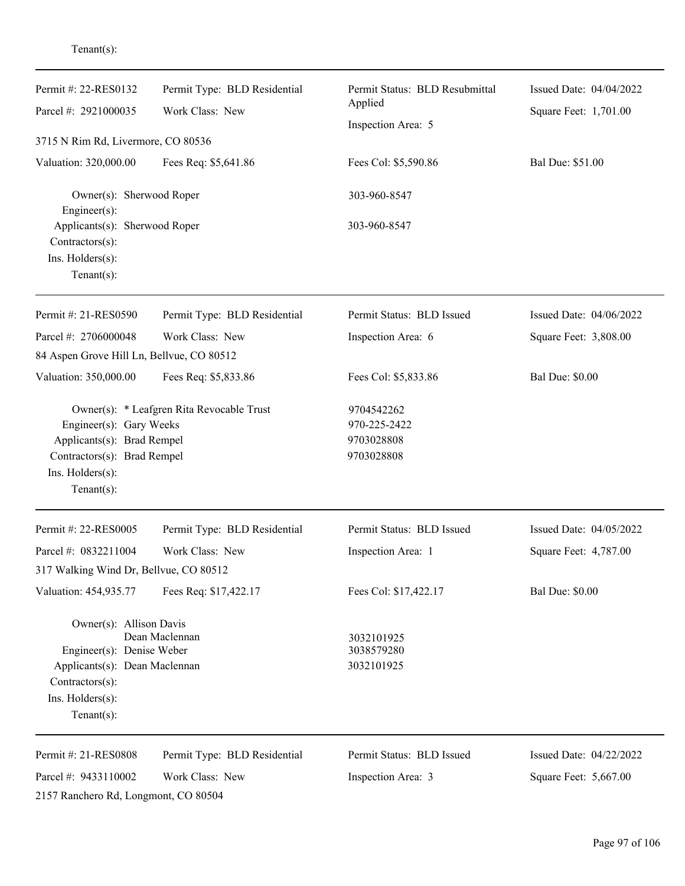| Permit #: 22-RES0132<br>Parcel #: 2921000035                                                                                                   | Permit Type: BLD Residential<br>Work Class: New | Permit Status: BLD Resubmittal<br>Applied<br>Inspection Area: 5 | Issued Date: 04/04/2022<br>Square Feet: 1,701.00 |
|------------------------------------------------------------------------------------------------------------------------------------------------|-------------------------------------------------|-----------------------------------------------------------------|--------------------------------------------------|
| 3715 N Rim Rd, Livermore, CO 80536                                                                                                             |                                                 |                                                                 |                                                  |
| Valuation: 320,000.00                                                                                                                          | Fees Req: \$5,641.86                            | Fees Col: \$5,590.86                                            | Bal Due: \$51.00                                 |
| Owner(s): Sherwood Roper<br>$Engineering(s)$ :                                                                                                 |                                                 | 303-960-8547                                                    |                                                  |
| Applicants(s): Sherwood Roper<br>Contractors(s):<br>Ins. Holders(s):<br>Tenant $(s)$ :                                                         |                                                 | 303-960-8547                                                    |                                                  |
| Permit #: 21-RES0590                                                                                                                           | Permit Type: BLD Residential                    | Permit Status: BLD Issued                                       | Issued Date: 04/06/2022                          |
| Parcel #: 2706000048                                                                                                                           | Work Class: New                                 | Inspection Area: 6                                              | Square Feet: 3,808.00                            |
| 84 Aspen Grove Hill Ln, Bellvue, CO 80512                                                                                                      |                                                 |                                                                 |                                                  |
| Valuation: 350,000.00                                                                                                                          | Fees Req: \$5,833.86                            | Fees Col: \$5,833.86                                            | <b>Bal Due: \$0.00</b>                           |
| Engineer(s): Gary Weeks<br>Applicants(s): Brad Rempel<br>Contractors(s): Brad Rempel<br>Ins. Holders(s):<br>Tenant $(s)$ :                     | Owner(s): * Leafgren Rita Revocable Trust       | 9704542262<br>970-225-2422<br>9703028808<br>9703028808          |                                                  |
| Permit #: 22-RES0005                                                                                                                           | Permit Type: BLD Residential                    | Permit Status: BLD Issued                                       | Issued Date: 04/05/2022                          |
| Parcel #: 0832211004                                                                                                                           | Work Class: New                                 | Inspection Area: 1                                              | Square Feet: 4,787.00                            |
| 317 Walking Wind Dr, Bellvue, CO 80512                                                                                                         |                                                 |                                                                 |                                                  |
| Valuation: 454,935.77                                                                                                                          | Fees Req: \$17,422.17                           | Fees Col: \$17,422.17                                           | <b>Bal Due: \$0.00</b>                           |
| Owner(s): Allison Davis<br>Engineer(s): Denise Weber<br>Applicants(s): Dean Maclennan<br>Contractors(s):<br>Ins. Holders(s):<br>Tenant $(s)$ : | Dean Maclennan                                  | 3032101925<br>3038579280<br>3032101925                          |                                                  |
| Permit #: 21-RES0808                                                                                                                           | Permit Type: BLD Residential                    | Permit Status: BLD Issued                                       | Issued Date: 04/22/2022                          |
| Parcel #: 9433110002                                                                                                                           | Work Class: New                                 | Inspection Area: 3                                              | Square Feet: 5,667.00                            |

Tenant(s):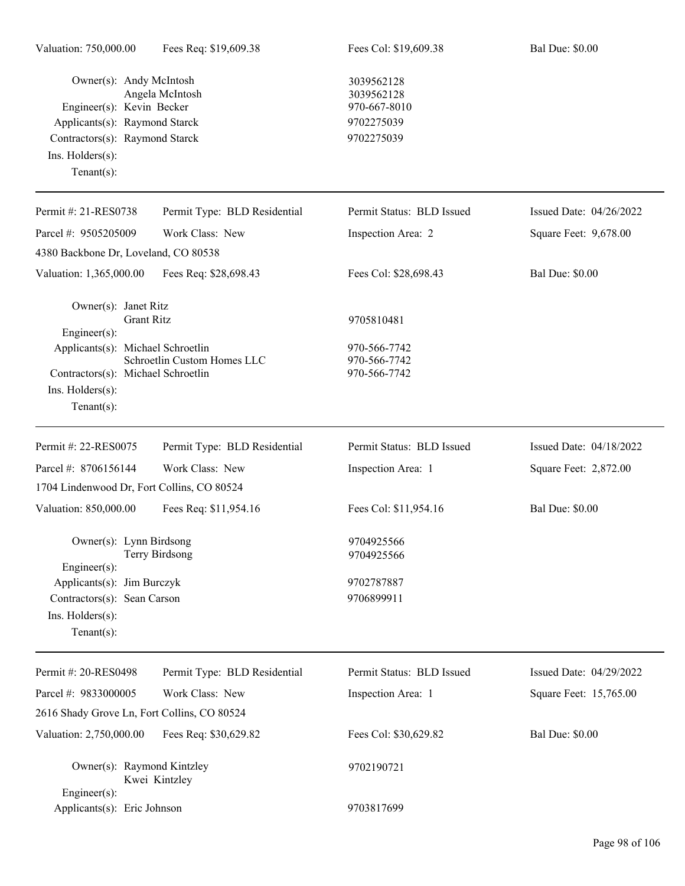| Owner(s): Andy McIntosh<br>Engineer(s): Kevin Becker<br>Applicants(s): Raymond Starck<br>Contractors(s): Raymond Starck<br>Ins. Holders(s):<br>Tenant $(s)$ : | Angela McIntosh              | 3039562128<br>3039562128<br>970-667-8010<br>9702275039<br>9702275039 |                           |
|---------------------------------------------------------------------------------------------------------------------------------------------------------------|------------------------------|----------------------------------------------------------------------|---------------------------|
| Permit #: 21-RES0738                                                                                                                                          | Permit Type: BLD Residential | Permit Status: BLD Issued                                            | Issued Date: $04/26/2022$ |
| Parcel #: 9505205009                                                                                                                                          | Work Class: New              | Inspection Area: 2                                                   | Square Feet: 9,678.00     |
| 4380 Backbone Dr, Loveland, CO 80538                                                                                                                          |                              |                                                                      |                           |
| Valuation: 1,365,000.00                                                                                                                                       | Fees Req: \$28,698.43        | Fees Col: \$28,698.43                                                | <b>Bal Due: \$0.00</b>    |
| Owner(s): Janet Ritz<br><b>Grant Ritz</b>                                                                                                                     |                              | 9705810481                                                           |                           |
| $Engineering(s)$ :<br>Applicants(s): Michael Schroetlin<br>Contractors(s): Michael Schroetlin<br>Ins. Holders(s):<br>Tenant $(s)$ :                           | Schroetlin Custom Homes LLC  | 970-566-7742<br>970-566-7742<br>970-566-7742                         |                           |
| Permit #: 22-RES0075                                                                                                                                          | Permit Type: BLD Residential | Permit Status: BLD Issued                                            | Issued Date: 04/18/2022   |
| Parcel #: 8706156144                                                                                                                                          | Work Class: New              | Inspection Area: 1                                                   | Square Feet: 2,872.00     |
| 1704 Lindenwood Dr, Fort Collins, CO 80524                                                                                                                    |                              |                                                                      |                           |
| Valuation: 850,000.00                                                                                                                                         | Fees Req: \$11,954.16        | Fees Col: \$11,954.16                                                | <b>Bal Due: \$0.00</b>    |
| Owner(s): Lynn Birdsong<br>Engineer(s):                                                                                                                       | Terry Birdsong               | 9704925566<br>9704925566                                             |                           |
| Applicants(s): Jim Burczyk                                                                                                                                    |                              | 9702787887                                                           |                           |
| Contractors(s): Sean Carson                                                                                                                                   |                              | 9706899911                                                           |                           |
| Ins. Holders(s):<br>Tenant $(s)$ :                                                                                                                            |                              |                                                                      |                           |
| Permit #: 20-RES0498                                                                                                                                          | Permit Type: BLD Residential | Permit Status: BLD Issued                                            | Issued Date: 04/29/2022   |
| Parcel #: 9833000005                                                                                                                                          | Work Class: New              | Inspection Area: 1                                                   | Square Feet: 15,765.00    |
| 2616 Shady Grove Ln, Fort Collins, CO 80524                                                                                                                   |                              |                                                                      |                           |
| Valuation: 2,750,000.00                                                                                                                                       | Fees Req: \$30,629.82        | Fees Col: \$30,629.82                                                | <b>Bal Due: \$0.00</b>    |
| Owner(s): Raymond Kintzley<br>$Engineering(s)$ :                                                                                                              | Kwei Kintzley                | 9702190721                                                           |                           |
| Applicants(s): Eric Johnson                                                                                                                                   |                              | 9703817699                                                           |                           |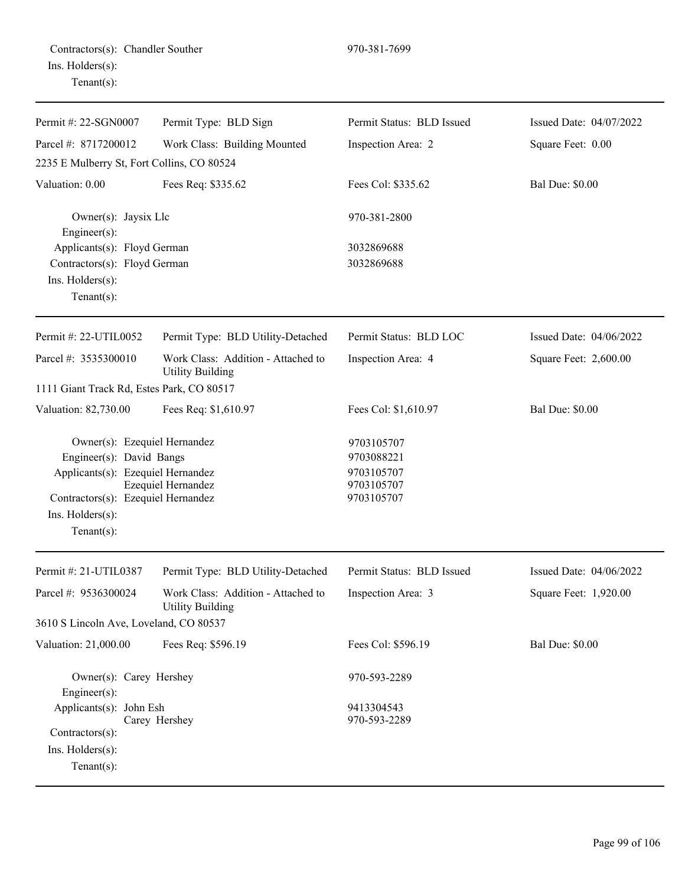| Permit #: 22-SGN0007                                                                                                                                                      | Permit Type: BLD Sign                                         | Permit Status: BLD Issued                                          | Issued Date: 04/07/2022 |
|---------------------------------------------------------------------------------------------------------------------------------------------------------------------------|---------------------------------------------------------------|--------------------------------------------------------------------|-------------------------|
| Parcel #: 8717200012                                                                                                                                                      | Work Class: Building Mounted                                  | Inspection Area: 2                                                 | Square Feet: 0.00       |
| 2235 E Mulberry St, Fort Collins, CO 80524                                                                                                                                |                                                               |                                                                    |                         |
| Valuation: 0.00                                                                                                                                                           | Fees Req: \$335.62                                            | Fees Col: \$335.62                                                 | <b>Bal Due: \$0.00</b>  |
| Owner(s): Jaysix Llc<br>$Engineering(s)$ :                                                                                                                                |                                                               | 970-381-2800                                                       |                         |
| Applicants(s): Floyd German                                                                                                                                               |                                                               | 3032869688                                                         |                         |
| Contractors(s): Floyd German<br>Ins. Holders(s):<br>Tenant $(s)$ :                                                                                                        |                                                               | 3032869688                                                         |                         |
| Permit #: 22-UTIL0052                                                                                                                                                     | Permit Type: BLD Utility-Detached                             | Permit Status: BLD LOC                                             | Issued Date: 04/06/2022 |
| Parcel #: 3535300010                                                                                                                                                      | Work Class: Addition - Attached to<br><b>Utility Building</b> | Inspection Area: 4                                                 | Square Feet: 2,600.00   |
| 1111 Giant Track Rd, Estes Park, CO 80517                                                                                                                                 |                                                               |                                                                    |                         |
| Valuation: 82,730.00                                                                                                                                                      | Fees Req: \$1,610.97                                          | Fees Col: \$1,610.97                                               | <b>Bal Due: \$0.00</b>  |
| Owner(s): Ezequiel Hernandez<br>Engineer(s): David Bangs<br>Applicants(s): Ezequiel Hernandez<br>Contractors(s): Ezequiel Hernandez<br>Ins. Holders(s):<br>Tenant $(s)$ : | Ezequiel Hernandez                                            | 9703105707<br>9703088221<br>9703105707<br>9703105707<br>9703105707 |                         |
| Permit #: 21-UTIL0387                                                                                                                                                     | Permit Type: BLD Utility-Detached                             | Permit Status: BLD Issued                                          | Issued Date: 04/06/2022 |
| Parcel #: 9536300024                                                                                                                                                      | Work Class: Addition - Attached to<br><b>Utility Building</b> | Inspection Area: 3                                                 | Square Feet: 1,920.00   |
| 3610 S Lincoln Ave, Loveland, CO 80537                                                                                                                                    |                                                               |                                                                    |                         |
| Valuation: 21,000.00                                                                                                                                                      | Fees Req: \$596.19                                            | Fees Col: \$596.19                                                 | <b>Bal Due: \$0.00</b>  |
| Owner(s): Carey Hershey<br>Engineer $(s)$ :<br>Applicants(s): John Esh<br>Contractors(s):<br>Ins. Holders(s):<br>Tenant $(s)$ :                                           | Carey Hershey                                                 | 970-593-2289<br>9413304543<br>970-593-2289                         |                         |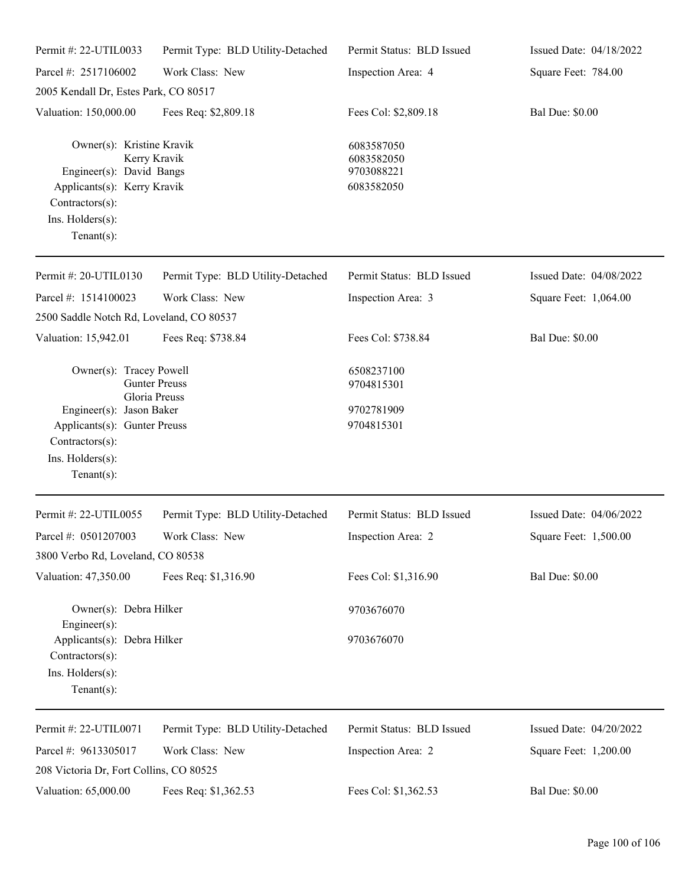| Permit #: 22-UTIL0033                                                                                                                         | Permit Type: BLD Utility-Detached     | Permit Status: BLD Issued                            | Issued Date: 04/18/2022 |
|-----------------------------------------------------------------------------------------------------------------------------------------------|---------------------------------------|------------------------------------------------------|-------------------------|
| Parcel #: 2517106002                                                                                                                          | Work Class: New                       | Inspection Area: 4                                   | Square Feet: 784.00     |
| 2005 Kendall Dr, Estes Park, CO 80517                                                                                                         |                                       |                                                      |                         |
| Valuation: 150,000.00                                                                                                                         | Fees Req: \$2,809.18                  | Fees Col: \$2,809.18                                 | <b>Bal Due: \$0.00</b>  |
| Owner(s): Kristine Kravik<br>Engineer(s): David Bangs<br>Applicants(s): Kerry Kravik<br>Contractors(s):<br>Ins. Holders(s):<br>Tenant $(s)$ : | Kerry Kravik                          | 6083587050<br>6083582050<br>9703088221<br>6083582050 |                         |
| Permit#: 20-UTIL0130                                                                                                                          | Permit Type: BLD Utility-Detached     | Permit Status: BLD Issued                            | Issued Date: 04/08/2022 |
| Parcel #: 1514100023                                                                                                                          | Work Class: New                       | Inspection Area: 3                                   | Square Feet: 1,064.00   |
| 2500 Saddle Notch Rd, Loveland, CO 80537                                                                                                      |                                       |                                                      |                         |
| Valuation: 15,942.01                                                                                                                          | Fees Req: \$738.84                    | Fees Col: \$738.84                                   | <b>Bal Due: \$0.00</b>  |
| Owner(s): Tracey Powell<br>Engineer(s): Jason Baker<br>Applicants(s): Gunter Preuss<br>Contractors(s):<br>Ins. Holders(s):<br>Tenant $(s)$ :  | <b>Gunter Preuss</b><br>Gloria Preuss | 6508237100<br>9704815301<br>9702781909<br>9704815301 |                         |
| Permit #: 22-UTIL0055                                                                                                                         | Permit Type: BLD Utility-Detached     | Permit Status: BLD Issued                            | Issued Date: 04/06/2022 |
| Parcel #: $0501207003$                                                                                                                        | Work Class: New                       | Inspection Area: 2                                   | Square Feet: 1,500.00   |
| 3800 Verbo Rd, Loveland, CO 80538                                                                                                             |                                       |                                                      |                         |
| Valuation: 47,350.00                                                                                                                          | Fees Req: \$1,316.90                  | Fees Col: \$1,316.90                                 | <b>Bal Due: \$0.00</b>  |
| Owner(s): Debra Hilker<br>Engineer(s):                                                                                                        |                                       | 9703676070                                           |                         |
| Applicants(s): Debra Hilker<br>Contractors(s):<br>Ins. Holders(s):<br>$Tenant(s)$ :                                                           |                                       | 9703676070                                           |                         |
| Permit #: 22-UTIL0071                                                                                                                         | Permit Type: BLD Utility-Detached     | Permit Status: BLD Issued                            | Issued Date: 04/20/2022 |
| Parcel #: 9613305017<br>208 Victoria Dr, Fort Collins, CO 80525                                                                               | Work Class: New                       | Inspection Area: 2                                   | Square Feet: 1,200.00   |
| Valuation: 65,000.00                                                                                                                          | Fees Req: \$1,362.53                  | Fees Col: \$1,362.53                                 | <b>Bal Due: \$0.00</b>  |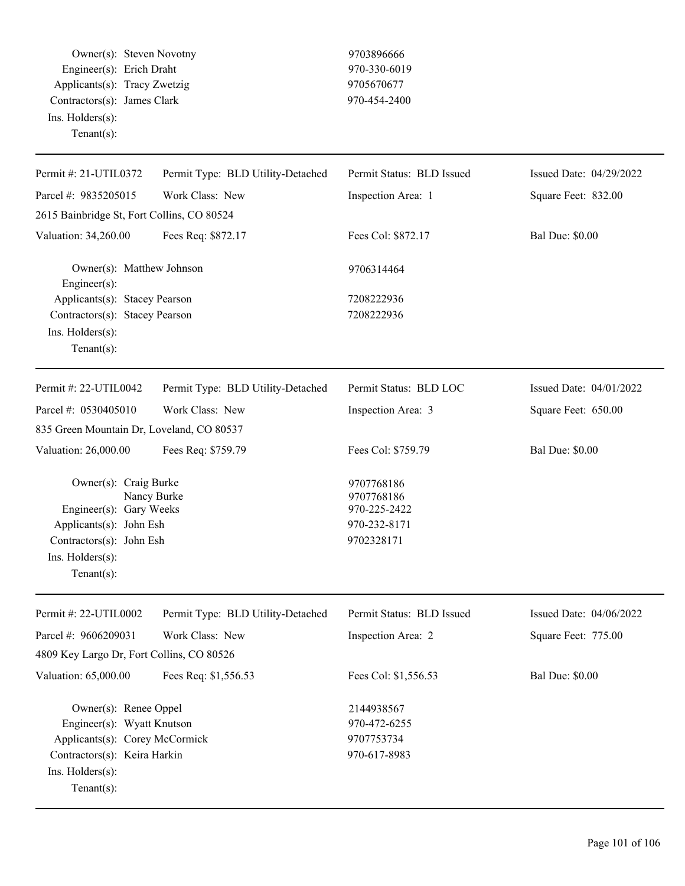Owner(s): Steven Novotny 9703896666 Engineer(s): Erich Draht 970-330-6019 Applicants(s): Tracy Zwetzig 9705670677 Contractors(s): James Clark 970-454-2400 Ins. Holders(s): Tenant(s):

| Permit #: 21-UTIL0372                                                                                                                                       | Permit Type: BLD Utility-Detached | Permit Status: BLD Issued                                              | Issued Date: 04/29/2022 |
|-------------------------------------------------------------------------------------------------------------------------------------------------------------|-----------------------------------|------------------------------------------------------------------------|-------------------------|
| Parcel #: 9835205015                                                                                                                                        | Work Class: New                   | Inspection Area: 1                                                     | Square Feet: 832.00     |
| 2615 Bainbridge St, Fort Collins, CO 80524                                                                                                                  |                                   |                                                                        |                         |
| Valuation: 34,260.00                                                                                                                                        | Fees Req: \$872.17                | Fees Col: \$872.17                                                     | <b>Bal Due: \$0.00</b>  |
| Owner(s): Matthew Johnson<br>Engineer(s):                                                                                                                   |                                   | 9706314464                                                             |                         |
| Applicants(s): Stacey Pearson                                                                                                                               |                                   | 7208222936                                                             |                         |
| Contractors(s): Stacey Pearson<br>Ins. Holders(s):<br>Tenant $(s)$ :                                                                                        |                                   | 7208222936                                                             |                         |
| Permit #: 22-UTIL0042                                                                                                                                       | Permit Type: BLD Utility-Detached | Permit Status: BLD LOC                                                 | Issued Date: 04/01/2022 |
| Parcel #: 0530405010                                                                                                                                        | Work Class: New                   | Inspection Area: 3                                                     | Square Feet: 650.00     |
| 835 Green Mountain Dr, Loveland, CO 80537                                                                                                                   |                                   |                                                                        |                         |
| Valuation: 26,000.00                                                                                                                                        | Fees Req: \$759.79                | Fees Col: \$759.79                                                     | <b>Bal Due: \$0.00</b>  |
| Owner(s): Craig Burke<br>Engineer(s): Gary Weeks<br>Applicants(s): John Esh<br>Contractors(s): John Esh<br>Ins. Holders(s):<br>$Tenant(s)$ :                | Nancy Burke                       | 9707768186<br>9707768186<br>970-225-2422<br>970-232-8171<br>9702328171 |                         |
| Permit #: 22-UTIL0002                                                                                                                                       | Permit Type: BLD Utility-Detached | Permit Status: BLD Issued                                              | Issued Date: 04/06/2022 |
| Parcel #: 9606209031                                                                                                                                        | Work Class: New                   | Inspection Area: 2                                                     | Square Feet: 775.00     |
| 4809 Key Largo Dr, Fort Collins, CO 80526                                                                                                                   |                                   |                                                                        |                         |
| Valuation: 65,000.00                                                                                                                                        | Fees Req: \$1,556.53              | Fees Col: \$1,556.53                                                   | <b>Bal Due: \$0.00</b>  |
| Owner(s): Renee Oppel<br>Engineer(s): Wyatt Knutson<br>Applicants(s): Corey McCormick<br>Contractors(s): Keira Harkin<br>Ins. Holders(s):<br>Tenant $(s)$ : |                                   | 2144938567<br>970-472-6255<br>9707753734<br>970-617-8983               |                         |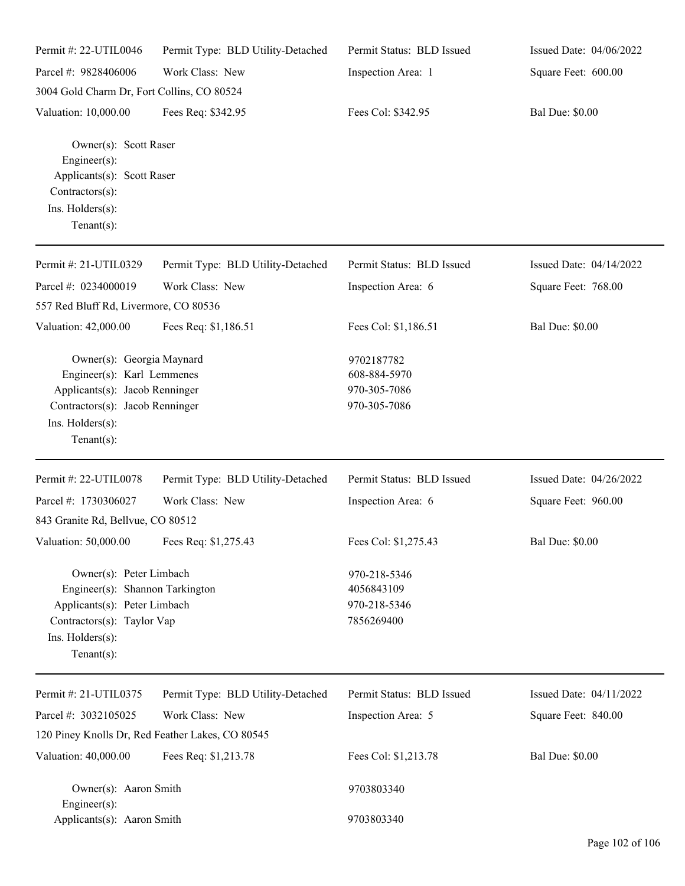| Permit #: 22-UTIL0046                                                                                                                                              | Permit Type: BLD Utility-Detached | Permit Status: BLD Issued                                  | Issued Date: 04/06/2022 |
|--------------------------------------------------------------------------------------------------------------------------------------------------------------------|-----------------------------------|------------------------------------------------------------|-------------------------|
| Parcel #: 9828406006                                                                                                                                               | Work Class: New                   | Inspection Area: 1                                         | Square Feet: 600.00     |
| 3004 Gold Charm Dr, Fort Collins, CO 80524                                                                                                                         |                                   |                                                            |                         |
| Valuation: 10,000.00                                                                                                                                               | Fees Req: \$342.95                | Fees Col: \$342.95                                         | <b>Bal Due: \$0.00</b>  |
| Owner(s): Scott Raser<br>Engineer(s):<br>Applicants(s): Scott Raser<br>Contractors(s):<br>Ins. Holders(s):<br>Tenant $(s)$ :                                       |                                   |                                                            |                         |
| Permit #: 21-UTIL0329                                                                                                                                              | Permit Type: BLD Utility-Detached | Permit Status: BLD Issued                                  | Issued Date: 04/14/2022 |
| Parcel #: 0234000019<br>557 Red Bluff Rd, Livermore, CO 80536                                                                                                      | Work Class: New                   | Inspection Area: 6                                         | Square Feet: 768.00     |
| Valuation: 42,000.00                                                                                                                                               | Fees Req: \$1,186.51              | Fees Col: \$1,186.51                                       | <b>Bal Due: \$0.00</b>  |
| Owner(s): Georgia Maynard<br>Engineer(s): Karl Lemmenes<br>Applicants(s): Jacob Renninger<br>Contractors(s): Jacob Renninger<br>Ins. Holders(s):<br>Tenant $(s)$ : |                                   | 9702187782<br>608-884-5970<br>970-305-7086<br>970-305-7086 |                         |
| Permit #: 22-UTIL0078                                                                                                                                              | Permit Type: BLD Utility-Detached | Permit Status: BLD Issued                                  | Issued Date: 04/26/2022 |
| Parcel #: 1730306027                                                                                                                                               | Work Class: New                   | Inspection Area: 6                                         | Square Feet: 960.00     |
| 843 Granite Rd, Bellvue, CO 80512                                                                                                                                  |                                   |                                                            |                         |
| Valuation: 50,000.00 Fees Req: \$1,275.43                                                                                                                          |                                   | Fees Col: \$1,275.43                                       | <b>Bal Due: \$0.00</b>  |
| Owner(s): Peter Limbach<br>Engineer(s): Shannon Tarkington<br>Applicants(s): Peter Limbach<br>Contractors(s): Taylor Vap<br>Ins. Holders(s):<br>Tenant $(s)$ :     |                                   | 970-218-5346<br>4056843109<br>970-218-5346<br>7856269400   |                         |
| Permit #: 21-UTIL0375                                                                                                                                              | Permit Type: BLD Utility-Detached | Permit Status: BLD Issued                                  | Issued Date: 04/11/2022 |
| Parcel #: 3032105025                                                                                                                                               | Work Class: New                   | Inspection Area: 5                                         | Square Feet: 840.00     |
| 120 Piney Knolls Dr, Red Feather Lakes, CO 80545                                                                                                                   |                                   |                                                            |                         |
| Valuation: 40,000.00                                                                                                                                               | Fees Req: \$1,213.78              | Fees Col: \$1,213.78                                       | <b>Bal Due: \$0.00</b>  |
| Owner(s): Aaron Smith<br>Engineer(s):                                                                                                                              |                                   | 9703803340                                                 |                         |
| Applicants(s): Aaron Smith                                                                                                                                         |                                   | 9703803340                                                 |                         |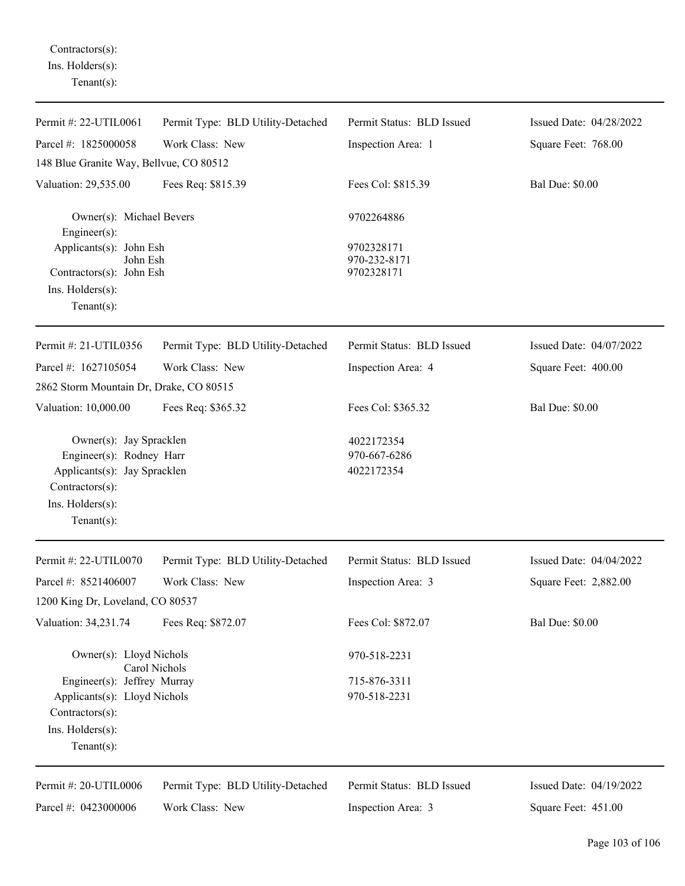Contractors(s): Ins. Holders(s): Tenant(s):

| Permit #: 22-UTIL0061                                                                                                                        | Permit Type: BLD Utility-Detached | Permit Status: BLD Issued                | Issued Date: 04/28/2022 |
|----------------------------------------------------------------------------------------------------------------------------------------------|-----------------------------------|------------------------------------------|-------------------------|
| Parcel #: 1825000058                                                                                                                         | Work Class: New                   | Inspection Area: 1                       | Square Feet: 768.00     |
| 148 Blue Granite Way, Bellvue, CO 80512                                                                                                      |                                   |                                          |                         |
| Valuation: 29,535.00                                                                                                                         | Fees Req: \$815.39                | Fees Col: \$815.39                       | <b>Bal Due: \$0.00</b>  |
| Owner(s): Michael Bevers<br>Engineer $(s)$ :                                                                                                 |                                   | 9702264886                               |                         |
| Applicants(s): John Esh<br>John Esh<br>Contractors(s): John Esh<br>Ins. Holders(s):<br>Tenant $(s)$ :                                        |                                   | 9702328171<br>970-232-8171<br>9702328171 |                         |
| Permit #: 21-UTIL0356                                                                                                                        | Permit Type: BLD Utility-Detached | Permit Status: BLD Issued                | Issued Date: 04/07/2022 |
| Parcel #: 1627105054                                                                                                                         | Work Class: New                   | Inspection Area: 4                       | Square Feet: 400.00     |
| 2862 Storm Mountain Dr, Drake, CO 80515                                                                                                      |                                   |                                          |                         |
| Valuation: 10,000.00                                                                                                                         | Fees Req: \$365.32                | Fees Col: \$365.32                       | <b>Bal Due: \$0.00</b>  |
| Owner(s): Jay Spracklen<br>Engineer(s): Rodney Harr<br>Applicants(s): Jay Spracklen<br>Contractors(s):<br>Ins. Holders(s):<br>Tenant $(s)$ : |                                   | 4022172354<br>970-667-6286<br>4022172354 |                         |
| Permit #: 22-UTIL0070                                                                                                                        | Permit Type: BLD Utility-Detached | Permit Status: BLD Issued                | Issued Date: 04/04/2022 |
| Parcel #: 8521406007                                                                                                                         | Work Class: New                   | Inspection Area: 3                       | Square Feet: 2,882.00   |
| 1200 King Dr, Loveland, CO 80537                                                                                                             |                                   |                                          |                         |
| Valuation: 34,231.74                                                                                                                         | Fees Req: \$872.07                | Fees Col: \$872.07                       | <b>Bal Due: \$0.00</b>  |
| Owner(s): Lloyd Nichols                                                                                                                      | Carol Nichols                     | 970-518-2231                             |                         |
| Engineer(s): Jeffrey Murray<br>Applicants(s): Lloyd Nichols<br>Contractors(s):<br>Ins. Holders(s):<br>Tenant $(s)$ :                         |                                   | 715-876-3311<br>970-518-2231             |                         |
| Permit #: 20-UTIL0006                                                                                                                        | Permit Type: BLD Utility-Detached | Permit Status: BLD Issued                | Issued Date: 04/19/2022 |
| Parcel #: 0423000006                                                                                                                         | Work Class: New                   | Inspection Area: 3                       | Square Feet: 451.00     |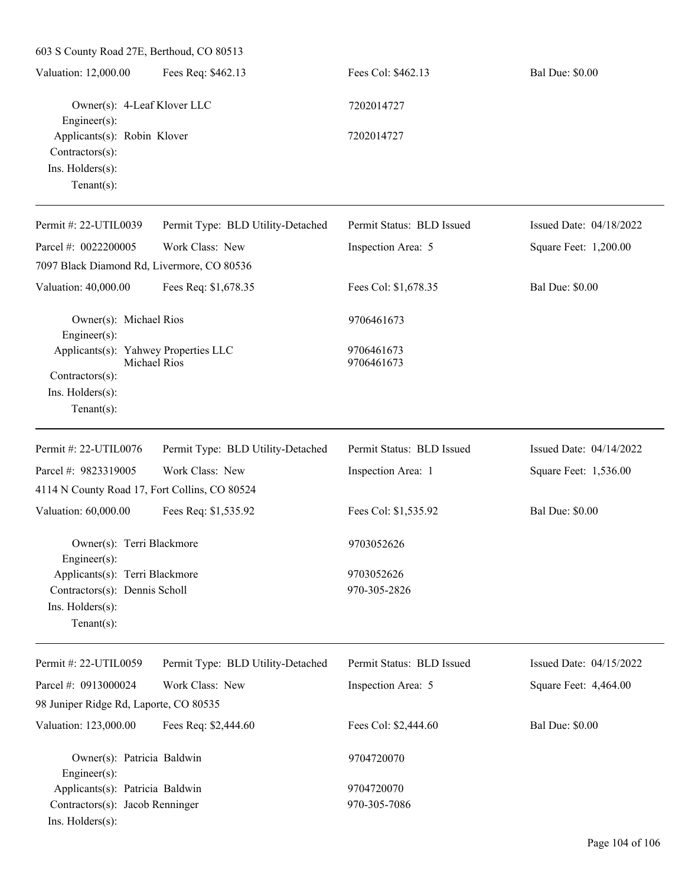603 S County Road 27E, Berthoud, CO 80513 Valuation: 12,000.00 Fees Req: \$462.13 Fees Col: \$462.13 Bal Due: \$0.00 Owner(s): 4-Leaf Klover LLC 7202014727 Engineer(s): Applicants(s): Robin Klover 7202014727 Contractors(s): Ins. Holders(s): Tenant(s): Permit #: 22-UTIL0039 Permit Type: BLD Utility-Detached Permit Status: BLD Issued Issued Date: 04/18/2022

| Permit #: 22-UTIL0039                                                                                         | Permit Type: BLD Utility-Detached | Permit Status: BLD Issued | Issued Date: 04/18/2022 |
|---------------------------------------------------------------------------------------------------------------|-----------------------------------|---------------------------|-------------------------|
| Parcel #: 0022200005                                                                                          | Work Class: New                   | Inspection Area: 5        | Square Feet: 1,200.00   |
| 7097 Black Diamond Rd, Livermore, CO 80536                                                                    |                                   |                           |                         |
| Valuation: 40,000.00                                                                                          | Fees Req: \$1,678.35              | Fees Col: \$1,678.35      | <b>Bal Due: \$0.00</b>  |
| Owner(s): Michael Rios<br>Engineer $(s)$ :                                                                    |                                   | 9706461673                |                         |
| Applicants(s): Yahwey Properties LLC<br>Michael Rios<br>Contractors(s):<br>Ins. Holders(s):<br>Tenant $(s)$ : |                                   | 9706461673<br>9706461673  |                         |
| Permit #: 22-UTIL0076                                                                                         | Permit Type: BLD Utility-Detached | Permit Status: BLD Issued | Issued Date: 04/14/2022 |
| Parcel #: 9823319005                                                                                          | Work Class: New                   | Inspection Area: 1        | Square Feet: 1,536.00   |
| 4114 N County Road 17, Fort Collins, CO 80524                                                                 |                                   |                           |                         |
| Valuation: 60,000.00                                                                                          | Fees Req: \$1,535.92              | Fees Col: \$1,535.92      | <b>Bal Due: \$0.00</b>  |
| Owner(s): Terri Blackmore<br>Engineer(s):                                                                     |                                   | 9703052626                |                         |
| Applicants(s): Terri Blackmore                                                                                |                                   | 9703052626                |                         |
| Contractors(s): Dennis Scholl                                                                                 |                                   | 970-305-2826              |                         |
| Ins. Holders(s):<br>Tenant $(s)$ :                                                                            |                                   |                           |                         |
| Permit #: 22-UTIL0059                                                                                         | Permit Type: BLD Utility-Detached | Permit Status: BLD Issued | Issued Date: 04/15/2022 |
| Parcel #: 0913000024                                                                                          | Work Class: New                   | Inspection Area: 5        | Square Feet: 4,464.00   |
| 98 Juniper Ridge Rd, Laporte, CO 80535                                                                        |                                   |                           |                         |
| Valuation: 123,000.00                                                                                         | Fees Req: \$2,444.60              | Fees Col: \$2,444.60      | <b>Bal Due: \$0.00</b>  |
| Owner(s): Patricia Baldwin<br>$Engineering(s)$ :                                                              |                                   | 9704720070                |                         |

Applicants(s): Patricia Baldwin 9704720070 Contractors(s): Jacob Renninger 970-305-7086

Ins. Holders(s):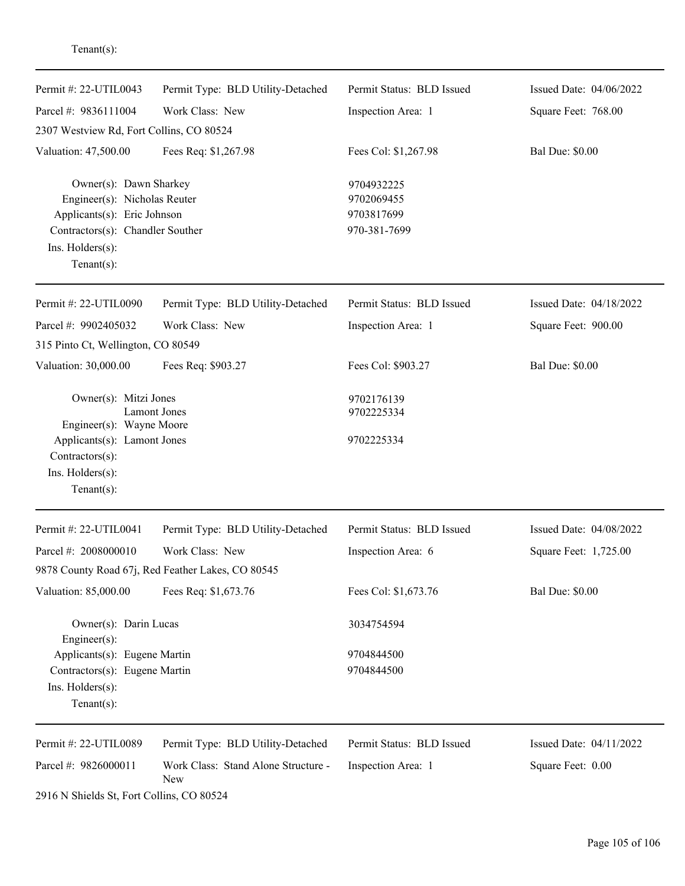| Permit #: 22-UTIL0043                                                                                                                                          | Permit Type: BLD Utility-Detached                 | Permit Status: BLD Issued                              | Issued Date: 04/06/2022 |
|----------------------------------------------------------------------------------------------------------------------------------------------------------------|---------------------------------------------------|--------------------------------------------------------|-------------------------|
| Parcel #: 9836111004                                                                                                                                           | Work Class: New                                   | Inspection Area: 1                                     | Square Feet: 768.00     |
| 2307 Westview Rd, Fort Collins, CO 80524                                                                                                                       |                                                   |                                                        |                         |
| Valuation: 47,500.00                                                                                                                                           | Fees Req: \$1,267.98                              | Fees Col: \$1,267.98                                   | <b>Bal Due: \$0.00</b>  |
| Owner(s): Dawn Sharkey<br>Engineer(s): Nicholas Reuter<br>Applicants(s): Eric Johnson<br>Contractors(s): Chandler Souther<br>Ins. Holders(s):<br>$Tenant(s)$ : |                                                   | 9704932225<br>9702069455<br>9703817699<br>970-381-7699 |                         |
| Permit #: 22-UTIL0090                                                                                                                                          | Permit Type: BLD Utility-Detached                 | Permit Status: BLD Issued                              | Issued Date: 04/18/2022 |
| Parcel #: 9902405032                                                                                                                                           | Work Class: New                                   | Inspection Area: 1                                     | Square Feet: 900.00     |
| 315 Pinto Ct, Wellington, CO 80549                                                                                                                             |                                                   |                                                        |                         |
| Valuation: 30,000.00                                                                                                                                           | Fees Req: \$903.27                                | Fees Col: \$903.27                                     | <b>Bal Due: \$0.00</b>  |
| Owner(s): Mitzi Jones                                                                                                                                          |                                                   | 9702176139                                             |                         |
| Engineer(s): Wayne Moore                                                                                                                                       | <b>Lamont Jones</b>                               | 9702225334                                             |                         |
| Applicants(s): Lamont Jones                                                                                                                                    |                                                   | 9702225334                                             |                         |
| Contractors(s):                                                                                                                                                |                                                   |                                                        |                         |
| Ins. Holders(s):                                                                                                                                               |                                                   |                                                        |                         |
| $Tenant(s)$ :                                                                                                                                                  |                                                   |                                                        |                         |
| Permit #: 22-UTIL0041                                                                                                                                          | Permit Type: BLD Utility-Detached                 | Permit Status: BLD Issued                              | Issued Date: 04/08/2022 |
| Parcel #: 2008000010                                                                                                                                           | Work Class: New                                   | Inspection Area: 6                                     | Square Feet: 1,725.00   |
|                                                                                                                                                                | 9878 County Road 67j, Red Feather Lakes, CO 80545 |                                                        |                         |
| Valuation: 85,000.00                                                                                                                                           | Fees Req: \$1,673.76                              | Fees Col: \$1,673.76                                   | <b>Bal Due: \$0.00</b>  |
| Owner(s): Darin Lucas<br>Engineer(s):                                                                                                                          |                                                   | 3034754594                                             |                         |
| Applicants(s): Eugene Martin                                                                                                                                   |                                                   | 9704844500                                             |                         |
| Contractors(s): Eugene Martin                                                                                                                                  |                                                   | 9704844500                                             |                         |
| Ins. Holders(s):                                                                                                                                               |                                                   |                                                        |                         |
| Tenant $(s)$ :                                                                                                                                                 |                                                   |                                                        |                         |
| Permit #: 22-UTIL0089                                                                                                                                          | Permit Type: BLD Utility-Detached                 | Permit Status: BLD Issued                              | Issued Date: 04/11/2022 |
| Parcel #: 9826000011                                                                                                                                           | Work Class: Stand Alone Structure -<br>New        | Inspection Area: 1                                     | Square Feet: 0.00       |
| 2916 N Shields St, Fort Collins, CO 80524                                                                                                                      |                                                   |                                                        |                         |